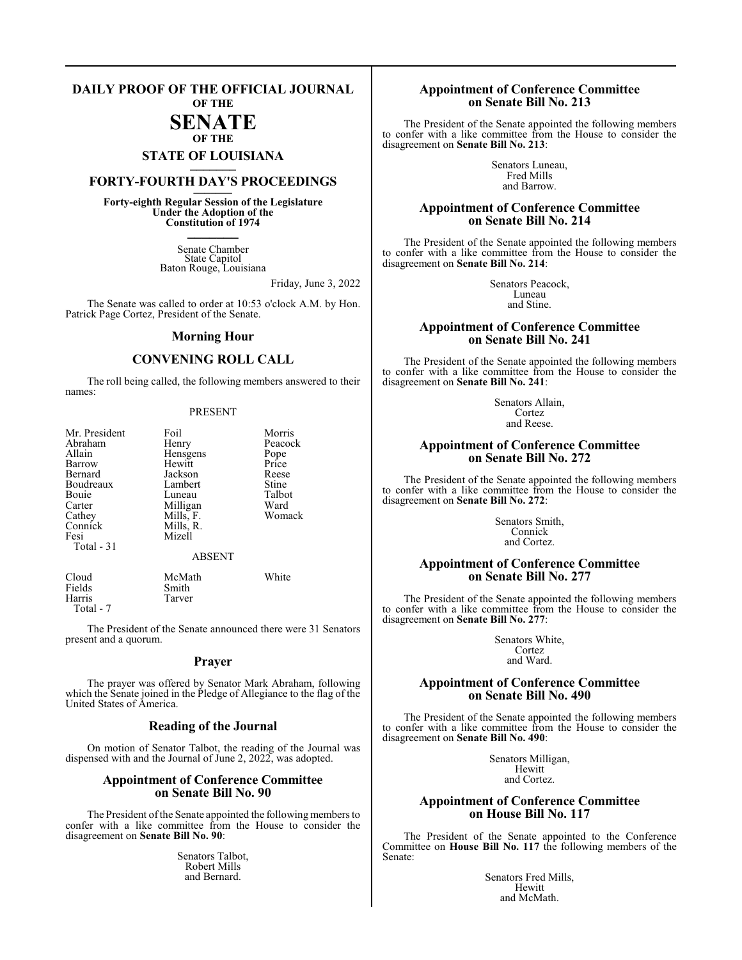#### **DAILY PROOF OF THE OFFICIAL JOURNAL OF THE**

# **SENATE**

# **OF THE STATE OF LOUISIANA \_\_\_\_\_\_\_**

# **FORTY-FOURTH DAY'S PROCEEDINGS \_\_\_\_\_\_\_**

**Forty-eighth Regular Session of the Legislature Under the Adoption of the Constitution of 1974 \_\_\_\_\_\_\_**

> Senate Chamber State Capitol Baton Rouge, Louisiana

> > Friday, June 3, 2022

The Senate was called to order at 10:53 o'clock A.M. by Hon. Patrick Page Cortez, President of the Senate.

#### **Morning Hour**

## **CONVENING ROLL CALL**

The roll being called, the following members answered to their names:

#### PRESENT

| Mr. President<br>Abraham<br>Allain<br>Barrow<br>Bernard<br>Boudreaux<br>Bouie<br>Carter<br>Cathey<br>Connick<br>Fesi<br>Total $-31$ | Foil<br>Henry<br>Hensgens<br>Hewitt<br>Jackson<br>Lambert<br>Luneau<br>Milligan<br>Mills, F.<br>Mills, R.<br>Mizell<br><b>ABSENT</b> | Morris<br>Peacock<br>Pope<br>Price<br>Reese<br>Stine<br>Talbot<br>Ward<br>Womack |
|-------------------------------------------------------------------------------------------------------------------------------------|--------------------------------------------------------------------------------------------------------------------------------------|----------------------------------------------------------------------------------|
| Cloud                                                                                                                               | McMath                                                                                                                               | White                                                                            |

Tarver

Fields Smith<br>Harris Tarver

Total - 7

The President of the Senate announced there were 31 Senators present and a quorum.

#### **Prayer**

The prayer was offered by Senator Mark Abraham, following which the Senate joined in the Pledge of Allegiance to the flag of the United States of America.

### **Reading of the Journal**

On motion of Senator Talbot, the reading of the Journal was dispensed with and the Journal of June 2, 2022, was adopted.

#### **Appointment of Conference Committee on Senate Bill No. 90**

The President of the Senate appointed the following members to confer with a like committee from the House to consider the disagreement on **Senate Bill No. 90**:

> Senators Talbot, Robert Mills and Bernard.

## **Appointment of Conference Committee on Senate Bill No. 213**

The President of the Senate appointed the following members to confer with a like committee from the House to consider the disagreement on **Senate Bill No. 213**:

> Senators Luneau, Fred Mills and Barrow.

### **Appointment of Conference Committee on Senate Bill No. 214**

The President of the Senate appointed the following members to confer with a like committee from the House to consider the disagreement on **Senate Bill No. 214**:

> Senators Peacock, Luneau and Stine.

## **Appointment of Conference Committee on Senate Bill No. 241**

The President of the Senate appointed the following members to confer with a like committee from the House to consider the disagreement on **Senate Bill No. 241**:

> Senators Allain, Cortez and Reese.

#### **Appointment of Conference Committee on Senate Bill No. 272**

The President of the Senate appointed the following members to confer with a like committee from the House to consider the disagreement on **Senate Bill No. 272**:

> Senators Smith, Connick and Cortez.

## **Appointment of Conference Committee on Senate Bill No. 277**

The President of the Senate appointed the following members to confer with a like committee from the House to consider the disagreement on **Senate Bill No. 277**:

> Senators White, Cortez and Ward.

#### **Appointment of Conference Committee on Senate Bill No. 490**

The President of the Senate appointed the following members to confer with a like committee from the House to consider the disagreement on **Senate Bill No. 490**:

> Senators Milligan, Hewitt and Cortez.

#### **Appointment of Conference Committee on House Bill No. 117**

The President of the Senate appointed to the Conference Committee on **House Bill No. 117** the following members of the Senate:

> Senators Fred Mills, Hewitt and McMath.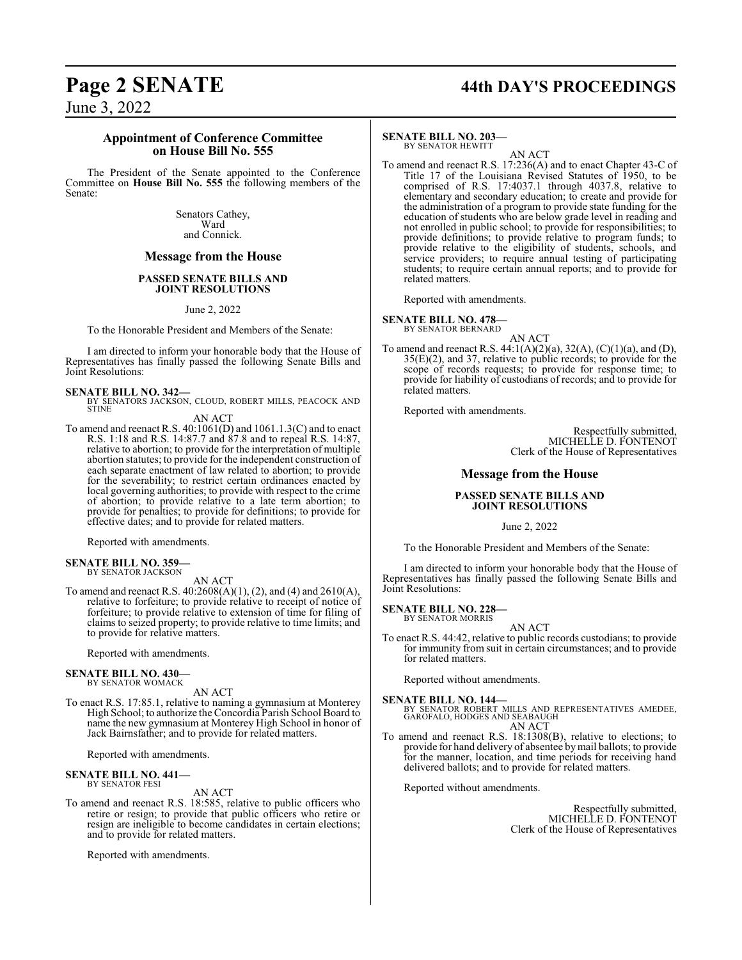# **Page 2 SENATE 44th DAY'S PROCEEDINGS**

June 3, 2022

#### **Appointment of Conference Committee on House Bill No. 555**

The President of the Senate appointed to the Conference Committee on **House Bill No. 555** the following members of the Senate:

> Senators Cathey, Ward and Connick.

## **Message from the House**

#### **PASSED SENATE BILLS AND JOINT RESOLUTIONS**

June 2, 2022

To the Honorable President and Members of the Senate:

I am directed to inform your honorable body that the House of Representatives has finally passed the following Senate Bills and Joint Resolutions:

#### **SENATE BILL NO. 342—**

BY SENATORS JACKSON, CLOUD, ROBERT MILLS, PEACOCK AND STINE

AN ACT

To amend and reenact R.S. 40:1061(D) and 1061.1.3(C) and to enact R.S. 1:18 and R.S. 14:87.7 and 87.8 and to repeal R.S. 14:87, relative to abortion; to provide for the interpretation of multiple abortion statutes; to provide for the independent construction of each separate enactment of law related to abortion; to provide for the severability; to restrict certain ordinances enacted by local governing authorities; to provide with respect to the crime of abortion; to provide relative to a late term abortion; to provide for penalties; to provide for definitions; to provide for effective dates; and to provide for related matters.

Reported with amendments.

#### **SENATE BILL NO. 359—** BY SENATOR JACKSON

AN ACT

To amend and reenact R.S. 40:2608(A)(1), (2), and (4) and 2610(A), relative to forfeiture; to provide relative to receipt of notice of forfeiture; to provide relative to extension of time for filing of claims to seized property; to provide relative to time limits; and to provide for relative matters.

Reported with amendments.

#### **SENATE BILL NO. 430—**

BY SENATOR WOMACK AN ACT

To enact R.S. 17:85.1, relative to naming a gymnasium at Monterey High School; to authorize the Concordia Parish School Board to name the new gymnasium at Monterey High School in honor of Jack Bairnsfather; and to provide for related matters.

Reported with amendments.

#### **SENATE BILL NO. 441—** BY SENATOR FESI

AN ACT

To amend and reenact R.S. 18:585, relative to public officers who retire or resign; to provide that public officers who retire or resign are ineligible to become candidates in certain elections; and to provide for related matters.

Reported with amendments.

#### **SENATE BILL NO. 203—** BY SENATOR HEWITT

AN ACT

To amend and reenact R.S. 17:236(A) and to enact Chapter 43-C of Title 17 of the Louisiana Revised Statutes of 1950, to be comprised of R.S. 17:4037.1 through 4037.8, relative to elementary and secondary education; to create and provide for the administration of a program to provide state funding for the education of students who are below grade level in reading and not enrolled in public school; to provide for responsibilities; to provide definitions; to provide relative to program funds; to provide relative to the eligibility of students, schools, and service providers; to require annual testing of participating students; to require certain annual reports; and to provide for related matters.

Reported with amendments.

**SENATE BILL NO. 478—** BY SENATOR BERNARD

AN ACT

To amend and reenact R.S. 44:1(A)(2)(a), 32(A), (C)(1)(a), and (D), 35(E)(2), and 37, relative to public records; to provide for the scope of records requests; to provide for response time; to provide for liability of custodians of records; and to provide for related matters.

Reported with amendments.

Respectfully submitted, MICHELLE D. FONTENOT Clerk of the House of Representatives

### **Message from the House**

#### **PASSED SENATE BILLS AND JOINT RESOLUTIONS**

June 2, 2022

To the Honorable President and Members of the Senate:

I am directed to inform your honorable body that the House of Representatives has finally passed the following Senate Bills and Joint Resolutions:

**SENATE BILL NO. 228—**

BY SENATOR MORRIS AN ACT

To enact R.S. 44:42, relative to public records custodians; to provide for immunity from suit in certain circumstances; and to provide for related matters.

Reported without amendments.

**SENATE BILL NO. 144—**<br>BY SENATOR ROBERT MILLS AND REPRESENTATIVES AMEDEE,<br>GAROFALO, HODGES AND SEABAUGH AN ACT

To amend and reenact R.S. 18:1308(B), relative to elections; to provide for hand delivery of absentee bymail ballots; to provide for the manner, location, and time periods for receiving hand delivered ballots; and to provide for related matters.

Reported without amendments.

Respectfully submitted, MICHELLE D. FONTENOT Clerk of the House of Representatives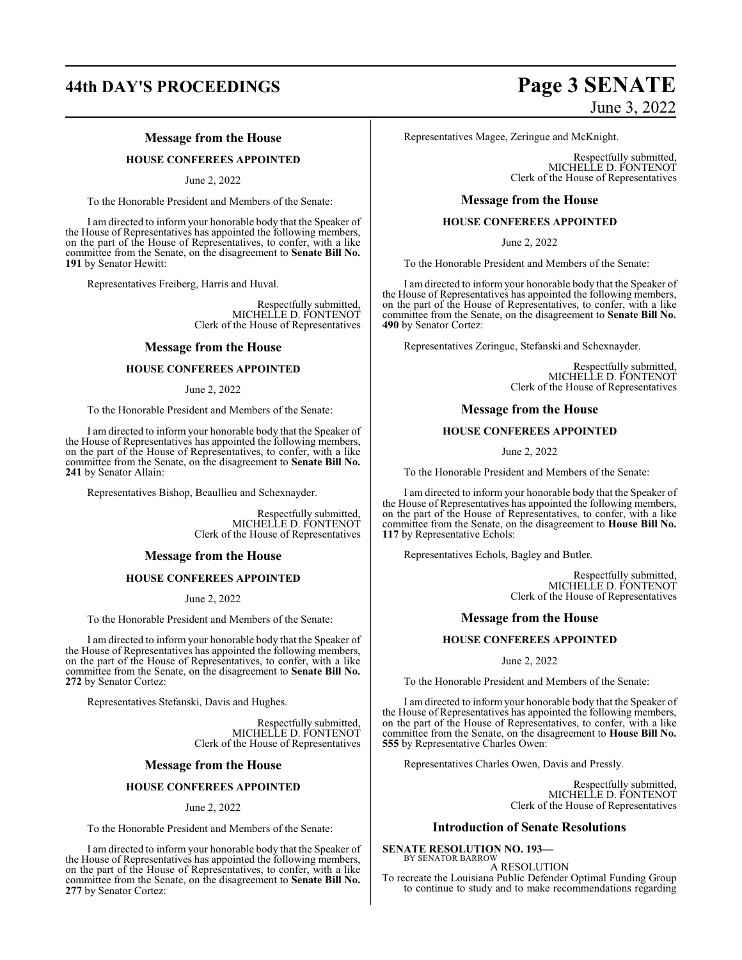# **44th DAY'S PROCEEDINGS Page 3 SENATE**

## **Message from the House**

#### **HOUSE CONFEREES APPOINTED**

June 2, 2022

To the Honorable President and Members of the Senate:

I am directed to inform your honorable body that the Speaker of the House of Representatives has appointed the following members, on the part of the House of Representatives, to confer, with a like committee from the Senate, on the disagreement to **Senate Bill No. 191** by Senator Hewitt:

Representatives Freiberg, Harris and Huval.

Respectfully submitted, MICHELLE D. FONTENOT Clerk of the House of Representatives

#### **Message from the House**

#### **HOUSE CONFEREES APPOINTED**

#### June 2, 2022

To the Honorable President and Members of the Senate:

I am directed to inform your honorable body that the Speaker of the House of Representatives has appointed the following members, on the part of the House of Representatives, to confer, with a like committee from the Senate, on the disagreement to **Senate Bill No. 241** by Senator Allain:

Representatives Bishop, Beaullieu and Schexnayder.

Respectfully submitted, MICHELLE D. FONTENOT Clerk of the House of Representatives

#### **Message from the House**

#### **HOUSE CONFEREES APPOINTED**

June 2, 2022

To the Honorable President and Members of the Senate:

I am directed to inform your honorable body that the Speaker of the House of Representatives has appointed the following members, on the part of the House of Representatives, to confer, with a like committee from the Senate, on the disagreement to **Senate Bill No. 272** by Senator Cortez:

Representatives Stefanski, Davis and Hughes.

Respectfully submitted, MICHELLE D. FONTENOT Clerk of the House of Representatives

#### **Message from the House**

#### **HOUSE CONFEREES APPOINTED**

#### June 2, 2022

To the Honorable President and Members of the Senate:

I am directed to inform your honorable body that the Speaker of the House of Representatives has appointed the following members, on the part of the House of Representatives, to confer, with a like committee from the Senate, on the disagreement to **Senate Bill No. 277** by Senator Cortez:

# June 3, 2022

Representatives Magee, Zeringue and McKnight.

Respectfully submitted, MICHELLE D. FONTENOT Clerk of the House of Representatives

#### **Message from the House**

#### **HOUSE CONFEREES APPOINTED**

June 2, 2022

To the Honorable President and Members of the Senate:

I am directed to inform your honorable body that the Speaker of the House of Representatives has appointed the following members, on the part of the House of Representatives, to confer, with a like committee from the Senate, on the disagreement to **Senate Bill No. 490** by Senator Cortez:

Representatives Zeringue, Stefanski and Schexnayder.

Respectfully submitted, MICHELLE D. FONTENOT Clerk of the House of Representatives

#### **Message from the House**

#### **HOUSE CONFEREES APPOINTED**

June 2, 2022

To the Honorable President and Members of the Senate:

I am directed to inform your honorable body that the Speaker of the House of Representatives has appointed the following members, on the part of the House of Representatives, to confer, with a like committee from the Senate, on the disagreement to **House Bill No. 117** by Representative Echols:

Representatives Echols, Bagley and Butler.

Respectfully submitted, MICHELLE D. FONTENOT Clerk of the House of Representatives

#### **Message from the House**

#### **HOUSE CONFEREES APPOINTED**

June 2, 2022

To the Honorable President and Members of the Senate:

I am directed to inform your honorable body that the Speaker of the House of Representatives has appointed the following members, on the part of the House of Representatives, to confer, with a like committee from the Senate, on the disagreement to **House Bill No. 555** by Representative Charles Owen:

Representatives Charles Owen, Davis and Pressly.

Respectfully submitted, MICHELLE D. FONTENOT Clerk of the House of Representatives

#### **Introduction of Senate Resolutions**

to continue to study and to make recommendations regarding

**SENATE RESOLUTION NO. 193—** BY SENATOR BARROW

A RESOLUTION To recreate the Louisiana Public Defender Optimal Funding Group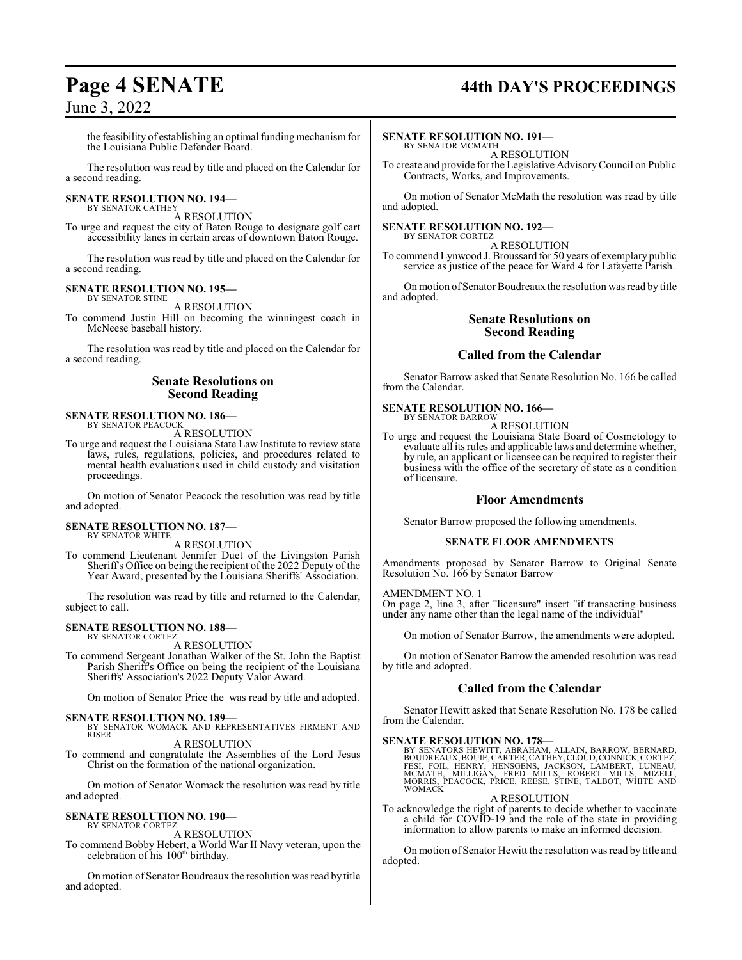# **Page 4 SENATE 44th DAY'S PROCEEDINGS**

June 3, 2022

the feasibility of establishing an optimal funding mechanism for the Louisiana Public Defender Board.

The resolution was read by title and placed on the Calendar for a second reading.

#### **SENATE RESOLUTION NO. 194—** BY SENATOR CATHEY

A RESOLUTION

To urge and request the city of Baton Rouge to designate golf cart accessibility lanes in certain areas of downtown Baton Rouge.

The resolution was read by title and placed on the Calendar for a second reading.

#### **SENATE RESOLUTION NO. 195—** BY SENATOR STINE

A RESOLUTION

To commend Justin Hill on becoming the winningest coach in McNeese baseball history.

The resolution was read by title and placed on the Calendar for a second reading.

#### **Senate Resolutions on Second Reading**

#### **SENATE RESOLUTION NO. 186—** BY SENATOR PEACOCK

A RESOLUTION

To urge and request the Louisiana State Law Institute to review state laws, rules, regulations, policies, and procedures related to mental health evaluations used in child custody and visitation proceedings.

On motion of Senator Peacock the resolution was read by title and adopted.

#### **SENATE RESOLUTION NO. 187—** BY SENATOR WHITE

A RESOLUTION

To commend Lieutenant Jennifer Duet of the Livingston Parish Sheriff's Office on being the recipient of the 2022 Deputy of the Year Award, presented by the Louisiana Sheriffs' Association.

The resolution was read by title and returned to the Calendar, subject to call.

#### **SENATE RESOLUTION NO. 188—** BY SENATOR CORTEZ

A RESOLUTION

To commend Sergeant Jonathan Walker of the St. John the Baptist Parish Sheriff's Office on being the recipient of the Louisiana Sheriffs' Association's 2022 Deputy Valor Award.

On motion of Senator Price the was read by title and adopted.

- **SENATE RESOLUTION NO. 189—** BY SENATOR WOMACK AND REPRESENTATIVES FIRMENT AND RISER
- A RESOLUTION To commend and congratulate the Assemblies of the Lord Jesus Christ on the formation of the national organization.

On motion of Senator Womack the resolution was read by title and adopted.

#### **SENATE RESOLUTION NO. 190—** BY SENATOR CORTEZ

A RESOLUTION

To commend Bobby Hebert, a World War II Navy veteran, upon the celebration of his 100<sup>th</sup> birthday.

On motion of Senator Boudreaux the resolution was read by title and adopted.

#### **SENATE RESOLUTION NO. 191—**

BY SENATOR MCMATH A RESOLUTION

To create and provide for the Legislative AdvisoryCouncil on Public Contracts, Works, and Improvements.

On motion of Senator McMath the resolution was read by title and adopted.

#### **SENATE RESOLUTION NO. 192—** BY SENATOR CORTEZ

A RESOLUTION To commend Lynwood J. Broussard for 50 years of exemplary public service as justice of the peace for Ward 4 for Lafayette Parish.

On motion of Senator Boudreaux the resolution was read by title and adopted.

## **Senate Resolutions on Second Reading**

#### **Called from the Calendar**

Senator Barrow asked that Senate Resolution No. 166 be called from the Calendar.

#### **SENATE RESOLUTION NO. 166—**

BY SENATOR BARROW A RESOLUTION

To urge and request the Louisiana State Board of Cosmetology to evaluate all its rules and applicable laws and determine whether, by rule, an applicant or licensee can be required to register their business with the office of the secretary of state as a condition of licensure.

#### **Floor Amendments**

Senator Barrow proposed the following amendments.

#### **SENATE FLOOR AMENDMENTS**

Amendments proposed by Senator Barrow to Original Senate Resolution No. 166 by Senator Barrow

#### AMENDMENT NO. 1

On page 2, line 3, after "licensure" insert "if transacting business under any name other than the legal name of the individual"

On motion of Senator Barrow, the amendments were adopted.

On motion of Senator Barrow the amended resolution was read by title and adopted.

## **Called from the Calendar**

Senator Hewitt asked that Senate Resolution No. 178 be called from the Calendar.

#### **SENATE RESOLUTION NO. 178—**

BY SENATORS HEWITT, ABRAHAM, ALLAIN, BARROW, BERNARD,<br>BOUDREAUX,BOUIE,CARTER,CATHEY,CLOUD,CONNICK,CORTEZ,<br>FESI, FOIL, HENRY, HENSGENS, JACKSON, LAMBERT, LUNEAU,<br>MCMATH, MILLIGAN, FRED MILLS, ROBERT MILLS, MIZELL,<br>MORRIS, P WOMACK

A RESOLUTION

To acknowledge the right of parents to decide whether to vaccinate a child for COVID-19 and the role of the state in providing information to allow parents to make an informed decision.

On motion of Senator Hewitt the resolution was read by title and adopted.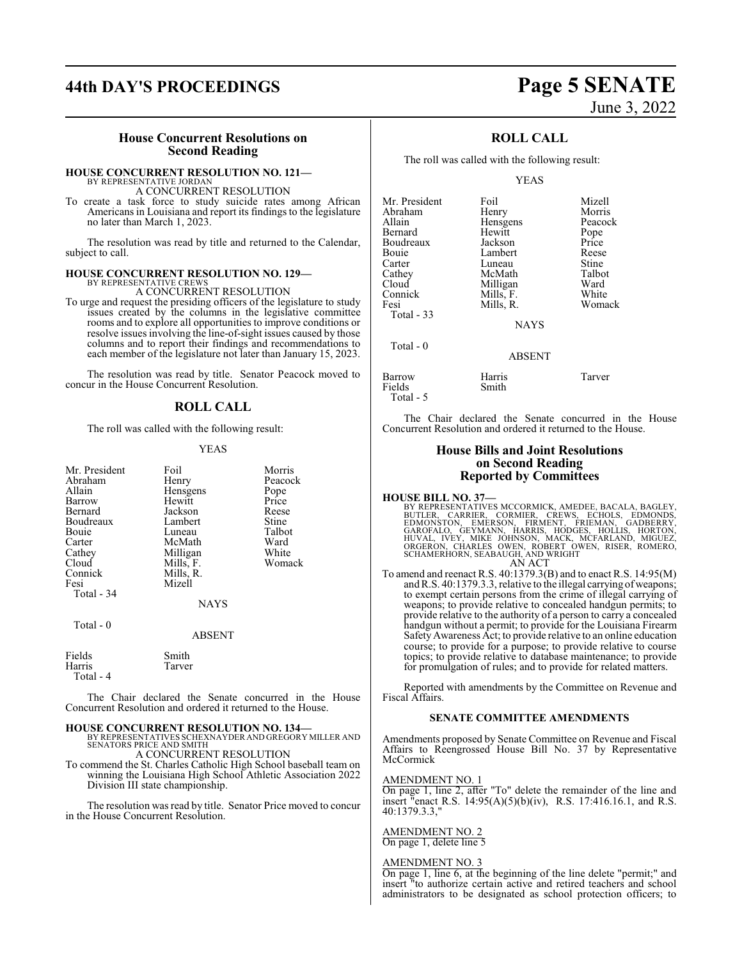# **44th DAY'S PROCEEDINGS Page 5 SENATE**

#### **House Concurrent Resolutions on Second Reading**

#### **HOUSE CONCURRENT RESOLUTION NO. 121—**

BY REPRESENTATIVE JORDAN A CONCURRENT RESOLUTION

To create a task force to study suicide rates among African Americans in Louisiana and report its findings to the legislature no later than March 1, 2023.

The resolution was read by title and returned to the Calendar, subject to call.

## **HOUSE CONCURRENT RESOLUTION NO. 129—** BY REPRESENTATIVE CREWS

A CONCURRENT RESOLUTION

To urge and request the presiding officers of the legislature to study issues created by the columns in the legislative committee rooms and to explore all opportunities to improve conditions or resolve issues involving the line-of-sight issues caused by those columns and to report their findings and recommendations to each member of the legislature not later than January 15, 2023.

The resolution was read by title. Senator Peacock moved to concur in the House Concurrent Resolution.

#### **ROLL CALL**

The roll was called with the following result:

#### YEAS

| Mr. President<br>Abraham<br>Allain<br>Barrow<br>Bernard<br>Boudreaux<br>Bouie<br>Carter<br>Cathey<br>Cloud<br>Connick<br>Fesi<br>Total - 34<br>Total $-0$ | Foil<br>Henry<br>Hensgens<br>Hewitt<br>Jackson<br>Lambert<br>Luneau<br>McMath<br>Milligan<br>Mills, F.<br>Mills, R.<br>Mizell<br><b>NAYS</b><br>ABSENT | Morris<br>Peacock<br>Pope<br>Price<br>Reese<br>Stine<br>Talbot<br>Ward<br>White<br>Womack |
|-----------------------------------------------------------------------------------------------------------------------------------------------------------|--------------------------------------------------------------------------------------------------------------------------------------------------------|-------------------------------------------------------------------------------------------|
| Fields                                                                                                                                                    | Smith                                                                                                                                                  |                                                                                           |
| Harris<br>Total - 4                                                                                                                                       | Tarver                                                                                                                                                 |                                                                                           |

The Chair declared the Senate concurred in the House Concurrent Resolution and ordered it returned to the House.

#### **HOUSE CONCURRENT RESOLUTION NO. 134—**

BY REPRESENTATIVES SCHEXNAYDER AND GREGORY MILLER AND SENATORS PRICE AND SMITH

A CONCURRENT RESOLUTION

To commend the St. Charles Catholic High School baseball team on winning the Louisiana High School Athletic Association 2022 Division III state championship.

The resolution was read by title. Senator Price moved to concur in the House Concurrent Resolution.

# June 3, 2022

## **ROLL CALL**

The roll was called with the following result:

YEAS

| Mr. President<br>Abraham<br>Allain<br>Bernard<br>Boudreaux<br>Bouie<br>Carter<br>Cathey<br>Cloud<br>Connick | Foil<br>Henry<br>Hensgens<br>Hewitt<br>Jackson<br>Lambert<br>Luneau<br>McMath<br>Milligan<br>Mills, F. | Mizell<br>Morris<br>Peacock<br>Pope<br>Price<br>Reese<br>Stine<br>Talbot<br>Ward<br>White |
|-------------------------------------------------------------------------------------------------------------|--------------------------------------------------------------------------------------------------------|-------------------------------------------------------------------------------------------|
| Fesi                                                                                                        | Mills, R.                                                                                              | Womack                                                                                    |
| Total $-33$                                                                                                 | <b>NAYS</b>                                                                                            |                                                                                           |
| Total - 0                                                                                                   | <b>ABSENT</b>                                                                                          |                                                                                           |

| Barrow    | Harris | Tarver |
|-----------|--------|--------|
| Fields    | Smith  |        |
| Total - 5 |        |        |

The Chair declared the Senate concurred in the House Concurrent Resolution and ordered it returned to the House.

#### **House Bills and Joint Resolutions on Second Reading Reported by Committees**

**HOUSE BILL NO. 37—**<br>BY REPRESENTATIVES MCCORMICK, AMEDEE, BACALA, BAGLEY, BUTLER, CARRIER, CORMIER, CREWS, ECHOLS, EDMONDS,<br>EDMONSTON, EMERSON, FIRMENT, FRIEMAN, GADBERRY,<br>GAROFALO, GEYMANN, HARRIS, HODGES, HOLLIS, HORTON AN ACT

To amend and reenact R.S. 40:1379.3(B) and to enact R.S. 14:95(M) and R.S. 40:1379.3.3, relative to the illegal carrying of weapons; to exempt certain persons from the crime of illegal carrying of weapons; to provide relative to concealed handgun permits; to provide relative to the authority of a person to carry a concealed handgun without a permit; to provide for the Louisiana Firearm SafetyAwareness Act; to provide relative to an online education course; to provide for a purpose; to provide relative to course topics; to provide relative to database maintenance; to provide for promulgation of rules; and to provide for related matters.

Reported with amendments by the Committee on Revenue and Fiscal Affairs.

#### **SENATE COMMITTEE AMENDMENTS**

Amendments proposed by Senate Committee on Revenue and Fiscal Affairs to Reengrossed House Bill No. 37 by Representative McCormick

#### AMENDMENT NO. 1

On page 1, line 2, after "To" delete the remainder of the line and insert "enact R.S. 14:95(A)(5)(b)(iv), R.S. 17:416.16.1, and R.S. 40:1379.3.3,"

#### AMENDMENT NO. 2

On page 1, delete line 5

#### AMENDMENT NO. 3

On page 1, line 6, at the beginning of the line delete "permit;" and insert "to authorize certain active and retired teachers and school administrators to be designated as school protection officers; to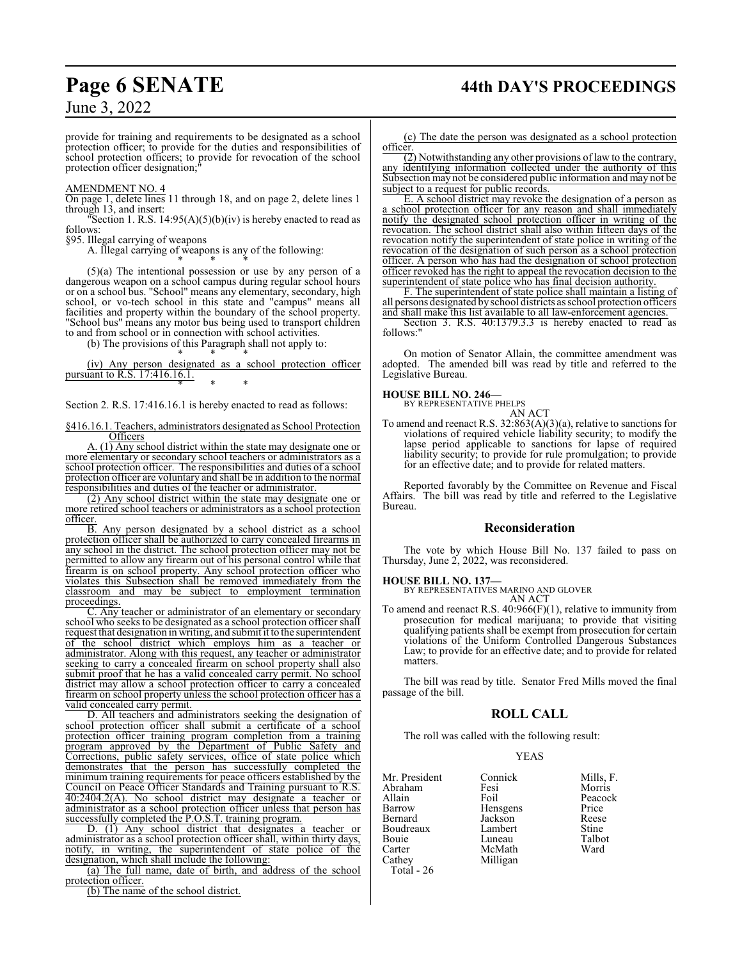# **Page 6 SENATE 44th DAY'S PROCEEDINGS**

June 3, 2022

provide for training and requirements to be designated as a school protection officer; to provide for the duties and responsibilities of school protection officers; to provide for revocation of the school protection officer designation;

#### AMENDMENT NO. 4

On page 1, delete lines 11 through 18, and on page 2, delete lines 1 through 13, and insert:

"Section 1. R.S.  $14:95(A)(5)(b)(iv)$  is hereby enacted to read as follows:

§95. Illegal carrying of weapons

A. Illegal carrying of weapons is any of the following:

\* \* \* (5)(a) The intentional possession or use by any person of a dangerous weapon on a school campus during regular school hours or on a school bus. "School" means any elementary, secondary, high school, or vo-tech school in this state and "campus" means all facilities and property within the boundary of the school property. "School bus" means any motor bus being used to transport children to and from school or in connection with school activities.

(b) The provisions of this Paragraph shall not apply to: \* \* \*

(iv) Any person designated as a school protection officer pursuant to R.S. 17:416.16.1. \* \* \*

Section 2. R.S. 17:416.16.1 is hereby enacted to read as follows:

§416.16.1. Teachers, administrators designated as School Protection **Officers** 

 $(1)$  Any school district within the state may designate one or more elementary or secondary school teachers or administrators as a school protection officer. The responsibilities and duties of a school protection officer are voluntary and shall be in addition to the normal responsibilities and duties of the teacher or administrator.

(2) Any school district within the state may designate one or more retired school teachers or administrators as a school protection officer.

B. Any person designated by a school district as a school protection officer shall be authorized to carry concealed firearms in any school in the district. The school protection officer may not be permitted to allow any firearm out of his personal control while that firearm is on school property. Any school protection officer who violates this Subsection shall be removed immediately from the classroom and may be subject to employment termination proceedings.

C. Any teacher or administrator of an elementary or secondary school who seeks to be designated as a school protection officer shall request that designation in writing, and submit it to the superintendent of the school district which employs him as a teacher or administrator. Along with this request, any teacher or administrator seeking to carry a concealed firearm on school property shall also submit proof that he has a valid concealed carry permit. No school district may allow a school protection officer to carry a concealed firearm on school property unless the school protection officer has a valid concealed carry permit.

D. All teachers and administrators seeking the designation of school protection officer shall submit a certificate of a school protection officer training program completion from a training program approved by the Department of Public Safety and Corrections, public safety services, office of state police which demonstrates that the person has successfully completed the minimum training requirements for peace officers established by the Council on Peace Officer Standards and Training pursuant to R.S. 40:2404.2(A). No school district may designate a teacher or administrator as a school protection officer unless that person has successfully completed the P.O.S.T. training program.

D. (1) Any school district that designates a teacher or administrator as a school protection officer shall, within thirty days, notify, in writing, the superintendent of state police of the designation, which shall include the following:

(a) The full name, date of birth, and address of the school protection officer.

(b) The name of the school district.

(c) The date the person was designated as a school protection officer.

(2) Notwithstanding any other provisions of law to the contrary, any identifying information collected under the authority of this Subsection may not be considered public information and may not be subject to a request for public records.

E. A school district may revoke the designation of a person as a school protection officer for any reason and shall immediately notify the designated school protection officer in writing of the revocation. The school district shall also within fifteen days of the revocation notify the superintendent of state police in writing of the revocation of the designation of such person as a school protection officer. A person who has had the designation of school protection officer revoked has the right to appeal the revocation decision to the superintendent of state police who has final decision authority.

F. The superintendent of state police shall maintain a listing of all persons designated by school districts as school protection officers and shall make this list available to all law-enforcement agencies.

Section 3. R.S. 40:1379.3.3 is hereby enacted to read as follows:"

On motion of Senator Allain, the committee amendment was adopted. The amended bill was read by title and referred to the Legislative Bureau.

**HOUSE BILL NO. 246—** BY REPRESENTATIVE PHELPS AN ACT

To amend and reenact R.S. 32:863(A)(3)(a), relative to sanctions for violations of required vehicle liability security; to modify the lapse period applicable to sanctions for lapse of required liability security; to provide for rule promulgation; to provide for an effective date; and to provide for related matters.

Reported favorably by the Committee on Revenue and Fiscal Affairs. The bill was read by title and referred to the Legislative Bureau.

#### **Reconsideration**

The vote by which House Bill No. 137 failed to pass on Thursday, June 2, 2022, was reconsidered.

**HOUSE BILL NO. 137—**

BY REPRESENTATIVES MARINO AND GLOVER AN ACT

To amend and reenact R.S. 40:966(F)(1), relative to immunity from prosecution for medical marijuana; to provide that visiting qualifying patients shall be exempt from prosecution for certain violations of the Uniform Controlled Dangerous Substances Law; to provide for an effective date; and to provide for related matters.

The bill was read by title. Senator Fred Mills moved the final passage of the bill.

#### **ROLL CALL**

The roll was called with the following result:

#### YEAS

| Mr. President     | Connick  | Mills, F.    |
|-------------------|----------|--------------|
| Abraham           | Fesi     | Morris       |
| Allain            | Foil     | Peacock      |
| Barrow            | Hensgens | Price        |
| Bernard           | Jackson  | Reese        |
| Boudreaux         | Lambert  | <b>Stine</b> |
| Bouie             | Luneau   | Talbot       |
| Carter            | McMath   | Ward         |
| Cathey            | Milligan |              |
| <b>Total</b> - 26 |          |              |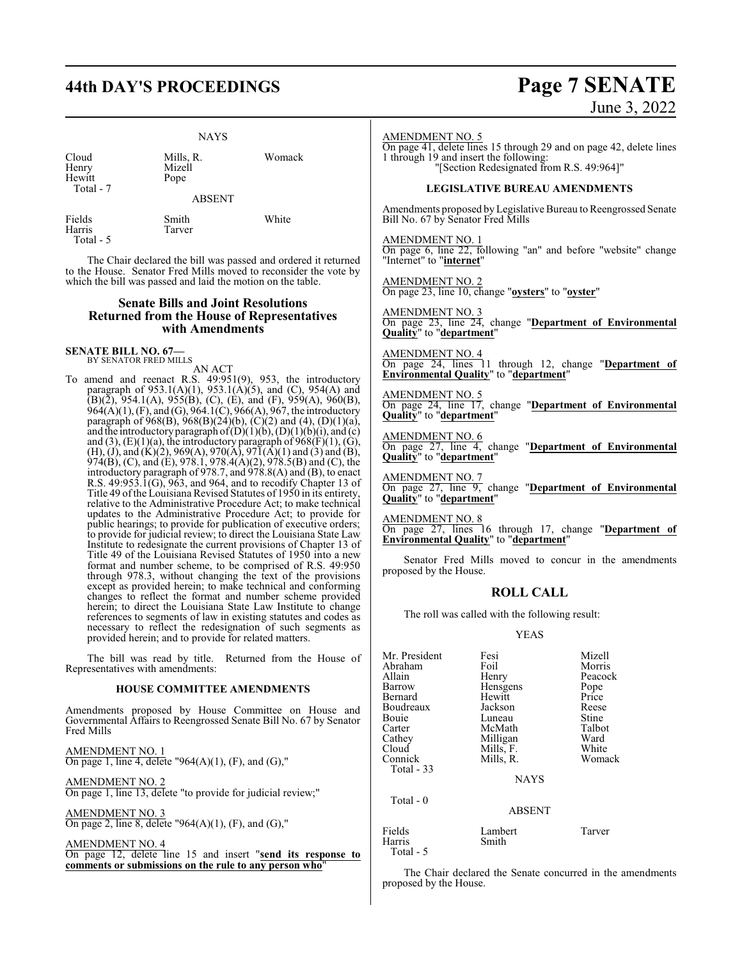# **44th DAY'S PROCEEDINGS Page 7 SENATE**

Mizell<br>Pope

#### NAYS

Hewitt Total - 7

Cloud Mills, R. Womack

ABSENT

Fields Smith White Harris Tarver Total - 5

The Chair declared the bill was passed and ordered it returned to the House. Senator Fred Mills moved to reconsider the vote by which the bill was passed and laid the motion on the table.

#### **Senate Bills and Joint Resolutions Returned from the House of Representatives with Amendments**

**SENATE BILL NO. 67—** BY SENATOR FRED MILLS

AN ACT

To amend and reenact R.S. 49:951(9), 953, the introductory paragraph of  $953.1(A)(1)$ ,  $953.1(A)(5)$ , and (C),  $954(A)$  and  $(B)(\overline{2})$ , 954.1(A), 955(B), (C), (E), and (F), 959(A), 960(B), 964(A)(1), (F), and (G), 964.1(C), 966(A), 967, the introductory paragraph of 968(B), 968(B)(24)(b), (C)(2) and (4), (D)(1)(a), and the introductory paragraph of  $(D)(1)(b)$ ,  $(D)(1)(b)(i)$ , and  $(c)$ and  $(3)$ ,  $(E)(1)(a)$ , the introductory paragraph of  $968(F)(1)$ ,  $(G)$ , (H), (J), and (K)(2), 969(A), 970(A), 971(A)(1) and (3) and (B), 974(B), (C), and (E), 978.1, 978.4(A)(2), 978.5(B) and (C), the introductory paragraph of 978.7, and 978.8(A) and (B), to enact R.S. 49:953.1(G), 963, and 964, and to recodify Chapter 13 of Title 49 of the Louisiana Revised Statutes of 1950 in its entirety, relative to the Administrative Procedure Act; to make technical updates to the Administrative Procedure Act; to provide for public hearings; to provide for publication of executive orders; to provide for judicial review; to direct the Louisiana State Law Institute to redesignate the current provisions of Chapter 13 of Title 49 of the Louisiana Revised Statutes of 1950 into a new format and number scheme, to be comprised of R.S. 49:950 through 978.3, without changing the text of the provisions except as provided herein; to make technical and conforming changes to reflect the format and number scheme provided herein; to direct the Louisiana State Law Institute to change references to segments of law in existing statutes and codes as necessary to reflect the redesignation of such segments as provided herein; and to provide for related matters.

The bill was read by title. Returned from the House of Representatives with amendments:

#### **HOUSE COMMITTEE AMENDMENTS**

Amendments proposed by House Committee on House and Governmental Affairs to Reengrossed Senate Bill No. 67 by Senator Fred Mills

AMENDMENT NO. 1 On page 1, line 4, delete "964(A)(1), (F), and (G),"

AMENDMENT NO. 2 On page 1, line 13, delete "to provide for judicial review;"

AMENDMENT NO. 3 On page 2, line 8, delete "964(A)(1), (F), and (G),"

AMENDMENT NO. 4

On page 12, delete line 15 and insert "**send its response to comments or submissions on the rule to any person who**"

# June 3, 2022

#### AMENDMENT NO. 5

On page 41, delete lines 15 through 29 and on page 42, delete lines 1 through 19 and insert the following: "[Section Redesignated from R.S. 49:964]"

#### **LEGISLATIVE BUREAU AMENDMENTS**

Amendments proposed by Legislative Bureau to Reengrossed Senate Bill No. 67 by Senator Fred Mills

AMENDMENT NO. 1 On page 6, line 22, following "an" and before "website" change "Internet" to "**internet**"

AMENDMENT NO. 2 On page 23, line 10, change "**oysters**" to "**oyster**"

AMENDMENT NO. 3 On page 23, line 24, change "**Department of Environmental Quality**" to "**department**"

AMENDMENT NO. 4 On page 24, lines 11 through 12, change "**Department of Environmental Quality**" to "**department**"

AMENDMENT NO. 5 On page 24, line 17, change "**Department of Environmental Quality**" to "**department**"

AMENDMENT NO. 6 On page 27, line 4, change "**Department of Environmental Quality**" to "**department**"

AMENDMENT NO. 7 On page 27, line 9, change "**Department of Environmental Quality**" to "**department**"

AMENDMENT NO. 8 On page 27, lines 16 through 17, change "**Department of Environmental Quality**" to "**department**"

Senator Fred Mills moved to concur in the amendments proposed by the House.

## **ROLL CALL**

The roll was called with the following result:

#### YEAS

| Mr. President<br>Abraham<br>Allain<br>Barrow<br>Bernard<br>Boudreaux<br>Bouie<br>Carter<br>Cathey<br>Cloud<br>Connick<br>Total - 33 | Fesi<br>Foil<br>Henry<br>Hensgens<br>Hewitt<br>Jackson<br>Luneau<br>McMath<br>Milligan<br>Mills, F.<br>Mills, R. | Mizell<br>Morris<br>Peacock<br>Pope<br>Price<br>Reese<br>Stine<br>Talbot<br>Ward<br>White<br>Womack |
|-------------------------------------------------------------------------------------------------------------------------------------|------------------------------------------------------------------------------------------------------------------|-----------------------------------------------------------------------------------------------------|
|                                                                                                                                     | <b>NAYS</b>                                                                                                      |                                                                                                     |
| Total - 0                                                                                                                           | <b>ABSENT</b>                                                                                                    |                                                                                                     |
| Fields<br>Harris                                                                                                                    | Lambert<br>Smith                                                                                                 | Tarver                                                                                              |

Total - 5

The Chair declared the Senate concurred in the amendments proposed by the House.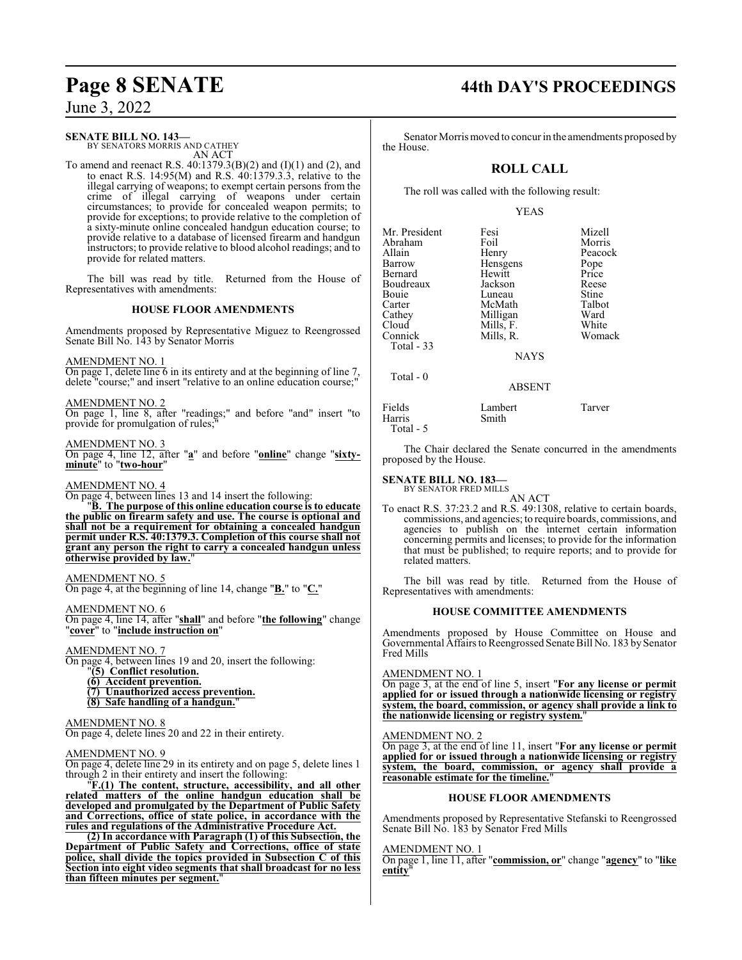#### **SENATE BILL NO. 143—**

BY SENATORS MORRIS AND CATHEY AN ACT

To amend and reenact R.S. 40:1379.3(B)(2) and (I)(1) and (2), and to enact R.S.  $14:95(M)$  and R.S.  $40:1379.3.3$ , relative to the illegal carrying of weapons; to exempt certain persons from the crime of illegal carrying of weapons under certain circumstances; to provide for concealed weapon permits; to provide for exceptions; to provide relative to the completion of a sixty-minute online concealed handgun education course; to provide relative to a database of licensed firearm and handgun instructors; to provide relative to blood alcohol readings; and to provide for related matters.

The bill was read by title. Returned from the House of Representatives with amendments:

#### **HOUSE FLOOR AMENDMENTS**

Amendments proposed by Representative Miguez to Reengrossed Senate Bill No. 143 by Senator Morris

AMENDMENT NO. 1

On page 1, delete line 6 in its entirety and at the beginning of line 7, delete "course;" and insert "relative to an online education course;"

AMENDMENT NO. 2

On page 1, line 8, after "readings;" and before "and" insert "to provide for promulgation of rules;

#### AMENDMENT NO. 3

On page 4, line 12, after "**a**" and before "**online**" change "**sixtyminute**" to "**two-hour**"

#### AMENDMENT NO. 4

On page 4, between lines 13 and 14 insert the following:

"**B. The purpose of this online education course is to educate the public on firearm safety and use. The course is optional and shall not be a requirement for obtaining a concealed handgun permit under R.S. 40:1379.3. Completion of this course shall not grant any person the right to carry a concealed handgun unless otherwise provided by law.**"

#### AMENDMENT NO. 5

On page 4, at the beginning of line 14, change "**B.**" to "**C.**"

AMENDMENT NO. 6

On page 4, line 14, after "**shall**" and before "**the following**" change "**cover**" to "**include instruction on**"

#### AMENDMENT NO. 7

On page 4, between lines 19 and 20, insert the following:

- "**(5) Conflict resolution.**
- **(6) Accident prevention.**
- **(7) Unauthorized access prevention. (8) Safe handling of a handgun.**"

## AMENDMENT NO. 8

On page 4, delete lines 20 and 22 in their entirety.

#### AMENDMENT NO. 9

On page 4, delete line 29 in its entirety and on page 5, delete lines 1 through 2 in their entirety and insert the following:

"**F.(1) The content, structure, accessibility, and all other related matters of the online handgun education shall be developed and promulgated by the Department of Public Safety and Corrections, office of state police, in accordance with the rules and regulations of the Administrative Procedure Act.**

**(2) In accordance with Paragraph (1) of this Subsection, the Department of Public Safety and Corrections, office of state police, shall divide the topics provided in Subsection C of this Section into eight video segments that shall broadcast for no less than fifteen minutes per segment.**"

# **Page 8 SENATE 44th DAY'S PROCEEDINGS**

Senator Morris moved to concur in the amendments proposed by the House.

### **ROLL CALL**

The roll was called with the following result:

#### YEAS

| Mr. President | Fesi      | Mizell  |
|---------------|-----------|---------|
| Abraham       | Foil      | Morris  |
| Allain        | Henry     | Peacock |
| Barrow        | Hensgens  | Pope    |
| Bernard       | Hewitt    | Price   |
| Boudreaux     | Jackson   | Reese   |
| Bouie         | Luneau    | Stine   |
| Carter        | McMath    | Talbot  |
| Cathey        | Milligan  | Ward    |
| Cloud         | Mills, F. | White   |
| Connick       | Mills, R. | Womack  |
| Total - 33    |           |         |
|               | NAVC      |         |

NAYS

#### ABSENT

| Fields     | Lambert | Tarver |
|------------|---------|--------|
| Harris     | Smith   |        |
| Total $-5$ |         |        |

The Chair declared the Senate concurred in the amendments proposed by the House.

# **SENATE BILL NO. 183—** BY SENATOR FRED MILLS

Total - 0

AN ACT

To enact R.S. 37:23.2 and R.S. 49:1308, relative to certain boards, commissions, and agencies; to require boards, commissions, and agencies to publish on the internet certain information concerning permits and licenses; to provide for the information that must be published; to require reports; and to provide for related matters.

The bill was read by title. Returned from the House of Representatives with amendments:

#### **HOUSE COMMITTEE AMENDMENTS**

Amendments proposed by House Committee on House and Governmental Affairs to Reengrossed Senate Bill No. 183 by Senator Fred Mills

#### AMENDMENT NO. 1

On page 3, at the end of line 5, insert "**For any license or permit applied for or issued through a nationwide licensing or registry system, the board, commission, or agency shall provide a link to the nationwide licensing or registry system.**"

#### AMENDMENT NO. 2

On page 3, at the end of line 11, insert "**For any license or permit applied for or issued through a nationwide licensing or registry system, the board, commission, or agency shall provide a reasonable estimate for the timeline.**"

#### **HOUSE FLOOR AMENDMENTS**

Amendments proposed by Representative Stefanski to Reengrossed Senate Bill No. 183 by Senator Fred Mills

## AMENDMENT NO. 1

On page 1, line 11, after "**commission, or**" change "**agency**" to "**like entity**"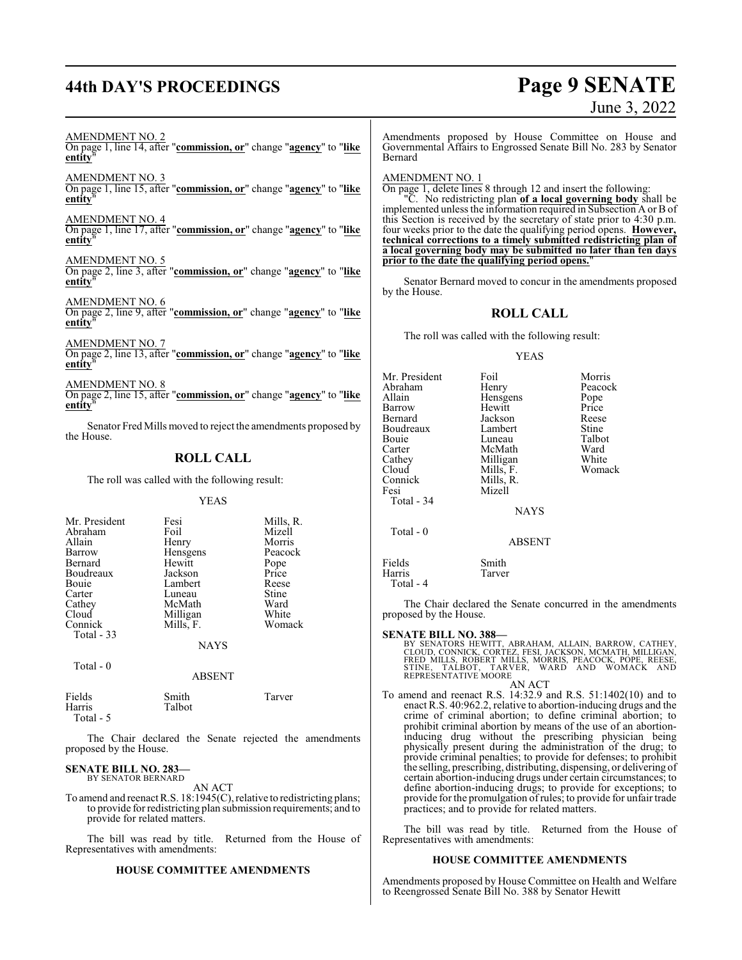# **44th DAY'S PROCEEDINGS Page 9 SENATE**

# June 3, 2022

AMENDMENT NO. 2

On page 1, line 14, after "**commission, or**" change "**agency**" to "**like entity** 

AMENDMENT NO. 3 On page 1, line 15, after "**commission, or**" change "**agency**" to "**like entity**"

AMENDMENT NO. 4 On page 1, line 17, after "**commission, or**" change "**agency**" to "**like** entity

AMENDMENT NO. 5 On page 2, line 3, after "**commission, or**" change "**agency**" to "**like entity**"

AMENDMENT NO. 6 On page 2, line 9, after "**commission, or**" change "**agency**" to "**like entity**"

AMENDMENT NO. 7 On page 2, line 13, after "**commission, or**" change "**agency**" to "**like entity**"

AMENDMENT NO. 8 On page 2, line 15, after "**commission, or**" change "**agency**" to "**like entity**"

Senator Fred Mills moved to reject the amendments proposed by the House.

## **ROLL CALL**

The roll was called with the following result:

YEAS

| Mr. President<br>Abraham<br>Allain<br>Barrow<br>Bernard<br>Boudreaux<br>Bouie | Fesi<br>Foil<br>Henry<br>Hensgens<br>Hewitt<br>Jackson<br>Lambert | Mills, R.<br>Mizell<br>Morris<br>Peacock<br>Pope<br>Price<br>Reese |
|-------------------------------------------------------------------------------|-------------------------------------------------------------------|--------------------------------------------------------------------|
| Carter<br>Cathey                                                              | Luneau<br>McMath                                                  | Stine<br>Ward                                                      |
| Cloud                                                                         | Milligan                                                          | White                                                              |
| Connick<br>Total - 33                                                         | Mills, F.                                                         | Womack                                                             |
|                                                                               | <b>NAYS</b>                                                       |                                                                    |
| Total - 0                                                                     | ARSENT                                                            |                                                                    |

| Fields    | Smith  | Tarver |
|-----------|--------|--------|
| Harris    | Talbot |        |
| Total - 5 |        |        |

The Chair declared the Senate rejected the amendments proposed by the House.

#### **SENATE BILL NO. 283—** BY SENATOR BERNARD

AN ACT

To amend and reenact R.S. 18:1945(C), relative to redistricting plans; to provide for redistricting plan submission requirements; and to provide for related matters.

The bill was read by title. Returned from the House of Representatives with amendments:

#### **HOUSE COMMITTEE AMENDMENTS**

Amendments proposed by House Committee on House and Governmental Affairs to Engrossed Senate Bill No. 283 by Senator Bernard

#### AMENDMENT NO. 1

On page 1, delete lines 8 through 12 and insert the following:

"C. No redistricting plan **of a local governing body** shall be implemented unless the information required in Subsection A or B of this Section is received by the secretary of state prior to 4:30 p.m. four weeks prior to the date the qualifying period opens. **However, technical corrections to a timely submitted redistricting plan of a local governing body may be submitted no later than ten days prior to the date the qualifying period opens.**"

Senator Bernard moved to concur in the amendments proposed by the House.

## **ROLL CALL**

The roll was called with the following result:

#### YEAS

| Mr. President<br>Abraham<br>Allain<br>Barrow<br>Bernard<br>Boudreaux<br>Bouie<br>Carter<br>Cathey<br>Cloud | Foil<br>Henry<br>Hensgens<br>Hewitt<br>Jackson<br>Lambert<br>Luneau<br>McMath<br>Milligan<br>Mills, F. | Morris<br>Peacock<br>Pope<br>Price<br>Reese<br>Stine<br>Talbot<br>Ward<br>White<br>Womack |
|------------------------------------------------------------------------------------------------------------|--------------------------------------------------------------------------------------------------------|-------------------------------------------------------------------------------------------|
| Connick<br>Fesi<br>Total $-34$                                                                             | Mills, R.<br>Mizell<br><b>NAYS</b>                                                                     |                                                                                           |
| Total - 0                                                                                                  | <b>ABSENT</b>                                                                                          |                                                                                           |
| Fields<br>Harris                                                                                           | Smith<br>Tarver                                                                                        |                                                                                           |

Harris Total - 4

The Chair declared the Senate concurred in the amendments proposed by the House.

**SENATE BILL NO. 388—**<br>BY SENATORS HEWITT, ABRAHAM, ALLAIN, BARROW, CATHEY,<br>CLOUD, CONNICK, CORTEZ, FESI, JACKSON, MCMATH, MILLIGAN,<br>FRED MILLS, ROBERT MILLS, MORRIS, PEACOCK, POPE, REESE,<br>STINE, TALBOT, TARVER, WARD AND W

AN ACT

To amend and reenact R.S. 14:32.9 and R.S. 51:1402(10) and to enact R.S. 40:962.2, relative to abortion-inducing drugs and the crime of criminal abortion; to define criminal abortion; to prohibit criminal abortion by means of the use of an abortioninducing drug without the prescribing physician being physically present during the administration of the drug; to provide criminal penalties; to provide for defenses; to prohibit the selling, prescribing, distributing, dispensing, or delivering of certain abortion-inducing drugs under certain circumstances; to define abortion-inducing drugs; to provide for exceptions; to provide for the promulgation ofrules; to provide for unfair trade practices; and to provide for related matters.

The bill was read by title. Returned from the House of Representatives with amendments:

#### **HOUSE COMMITTEE AMENDMENTS**

Amendments proposed by House Committee on Health and Welfare to Reengrossed Senate Bill No. 388 by Senator Hewitt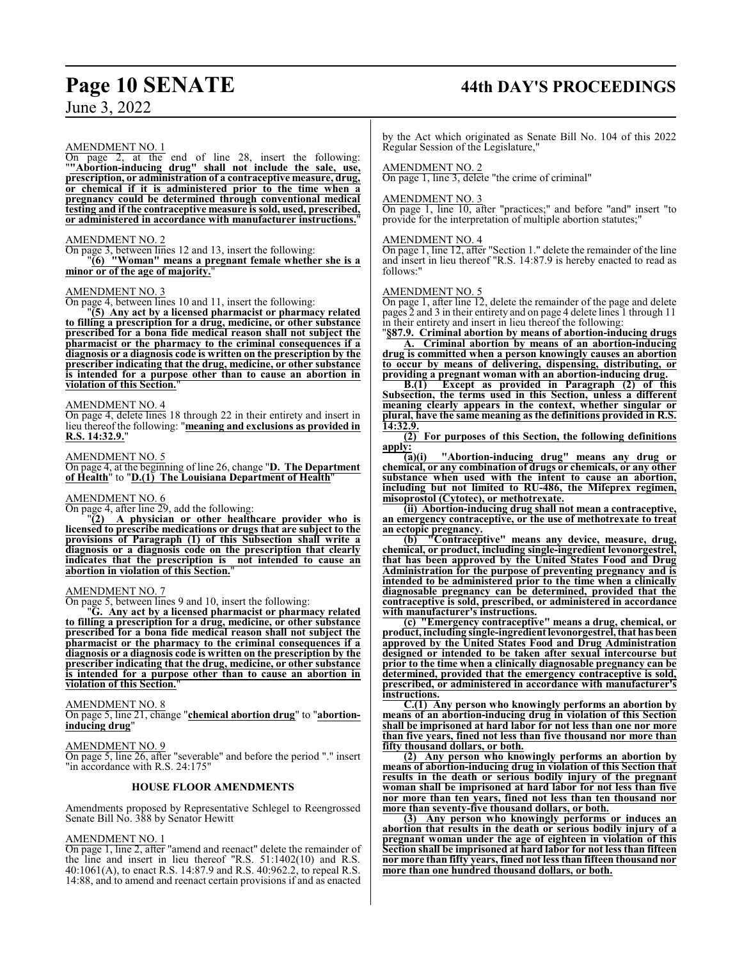# **Page 10 SENATE 44th DAY'S PROCEEDINGS**

June 3, 2022

### AMEND<u>MENT NO. 1</u>

On page 2, at the end of line 28, insert the following: "**"Abortion-inducing drug" shall not include the sale, use, prescription, or administration of a contraceptive measure, drug, or chemical if it is administered prior to the time when a pregnancy could be determined through conventional medical testing and if the contraceptive measure is sold, used, prescribed, or administered in accordance with manufacturer instructions.**"

#### AMENDMENT NO. 2

On page 3, between lines 12 and 13, insert the following: "**(6) "Woman" means a pregnant female whether she is a minor or of the age of majority.**"

#### AMENDMENT NO. 3

On page 4, between lines 10 and 11, insert the following:

"**(5) Any act by a licensed pharmacist or pharmacy related to filling a prescription for a drug, medicine, or other substance prescribed for a bona fide medical reason shall not subject the pharmacist or the pharmacy to the criminal consequences if a diagnosis or a diagnosis code is written on the prescription by the prescriber indicating that the drug, medicine, or other substance is intended for a purpose other than to cause an abortion in violation of this Section.**"

#### AMENDMENT NO. 4

On page 4, delete lines 18 through 22 in their entirety and insert in lieu thereof the following: "**meaning and exclusions as provided in R.S. 14:32.9.**"

#### AMENDMENT NO. 5

On page 4, at the beginning of line 26, change "**D. The Department of Health**" to "**D.(1) The Louisiana Department of Health**"

#### AMENDMENT NO. 6

On page 4, after line 29, add the following:

"**(2) A physician or other healthcare provider who is licensed to prescribe medications or drugs that are subject to the provisions of Paragraph (1) of this Subsection shall write a diagnosis or a diagnosis code on the prescription that clearly indicates that the prescription is not intended to cause an abortion in violation of this Section.**"

#### AMENDMENT NO. 7

On page 5, between lines 9 and 10, insert the following:

"**G. Any act by a licensed pharmacist or pharmacy related to filling a prescription for a drug, medicine, or other substance prescribed for a bona fide medical reason shall not subject the pharmacist or the pharmacy to the criminal consequences if a diagnosis or a diagnosis code is written on the prescription by the prescriber indicating that the drug, medicine, or other substance is intended for a purpose other than to cause an abortion in violation of this Section.**"

#### AMENDMENT NO. 8

On page 5, line 21, change "**chemical abortion drug**" to "**abortioninducing drug**"

#### AMENDMENT NO. 9

On page 5, line 26, after "severable" and before the period "." insert "in accordance with R.S. 24:175"

#### **HOUSE FLOOR AMENDMENTS**

Amendments proposed by Representative Schlegel to Reengrossed Senate Bill No. 388 by Senator Hewitt

#### AMENDMENT NO. 1

On page 1, line 2, after "amend and reenact" delete the remainder of the line and insert in lieu thereof "R.S. 51:1402(10) and R.S. 40:1061(A), to enact R.S. 14:87.9 and R.S. 40:962.2, to repeal R.S. 14:88, and to amend and reenact certain provisions if and as enacted by the Act which originated as Senate Bill No. 104 of this 2022 Regular Session of the Legislature,"

#### AMENDMENT NO. 2

On page 1, line 3, delete "the crime of criminal"

#### AMENDMENT NO. 3

On page 1, line 10, after "practices;" and before "and" insert "to provide for the interpretation of multiple abortion statutes;"

#### AMENDMENT NO. 4

On page 1, line 12, after "Section 1." delete the remainder of the line and insert in lieu thereof "R.S. 14:87.9 is hereby enacted to read as follows:"

#### AMENDMENT NO. 5

On page 1, after line 12, delete the remainder of the page and delete pages 2 and 3 in their entirety and on page 4 delete lines 1 through 11 in their entirety and insert in lieu thereof the following:

"**§87.9. Criminal abortion by means of abortion-inducing drugs A. Criminal abortion by means of an abortion-inducing drug is committed when a person knowingly causes an abortion to occur by means of delivering, dispensing, distributing, or providing a pregnant woman with an abortion-inducing drug.**

**B.(1) Except as provided in Paragraph (2) of this Subsection, the terms used in this Section, unless a different meaning clearly appears in the context, whether singular or plural, have the same meaning as the definitions provided in R.S. 14:32.9.**

**(2) For purposes of this Section, the following definitions**  $\frac{\text{apply:}}{(\text{a})(\text{i})}$ 

**(a)(i) "Abortion-inducing drug" means any drug or chemical, or any combination of drugs or chemicals, or any other substance when used with the intent to cause an abortion, including but not limited to RU-486, the Mifeprex regimen, misoprostol (Cytotec), or methotrexate.**

**(ii) Abortion-inducing drug shall not mean a contraceptive, an emergency contraceptive, or the use of methotrexate to treat an ectopic pregnancy.**

**(b) "Contraceptive" means any device, measure, drug, chemical, or product, including single-ingredient levonorgestrel, that has been approved by the United States Food and Drug Administration for the purpose of preventing pregnancy and is intended to be administered prior to the time when a clinically diagnosable pregnancy can be determined, provided that the contraceptive is sold, prescribed, or administered in accordance with manufacturer's instructions.**

**(c) "Emergency contraceptive" means a drug, chemical, or product, including single-ingredient levonorgestrel, that has been approved by the United States Food and Drug Administration designed or intended to be taken after sexual intercourse but prior to the time when a clinically diagnosable pregnancy can be determined, provided that the emergency contraceptive is sold, prescribed, or administered in accordance with manufacturer's instructions.**

**C.(1) Any person who knowingly performs an abortion by means of an abortion-inducing drug in violation of this Section shall be imprisoned at hard labor for not less than one nor more than five years, fined not less than five thousand nor more than fifty thousand dollars, or both.**

**(2) Any person who knowingly performs an abortion by means of abortion-inducing drug in violation of this Section that results in the death or serious bodily injury of the pregnant woman shall be imprisoned at hard labor for not less than five nor more than ten years, fined not less than ten thousand nor more than seventy-five thousand dollars, or both.**

**(3) Any person who knowingly performs or induces an abortion that results in the death or serious bodily injury of a pregnant woman under the age of eighteen in violation of this Section shall be imprisoned at hard labor for not less than fifteen nor more than fifty years, fined not less than fifteen thousand nor more than one hundred thousand dollars, or both.**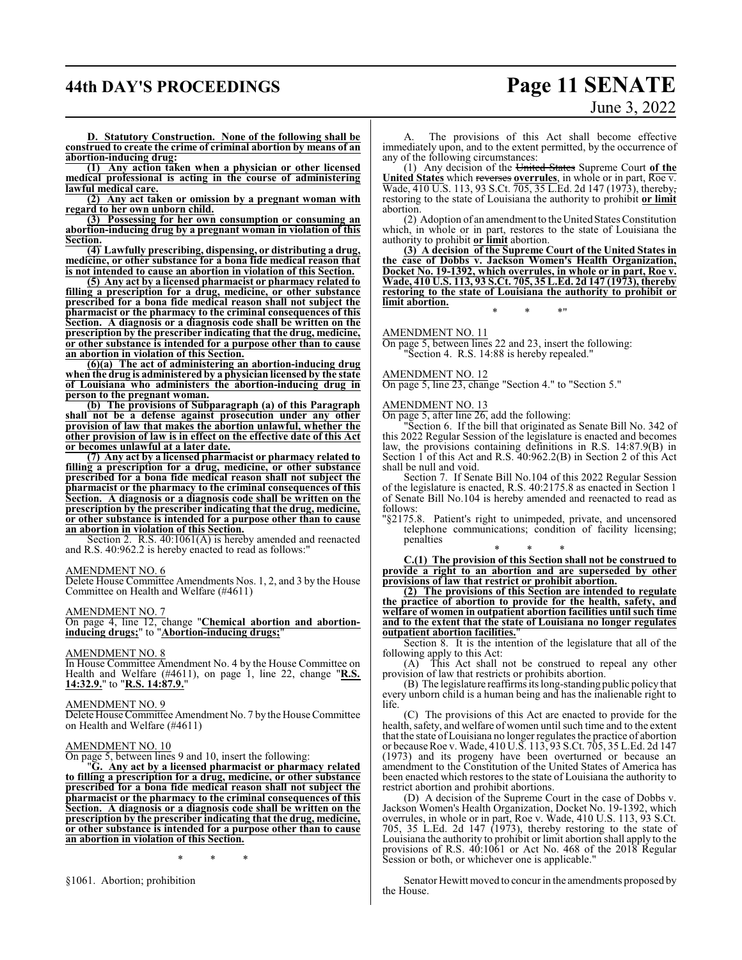# **44th DAY'S PROCEEDINGS Page 11 SENATE**

# June 3, 2022

**D. Statutory Construction. None of the following shall be construed to create the crime of criminal abortion by means of an abortion-inducing drug:**

**(1) Any action taken when a physician or other licensed medical professional is acting in the course of administering lawful medical care.**

**(2) Any act taken or omission by a pregnant woman with regard to her own unborn child.**

**(3) Possessing for her own consumption or consuming an abortion-inducing drug by a pregnant woman in violation of this Section.**

**(4) Lawfully prescribing, dispensing, or distributing a drug, medicine, or other substance for a bona fide medical reason that is not intended to cause an abortion in violation of this Section.**

**(5) Any act by a licensed pharmacist or pharmacy related to filling a prescription for a drug, medicine, or other substance prescribed for a bona fide medical reason shall not subject the pharmacist or the pharmacy to the criminal consequences of this Section. A diagnosis or a diagnosis code shall be written on the prescription by the prescriber indicating that the drug, medicine, or other substance is intended for a purpose other than to cause an abortion in violation of this Section.**

**(6)(a) The act of administering an abortion-inducing drug when the drug is administered by a physician licensed by the state of Louisiana who administers the abortion-inducing drug in person to the pregnant woman.**

**(b) The provisions of Subparagraph (a) of this Paragraph shall not be a defense against prosecution under any other provision of law that makes the abortion unlawful, whether the other provision of law is in effect on the effective date of this Act or becomes unlawful at a later date.**

**(7) Any act by a licensed pharmacist or pharmacy related to filling a prescription for a drug, medicine, or other substance prescribed for a bona fide medical reason shall not subject the pharmacist or the pharmacy to the criminal consequences of this Section. A diagnosis or a diagnosis code shall be written on the prescription by the prescriber indicating that the drug, medicine, or other substance is intended for a purpose other than to cause an abortion in violation of this Section.**

Section 2. R.S. 40:1061(A) is hereby amended and reenacted and R.S. 40:962.2 is hereby enacted to read as follows:"

#### AMENDMENT NO. 6

Delete House Committee Amendments Nos. 1, 2, and 3 by the House Committee on Health and Welfare (#4611)

#### AMENDMENT NO. 7

On page 4, line 12, change "**Chemical abortion and abortioninducing drugs;**" to "**Abortion-inducing drugs;**"

#### AMENDMENT NO. 8

In House Committee Amendment No. 4 by the House Committee on Health and Welfare (#4611), on page 1, line 22, change "**R.S. 14:32.9.**" to "**R.S. 14:87.9.**"

#### AMENDMENT NO. 9

Delete House Committee Amendment No. 7 by the House Committee on Health and Welfare (#4611)

### AMENDMENT NO. 10

On page 5, between lines 9 and 10, insert the following:

"**G. Any act by a licensed pharmacist or pharmacy related to filling a prescription for a drug, medicine, or other substance prescribed for a bona fide medical reason shall not subject the pharmacist or the pharmacy to the criminal consequences of this Section. A diagnosis or a diagnosis code shall be written on the prescription by the prescriber indicating that the drug, medicine, or other substance is intended for a purpose other than to cause an abortion in violation of this Section.**

\* \* \*

§1061. Abortion; prohibition

The provisions of this Act shall become effective immediately upon, and to the extent permitted, by the occurrence of any of the following circumstances:

(1) Any decision of the United States Supreme Court **of the United States** which reverses **overrules**, in whole or in part, Roe v. Wade, 410 U.S. 113, 93 S.Ct. 705, 35 L.Ed. 2d 147 (1973), thereby, restoring to the state of Louisiana the authority to prohibit **or limit** abortion.

(2) Adoption of an amendment to theUnited States Constitution which, in whole or in part, restores to the state of Louisiana the authority to prohibit **or limit** abortion.

**(3) A decision of the Supreme Court of the United States in the case of Dobbs v. Jackson Women's Health Organization, Docket No. 19-1392, which overrules, in whole or in part, Roe v. Wade, 410 U.S. 113, 93 S.Ct. 705, 35 L.Ed. 2d 147 (1973), thereby restoring to the state of Louisiana the authority to prohibit or limit abortion.** \* \* \*"

#### AMENDMENT NO. 11

On page 5, between lines 22 and 23, insert the following: "Section 4. R.S. 14:88 is hereby repealed."

#### AMENDMENT NO. 12

On page 5, line 23, change "Section 4." to "Section 5."

#### AMENDMENT NO. 13

On page 5, after line 26, add the following:

"Section 6. If the bill that originated as Senate Bill No. 342 of this 2022 Regular Session of the legislature is enacted and becomes law, the provisions containing definitions in R.S. 14:87.9(B) in Section 1 of this Act and R.S. 40:962.2(B) in Section 2 of this Act shall be null and void.

Section 7. If Senate Bill No.104 of this 2022 Regular Session of the legislature is enacted, R.S. 40:2175.8 as enacted in Section 1 of Senate Bill No.104 is hereby amended and reenacted to read as follows:

"§2175.8. Patient's right to unimpeded, private, and uncensored telephone communications; condition of facility licensing; penalties

\* \* \* **C.(1) The provision of this Section shall not be construed to provide a right to an abortion and are superseded by other provisions of law that restrict or prohibit abortion.**

**(2) The provisions of this Section are intended to regulate the practice of abortion to provide for the health, safety, and welfare of women in outpatient abortion facilities until such time and to the extent that the state of Louisiana no longer regulates outpatient abortion facilities.**"

Section 8. It is the intention of the legislature that all of the following apply to this Act:

(A) This Act shall not be construed to repeal any other provision of law that restricts or prohibits abortion.

(B) The legislature reaffirms its long-standing public policy that every unborn child is a human being and has the inalienable right to life.

(C) The provisions of this Act are enacted to provide for the health, safety, and welfare of women until such time and to the extent that the state of Louisiana no longer regulates the practice of abortion or because Roe v. Wade, 410 U.S. 113, 93 S.Ct. 705, 35 L.Ed. 2d 147 (1973) and its progeny have been overturned or because an amendment to the Constitution of the United States of America has been enacted which restores to the state of Louisiana the authority to restrict abortion and prohibit abortions.

(D) A decision of the Supreme Court in the case of Dobbs v. Jackson Women's Health Organization, Docket No. 19-1392, which overrules, in whole or in part, Roe v. Wade, 410 U.S. 113, 93 S.Ct. 705, 35 L.Ed. 2d 147 (1973), thereby restoring to the state of Louisiana the authority to prohibit or limit abortion shall apply to the provisions of R.S. 40:1061 or Act No. 468 of the 2018 Regular Session or both, or whichever one is applicable."

Senator Hewitt moved to concur in the amendments proposed by the House.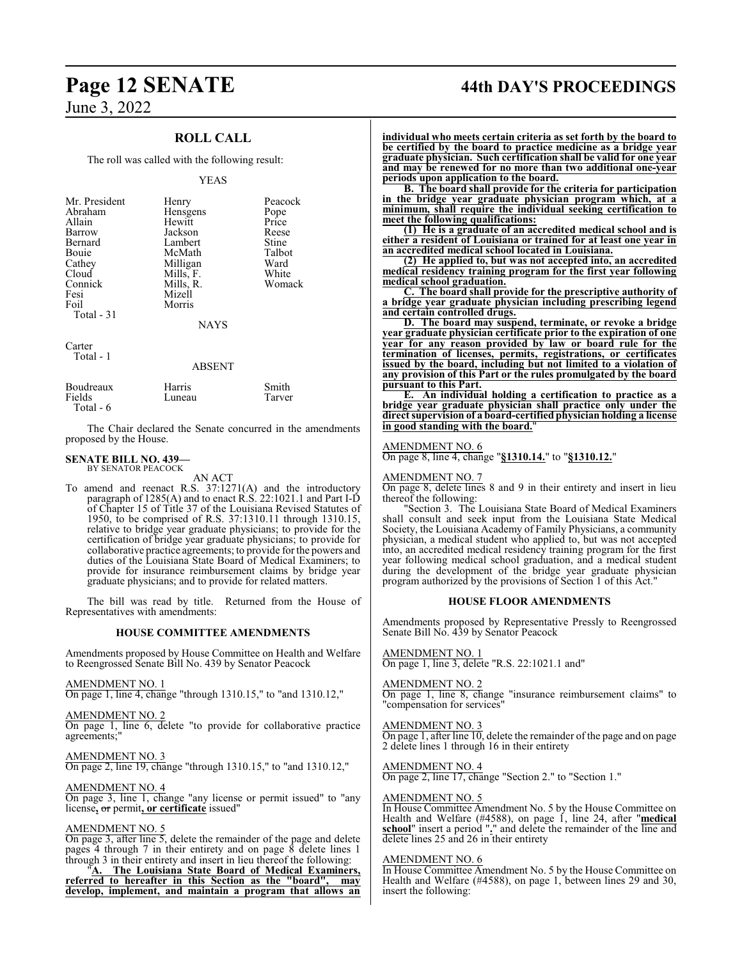## **ROLL CALL**

The roll was called with the following result:

#### YEAS

| Mr. President<br>Abraham<br>Allain<br>Barrow<br>Bernard<br>Bouie<br>Cathey<br>Cloud<br>Connick<br>Fesi<br>Foil<br>Total $-31$ | Henry<br>Hensgens<br>Hewitt<br>Jackson<br>Lambert<br>McMath<br>Milligan<br>Mills, F.<br>Mills, R.<br>Mizell<br>Morris<br><b>NAYS</b> | Peacock<br>Pope<br>Price<br>Reese<br>Stine<br>Talbot<br>Ward<br>White<br>Womack |
|-------------------------------------------------------------------------------------------------------------------------------|--------------------------------------------------------------------------------------------------------------------------------------|---------------------------------------------------------------------------------|
|                                                                                                                               |                                                                                                                                      |                                                                                 |
| Carter<br>Total - 1                                                                                                           | ABSENT                                                                                                                               |                                                                                 |

| Boudreaux            | Harris | Smith  |
|----------------------|--------|--------|
| Fields<br>Total $-6$ | Luneau | Tarver |

The Chair declared the Senate concurred in the amendments proposed by the House.

#### **SENATE BILL NO. 439—**

BY SENATOR PEACOCK AN ACT

To amend and reenact R.S. 37:1271(A) and the introductory paragraph of 1285(A) and to enact R.S. 22:1021.1 and Part I-D of Chapter 15 of Title 37 of the Louisiana Revised Statutes of 1950, to be comprised of R.S. 37:1310.11 through 1310.15, relative to bridge year graduate physicians; to provide for the certification of bridge year graduate physicians; to provide for collaborative practice agreements; to provide for the powers and duties of the Louisiana State Board of Medical Examiners; to provide for insurance reimbursement claims by bridge year graduate physicians; and to provide for related matters.

The bill was read by title. Returned from the House of Representatives with amendments:

#### **HOUSE COMMITTEE AMENDMENTS**

Amendments proposed by House Committee on Health and Welfare to Reengrossed Senate Bill No. 439 by Senator Peacock

#### AMENDMENT NO. 1

On page 1, line 4, change "through 1310.15," to "and 1310.12,"

AMENDMENT NO. 2 On page 1, line 6, delete "to provide for collaborative practice agreements;"

AMENDMENT NO. 3

On page 2, line 19, change "through 1310.15," to "and 1310.12,"

#### AMENDMENT NO. 4

On page 3, line 1, change "any license or permit issued" to "any license**,** or permit**, or certificate** issued"

#### AMENDMENT NO. 5

On page 3, after line 5, delete the remainder of the page and delete pages 4 through 7 in their entirety and on page 8 delete lines 1 through 3 in their entirety and insert in lieu thereof the following:

"**A. The Louisiana State Board of Medical Examiners, referred to hereafter in this Section as the "board", may develop, implement, and maintain a program that allows an**

# **Page 12 SENATE 44th DAY'S PROCEEDINGS**

**individual who meets certain criteria as set forth by the board to be certified by the board to practice medicine as a bridge year graduate physician. Such certification shall be valid for one year and may be renewed for no more than two additional one-year periods upon application to the board.**

**B. The board shall provide for the criteria for participation in the bridge year graduate physician program which, at a minimum, shall require the individual seeking certification to meet the following qualifications:**

**(1) He is a graduate of an accredited medical school and is either a resident of Louisiana or trained for at least one year in an accredited medical school located in Louisiana.**

**(2) He applied to, but was not accepted into, an accredited medical residency training program for the first year following medical school graduation.**

**C. The board shall provide for the prescriptive authority of a bridge year graduate physician including prescribing legend and certain controlled drugs.**

**D. The board may suspend, terminate, or revoke a bridge year graduate physician certificate prior to the expiration of one year for any reason provided by law or board rule for the termination of licenses, permits, registrations, or certificates issued by the board, including but not limited to a violation of any provision of this Part or the rules promulgated by the board pursuant to this Part.**

**E. An individual holding a certification to practice as a bridge year graduate physician shall practice only under the direct supervision of a board-certified physician holding a license in good standing with the board.**"

#### AMENDMENT NO. 6

On page 8, line 4, change "**§1310.14.**" to "**§1310.12.**"

#### AMENDMENT NO. 7

On page 8, delete lines 8 and 9 in their entirety and insert in lieu thereof the following:

"Section 3. The Louisiana State Board of Medical Examiners shall consult and seek input from the Louisiana State Medical Society, the Louisiana Academy of Family Physicians, a community physician, a medical student who applied to, but was not accepted into, an accredited medical residency training program for the first year following medical school graduation, and a medical student during the development of the bridge year graduate physician program authorized by the provisions of Section 1 of this Act."

#### **HOUSE FLOOR AMENDMENTS**

Amendments proposed by Representative Pressly to Reengrossed Senate Bill No. 439 by Senator Peacock

#### AMENDMENT NO. 1

On page 1, line 3, delete "R.S. 22:1021.1 and"

#### AMENDMENT NO. 2

On page 1, line 8, change "insurance reimbursement claims" to "compensation for services"

#### AMENDMENT NO. 3

On page 1, after line 10, delete the remainder of the page and on page 2 delete lines 1 through 16 in their entirety

#### AMENDMENT NO. 4

On page 2, line 17, change "Section 2." to "Section 1."

#### AMENDMENT NO. 5

In House Committee Amendment No. 5 by the House Committee on Health and Welfare (#4588), on page 1, line 24, after "**medical school**" insert a period "**.**" and delete the remainder of the line and delete lines 25 and 26 in their entirety

#### AMENDMENT NO. 6

In House Committee Amendment No. 5 by the House Committee on Health and Welfare (#4588), on page 1, between lines 29 and 30, insert the following: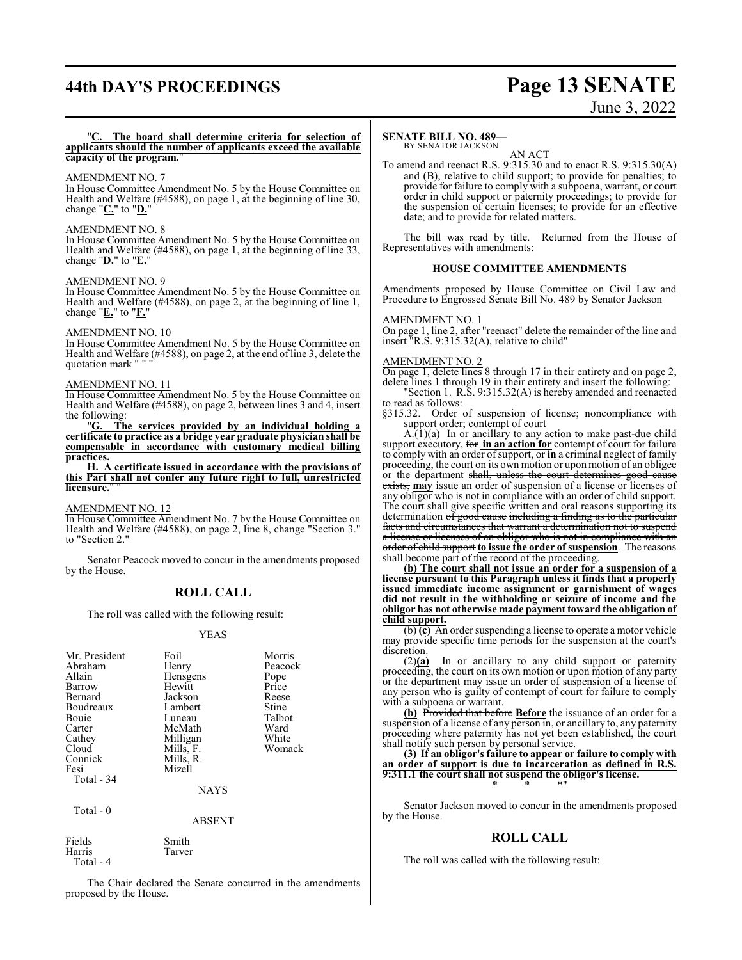# **44th DAY'S PROCEEDINGS Page 13 SENATE**

# June 3, 2022

#### "**C. The board shall determine criteria for selection of applicants should the number of applicants exceed the available** capacity of the program.

#### AMENDMENT NO. 7

In House Committee Amendment No. 5 by the House Committee on Health and Welfare (#4588), on page 1, at the beginning of line 30, change "**C.**" to "**D.**"

#### AMENDMENT NO. 8

In House Committee Amendment No. 5 by the House Committee on Health and Welfare (#4588), on page 1, at the beginning of line 33, change "**D.**" to "**E.**"

#### AMENDMENT NO. 9

In House Committee Amendment No. 5 by the House Committee on Health and Welfare (#4588), on page 2, at the beginning of line 1, change "**E.**" to "**F.**"

#### AMENDMENT NO. 10

In House Committee Amendment No. 5 by the House Committee on Health and Welfare (#4588), on page 2, at the end ofline 3, delete the quotation mark '

#### AMENDMENT NO. 11

In House Committee Amendment No. 5 by the House Committee on Health and Welfare (#4588), on page 2, between lines 3 and 4, insert the following:

"**G. The services provided by an individual holding a certificate to practice as a bridge year graduate physician shall be compensable in accordance with customary medical billing practices.**

**H. A certificate issued in accordance with the provisions of this Part shall not confer any future right to full, unrestricted licensure.**" "

#### AMENDMENT NO. 12

In House Committee Amendment No. 7 by the House Committee on Health and Welfare (#4588), on page 2, line 8, change "Section 3." to "Section 2.

Senator Peacock moved to concur in the amendments proposed by the House.

#### **ROLL CALL**

The roll was called with the following result:

#### YEAS

| Mr. President<br>Abraham<br>Allain<br>Barrow<br>Bernard<br>Boudreaux<br>Bouie<br>Carter<br>Cathey<br>Cloud<br>Connick<br>Fesi<br>Total - 34 | Foil<br>Henry<br>Hensgens<br>Hewitt<br>Jackson<br>Lambert<br>Luneau<br>McMath<br>Milligan<br>Mills, F.<br>Mills, R.<br>Mizell<br><b>NAYS</b> | Morris<br>Peacock<br>Pope<br>Price<br>Reese<br>Stine<br>Talbot<br>Ward<br>White<br>Womack |
|---------------------------------------------------------------------------------------------------------------------------------------------|----------------------------------------------------------------------------------------------------------------------------------------------|-------------------------------------------------------------------------------------------|
| Total - 0                                                                                                                                   |                                                                                                                                              |                                                                                           |

ABSENT

Fields Smith Tarver Total - 4

The Chair declared the Senate concurred in the amendments proposed by the House.

#### **SENATE BILL NO. 489—**

BY SENATOR JACKSON AN ACT

To amend and reenact R.S. 9:315.30 and to enact R.S. 9:315.30(A) and (B), relative to child support; to provide for penalties; to provide for failure to comply with a subpoena, warrant, or court order in child support or paternity proceedings; to provide for the suspension of certain licenses; to provide for an effective date; and to provide for related matters.

The bill was read by title. Returned from the House of Representatives with amendments:

#### **HOUSE COMMITTEE AMENDMENTS**

Amendments proposed by House Committee on Civil Law and Procedure to Engrossed Senate Bill No. 489 by Senator Jackson

#### AMENDMENT NO. 1

On page 1, line 2, after "reenact" delete the remainder of the line and insert "R.S. 9:315.32(A), relative to child"

#### AMENDMENT NO. 2

On page 1, delete lines 8 through 17 in their entirety and on page 2, delete lines 1 through 19 in their entirety and insert the following: "Section 1. R.S. 9:315.32(A) is hereby amended and reenacted

to read as follows: §315.32. Order of suspension of license; noncompliance with

support order; contempt of court

A.(1)(a) In or ancillary to any action to make past-due child support executory, for **in an action for** contempt of court for failure to comply with an order ofsupport, or **in** a criminal neglect of family proceeding, the court on its own motion or upon motion of an obligee or the department shall, unless the court determines good cause exists, may issue an order of suspension of a license or licenses of any obligor who is not in compliance with an order of child support. The court shall give specific written and oral reasons supporting its determination of good cause including a finding as to the particular facts and circumstances that warrant a determination not to suspend a license or licenses of an obligor who is not in compliance with an order of child support **to issue the order of suspension**. The reasons shall become part of the record of the proceeding.

**(b) The court shall not issue an order for a suspension of a license pursuant to this Paragraph unless it finds that a properly issued immediate income assignment or garnishment of wages did not result in the withholding or seizure of income and the obligor has not otherwise made payment toward the obligation of child support.**

(b) **(c)** An order suspending a license to operate a motor vehicle may provide specific time periods for the suspension at the court's

discretion.<br>(2)(a) In or ancillary to any child support or paternity proceeding, the court on its own motion or upon motion of any party or the department may issue an order of suspension of a license of any person who is guilty of contempt of court for failure to comply with a subpoena or warrant.

**(b)** Provided that before **Before** the issuance of an order for a suspension of a license of any person in, or ancillary to, any paternity proceeding where paternity has not yet been established, the court shall notify such person by personal service.

**(3) If an obligor's failure to appear or failure to comply with an order of support is due to incarceration as defined in R.S. 9:311.1 the court shall not suspend the obligor's license.** \* \* \*"

Senator Jackson moved to concur in the amendments proposed by the House.

#### **ROLL CALL**

The roll was called with the following result: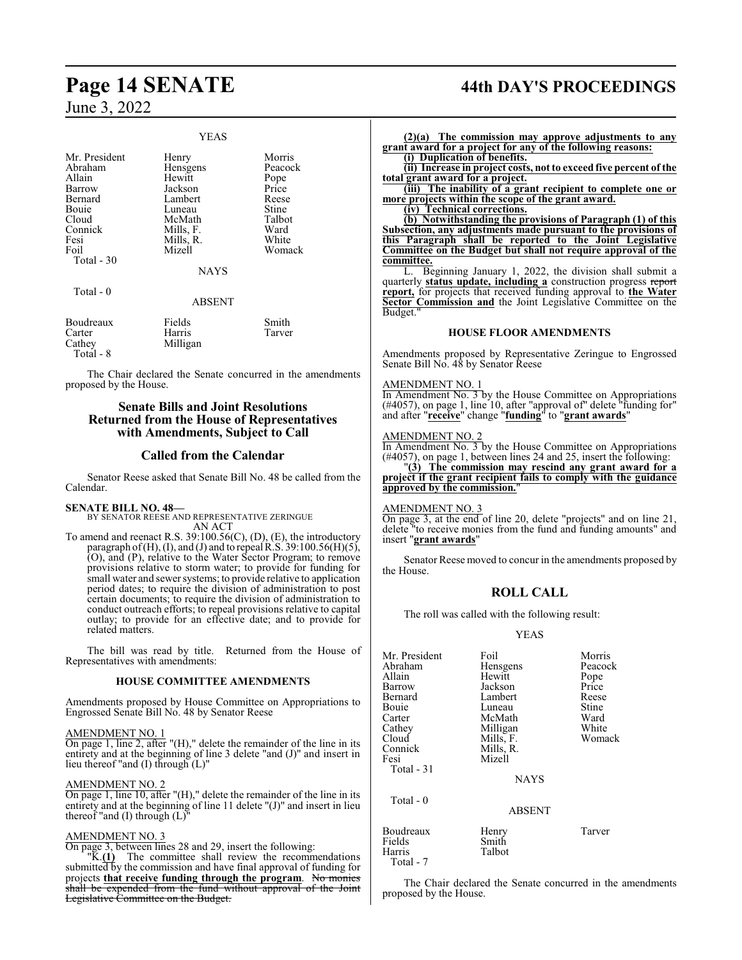#### YEAS

| Mr. President<br>Abraham<br>Allain<br>Barrow<br>Bernard<br>Bouie<br>Cloud<br>Connick<br>Fesi<br>Foil<br>Total - 30 | Henry<br>Hensgens<br>Hewitt<br>Jackson<br>Lambert<br>Luneau<br>McMath<br>Mills, F.<br>Mills, R.<br>Mizell | Morris<br>Peacock<br>Pope<br>Price<br>Reese<br>Stine<br>Talbot<br>Ward<br>White<br>Womack |
|--------------------------------------------------------------------------------------------------------------------|-----------------------------------------------------------------------------------------------------------|-------------------------------------------------------------------------------------------|
|                                                                                                                    | <b>NAYS</b>                                                                                               |                                                                                           |
| Total - 0                                                                                                          | <b>ABSENT</b>                                                                                             |                                                                                           |
| Boudreaux<br>Carter<br>Cathev                                                                                      | Fields<br>Harris<br>Milligan                                                                              | Smith<br>Tarver                                                                           |

The Chair declared the Senate concurred in the amendments proposed by the House.

#### **Senate Bills and Joint Resolutions Returned from the House of Representatives with Amendments, Subject to Call**

#### **Called from the Calendar**

Senator Reese asked that Senate Bill No. 48 be called from the Calendar.

**SENATE BILL NO. 48—**

Total - 8

BY SENATOR REESE AND REPRESENTATIVE ZERINGUE AN ACT

To amend and reenact R.S. 39:100.56(C), (D), (E), the introductory paragraph of  $(H)$ ,  $(I)$ , and  $(J)$  and to repeal R.S. 39:100.56 $(H)(5)$ , (O), and (P), relative to the Water Sector Program; to remove provisions relative to storm water; to provide for funding for small water and sewer systems; to provide relative to application period dates; to require the division of administration to post certain documents; to require the division of administration to conduct outreach efforts; to repeal provisions relative to capital outlay; to provide for an effective date; and to provide for related matters.

The bill was read by title. Returned from the House of Representatives with amendments:

#### **HOUSE COMMITTEE AMENDMENTS**

Amendments proposed by House Committee on Appropriations to Engrossed Senate Bill No. 48 by Senator Reese

#### AMENDMENT NO. 1

On page 1, line 2, after "(H)," delete the remainder of the line in its entirety and at the beginning of line 3 delete "and (J)" and insert in lieu thereof "and (I) through (L)"

#### AMENDMENT NO. 2

On page 1, line 10, after "(H)," delete the remainder of the line in its entirety and at the beginning of line 11 delete "(J)" and insert in lieu thereof "and (I) through (L)"

#### AMENDMENT NO. 3

On page 3, between lines 28 and 29, insert the following:

"K.**(1)** The committee shall review the recommendations submitted by the commission and have final approval of funding for projects **that receive funding through the program**. No monies shall be expended from the fund without approval of the Joint Legislative Committee on the Budget.

# **Page 14 SENATE 44th DAY'S PROCEEDINGS**

**(2)(a) The commission may approve adjustments to any grant award for a project for any of the following reasons:**

**(i) Duplication of benefits. (ii) Increase in project costs, not to exceed five percent of the**

**total grant award for a project. (iii) The inability of a grant recipient to complete one or more projects within the scope of the grant award.**

**(iv) Technical corrections.**

**(b) Notwithstanding the provisions of Paragraph (1) of this Subsection, any adjustments made pursuant to the provisions of this Paragraph shall be reported to the Joint Legislative Committee on the Budget but shall not require approval of the committee.**

L. Beginning January 1, 2022, the division shall submit a quarterly **status update, including a** construction progress report **report,** for projects that received funding approval to **the Water Sector Commission and** the Joint Legislative Committee on the Budget.

#### **HOUSE FLOOR AMENDMENTS**

Amendments proposed by Representative Zeringue to Engrossed Senate Bill No. 48 by Senator Reese

#### AMENDMENT NO. 1

In Amendment No. 3 by the House Committee on Appropriations (#4057), on page 1, line 10, after "approval of" delete "funding for" and after "**receive**" change "**funding**" to "**grant awards**"

#### AMENDMENT NO. 2

In Amendment No. 3 by the House Committee on Appropriations (#4057), on page 1, between lines 24 and 25, insert the following:

"**(3) The commission may rescind any grant award for a project if the grant recipient fails to comply with the guidance approved by the commission.**"

#### AMENDMENT NO. 3

On page 3, at the end of line 20, delete "projects" and on line 21, delete "to receive monies from the fund and funding amounts" and insert "**grant awards**"

Senator Reese moved to concur in the amendments proposed by the House.

#### **ROLL CALL**

The roll was called with the following result:

#### YEAS

| Mr. President<br>Abraham<br>Allain<br>Barrow<br>Bernard<br>Bouie<br>Carter<br>Cathey<br>Cloud<br>Connick<br>Fesi<br>Total - 31 | Foil<br>Hensgens<br>Hewitt<br>Jackson<br>Lambert<br>Luneau<br>McMath<br>Milligan<br>Mills, F.<br>Mills, R.<br>Mizell<br><b>NAYS</b> | Morris<br>Peacock<br>Pope<br>Price<br>Reese<br>Stine<br>Ward<br>White<br>Womack |
|--------------------------------------------------------------------------------------------------------------------------------|-------------------------------------------------------------------------------------------------------------------------------------|---------------------------------------------------------------------------------|
| Total $-0$                                                                                                                     | <b>ABSENT</b>                                                                                                                       |                                                                                 |
| Boudreaux<br>Fields<br>Harris                                                                                                  | Henry<br>Smith<br>Talbot                                                                                                            | Tarver                                                                          |

Total - 7

The Chair declared the Senate concurred in the amendments proposed by the House.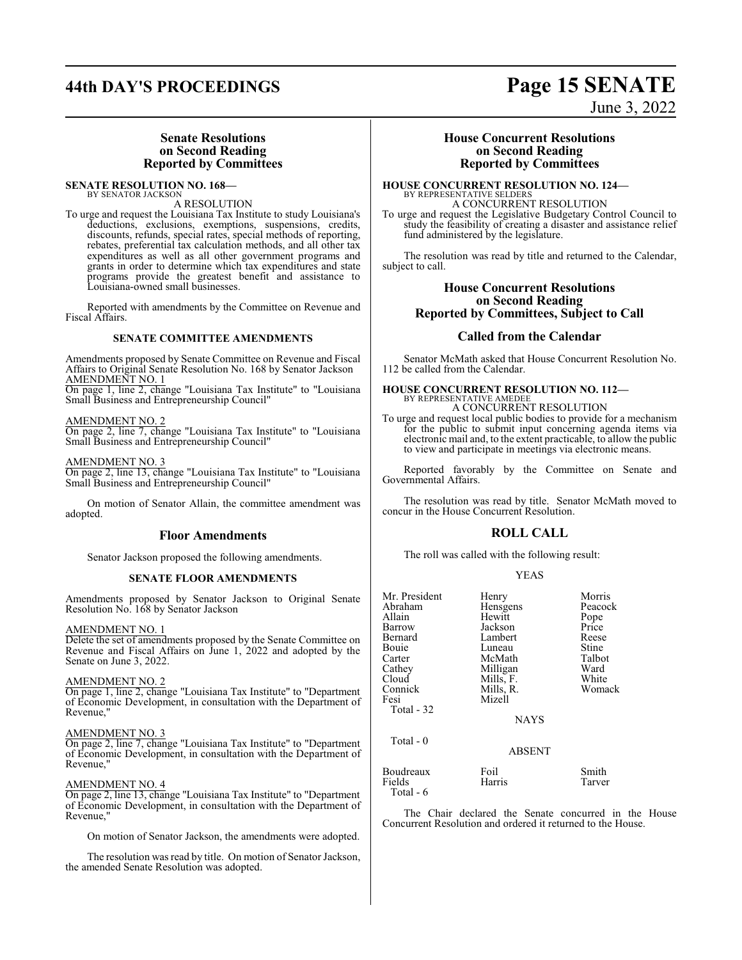### **Senate Resolutions on Second Reading Reported by Committees**

#### **SENATE RESOLUTION NO. 168—** BY SENATOR JACKSON

## A RESOLUTION

To urge and request the Louisiana Tax Institute to study Louisiana's deductions, exclusions, exemptions, suspensions, credits, discounts, refunds, special rates, special methods of reporting, rebates, preferential tax calculation methods, and all other tax expenditures as well as all other government programs and grants in order to determine which tax expenditures and state programs provide the greatest benefit and assistance to Louisiana-owned small businesses.

Reported with amendments by the Committee on Revenue and Fiscal Affairs.

#### **SENATE COMMITTEE AMENDMENTS**

Amendments proposed by Senate Committee on Revenue and Fiscal Affairs to Original Senate Resolution No. 168 by Senator Jackson AME<u>NDMEÑT NO. 1</u>

On page 1, line 2, change "Louisiana Tax Institute" to "Louisiana Small Business and Entrepreneurship Council"

#### AMENDMENT NO. 2

On page 2, line 7, change "Louisiana Tax Institute" to "Louisiana Small Business and Entrepreneurship Council"

#### AMENDMENT NO. 3

On page 2, line 13, change "Louisiana Tax Institute" to "Louisiana Small Business and Entrepreneurship Council"

On motion of Senator Allain, the committee amendment was adopted.

#### **Floor Amendments**

Senator Jackson proposed the following amendments.

#### **SENATE FLOOR AMENDMENTS**

Amendments proposed by Senator Jackson to Original Senate Resolution No. 168 by Senator Jackson

#### AMENDMENT NO. 1

Delete the set of amendments proposed by the Senate Committee on Revenue and Fiscal Affairs on June 1, 2022 and adopted by the Senate on June 3, 2022.

#### AMENDMENT NO. 2

On page 1, line 2, change "Louisiana Tax Institute" to "Department of Economic Development, in consultation with the Department of Revenue,"

#### AMENDMENT NO. 3

On page 2, line 7, change "Louisiana Tax Institute" to "Department of Economic Development, in consultation with the Department of Revenue,"

#### AMENDMENT NO. 4

On page 2, line 13, change "Louisiana Tax Institute" to "Department of Economic Development, in consultation with the Department of Revenue,"

On motion of Senator Jackson, the amendments were adopted.

The resolution was read by title. On motion of Senator Jackson, the amended Senate Resolution was adopted.

### **House Concurrent Resolutions on Second Reading Reported by Committees**

**HOUSE CONCURRENT RESOLUTION NO. 124—** BY REPRESENTATIVE SELDERS A CONCURRENT RESOLUTION

To urge and request the Legislative Budgetary Control Council to study the feasibility of creating a disaster and assistance relief fund administered by the legislature.

The resolution was read by title and returned to the Calendar, subject to call.

## **House Concurrent Resolutions on Second Reading Reported by Committees, Subject to Call**

#### **Called from the Calendar**

Senator McMath asked that House Concurrent Resolution No. 112 be called from the Calendar.

#### **HOUSE CONCURRENT RESOLUTION NO. 112—** BY REPRESENTATIVE AMEDEE

A CONCURRENT RESOLUTION To urge and request local public bodies to provide for a mechanism

for the public to submit input concerning agenda items via electronic mail and, to the extent practicable, to allow the public to view and participate in meetings via electronic means.

Reported favorably by the Committee on Senate and Governmental Affairs.

The resolution was read by title. Senator McMath moved to concur in the House Concurrent Resolution.

## **ROLL CALL**

The roll was called with the following result:

#### YEAS

| Mr. President<br>Abraham<br>Allain<br>Barrow<br>Bernard<br>Bouie<br>Carter<br>Cathey<br>Cloud<br>Connick<br>Fesi<br>Total - 32 | Henry<br>Hensgens<br>Hewitt<br>Jackson<br>Lambert<br>Luneau<br>McMath<br>Milligan<br>Mills, F.<br>Mills, R.<br>Mizell | Morris<br>Peacock<br>Pope<br>Price<br>Reese<br>Stine<br>Talbot<br>Ward<br>White<br>Womack |
|--------------------------------------------------------------------------------------------------------------------------------|-----------------------------------------------------------------------------------------------------------------------|-------------------------------------------------------------------------------------------|
|                                                                                                                                | <b>NAYS</b>                                                                                                           |                                                                                           |
| Total - 0                                                                                                                      | <b>ABSENT</b>                                                                                                         |                                                                                           |
| Boudreaux<br>Fields<br>Total - 6                                                                                               | Foil<br>Harris                                                                                                        | Smith<br>Tarver                                                                           |

The Chair declared the Senate concurred in the House Concurrent Resolution and ordered it returned to the House.

# **44th DAY'S PROCEEDINGS Page 15 SENATE**

June 3, 2022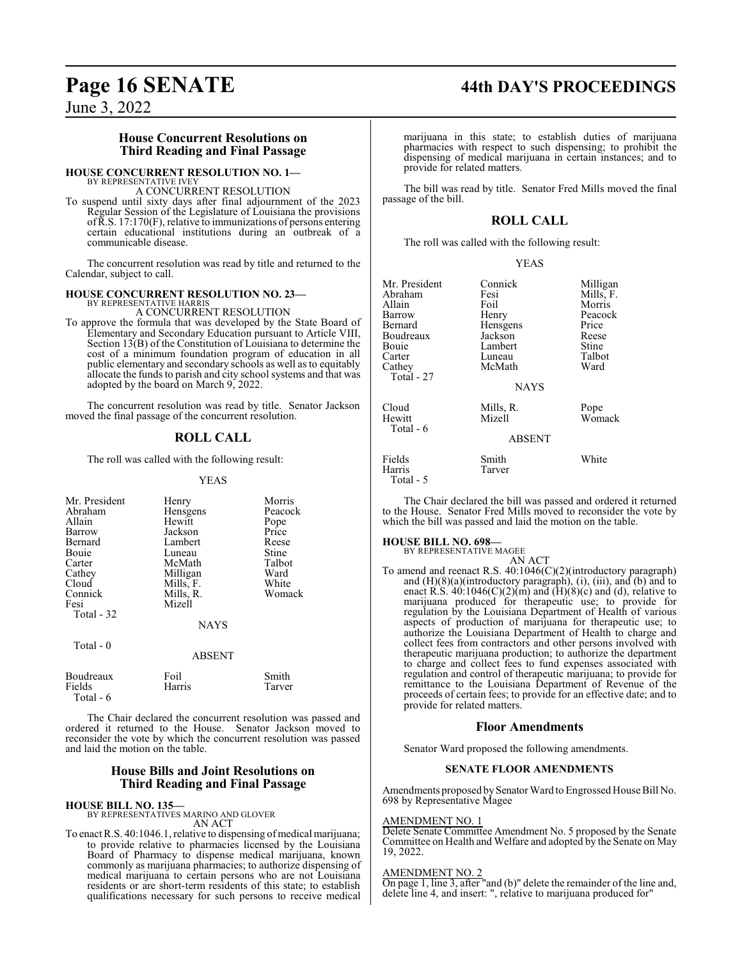# **Page 16 SENATE 44th DAY'S PROCEEDINGS**

June 3, 2022

#### **House Concurrent Resolutions on Third Reading and Final Passage**

#### **HOUSE CONCURRENT RESOLUTION NO. 1—**

BY REPRESENTATIVE IVEY A CONCURRENT RESOLUTION

To suspend until sixty days after final adjournment of the 2023 Regular Session of the Legislature of Louisiana the provisions ofR.S. 17:170(F), relative to immunizations of persons entering certain educational institutions during an outbreak of a communicable disease.

The concurrent resolution was read by title and returned to the Calendar, subject to call.

#### **HOUSE CONCURRENT RESOLUTION NO. 23—** BY REPRESENTATIVE HARRIS

A CONCURRENT RESOLUTION

To approve the formula that was developed by the State Board of Elementary and Secondary Education pursuant to Article VIII, Section 13(B) of the Constitution of Louisiana to determine the cost of a minimum foundation program of education in all public elementary and secondary schools as well as to equitably allocate the funds to parish and city school systems and that was adopted by the board on March 9, 2022.

The concurrent resolution was read by title. Senator Jackson moved the final passage of the concurrent resolution.

#### **ROLL CALL**

The roll was called with the following result:

#### YEAS

| Mr. President<br>Abraham<br>Allain<br>Barrow<br>Bernard<br>Bouie<br>Carter<br>Cathey<br>Cloud<br>Connick<br>Fesi<br>Total - 32 | Henry<br>Hensgens<br>Hewitt<br>Jackson<br>Lambert<br>Luneau<br>McMath<br>Milligan<br>Mills, F.<br>Mills, R.<br>Mizell<br><b>NAYS</b> | Morris<br>Peacock<br>Pope<br>Price<br>Reese<br>Stine<br>Talbot<br>Ward<br>White<br>Womack |
|--------------------------------------------------------------------------------------------------------------------------------|--------------------------------------------------------------------------------------------------------------------------------------|-------------------------------------------------------------------------------------------|
| Total - 0                                                                                                                      | <b>ABSENT</b>                                                                                                                        |                                                                                           |
| Boudreaux<br>Fields<br>Total - 6                                                                                               | Foil<br>Harris                                                                                                                       | Smith<br>Tarver                                                                           |

The Chair declared the concurrent resolution was passed and ordered it returned to the House. Senator Jackson moved to reconsider the vote by which the concurrent resolution was passed and laid the motion on the table.

#### **House Bills and Joint Resolutions on Third Reading and Final Passage**

**HOUSE BILL NO. 135—** BY REPRESENTATIVES MARINO AND GLOVER AN ACT

To enact R.S. 40:1046.1, relative to dispensing of medical marijuana; to provide relative to pharmacies licensed by the Louisiana Board of Pharmacy to dispense medical marijuana, known commonly as marijuana pharmacies; to authorize dispensing of medical marijuana to certain persons who are not Louisiana residents or are short-term residents of this state; to establish qualifications necessary for such persons to receive medical

marijuana in this state; to establish duties of marijuana pharmacies with respect to such dispensing; to prohibit the dispensing of medical marijuana in certain instances; and to provide for related matters.

The bill was read by title. Senator Fred Mills moved the final passage of the bill.

#### **ROLL CALL**

The roll was called with the following result:

|--|--|

| Mr. President<br>Abraham<br>Allain<br>Barrow<br>Bernard<br>Boudreaux<br>Bouie<br>Carter<br>Cathey<br>Total - 27 | Connick<br>Fesi<br>Foil<br>Henry<br>Hensgens<br>Jackson<br>Lambert<br>Luneau<br>McMath<br><b>NAYS</b> | Milligan<br>Mills, F.<br>Morris<br>Peacock<br>Price<br>Reese<br>Stine<br>Talbot<br>Ward |
|-----------------------------------------------------------------------------------------------------------------|-------------------------------------------------------------------------------------------------------|-----------------------------------------------------------------------------------------|
| Cloud<br>Hewitt<br>Total - 6                                                                                    | Mills, R.<br>Mizell<br><b>ABSENT</b>                                                                  | Pope<br>Womack                                                                          |
| Fields<br>Harris<br>Total - 5                                                                                   | Smith<br>Tarver                                                                                       | White                                                                                   |

The Chair declared the bill was passed and ordered it returned to the House. Senator Fred Mills moved to reconsider the vote by which the bill was passed and laid the motion on the table.

#### **HOUSE BILL NO. 698—**

BY REPRESENTATIVE MAGEE

provide for related matters.

AN ACT To amend and reenact R.S. 40:1046(C)(2)(introductory paragraph) and (H)(8)(a)(introductory paragraph), (i), (iii), and (b) and to enact R.S.  $40:1046(C)(2)(m)$  and  $(H)(8)(c)$  and (d), relative to marijuana produced for therapeutic use; to provide for regulation by the Louisiana Department of Health of various aspects of production of marijuana for therapeutic use; to authorize the Louisiana Department of Health to charge and collect fees from contractors and other persons involved with therapeutic marijuana production; to authorize the department to charge and collect fees to fund expenses associated with regulation and control of therapeutic marijuana; to provide for remittance to the Louisiana Department of Revenue of the proceeds of certain fees; to provide for an effective date; and to

#### **Floor Amendments**

Senator Ward proposed the following amendments.

#### **SENATE FLOOR AMENDMENTS**

Amendments proposed bySenator Ward to Engrossed House Bill No. 698 by Representative Magee

#### AMENDMENT NO. 1

Delete Senate Committee Amendment No. 5 proposed by the Senate Committee on Health and Welfare and adopted by the Senate on May 19, 2022.

#### AMENDMENT NO. 2

On page 1, line 3, after "and (b)" delete the remainder of the line and, delete line 4, and insert: ", relative to marijuana produced for"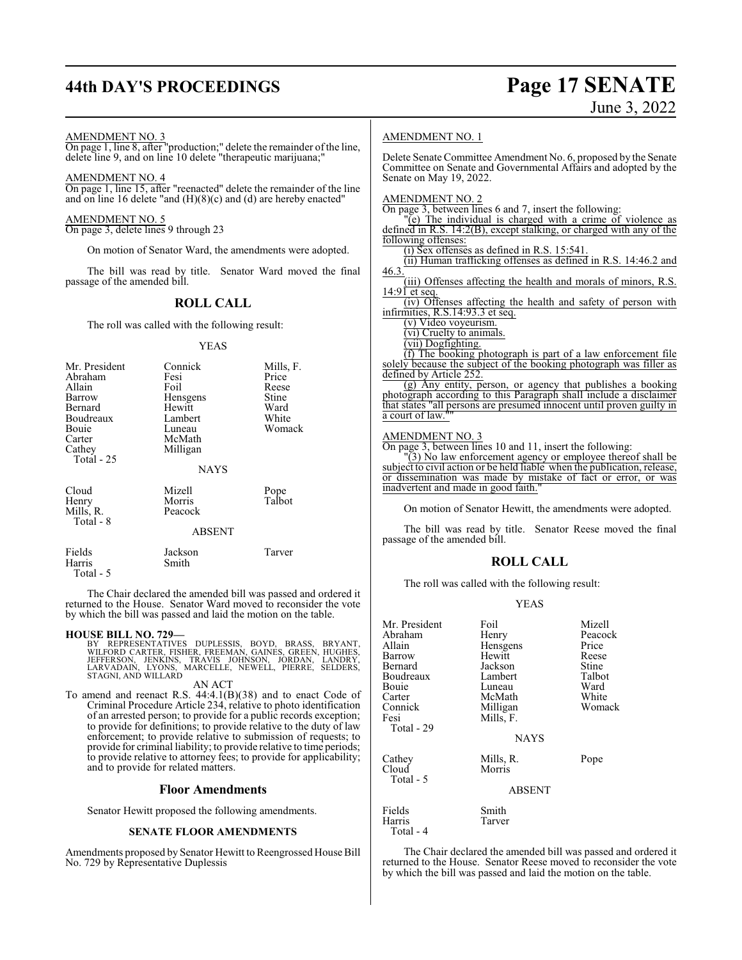**44th DAY'S PROCEEDINGS Page 17 SENATE** AMENDMENT NO. 3 On page 1, line 8, after "production;" delete the remainder ofthe line, delete line 9, and on line 10 delete "therapeutic marijuana;" AMENDMENT NO. 4 On page 1, line 15, after "reenacted" delete the remainder of the line and on line 16 delete "and (H)(8)(c) and (d) are hereby enacted" AMENDMENT NO. 5 On page 3, delete lines 9 through 23 On motion of Senator Ward, the amendments were adopted. AMENDMENT NO. 1 Senate on May 19, 2022. AMENDMENT NO. 2 On page 3, between lines 6 and 7, insert the following: "(e) The individual is charged with a crime of violence as following offenses:

The bill was read by title. Senator Ward moved the final passage of the amended bill.

## **ROLL CALL**

The roll was called with the following result:

#### YEAS

| Mr. President<br>Abraham<br>Allain<br>Barrow<br>Bernard<br>Boudreaux<br>Bouie<br>Carter<br>Cathey<br>Total - 25 | Connick<br>Fesi<br>Foil<br>Hensgens<br>Hewitt<br>Lambert<br>Luneau<br>McMath<br>Milligan<br><b>NAYS</b> | Mills, F.<br>Price<br>Reese<br>Stine<br>Ward<br>White<br>Womack |
|-----------------------------------------------------------------------------------------------------------------|---------------------------------------------------------------------------------------------------------|-----------------------------------------------------------------|
| Cloud<br>Henry<br>Mills, R.<br>Total - 8                                                                        | Mizell<br>Morris<br>Peacock<br><b>ABSENT</b>                                                            | Pope<br>Talbot                                                  |
| Fields<br>Harris                                                                                                | Jackson<br>Smith                                                                                        | Tarver                                                          |

The Chair declared the amended bill was passed and ordered it returned to the House. Senator Ward moved to reconsider the vote by which the bill was passed and laid the motion on the table.

#### **HOUSE BILL NO. 729—**

Harris Total - 5

> BY REPRESENTATIVES DUPLESSIS, BOYD, BRASS, BRYANT,<br>WILFORD CARTER, FISHER, FREEMAN, GAINES, GREEN, HUGHES,<br>JEFFERSON, JENKINS, TRAVIS JOHNSON, JORDAN, LANDRY,<br>LARVADAIN, LYONS, MARCELLE, NEWELL, PIERRE, SELDERS,<br>STAGNI, AN AN ACT

To amend and reenact R.S. 44:4.1(B)(38) and to enact Code of Criminal Procedure Article 234, relative to photo identification of an arrested person; to provide for a public records exception; to provide for definitions; to provide relative to the duty of law enforcement; to provide relative to submission of requests; to provide for criminal liability; to provide relative to time periods; to provide relative to attorney fees; to provide for applicability; and to provide for related matters.

#### **Floor Amendments**

Senator Hewitt proposed the following amendments.

#### **SENATE FLOOR AMENDMENTS**

Amendments proposed by Senator Hewitt to Reengrossed House Bill No. 729 by Representative Duplessis

Delete Senate Committee Amendment No. 6, proposed by the Senate Committee on Senate and Governmental Affairs and adopted by the

defined in R.S. 14:2(B), except stalking, or charged with any of the

(i) Sex offenses as defined in R.S. 15:541.

(ii) Human trafficking offenses as defined in R.S. 14:46.2 and 46.3.

(iii) Offenses affecting the health and morals of minors, R.S.  $14:91$  et seq.

(iv) Offenses affecting the health and safety of person with infirmities, R.S.14:93.3 et seq.

(v) Video voyeurism.

(vi) Cruelty to animals.

(vii) Dogfighting.

(f) The booking photograph is part of a law enforcement file solely because the subject of the booking photograph was filler as defined by Article 252.

(g) Any entity, person, or agency that publishes a booking photograph according to this Paragraph shall include a disclaimer that states "all persons are presumed innocent until proven guilty in a court of law.

#### AMENDMENT NO. 3

On page 3, between lines 10 and 11, insert the following:

"(3) No law enforcement agency or employee thereof shall be subject to civil action or be held liable when the publication, release, or dissemination was made by mistake of fact or error, or was inadvertent and made in good faith."

On motion of Senator Hewitt, the amendments were adopted.

The bill was read by title. Senator Reese moved the final passage of the amended bill.

## **ROLL CALL**

The roll was called with the following result:

#### YEAS

| Mr. President<br>Abraham<br>Allain<br>Barrow<br>Bernard<br>Boudreaux<br>Bouie<br>Carter<br>Connick<br>Fesi<br>Total - 29 | Foil<br>Henry<br>Hensgens<br>Hewitt<br>Jackson<br>Lambert<br>Luneau<br>McMath<br>Milligan<br>Mills, F.<br><b>NAYS</b> | Mizell<br>Peacock<br>Price<br>Reese<br>Stine<br>Talbot<br>Ward<br>White<br>Womack |
|--------------------------------------------------------------------------------------------------------------------------|-----------------------------------------------------------------------------------------------------------------------|-----------------------------------------------------------------------------------|
| Cathey<br>Cloud<br>Total - 5                                                                                             | Mills, R.<br>Morris<br><b>ABSENT</b>                                                                                  | Pope                                                                              |
| Fields<br>Harris<br>Total - 4                                                                                            | Smith<br>Tarver                                                                                                       |                                                                                   |

The Chair declared the amended bill was passed and ordered it returned to the House. Senator Reese moved to reconsider the vote by which the bill was passed and laid the motion on the table.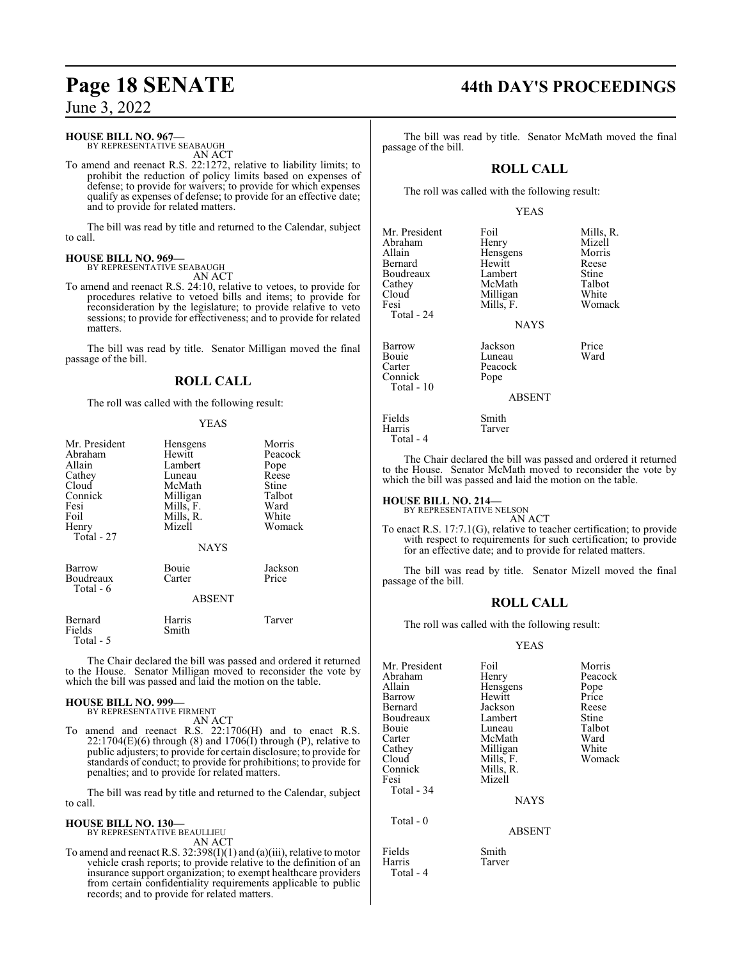#### **HOUSE BILL NO. 967—**

BY REPRESENTATIVE SEABAUGH AN ACT

To amend and reenact R.S. 22:1272, relative to liability limits; to prohibit the reduction of policy limits based on expenses of defense; to provide for waivers; to provide for which expenses qualify as expenses of defense; to provide for an effective date; and to provide for related matters.

The bill was read by title and returned to the Calendar, subject to call.

#### **HOUSE BILL NO. 969—** BY REPRESENTATIVE SEABAUGH

AN ACT

To amend and reenact R.S. 24:10, relative to vetoes, to provide for procedures relative to vetoed bills and items; to provide for reconsideration by the legislature; to provide relative to veto sessions; to provide for effectiveness; and to provide for related matters.

The bill was read by title. Senator Milligan moved the final passage of the bill.

## **ROLL CALL**

The roll was called with the following result:

#### YEAS

| Mr. President<br>Abraham<br>Allain<br>Cathey<br>Cloud<br>Connick<br>Fesi<br>Foil<br>Henry<br>Total - 27 | Hensgens<br>Hewitt<br>Lambert<br>Luneau<br>McMath<br>Milligan<br>Mills, F.<br>Mills, R.<br>Mizell<br><b>NAYS</b> | Morris<br>Peacock<br>Pope<br>Reese<br>Stine<br>Talbot<br>Ward<br>White<br>Womack |
|---------------------------------------------------------------------------------------------------------|------------------------------------------------------------------------------------------------------------------|----------------------------------------------------------------------------------|
| Barrow<br>Boudreaux<br>Total - 6                                                                        | Bouie<br>Carter<br><b>ABSENT</b>                                                                                 | Jackson<br>Price                                                                 |
| Bernard<br>Fields<br>Total - 5                                                                          | Harris<br>Smith                                                                                                  | Tarver                                                                           |

The Chair declared the bill was passed and ordered it returned to the House. Senator Milligan moved to reconsider the vote by which the bill was passed and laid the motion on the table.

#### **HOUSE BILL NO. 999—**

BY REPRESENTATIVE FIRMENT AN ACT

To amend and reenact R.S. 22:1706(H) and to enact R.S.  $22:1704(E)(6)$  through (8) and  $1706(I)$  through (P), relative to public adjusters; to provide for certain disclosure; to provide for standards of conduct; to provide for prohibitions; to provide for penalties; and to provide for related matters.

The bill was read by title and returned to the Calendar, subject to call.

# **HOUSE BILL NO. 130—** BY REPRESENTATIVE BEAULLIEU

AN ACT

To amend and reenact R.S. 32:398(I)(1) and (a)(iii), relative to motor vehicle crash reports; to provide relative to the definition of an insurance support organization; to exempt healthcare providers from certain confidentiality requirements applicable to public records; and to provide for related matters.

# **Page 18 SENATE 44th DAY'S PROCEEDINGS**

The bill was read by title. Senator McMath moved the final passage of the bill.

## **ROLL CALL**

The roll was called with the following result:

#### YEAS

| Mr. President<br>Abraham<br>Allain<br>Bernard<br>Boudreaux<br>Cathey<br>Cloud | Foil<br>Henry<br>Hensgens<br>Hewitt<br>Lambert<br>McMath<br>Milligan | Mills, R.<br>Mizell<br>Morris<br>Reese<br>Stine<br>Talbot<br>White |
|-------------------------------------------------------------------------------|----------------------------------------------------------------------|--------------------------------------------------------------------|
| Fesi<br>Total - 24                                                            | Mills, F.<br><b>NAYS</b>                                             | Womack                                                             |
| Barrow<br><b>Bouje</b><br>Carter<br>Connick<br>Total $-10$                    | Jackson<br>Luneau<br>Peacock<br>Pope                                 | Price<br>Ward                                                      |
|                                                                               | ARSENT                                                               |                                                                    |

**BSENT** 

Tarver

Fields Smith<br>Harris Tarver

Total - 4

The Chair declared the bill was passed and ordered it returned to the House. Senator McMath moved to reconsider the vote by which the bill was passed and laid the motion on the table.

**HOUSE BILL NO. 214—** BY REPRESENTATIVE NELSON

AN ACT

To enact R.S. 17:7.1(G), relative to teacher certification; to provide with respect to requirements for such certification; to provide for an effective date; and to provide for related matters.

The bill was read by title. Senator Mizell moved the final passage of the bill.

## **ROLL CALL**

The roll was called with the following result:

#### YEAS

| Mr. President<br>Abraham<br>Allain<br>Barrow<br>Bernard<br>Boudreaux<br>Bouie<br>Carter<br>Cathey | Foil<br>Henry<br>Hensgens<br>Hewitt<br>Jackson<br>Lambert<br>Luneau<br>McMath<br>Milligan | Morris<br>Peacock<br>Pope<br>Price<br>Reese<br>Stine<br>Talbot<br>Ward<br>White |
|---------------------------------------------------------------------------------------------------|-------------------------------------------------------------------------------------------|---------------------------------------------------------------------------------|
| Cloud<br>Connick                                                                                  | Mills, F.<br>Mills, R.                                                                    | Womack                                                                          |
| Fesi                                                                                              | Mizell                                                                                    |                                                                                 |
| Total - 34                                                                                        | <b>NAYS</b>                                                                               |                                                                                 |
| Total - 0                                                                                         | <b>ABSENT</b>                                                                             |                                                                                 |
| $F: 11$ .                                                                                         | $\sim$ $\cdot$                                                                            |                                                                                 |

#### Fields Smith Harris Tarver Total - 4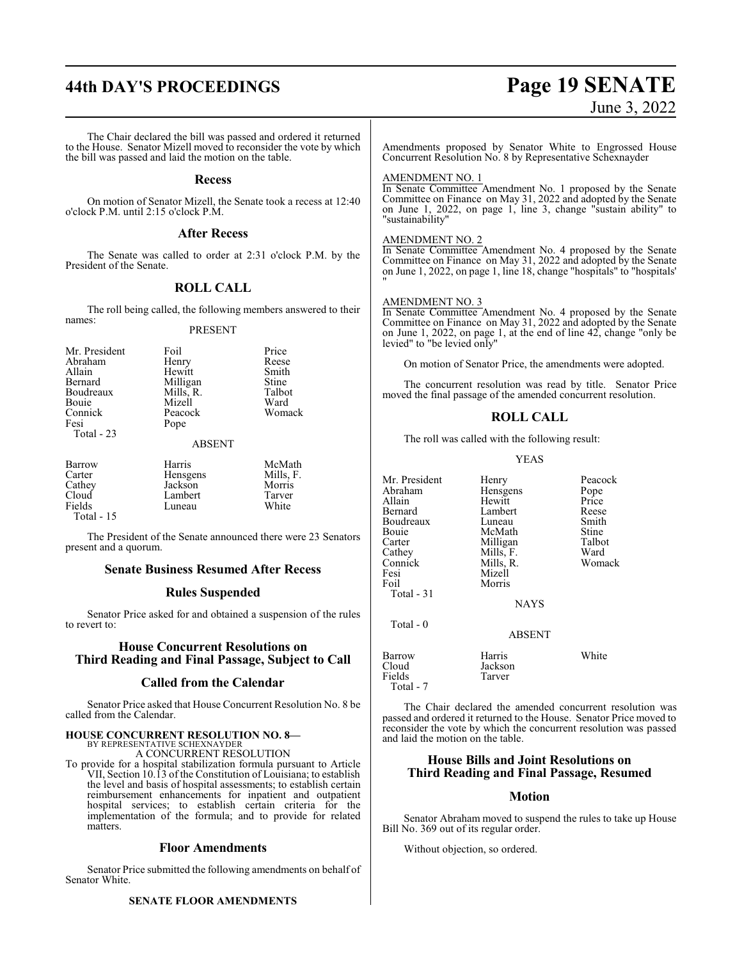# **44th DAY'S PROCEEDINGS Page 19 SENATE**

# June 3, 2022

The Chair declared the bill was passed and ordered it returned to the House. Senator Mizell moved to reconsider the vote by which the bill was passed and laid the motion on the table.

#### **Recess**

On motion of Senator Mizell, the Senate took a recess at 12:40 o'clock P.M. until 2:15 o'clock P.M.

#### **After Recess**

The Senate was called to order at 2:31 o'clock P.M. by the President of the Senate.

#### **ROLL CALL**

The roll being called, the following members answered to their names: PRESENT

#### Mr. President Foil Price<br>Abraham Henry Reese Abraham Henry Reese<br>Allain Hewitt Smith Allain Hewitt Smith Milligan Stine<br>
Mills, R. Talbot Boudreaux Mills, R. Talbotal<br>Bouie Mizell Ward Mizell Ward<br>Peacock Womack Connick<br>Fesi Pope Total - 23 ABSENT Barrow Harris McMath<br>Carter Hensgens Mills, F. Carter Hensgens Mills, I<br>Cathey Jackson Morris Cathey Jackson Morris Cloud Lambert Tarver Luneau

Total - 15

The President of the Senate announced there were 23 Senators present and a quorum.

#### **Senate Business Resumed After Recess**

#### **Rules Suspended**

Senator Price asked for and obtained a suspension of the rules to revert to:

### **House Concurrent Resolutions on Third Reading and Final Passage, Subject to Call**

#### **Called from the Calendar**

Senator Price asked that House Concurrent Resolution No. 8 be called from the Calendar.

#### **HOUSE CONCURRENT RESOLUTION NO. 8—**

BY REPRESENTATIVE SCHEXNAYDER A CONCURRENT RESOLUTION

To provide for a hospital stabilization formula pursuant to Article VII, Section 10.13 of the Constitution of Louisiana; to establish the level and basis of hospital assessments; to establish certain reimbursement enhancements for inpatient and outpatient hospital services; to establish certain criteria for the implementation of the formula; and to provide for related matters.

#### **Floor Amendments**

Senator Price submitted the following amendments on behalf of Senator White.

#### **SENATE FLOOR AMENDMENTS**

Amendments proposed by Senator White to Engrossed House Concurrent Resolution No. 8 by Representative Schexnayder

#### AMENDMENT NO. 1

In Senate Committee Amendment No. 1 proposed by the Senate Committee on Finance on May 31, 2022 and adopted by the Senate on June 1, 2022, on page 1, line 3, change "sustain ability" to "sustainability"

#### AMENDMENT NO. 2

In Senate Committee Amendment No. 4 proposed by the Senate Committee on Finance on May 31, 2022 and adopted by the Senate on June 1, 2022, on page 1, line 18, change "hospitals" to "hospitals' "

#### AMENDMENT NO. 3

In Senate Committee Amendment No. 4 proposed by the Senate Committee on Finance on May 31, 2022 and adopted by the Senate on June 1, 2022, on page 1, at the end of line 42, change "only be levied" to "be levied only"

On motion of Senator Price, the amendments were adopted.

The concurrent resolution was read by title. Senator Price moved the final passage of the amended concurrent resolution.

#### **ROLL CALL**

The roll was called with the following result:

YEAS

| Mr. President<br>Abraham<br>Allain<br>Bernard<br>Boudreaux<br>Bouie<br>Carter<br>Cathey<br>Connick<br>Fesi<br>Foil<br>Total $-31$ | Henry<br>Hensgens<br>Hewitt<br>Lambert<br>Luneau<br>McMath<br>Milligan<br>Mills, F.<br>Mills, R.<br>Mizell<br>Morris<br><b>NAYS</b> | Peacock<br>Pope<br>Price<br>Reese<br>Smith<br>Stine<br>Talbot<br>Ward<br>Womack |
|-----------------------------------------------------------------------------------------------------------------------------------|-------------------------------------------------------------------------------------------------------------------------------------|---------------------------------------------------------------------------------|
| Total - 0                                                                                                                         | ABSENT                                                                                                                              |                                                                                 |
| Barrow<br>Cloud<br>Fields<br>Total - 7                                                                                            | Harris<br>Jackson<br>Tarver                                                                                                         | White                                                                           |

The Chair declared the amended concurrent resolution was passed and ordered it returned to the House. Senator Price moved to reconsider the vote by which the concurrent resolution was passed and laid the motion on the table.

#### **House Bills and Joint Resolutions on Third Reading and Final Passage, Resumed**

## **Motion**

Senator Abraham moved to suspend the rules to take up House Bill No. 369 out of its regular order.

Without objection, so ordered.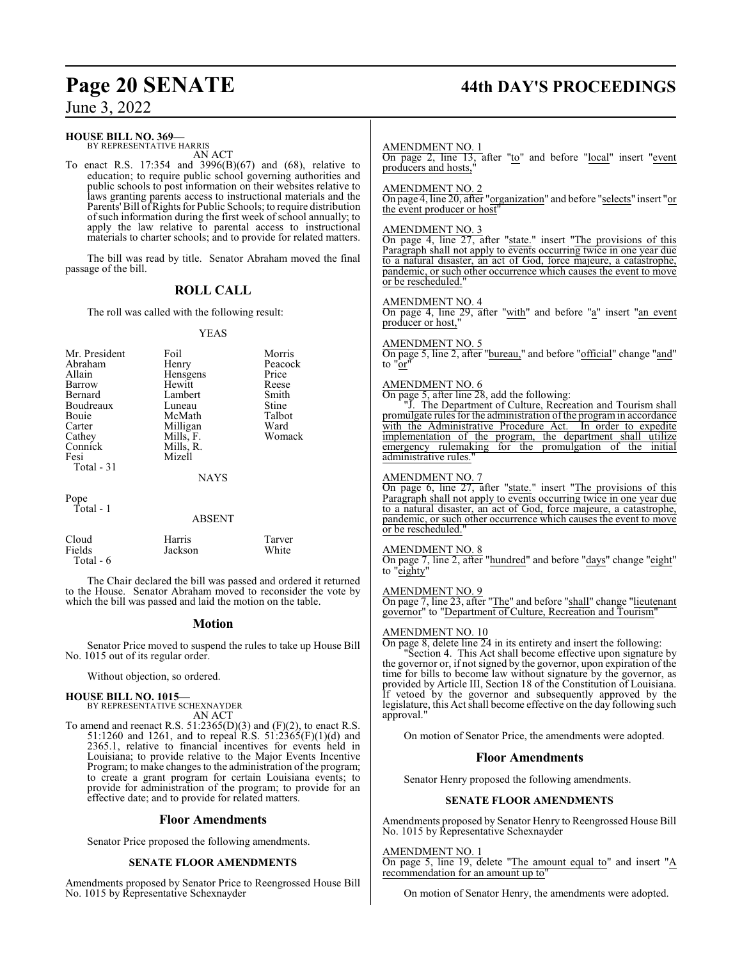# **Page 20 SENATE 44th DAY'S PROCEEDINGS**

June 3, 2022

#### **HOUSE BILL NO. 369—**

BY REPRESENTATIVE HARRIS AN ACT

To enact R.S. 17:354 and 3996(B)(67) and (68), relative to education; to require public school governing authorities and public schools to post information on their websites relative to laws granting parents access to instructional materials and the Parents' Bill of Rights for Public Schools; to require distribution ofsuch information during the first week of school annually; to apply the law relative to parental access to instructional materials to charter schools; and to provide for related matters.

The bill was read by title. Senator Abraham moved the final passage of the bill.

## **ROLL CALL**

The roll was called with the following result:

#### YEAS

| Mr. President<br>Abraham<br>Allain<br>Barrow<br>Bernard<br>Boudreaux<br><b>Bouje</b><br>Carter<br>Cathey<br>Connick<br>Fesi<br>Total $-31$ | Foil<br>Henry<br>Hensgens<br>Hewitt<br>Lambert<br>Luneau<br>McMath<br>Milligan<br>Mills, F.<br>Mills, R.<br>Mizell<br><b>NAYS</b> | Morris<br>Peacock<br>Price<br>Reese<br>Smith<br>Stine<br>Talbot<br>Ward<br>Womack |
|--------------------------------------------------------------------------------------------------------------------------------------------|-----------------------------------------------------------------------------------------------------------------------------------|-----------------------------------------------------------------------------------|
| Pope                                                                                                                                       |                                                                                                                                   |                                                                                   |

Total - 1

#### ABSENT

| Cloud     | Harris  | Tarver |
|-----------|---------|--------|
| Fields    | Jackson | White  |
| Total - 6 |         |        |

The Chair declared the bill was passed and ordered it returned to the House. Senator Abraham moved to reconsider the vote by which the bill was passed and laid the motion on the table.

#### **Motion**

Senator Price moved to suspend the rules to take up House Bill No. 1015 out of its regular order.

Without objection, so ordered.

# **HOUSE BILL NO. 1015—** BY REPRESENTATIVE SCHEXNAYDER

AN ACT

To amend and reenact R.S.  $51:2365(D)(3)$  and  $(F)(2)$ , to enact R.S. 51:1260 and 1261, and to repeal R.S. 51:2365(F)(1)(d) and 2365.1, relative to financial incentives for events held in Louisiana; to provide relative to the Major Events Incentive Program; to make changes to the administration of the program; to create a grant program for certain Louisiana events; to provide for administration of the program; to provide for an effective date; and to provide for related matters.

#### **Floor Amendments**

Senator Price proposed the following amendments.

#### **SENATE FLOOR AMENDMENTS**

Amendments proposed by Senator Price to Reengrossed House Bill No. 1015 by Representative Schexnayder

## AMENDMENT NO. 1

On page 2, line 13, after "to" and before "local" insert "event producers and hosts,"

#### AMENDMENT NO. 2

On page 4, line 20, after "organization" and before "selects" insert "or the event producer or host"

#### AMENDMENT NO. 3

On page 4, line 27, after "state." insert "The provisions of this Paragraph shall not apply to events occurring twice in one year due to a natural disaster, an act of God, force majeure, a catastrophe, pandemic, or such other occurrence which causes the event to move or be rescheduled.

#### AMENDMENT NO. 4

On page 4, line 29, after "with" and before "a" insert "an event producer or host,"

#### AMENDMENT NO. 5

On page 5, line 2, after "bureau," and before "official" change "and" to "or

#### AMENDMENT NO. 6

On page 5, after line 28, add the following:

"J. The Department of Culture, Recreation and Tourism shall promulgate rules for the administration of the program in accordance<br>with the Administrative Procedure Act. In order to expedite with the Administrative Procedure Act. implementation of the program, the department shall utilize emergency rulemaking for the promulgation of the initial administrative rules."

#### AMENDMENT NO. 7

On page 6, line 27, after "state." insert "The provisions of this Paragraph shall not apply to events occurring twice in one year due to a natural disaster, an act of God, force majeure, a catastrophe, pandemic, or such other occurrence which causes the event to move or be rescheduled."

#### AMENDMENT NO. 8

On page 7, line 2, after "hundred" and before "days" change "eight" to "eighty"

#### AMENDMENT NO. 9

On page 7, line 23, after "The" and before "shall" change "lieutenant governor" to "Department of Culture, Recreation and Tourism"

#### AMENDMENT NO. 10

On page 8, delete line 24 in its entirety and insert the following: "Section 4. This Act shall become effective upon signature by the governor or, if not signed by the governor, upon expiration of the time for bills to become law without signature by the governor, as provided by Article III, Section 18 of the Constitution of Louisiana. If vetoed by the governor and subsequently approved by the legislature, this Act shall become effective on the day following such approval."

On motion of Senator Price, the amendments were adopted.

#### **Floor Amendments**

Senator Henry proposed the following amendments.

#### **SENATE FLOOR AMENDMENTS**

Amendments proposed by Senator Henry to Reengrossed House Bill No. 1015 by Representative Schexnayder

#### AMENDMENT NO. 1

On page 5, line 19, delete "The amount equal to" and insert "A recommendation for an amount up to"

On motion of Senator Henry, the amendments were adopted.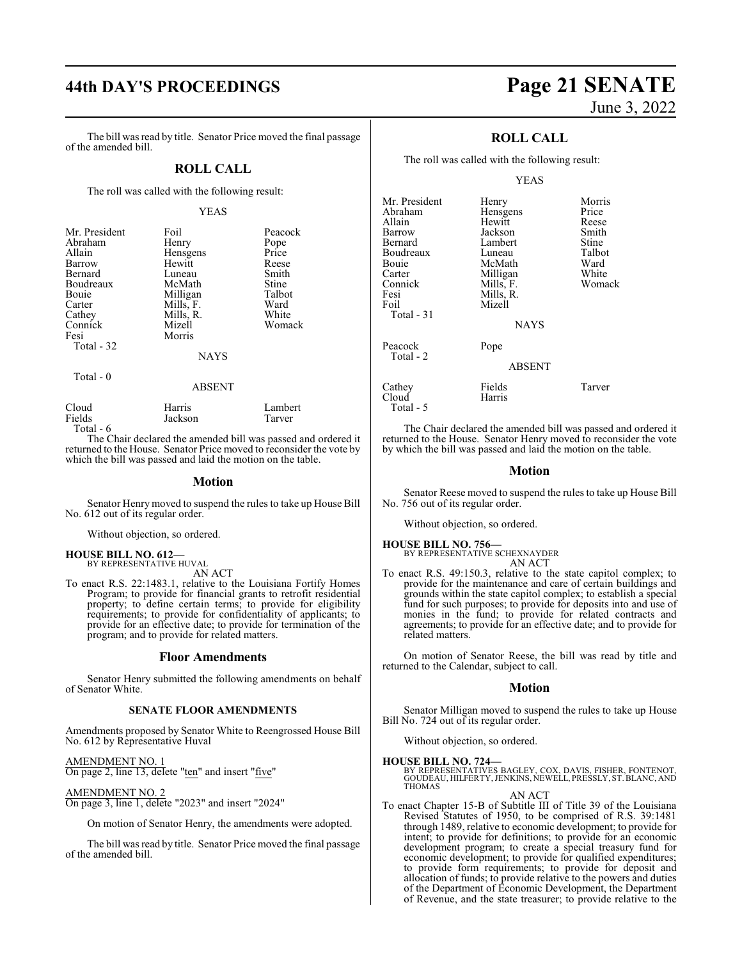# **44th DAY'S PROCEEDINGS Page 21 SENATE**

The bill was read by title. Senator Price moved the final passage of the amended bill.

#### **ROLL CALL**

The roll was called with the following result:

#### YEAS

| Mr. President<br>Abraham<br>Allain<br>Barrow<br>Bernard<br>Boudreaux<br>Bouie<br>Carter<br>Cathey<br>Connick<br>Fesi<br>Total - 32 | Foil<br>Henry<br>Hensgens<br>Hewitt<br>Luneau<br>McMath<br>Milligan<br>Mills, F.<br>Mills, R.<br>Mizell<br>Morris<br><b>NAYS</b> | Peacock<br>Pope<br>Price<br>Reese<br>Smith<br>Stine<br>Talbot<br>Ward<br>White<br>Womack |
|------------------------------------------------------------------------------------------------------------------------------------|----------------------------------------------------------------------------------------------------------------------------------|------------------------------------------------------------------------------------------|
| Total - 0                                                                                                                          |                                                                                                                                  |                                                                                          |

#### ABSENT

| Cloud     | Harris  | Lambert |
|-----------|---------|---------|
| Fields    | Jackson | Tarver  |
| Total - 6 |         |         |

The Chair declared the amended bill was passed and ordered it returned to the House. Senator Price moved to reconsider the vote by which the bill was passed and laid the motion on the table.

#### **Motion**

Senator Henry moved to suspend the rules to take up House Bill No. 612 out of its regular order.

Without objection, so ordered.

#### **HOUSE BILL NO. 612—** BY REPRESENTATIVE HUVAL

AN ACT

To enact R.S. 22:1483.1, relative to the Louisiana Fortify Homes Program; to provide for financial grants to retrofit residential property; to define certain terms; to provide for eligibility requirements; to provide for confidentiality of applicants; to provide for an effective date; to provide for termination of the program; and to provide for related matters.

#### **Floor Amendments**

Senator Henry submitted the following amendments on behalf of Senator White.

#### **SENATE FLOOR AMENDMENTS**

Amendments proposed by Senator White to Reengrossed House Bill No. 612 by Representative Huval

AMENDMENT NO. 1 On page 2, line 13, delete "ten" and insert "five"

AMENDMENT NO. 2

On page 3, line 1, delete "2023" and insert "2024"

On motion of Senator Henry, the amendments were adopted.

The bill was read by title. Senator Price moved the final passage of the amended bill.

# June 3, 2022

## **ROLL CALL**

The roll was called with the following result:

#### YEAS

| Mr. President<br>Abraham<br>Allain<br>Barrow<br>Bernard<br>Boudreaux<br>Bouie<br>Carter<br>Connick<br>Fesi<br>Foil<br>Total - 31 | Henry<br>Hensgens<br>Hewitt<br>Jackson<br>Lambert<br>Luneau<br>McMath<br>Milligan<br>Mills, F.<br>Mills, R.<br>Mizell<br><b>NAYS</b> | Morris<br>Price<br>Reese<br>Smith<br>Stine<br>Talbot<br>Ward<br>White<br>Womack |
|----------------------------------------------------------------------------------------------------------------------------------|--------------------------------------------------------------------------------------------------------------------------------------|---------------------------------------------------------------------------------|
| Peacock<br>Total - 2                                                                                                             | Pope<br><b>ABSENT</b>                                                                                                                |                                                                                 |
| Cathey<br>Cloud<br>Total - 5                                                                                                     | Fields<br>Harris                                                                                                                     | Tarver                                                                          |

The Chair declared the amended bill was passed and ordered it returned to the House. Senator Henry moved to reconsider the vote by which the bill was passed and laid the motion on the table.

#### **Motion**

Senator Reese moved to suspend the rules to take up House Bill No. 756 out of its regular order.

Without objection, so ordered.

# **HOUSE BILL NO. 756—** BY REPRESENTATIVE SCHEXNAYDER

AN ACT

To enact R.S. 49:150.3, relative to the state capitol complex; to provide for the maintenance and care of certain buildings and grounds within the state capitol complex; to establish a special fund for such purposes; to provide for deposits into and use of monies in the fund; to provide for related contracts and agreements; to provide for an effective date; and to provide for related matters.

On motion of Senator Reese, the bill was read by title and returned to the Calendar, subject to call.

#### **Motion**

Senator Milligan moved to suspend the rules to take up House Bill No. 724 out of its regular order.

Without objection, so ordered.

#### **HOUSE BILL NO. 724—**

BY REPRESENTATIVES BAGLEY, COX, DAVIS, FISHER, FONTENOT,<br>GOUDEAU, HILFERTY, JENKINS, NEWELL, PRESSLY, ST. BLANC, AND<br>THOMAS

AN ACT

To enact Chapter 15-B of Subtitle III of Title 39 of the Louisiana Revised Statutes of 1950, to be comprised of R.S. 39:1481 through 1489, relative to economic development; to provide for intent; to provide for definitions; to provide for an economic development program; to create a special treasury fund for economic development; to provide for qualified expenditures; to provide form requirements; to provide for deposit and allocation of funds; to provide relative to the powers and duties of the Department of Economic Development, the Department of Revenue, and the state treasurer; to provide relative to the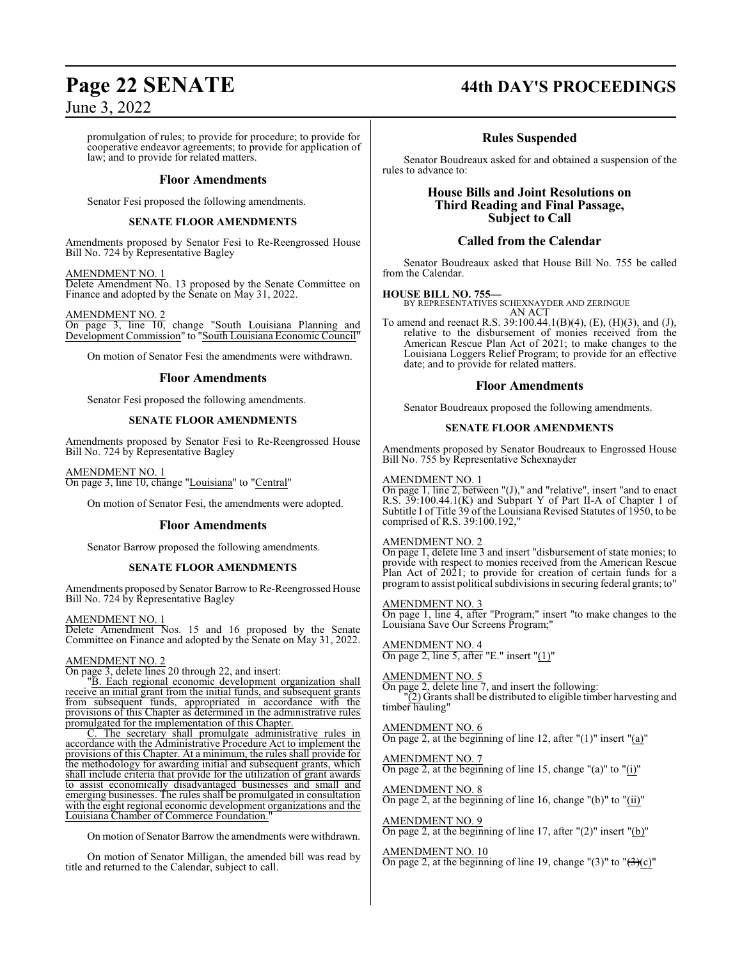promulgation of rules; to provide for procedure; to provide for cooperative endeavor agreements; to provide for application of law; and to provide for related matters.

#### **Floor Amendments**

Senator Fesi proposed the following amendments.

#### **SENATE FLOOR AMENDMENTS**

Amendments proposed by Senator Fesi to Re-Reengrossed House Bill No. 724 by Representative Bagley

#### AMENDMENT NO. 1

Delete Amendment No. 13 proposed by the Senate Committee on Finance and adopted by the Senate on May 31, 2022.

AMENDMENT NO. 2

On page 3, line 10, change "South Louisiana Planning and Development Commission" to "South Louisiana Economic Council"

On motion of Senator Fesi the amendments were withdrawn.

#### **Floor Amendments**

Senator Fesi proposed the following amendments.

#### **SENATE FLOOR AMENDMENTS**

Amendments proposed by Senator Fesi to Re-Reengrossed House Bill No. 724 by Representative Bagley

#### AMENDMENT NO. 1 On page 3, line 10, change "Louisiana" to "Central"

On motion of Senator Fesi, the amendments were adopted.

#### **Floor Amendments**

Senator Barrow proposed the following amendments.

#### **SENATE FLOOR AMENDMENTS**

Amendments proposed by Senator Barrow to Re-Reengrossed House Bill No. 724 by Representative Bagley

#### AMENDMENT NO. 1

Delete Amendment Nos. 15 and 16 proposed by the Senate Committee on Finance and adopted by the Senate on May 31, 2022.

#### AMENDMENT NO. 2

On page 3, delete lines 20 through 22, and insert:

"B. Each regional economic development organization shall receive an initial grant from the initial funds, and subsequent grants from subsequent funds, appropriated in accordance with the provisions of this Chapter as determined in the administrative rules promulgated for the implementation of this Chapter.

C. The secretary shall promulgate administrative rules in accordance with the Administrative Procedure Act to implement the provisions of this Chapter. At a minimum, the rules shall provide for the methodology for awarding initial and subsequent grants, which shall include criteria that provide for the utilization of grant awards to assist economically disadvantaged businesses and small and emerging businesses. The rules shall be promulgated in consultation with the eight regional economic development organizations and the Louisiana Chamber of Commerce Foundation."

On motion of Senator Barrow the amendments were withdrawn.

On motion of Senator Milligan, the amended bill was read by title and returned to the Calendar, subject to call.

# **Page 22 SENATE 44th DAY'S PROCEEDINGS**

## **Rules Suspended**

Senator Boudreaux asked for and obtained a suspension of the rules to advance to:

## **House Bills and Joint Resolutions on Third Reading and Final Passage, Subject to Call**

### **Called from the Calendar**

Senator Boudreaux asked that House Bill No. 755 be called from the Calendar.

#### **HOUSE BILL NO. 755—**

BY REPRESENTATIVES SCHEXNAYDER AND ZERINGUE AN ACT

To amend and reenact R.S. 39:100.44.1(B)(4), (E), (H)(3), and (J), relative to the disbursement of monies received from the American Rescue Plan Act of 2021; to make changes to the Louisiana Loggers Relief Program; to provide for an effective date; and to provide for related matters.

#### **Floor Amendments**

Senator Boudreaux proposed the following amendments.

#### **SENATE FLOOR AMENDMENTS**

Amendments proposed by Senator Boudreaux to Engrossed House Bill No. 755 by Representative Schexnayder

#### AMENDMENT NO. 1

On page 1, line 2, between "(J)," and "relative", insert "and to enact R.S. 39:100.44.1(K) and Subpart Y of Part II-A of Chapter 1 of Subtitle I of Title 39 of the Louisiana Revised Statutes of 1950, to be comprised of R.S. 39:100.192,"

### AMENDMENT NO. 2

On page 1, delete line 3 and insert "disbursement of state monies; to provide with respect to monies received from the American Rescue Plan Act of 2021; to provide for creation of certain funds for a programto assist political subdivisions in securing federal grants; to"

#### AMENDMENT NO. 3

On page 1, line 4, after "Program;" insert "to make changes to the Louisiana Save Our Screens Program;"

AMENDMENT NO. 4 On page 2, line 5, after "E." insert " $(1)$ "

## AMENDMENT NO. 5

On page 2, delete line 7, and insert the following: "(2) Grants shall be distributed to eligible timber harvesting and timber hauling"

#### AMENDMENT NO. 6

On page 2, at the beginning of line 12, after  $"(1)"$  insert  $"(a)"$ 

### AMENDMENT NO. 7

On page 2, at the beginning of line 15, change "(a)" to "(i)"

## AMENDMENT NO. 8

On page 2, at the beginning of line 16, change "(b)" to "(ii)"

AMENDMENT NO. 9 On page 2, at the beginning of line 17, after "(2)" insert "(b)"

#### AMENDMENT NO. 10

On page 2, at the beginning of line 19, change "(3)" to " $\left(\frac{3}{c}\right)$ "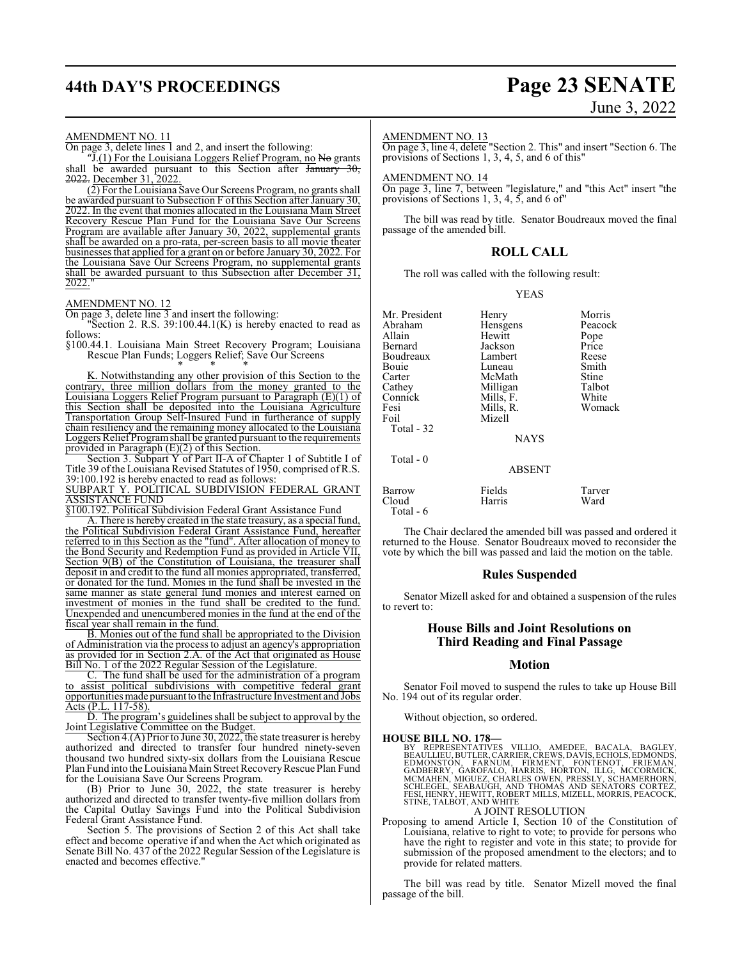# **44th DAY'S PROCEEDINGS Page 23 SENATE**

# June 3, 2022

#### AMENDMENT NO. 11

On page 3, delete lines 1 and 2, and insert the following:

"J. $(1)$  For the Louisiana Loggers Relief Program, no No grants shall be awarded pursuant to this Section after January 30, 2022. December 31, 2022.

(2) For the Louisiana Save Our Screens Program, no grants shall be awarded pursuant to Subsection F of this Section after January 30, 2022. In the event that monies allocated in the Louisiana Main Street Recovery Rescue Plan Fund for the Louisiana Save Our Screens Program are available after January 30, 2022, supplemental grants shall be awarded on a pro-rata, per-screen basis to all movie theater businesses that applied for a grant on or before January 30, 2022. For the Louisiana Save Our Screens Program, no supplemental grants shall be awarded pursuant to this Subsection after December 31, 2022."

#### AMENDMENT NO. 12

On page 3, delete line 3 and insert the following:

"Section 2. R.S.  $39:100.44.1(K)$  is hereby enacted to read as follows:

§100.44.1. Louisiana Main Street Recovery Program; Louisiana Rescue Plan Funds; Loggers Relief; Save Our Screens

\* \* \* K. Notwithstanding any other provision of this Section to the contrary, three million dollars from the money granted to the Louisiana Loggers Relief Program pursuant to Paragraph (E)(1) of this Section shall be deposited into the Louisiana Agriculture Transportation Group Self-Insured Fund in furtherance of supply chain resiliency and the remaining money allocated to the Louisiana Loggers Relief Programshall be granted pursuant to the requirements provided in Paragraph (E)(2) of this Section.

Section 3. Subpart Y of Part II-A of Chapter 1 of Subtitle I of Title 39 ofthe Louisiana Revised Statutes of 1950, comprised of R.S. 39:100.192 is hereby enacted to read as follows: SUBPART Y. POLITICAL SUBDIVISION FEDERAL GRANT

ASSISTANCE FUND

§100.192. Political Subdivision Federal Grant Assistance Fund

A. There is hereby created in the state treasury, as a special fund, the Political Subdivision Federal Grant Assistance Fund, hereafter referred to in this Section as the "fund". After allocation of money to the Bond Security and Redemption Fund as provided in Article VII, Section 9(B) of the Constitution of Louisiana, the treasurer shall deposit in and credit to the fund all monies appropriated, transferred, or donated for the fund. Monies in the fund shall be invested in the same manner as state general fund monies and interest earned on investment of monies in the fund shall be credited to the fund. Unexpended and unencumbered monies in the fund at the end of the fiscal year shall remain in the fund.

B. Monies out of the fund shall be appropriated to the Division of Administration via the process to adjust an agency's appropriation as provided for in Section 2.A. of the Act that originated as House Bill No. 1 of the 2022 Regular Session of the Legislature.

C. The fund shall be used for the administration of a program to assist political subdivisions with competitive federal grant opportunities made pursuantto the Infrastructure Investment and Jobs Acts (P.L. 117-58).

D. The program's guidelines shall be subject to approval by the Joint Legislative Committee on the Budget.

Section 4.(A) Prior to June 30, 2022, the state treasurer is hereby authorized and directed to transfer four hundred ninety-seven thousand two hundred sixty-six dollars from the Louisiana Rescue Plan Fund into the Louisiana Main Street Recovery Rescue Plan Fund for the Louisiana Save Our Screens Program.

(B) Prior to June 30, 2022, the state treasurer is hereby authorized and directed to transfer twenty-five million dollars from the Capital Outlay Savings Fund into the Political Subdivision Federal Grant Assistance Fund.

Section 5. The provisions of Section 2 of this Act shall take effect and become operative if and when the Act which originated as Senate Bill No. 437 of the 2022 Regular Session of the Legislature is enacted and becomes effective."

#### AMENDMENT NO. 13

On page 3, line 4, delete "Section 2. This" and insert "Section 6. The provisions of Sections 1, 3, 4, 5, and 6 of this"

#### AMENDMENT NO. 14

On page 3, line 7, between "legislature," and "this Act" insert "the provisions of Sections 1, 3, 4, 5, and 6 of"

The bill was read by title. Senator Boudreaux moved the final passage of the amended bill.

#### **ROLL CALL**

The roll was called with the following result:

#### YEAS

Mr. President Henry Morris<br>
Abraham Hensgens Peacock Abraham Hensgens Peacock<br>
Hewitt Pope Allain Hewitt Pope Jackson Price<br>Lambert Reese Boudreaux Lambert Reese Bouie Luneau Smith<br>Carter McMath Stine Carter McMath Stine<br>Cathey Milligan Talbot Cathey Milligan Talbot<br>Connick Mills. F. White Connick Mills, F. White<br>
Fesi Mills, R. Womack Fesi Mills, R.<br>Foil Mizell Mizell Total - 32 Total - 0

**NAYS** 

#### ABSENT

| Barrow     | Fields | Tarver |
|------------|--------|--------|
| Cloud      | Harris | Ward   |
| Total $-6$ |        |        |

The Chair declared the amended bill was passed and ordered it returned to the House. Senator Boudreaux moved to reconsider the vote by which the bill was passed and laid the motion on the table.

#### **Rules Suspended**

Senator Mizell asked for and obtained a suspension of the rules to revert to:

#### **House Bills and Joint Resolutions on Third Reading and Final Passage**

#### **Motion**

Senator Foil moved to suspend the rules to take up House Bill No. 194 out of its regular order.

Without objection, so ordered.

#### **HOUSE BILL NO. 178—**

BY REPRESENTATIVES VILLIO, AMEDEE, BACALA, BAGLEY,<br>BEAULLIEU,BUTLER,CARRIER,CREWS,DAVIS,ECHOLS,EDMONS,<br>EDMONSTON, FARNUM, FIRMENT, FONTENOT, FRIEMAN,<br>GADBERRY, GAROFALO, HARRIS, HORTON, ILLG, MCCORMICK,<br>MCMAHEN, MGUEZ, CHA

A JOINT RESOLUTION

Proposing to amend Article I, Section 10 of the Constitution of Louisiana, relative to right to vote; to provide for persons who have the right to register and vote in this state; to provide for submission of the proposed amendment to the electors; and to provide for related matters.

The bill was read by title. Senator Mizell moved the final passage of the bill.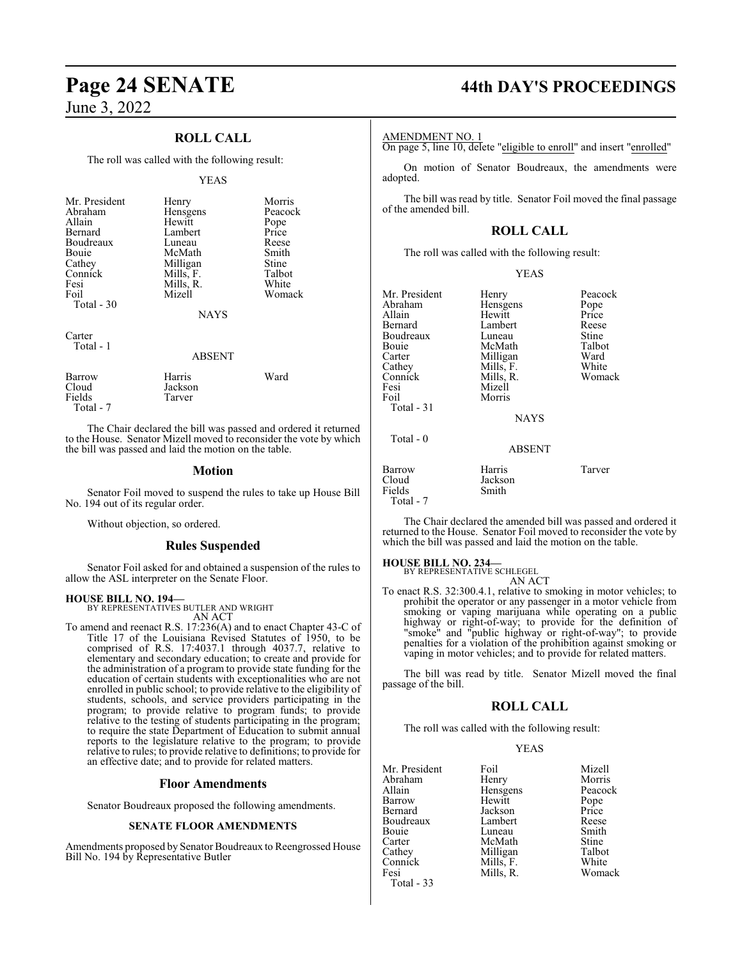# **Page 24 SENATE 44th DAY'S PROCEEDINGS**

June 3, 2022

## **ROLL CALL**

The roll was called with the following result:

#### YEAS

| Mr. President<br>Abraham<br>Allain<br>Bernard<br>Boudreaux<br>Bouie<br>Cathey<br>Connick<br>Fesi<br>Foil<br>Total $-30$ | Henry<br>Hensgens<br>Hewitt<br>Lambert<br>Luneau<br>McMath<br>Milligan<br>Mills, F.<br>Mills, R.<br>Mizell<br><b>NAYS</b> | Morris<br>Peacock<br>Pope<br>Price<br>Reese<br>Smith<br>Stine<br>Talbot<br>White<br>Womack |
|-------------------------------------------------------------------------------------------------------------------------|---------------------------------------------------------------------------------------------------------------------------|--------------------------------------------------------------------------------------------|
| Carter<br>Total - 1                                                                                                     |                                                                                                                           |                                                                                            |

#### ABSENT

| Barrow    | Harris  | Ward |
|-----------|---------|------|
| Cloud     | Jackson |      |
| Fields    | Tarver  |      |
| Total - 7 |         |      |

The Chair declared the bill was passed and ordered it returned to the House. Senator Mizell moved to reconsider the vote by which the bill was passed and laid the motion on the table.

#### **Motion**

Senator Foil moved to suspend the rules to take up House Bill No. 194 out of its regular order.

Without objection, so ordered.

#### **Rules Suspended**

Senator Foil asked for and obtained a suspension of the rules to allow the ASL interpreter on the Senate Floor.

#### **HOUSE BILL NO. 194—**

BY REPRESENTATIVES BUTLER AND WRIGHT AN ACT

To amend and reenact R.S. 17:236(A) and to enact Chapter 43-C of Title 17 of the Louisiana Revised Statutes of 1950, to be comprised of R.S. 17:4037.1 through 4037.7, relative to elementary and secondary education; to create and provide for the administration of a program to provide state funding for the education of certain students with exceptionalities who are not enrolled in public school; to provide relative to the eligibility of students, schools, and service providers participating in the program; to provide relative to program funds; to provide relative to the testing of students participating in the program; to require the state Department of Education to submit annual reports to the legislature relative to the program; to provide relative to rules; to provide relative to definitions; to provide for an effective date; and to provide for related matters.

#### **Floor Amendments**

Senator Boudreaux proposed the following amendments.

#### **SENATE FLOOR AMENDMENTS**

Amendments proposed by Senator Boudreaux to Reengrossed House Bill No. 194 by Representative Butler

#### AMENDMENT NO. 1

On page 5, line 10, delete "eligible to enroll" and insert "enrolled"

On motion of Senator Boudreaux, the amendments were adopted.

The bill was read by title. Senator Foil moved the final passage of the amended bill.

#### **ROLL CALL**

The roll was called with the following result:

| v<br>I |
|--------|
|        |

| Mr. President<br>Abraham<br>Allain<br>Bernard<br>Boudreaux<br>Bouie<br>Carter<br>Cathey<br>Connick<br>Fesi<br>Foil<br>Total - 31<br>Total - 0 | Henry<br>Hensgens<br>Hewitt<br>Lambert<br>Luneau<br>McMath<br>Milligan<br>Mills, F.<br>Mills, R.<br>Mizell<br>Morris<br><b>NAYS</b> | Peacock<br>Pope<br>Price<br>Reese<br>Stine<br>Talbot<br>Ward<br>White<br>Womack |
|-----------------------------------------------------------------------------------------------------------------------------------------------|-------------------------------------------------------------------------------------------------------------------------------------|---------------------------------------------------------------------------------|
|                                                                                                                                               | <b>ABSENT</b>                                                                                                                       |                                                                                 |
| Barrow<br>Cloud<br>Fields<br>Total - 7                                                                                                        | Harris<br>Jackson<br>Smith                                                                                                          | Tarver                                                                          |

The Chair declared the amended bill was passed and ordered it returned to the House. Senator Foil moved to reconsider the vote by which the bill was passed and laid the motion on the table.

#### **HOUSE BILL NO. 234—**

BY REPRESENTATIVE SCHLEGEL

AN ACT To enact R.S. 32:300.4.1, relative to smoking in motor vehicles; to prohibit the operator or any passenger in a motor vehicle from smoking or vaping marijuana while operating on a public highway or right-of-way; to provide for the definition of "smoke" and "public highway or right-of-way"; to provide penalties for a violation of the prohibition against smoking or vaping in motor vehicles; and to provide for related matters.

The bill was read by title. Senator Mizell moved the final passage of the bill.

#### **ROLL CALL**

The roll was called with the following result:

#### YEAS

| Mr. President | Foil      | Mizell        |
|---------------|-----------|---------------|
| Abraham       | Henry     | Morris        |
| Allain        | Hensgens  | Peacock       |
| Barrow        | Hewitt    |               |
| Bernard       | Jackson   | Pope<br>Price |
| Boudreaux     | Lambert   | Reese         |
| Bouie         | Luneau    | Smith         |
| Carter        | McMath    | Stine         |
| Cathey        | Milligan  | Talbot        |
| Connick       | Mills, F. | White         |
| Fesi          | Mills, R. | Womack        |
| Total - 33    |           |               |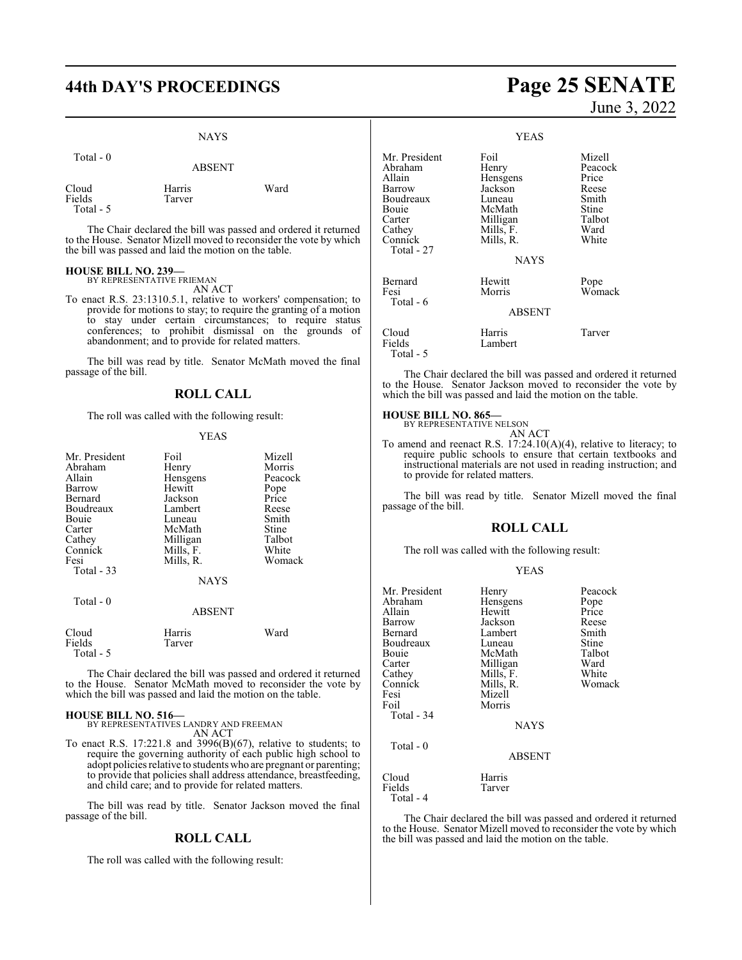# **44th DAY'S PROCEEDINGS Page 25 SENATE**

#### NAYS

| Total $-0$                   | <b>ABSENT</b>    |      |
|------------------------------|------------------|------|
| Cloud<br>Fields<br>Total - 5 | Harris<br>Tarver | Ward |

The Chair declared the bill was passed and ordered it returned to the House. Senator Mizell moved to reconsider the vote by which the bill was passed and laid the motion on the table.

#### **HOUSE BILL NO. 239—**

BY REPRESENTATIVE FRIEMAN AN ACT

To enact R.S. 23:1310.5.1, relative to workers' compensation; to provide for motions to stay; to require the granting of a motion to stay under certain circumstances; to require status conferences; to prohibit dismissal on the grounds of abandonment; and to provide for related matters.

The bill was read by title. Senator McMath moved the final passage of the bill.

## **ROLL CALL**

The roll was called with the following result:

#### YEAS

| Mr. President | Foil          | Mizell  |
|---------------|---------------|---------|
| Abraham       | Henry         | Morris  |
| Allain        | Hensgens      | Peacock |
| Barrow        | Hewitt        | Pope    |
| Bernard       | Jackson       | Price   |
| Boudreaux     | Lambert       | Reese   |
| Bouie         | Luneau        | Smith   |
| Carter        | McMath        | Stine   |
| Cathey        | Milligan      | Talbot  |
| Connick       | Mills, F.     | White   |
| Fesi          | Mills, R.     | Womack  |
| Total - 33    |               |         |
|               | <b>NAYS</b>   |         |
| Total - 0     |               |         |
|               | <b>ABSENT</b> |         |
|               |               |         |

The Chair declared the bill was passed and ordered it returned to the House. Senator McMath moved to reconsider the vote by which the bill was passed and laid the motion on the table.

Total - 5

**HOUSE BILL NO. 516—** BY REPRESENTATIVES LANDRY AND FREEMAN AN ACT

Cloud Harris Ward Tarver

To enact R.S.  $17:221.8$  and  $3996(B)(67)$ , relative to students; to require the governing authority of each public high school to adopt policies relative to students who are pregnant or parenting; to provide that policies shall address attendance, breastfeeding, and child care; and to provide for related matters.

The bill was read by title. Senator Jackson moved the final passage of the bill.

#### **ROLL CALL**

The roll was called with the following result:

# June 3, 2022

|                                                                                                                 | <b>YEAS</b>                                                                                                   |                                                                                  |
|-----------------------------------------------------------------------------------------------------------------|---------------------------------------------------------------------------------------------------------------|----------------------------------------------------------------------------------|
| Mr. President<br>Abraham<br>Allain<br>Barrow<br>Boudreaux<br>Bouie<br>Carter<br>Cathey<br>Connick<br>Total - 27 | Foil<br>Henry<br>Hensgens<br>Jackson<br>Luneau<br>McMath<br>Milligan<br>Mills, F.<br>Mills, R.<br><b>NAYS</b> | Mizell<br>Peacock<br>Price<br>Reese<br>Smith<br>Stine<br>Talbot<br>Ward<br>White |
| Bernard<br>Fesi<br>Total - 6                                                                                    | Hewitt<br>Morris<br><b>ABSENT</b>                                                                             | Pope<br>Womack                                                                   |
| Cloud<br>Fields<br>Total - 5                                                                                    | Harris<br>Lambert                                                                                             | Tarver                                                                           |

The Chair declared the bill was passed and ordered it returned to the House. Senator Jackson moved to reconsider the vote by which the bill was passed and laid the motion on the table.

# **HOUSE BILL NO. 865—** BY REPRESENTATIVE NELSON

AN ACT

To amend and reenact R.S. 17:24.10(A)(4), relative to literacy; to require public schools to ensure that certain textbooks and instructional materials are not used in reading instruction; and to provide for related matters.

The bill was read by title. Senator Mizell moved the final passage of the bill.

#### **ROLL CALL**

The roll was called with the following result:

#### YEAS

| Mr. President<br>Abraham<br>Allain<br>Barrow<br>Bernard<br>Boudreaux<br>Bouie<br>Carter<br>Cathey<br>Connick<br>Fesi<br>Foil<br>Total - 34 | Henry<br>Hensgens<br>Hewitt<br>Jackson<br>Lambert<br>Luneau<br>McMath<br>Milligan<br>Mills, F.<br>Mills, R.<br>Mizell<br>Morris<br><b>NAYS</b> | Peacock<br>Pope<br>Price<br>Reese<br>Smith<br>Stine<br>Talbot<br>Ward<br>White<br>Womack |
|--------------------------------------------------------------------------------------------------------------------------------------------|------------------------------------------------------------------------------------------------------------------------------------------------|------------------------------------------------------------------------------------------|
| Total - 0                                                                                                                                  | ABSENT                                                                                                                                         |                                                                                          |
| Cloud<br>Fields<br>Total - 4                                                                                                               | Harris<br>Tarver                                                                                                                               |                                                                                          |

The Chair declared the bill was passed and ordered it returned to the House. Senator Mizell moved to reconsider the vote by which the bill was passed and laid the motion on the table.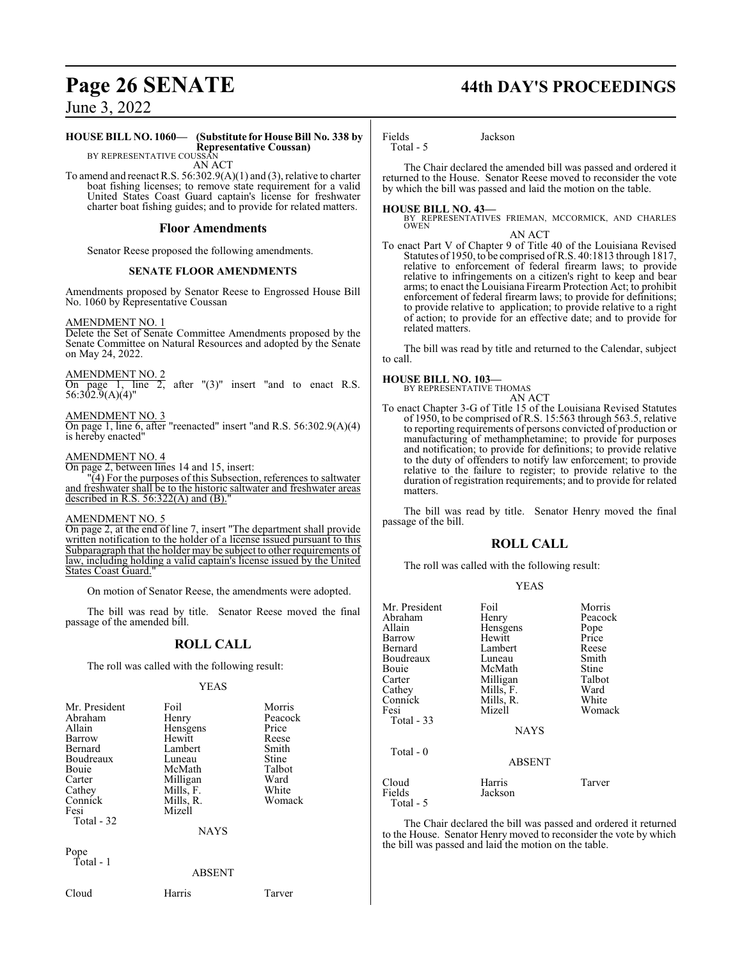#### **HOUSE BILL NO. 1060— (Substitute for House Bill No. 338 by Representative Coussan)** BY REPRESENTATIVE COUSSAN

AN ACT

To amend and reenact R.S. 56:302.9(A)(1) and (3), relative to charter boat fishing licenses; to remove state requirement for a valid United States Coast Guard captain's license for freshwater charter boat fishing guides; and to provide for related matters.

#### **Floor Amendments**

Senator Reese proposed the following amendments.

#### **SENATE FLOOR AMENDMENTS**

Amendments proposed by Senator Reese to Engrossed House Bill No. 1060 by Representative Coussan

#### AMENDMENT NO. 1

Delete the Set of Senate Committee Amendments proposed by the Senate Committee on Natural Resources and adopted by the Senate on May 24, 2022.

AMENDMENT NO. 2

On page 1, line 2, after "(3)" insert "and to enact R.S. 56:302.9(A)(4)"

AMENDMENT NO. 3

On page 1, line 6, after "reenacted" insert "and R.S. 56:302.9(A)(4) is hereby enacted"

#### AMENDMENT NO. 4

On page 2, between lines 14 and 15, insert:

"(4) For the purposes of this Subsection, references to saltwater and freshwater shall be to the historic saltwater and freshwater areas described in R.S.  $56:322(A)$  and  $(B)$ .

#### AMENDMENT NO. 5

On page 2, at the end of line 7, insert "The department shall provide written notification to the holder of a license issued pursuant to this Subparagraph that the holder may be subject to other requirements of law, including holding a valid captain's license issued by the United States Coast Guard.

On motion of Senator Reese, the amendments were adopted.

The bill was read by title. Senator Reese moved the final passage of the amended bill.

## **ROLL CALL**

The roll was called with the following result:

#### YEAS

| Mr. President | Foil        | Morris  |
|---------------|-------------|---------|
|               |             |         |
| Abraham       | Henry       | Peacock |
| Allain        | Hensgens    | Price   |
| Barrow        | Hewitt      | Reese   |
| Bernard       | Lambert     | Smith   |
| Boudreaux     | Luneau      | Stine   |
| Bouie         | McMath      | Talbot  |
| Carter        | Milligan    | Ward    |
| Cathey        | Mills, F.   | White   |
| Connick       | Mills, R.   | Womack  |
| Fesi          | Mizell      |         |
| Total - 32    |             |         |
|               | <b>NAYS</b> |         |
| $\mathbf{n}$  |             |         |

Pope Total - 1

ABSENT

Cloud Harris Tarver

# **Page 26 SENATE 44th DAY'S PROCEEDINGS**

Fields Jackson

Total - 5

The Chair declared the amended bill was passed and ordered it returned to the House. Senator Reese moved to reconsider the vote by which the bill was passed and laid the motion on the table.

**HOUSE BILL NO. 43—** BY REPRESENTATIVES FRIEMAN, MCCORMICK, AND CHARLES OWEN

AN ACT To enact Part V of Chapter 9 of Title 40 of the Louisiana Revised Statutes of 1950, to be comprised ofR.S. 40:1813 through 1817, relative to enforcement of federal firearm laws; to provide relative to infringements on a citizen's right to keep and bear arms; to enact the Louisiana Firearm Protection Act; to prohibit enforcement of federal firearm laws; to provide for definitions; to provide relative to application; to provide relative to a right of action; to provide for an effective date; and to provide for related matters.

The bill was read by title and returned to the Calendar, subject to call.

**HOUSE BILL NO. 103—** BY REPRESENTATIVE THOMAS

AN ACT To enact Chapter 3-G of Title 15 of the Louisiana Revised Statutes of 1950, to be comprised of R.S. 15:563 through 563.5, relative to reporting requirements of persons convicted of production or manufacturing of methamphetamine; to provide for purposes and notification; to provide for definitions; to provide relative to the duty of offenders to notify law enforcement; to provide relative to the failure to register; to provide relative to the duration of registration requirements; and to provide for related matters.

The bill was read by title. Senator Henry moved the final passage of the bill.

## **ROLL CALL**

The roll was called with the following result:

#### YEAS

| Mr. President<br>Abraham | Foil<br>Henry | Morris<br>Peacock |
|--------------------------|---------------|-------------------|
| Allain                   | Hensgens      | Pope              |
| Barrow                   | Hewitt        | Price             |
| Bernard                  | Lambert       | Reese             |
| Boudreaux                | Luneau        | Smith             |
| Bouie                    | McMath        | <b>Stine</b>      |
| Carter                   | Milligan      | Talbot            |
| Cathey                   | Mills, F.     | Ward              |
| Connick                  | Mills, R.     | White             |
| Fesi                     | Mizell        | Womack            |
| Total - 33               |               |                   |
|                          | <b>NAYS</b>   |                   |
| Total - 0                | <b>ABSENT</b> |                   |
| Cloud                    | Harris        | Tarver            |
| Fields<br>Total - 5      | Jackson       |                   |

The Chair declared the bill was passed and ordered it returned to the House. Senator Henry moved to reconsider the vote by which the bill was passed and laid the motion on the table.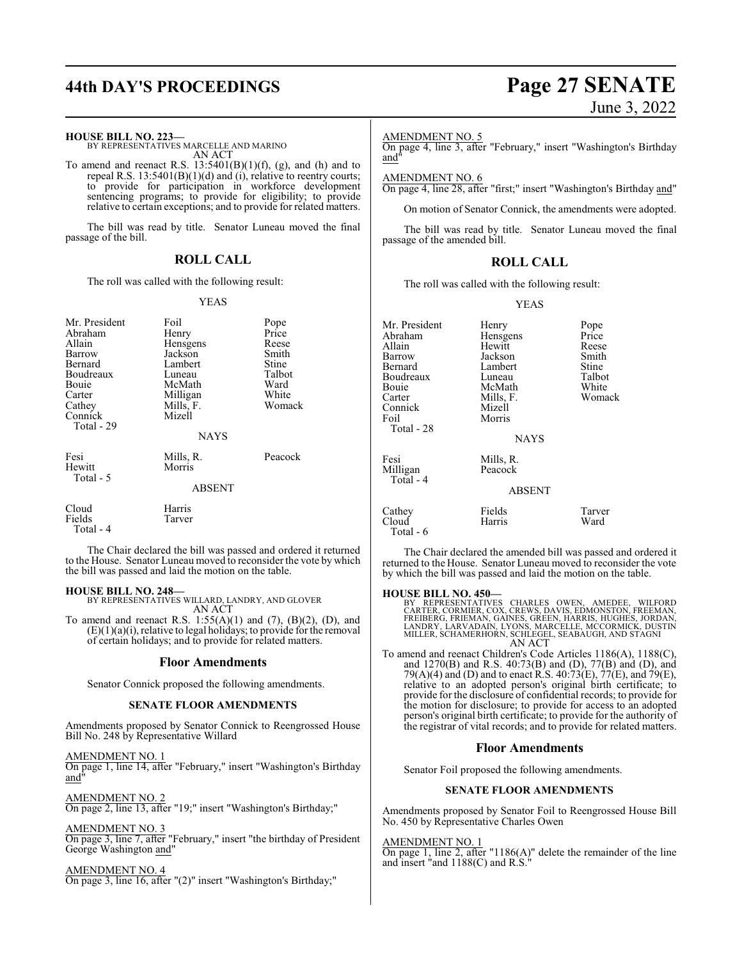# **44th DAY'S PROCEEDINGS Page 27 SENATE**

#### **HOUSE BILL NO. 223—**

BY REPRESENTATIVES MARCELLE AND MARINO AN ACT

To amend and reenact R.S.  $13:5401(B)(1)(f)$ , (g), and (h) and to repeal R.S. 13:5401(B)(1)(d) and (i), relative to reentry courts; to provide for participation in workforce development sentencing programs; to provide for eligibility; to provide relative to certain exceptions; and to provide for related matters.

The bill was read by title. Senator Luneau moved the final passage of the bill.

## **ROLL CALL**

The roll was called with the following result:

#### YEAS

| Mr. President<br>Abraham<br>Allain<br>Barrow<br>Bernard<br>Boudreaux<br>Bouie<br>Carter<br>Cathey<br>Connick<br>Total - 29 | Foil<br>Henry<br>Hensgens<br>Jackson<br>Lambert<br>Luneau<br>McMath<br>Milligan<br>Mills, F.<br>Mizell<br><b>NAYS</b> | Pope<br>Price<br>Reese<br>Smith<br>Stine<br>Talbot<br>Ward<br>White<br>Womack |
|----------------------------------------------------------------------------------------------------------------------------|-----------------------------------------------------------------------------------------------------------------------|-------------------------------------------------------------------------------|
| Fesi<br>Hewitt<br>Total - 5                                                                                                | Mills, R.<br>Morris<br><b>ABSENT</b>                                                                                  | Peacock                                                                       |
| Cloud<br>Fields<br>Total - 4                                                                                               | Harris<br>Tarver                                                                                                      |                                                                               |

The Chair declared the bill was passed and ordered it returned to the House. Senator Luneau moved to reconsider the vote by which the bill was passed and laid the motion on the table.

#### **HOUSE BILL NO. 248—**

BY REPRESENTATIVES WILLARD, LANDRY, AND GLOVER AN ACT

To amend and reenact R.S.  $1:55(A)(1)$  and  $(7)$ ,  $(B)(2)$ ,  $(D)$ , and  $(E)(1)(a)(i)$ , relative to legal holidays; to provide for the removal of certain holidays; and to provide for related matters.

#### **Floor Amendments**

Senator Connick proposed the following amendments.

#### **SENATE FLOOR AMENDMENTS**

Amendments proposed by Senator Connick to Reengrossed House Bill No. 248 by Representative Willard

AMENDMENT NO. 1

On page 1, line 14, after "February," insert "Washington's Birthday and"

AMENDMENT NO. 2 On page 2, line 13, after "19;" insert "Washington's Birthday;"

AMENDMENT NO. 3

On page 3, line 7, after "February," insert "the birthday of President George Washington and"

AMENDMENT NO. 4 On page 3, line 16, after "(2)" insert "Washington's Birthday;"

# June 3, 2022

AMENDMENT NO. 5

On page 4, line 3, after "February," insert "Washington's Birthday and"

#### AMENDMENT NO. 6

On page 4, line 28, after "first;" insert "Washington's Birthday and"

On motion of Senator Connick, the amendments were adopted.

The bill was read by title. Senator Luneau moved the final passage of the amended bill.

#### **ROLL CALL**

The roll was called with the following result:

#### YEAS

| Mr. President<br>Abraham<br>Allain<br>Barrow<br>Bernard<br>Boudreaux<br>Bouie<br>Carter<br>Connick<br>Foil<br>Total - 28 | Henry<br>Hensgens<br>Hewitt<br>Jackson<br>Lambert<br>Luneau<br>McMath<br>Mills, F.<br>Mizell<br>Morris | Pope<br>Price<br>Reese<br>Smith<br>Stine<br>Talbot<br>White<br>Womack |
|--------------------------------------------------------------------------------------------------------------------------|--------------------------------------------------------------------------------------------------------|-----------------------------------------------------------------------|
|                                                                                                                          | <b>NAYS</b>                                                                                            |                                                                       |
| Fesi<br>Milligan<br>Total - 4                                                                                            | Mills, R.<br>Peacock<br><b>ABSENT</b>                                                                  |                                                                       |
| Cathey<br>Cloud<br>Total - 6                                                                                             | Fields<br>Harris                                                                                       | Tarver<br>Ward                                                        |

The Chair declared the amended bill was passed and ordered it returned to the House. Senator Luneau moved to reconsider the vote by which the bill was passed and laid the motion on the table.

#### **HOUSE BILL NO. 450—**

BY REPRESENTATIVES CHARLES OWEN, AMEDEE, WILFORD<br>CARTER,CORMIER,COX,CREWS,DAVIS,EDMONSTON,FREEMAN,<br>FREIBERG,FRIEMAN,GAINES,GREEN,HARRIS,HUGHES,JORDAN,<br>LANDRY,LARVADAIN,LYONS,MARCELLE,MCCORMICK,DUSTIN<br>MILLER,SCHAMERHORN,SCH AN ACT

To amend and reenact Children's Code Articles 1186(A), 1188(C), and 1270(B) and R.S. 40:73(B) and (D), 77(B) and (D), and 79(A)(4) and (D) and to enact R.S. 40:73(E), 77(E), and 79(E), relative to an adopted person's original birth certificate; to provide for the disclosure of confidential records; to provide for the motion for disclosure; to provide for access to an adopted person's original birth certificate; to provide for the authority of the registrar of vital records; and to provide for related matters.

#### **Floor Amendments**

Senator Foil proposed the following amendments.

#### **SENATE FLOOR AMENDMENTS**

Amendments proposed by Senator Foil to Reengrossed House Bill No. 450 by Representative Charles Owen

AMENDMENT NO. 1

On page 1, line 2, after "1186(A)" delete the remainder of the line and insert "and 1188(C) and R.S."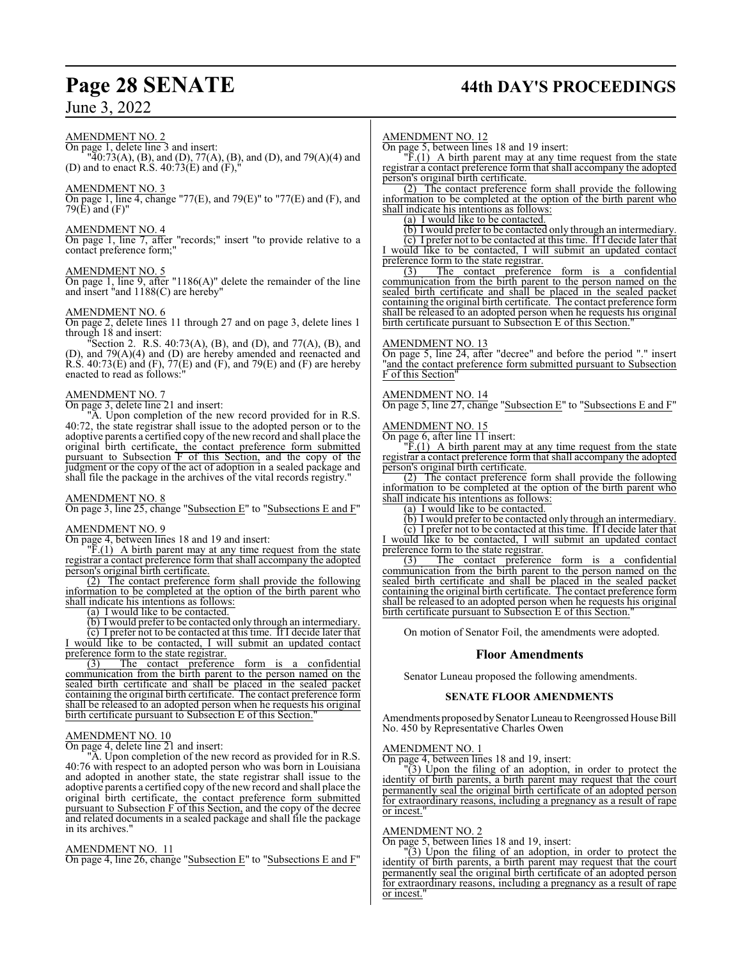#### AMENDMENT NO. 2

On page 1, delete line 3 and insert: "40:73(A), (B), and (D), 77(A), (B), and (D), and 79(A)(4) and (D) and to enact R.S.  $40:\overline{73(E)}$  and  $(F),'$ 

### AMENDMENT NO. 3

On page 1, line 4, change "77(E), and 79(E)" to "77(E) and (F), and 79(E) and (F)"

#### AMENDMENT NO. 4

On page 1, line 7, after "records;" insert "to provide relative to a contact preference form;"

#### AMENDMENT NO. 5

On page 1, line 9, after "1186(A)" delete the remainder of the line and insert "and 1188(C) are hereby"

#### AMENDMENT NO. 6

On page 2, delete lines 11 through 27 and on page 3, delete lines 1 through 18 and insert:

"Section 2. R.S. 40:73(A), (B), and (D), and 77(A), (B), and (D), and 79(A)(4) and (D) are hereby amended and reenacted and R.S.  $40:73(E)$  and  $(F)$ ,  $77(E)$  and  $(F)$ , and  $79(E)$  and  $(F)$  are hereby enacted to read as follows:"

#### AMENDMENT NO. 7

On page 3, delete line 21 and insert:

"A. Upon completion of the new record provided for in R.S. 40:72, the state registrar shall issue to the adopted person or to the adoptive parents a certified copy of the new record and shall place the original birth certificate, the contact preference form submitted pursuant to Subsection F of this Section, and the copy of the judgment or the copy of the act of adoption in a sealed package and shall file the package in the archives of the vital records registry."

#### AMENDMENT NO. 8

On page 3, line 25, change "Subsection E" to "Subsections E and F"

#### AMENDMENT NO. 9

On page 4, between lines 18 and 19 and insert:

 $\overline{F}(1)$  A birth parent may at any time request from the state registrar a contact preference form that shall accompany the adopted person's original birth certificate.

(2) The contact preference form shall provide the following information to be completed at the option of the birth parent who shall indicate his intentions as follows:

(a) I would like to be contacted.

(b) I would prefer to be contacted only through an intermediary.

(c) I prefer not to be contacted at this time. If I decide later that I would like to be contacted, I will submit an updated contact preference form to the state registrar.<br>(3) The contact preference

form is a confidential communication from the birth parent to the person named on the sealed birth certificate and shall be placed in the sealed packet containing the original birth certificate. The contact preference form shall be released to an adopted person when he requests his original birth certificate pursuant to Subsection E of this Section."

#### AMENDMENT NO. 10

On page 4, delete line 21 and insert:

"A. Upon completion of the new record as provided for in R.S. 40:76 with respect to an adopted person who was born in Louisiana and adopted in another state, the state registrar shall issue to the adoptive parents a certified copy of the new record and shall place the original birth certificate, the contact preference form submitted pursuant to Subsection F of this Section, and the copy of the decree and related documents in a sealed package and shall file the package in its archives."

#### AMENDMENT NO. 11

On page 4, line 26, change "Subsection E" to "Subsections E and F"

# **Page 28 SENATE 44th DAY'S PROCEEDINGS**

#### AMENDMENT NO. 12

On page 5, between lines 18 and 19 insert:

 $\overline{F}(1)$  A birth parent may at any time request from the state registrar a contact preference form that shall accompany the adopted person's original birth certificate.

(2) The contact preference form shall provide the following information to be completed at the option of the birth parent who shall indicate his intentions as follows:

(a) I would like to be contacted.

(b) I would prefer to be contacted only through an intermediary. (c) I prefer not to be contacted at this time. If I decide later that I would like to be contacted, I will submit an updated contact

preference form to the state registrar.<br>(3) The contact preference The contact preference form is a confidential communication from the birth parent to the person named on the sealed birth certificate and shall be placed in the sealed packet containing the original birth certificate. The contact preference form shall be released to an adopted person when he requests his original birth certificate pursuant to Subsection E of this Section.

#### AMENDMENT NO. 13

On page 5, line 24, after "decree" and before the period "." insert "and the contact preference form submitted pursuant to Subsection F of this Section"

#### AMENDMENT NO. 14

On page 5, line 27, change "Subsection E" to "Subsections E and F"

#### AMENDMENT NO. 15

On page 6, after line 11 insert:

 $\sqrt{F(1)}$  A birth parent may at any time request from the state registrar a contact preference form that shall accompany the adopted person's original birth certificate.

(2) The contact preference form shall provide the following information to be completed at the option of the birth parent who shall indicate his intentions as follows:

(a) I would like to be contacted.

(b) I would prefer to be contacted only through an intermediary.

(c) I prefer not to be contacted at this time. If I decide later that I would like to be contacted, I will submit an updated contact preference form to the state registrar.

(3) The contact preference form is a confidential communication from the birth parent to the person named on the sealed birth certificate and shall be placed in the sealed packet containing the original birth certificate. The contact preference form shall be released to an adopted person when he requests his original birth certificate pursuant to Subsection E of this Section."

On motion of Senator Foil, the amendments were adopted.

#### **Floor Amendments**

Senator Luneau proposed the following amendments.

#### **SENATE FLOOR AMENDMENTS**

Amendments proposed by Senator Luneau to Reengrossed House Bill No. 450 by Representative Charles Owen

#### AMENDMENT NO. 1

On page 4, between lines 18 and 19, insert:

"(3) Upon the filing of an adoption, in order to protect the identity of birth parents, a birth parent may request that the court permanently seal the original birth certificate of an adopted person for extraordinary reasons, including a pregnancy as a result of rape or incest.'

#### AMENDMENT NO. 2

On page 5, between lines 18 and 19, insert:

"(3) Upon the filing of an adoption, in order to protect the identity of birth parents, a birth parent may request that the court permanently seal the original birth certificate of an adopted person for extraordinary reasons, including a pregnancy as a result of rape or incest.'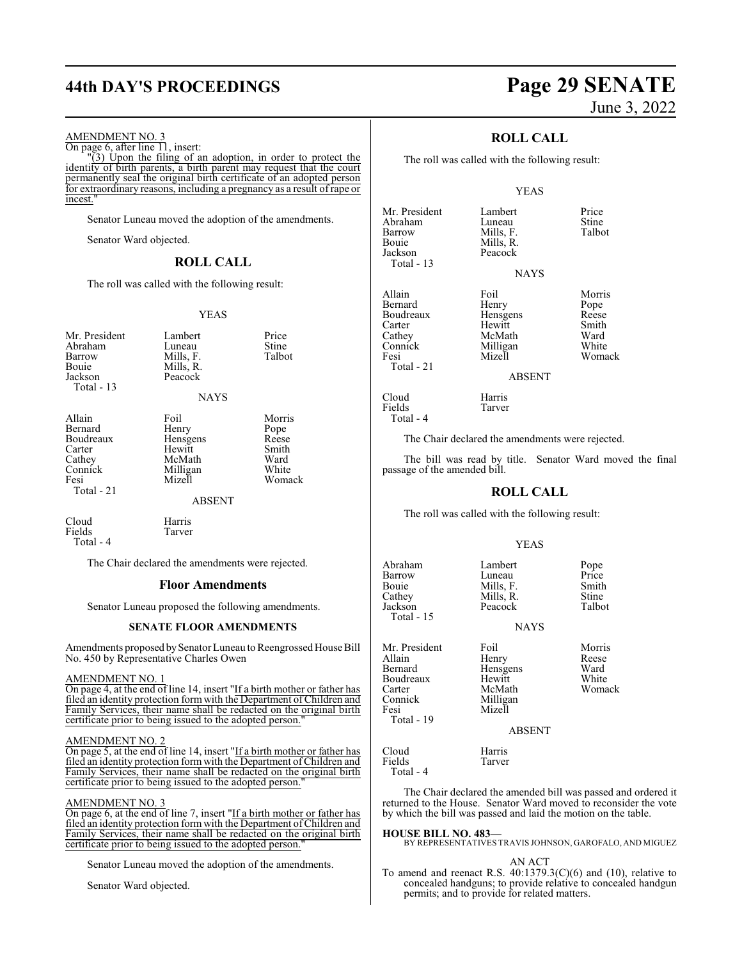# **44th DAY'S PROCEEDINGS Page 29 SENATE**

#### AMENDMENT NO. 3

On page 6, after line 11, insert:

 $\sqrt{3}$ ) Upon the filing of an adoption, in order to protect the identity of birth parents, a birth parent may request that the court permanently seal the original birth certificate of an adopted person for extraordinary reasons, including a pregnancy as a result of rape or incest."

Senator Luneau moved the adoption of the amendments.

Senator Ward objected.

#### **ROLL CALL**

The roll was called with the following result:

#### YEAS

| Mr. President<br>Abraham<br>Barrow<br>Bouie<br>Jackson<br>Total - 13                | Lambert<br>Luneau<br>Mills, F.<br>Mills, R.<br>Peacock              | Price<br>Stine<br>Talbot                                    |
|-------------------------------------------------------------------------------------|---------------------------------------------------------------------|-------------------------------------------------------------|
|                                                                                     | <b>NAYS</b>                                                         |                                                             |
| Allain<br>Bernard<br>Boudreaux<br>Carter<br>Cathey<br>Connick<br>Fesi<br>Total - 21 | Foil<br>Henry<br>Hensgens<br>Hewitt<br>McMath<br>Milligan<br>Mizell | Morris<br>Pope<br>Reese<br>Smith<br>Ward<br>White<br>Womack |

ABSENT

Cloud Harris<br>Fields Tarver Fields Total - 4

The Chair declared the amendments were rejected.

#### **Floor Amendments**

Senator Luneau proposed the following amendments.

#### **SENATE FLOOR AMENDMENTS**

Amendments proposed by Senator Luneau to Reengrossed House Bill No. 450 by Representative Charles Owen

#### AMENDMENT NO. 1

On page 4, at the end of line 14, insert "If a birth mother or father has filed an identity protection form with the Department of Children and Family Services, their name shall be redacted on the original birth certificate prior to being issued to the adopted person.

#### AMENDMENT NO. 2

On page 5, at the end of line 14, insert "If a birth mother or father has filed an identity protection form with the Department ofChildren and Family Services, their name shall be redacted on the original birth certificate prior to being issued to the adopted person."

#### AMENDMENT NO. 3

On page 6, at the end of line 7, insert "If a birth mother or father has filed an identity protection form with the Department of Children and Family Services, their name shall be redacted on the original birth certificate prior to being issued to the adopted person.

Senator Luneau moved the adoption of the amendments.

Senator Ward objected.

# June 3, 2022

## **ROLL CALL**

The roll was called with the following result:

#### YEAS

| Mr. President<br>Abraham<br>Barrow<br>Bouie<br>Jackson<br>Total - 13 | Lambert<br>Luneau<br>Mills, F.<br>Mills, R.<br>Peacock | Price<br>Stine<br>Talbot |
|----------------------------------------------------------------------|--------------------------------------------------------|--------------------------|
|                                                                      | <b>NAYS</b>                                            |                          |
| Allain                                                               | Foil                                                   | Morris                   |
| Bernard                                                              | Henry                                                  | Pope                     |
| Boudreaux                                                            | Hensgens                                               | Reese                    |
| Carter                                                               | Hewitt                                                 | Smith                    |
| Cathey                                                               | McMath                                                 | Ward                     |
| Connick                                                              | Milligan                                               | White                    |
| Fesi                                                                 | Mizell                                                 | Woma                     |
| Total - 21                                                           |                                                        |                          |

Cloud<br>Fields Harris<br>Tarver

Fields Total - 4

Morris t<br>th Uard Womack

ABSENT

The Chair declared the amendments were rejected.

The bill was read by title. Senator Ward moved the final passage of the amended bill.

#### **ROLL CALL**

The roll was called with the following result:

#### YEAS

| Abraham<br>Barrow<br>Bouie<br>Cathey<br>Jackson<br>Total - 15                              | Lambert<br>Luneau<br>Mills, F.<br>Mills, R.<br>Peacock<br><b>NAYS</b>                | Pope<br>Price<br>Smith<br>Stine<br>Talbot  |
|--------------------------------------------------------------------------------------------|--------------------------------------------------------------------------------------|--------------------------------------------|
| Mr. President<br>Allain<br>Bernard<br>Boudreaux<br>Carter<br>Connick<br>Fesi<br>Total - 19 | Foil<br>Henry<br>Hensgens<br>Hewitt<br>McMath<br>Milligan<br>Mizell<br><b>ABSENT</b> | Morris<br>Reese<br>Ward<br>White<br>Womack |
| Cloud<br>Fields<br>Total - 4                                                               | Harris<br>Tarver                                                                     |                                            |

The Chair declared the amended bill was passed and ordered it returned to the House. Senator Ward moved to reconsider the vote by which the bill was passed and laid the motion on the table.

**HOUSE BILL NO. 483—** BY REPRESENTATIVES TRAVIS JOHNSON, GAROFALO, AND MIGUEZ

#### AN ACT

To amend and reenact R.S.  $40:1379.3(C)(6)$  and  $(10)$ , relative to concealed handguns; to provide relative to concealed handgun permits; and to provide for related matters.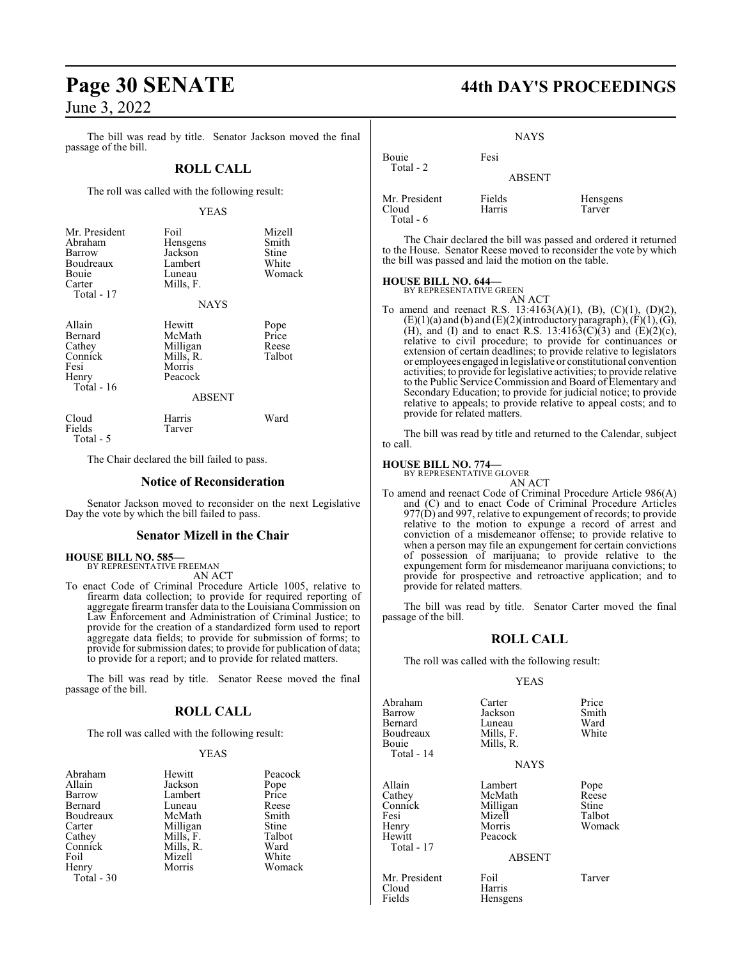# **Page 30 SENATE 44th DAY'S PROCEEDINGS**

June 3, 2022

The bill was read by title. Senator Jackson moved the final passage of the bill.

#### **ROLL CALL**

The roll was called with the following result:

#### YEAS

| Mr. President<br>Abraham<br>Barrow<br>Boudreaux<br>Bouie<br>Carter<br>Total - 17 | Foil<br>Hensgens<br>Jackson<br>Lambert<br>Luneau<br>Mills, F.<br><b>NAYS</b>    | Mizell<br>Smith<br>Stine<br>White<br>Womack |
|----------------------------------------------------------------------------------|---------------------------------------------------------------------------------|---------------------------------------------|
| Allain<br>Bernard<br>Cathey<br>Connick<br>Fesi<br>Henry<br>Total - 16            | Hewitt<br>McMath<br>Milligan<br>Mills, R.<br>Morris<br>Peacock<br><b>ABSENT</b> | Pope<br>Price<br>Reese<br>Talbot            |
| Cloud<br>Fields<br>Total - 5                                                     | Harris<br>Tarver                                                                | Ward                                        |

The Chair declared the bill failed to pass.

#### **Notice of Reconsideration**

Senator Jackson moved to reconsider on the next Legislative Day the vote by which the bill failed to pass.

#### **Senator Mizell in the Chair**

#### **HOUSE BILL NO. 585—** BY REPRESENTATIVE FREEMAN

AN ACT

To enact Code of Criminal Procedure Article 1005, relative to firearm data collection; to provide for required reporting of aggregate firearm transfer data to the Louisiana Commission on Law Enforcement and Administration of Criminal Justice; to provide for the creation of a standardized form used to report aggregate data fields; to provide for submission of forms; to provide for submission dates; to provide for publication of data; to provide for a report; and to provide for related matters.

The bill was read by title. Senator Reese moved the final passage of the bill.

#### **ROLL CALL**

The roll was called with the following result:

#### YEAS

| Abraham    | Hewitt    | Peacock |
|------------|-----------|---------|
| Allain     | Jackson   | Pope    |
| Barrow     | Lambert   | Price   |
| Bernard    | Luneau    | Reese   |
| Boudreaux  | McMath    | Smith   |
| Carter     | Milligan  | Stine   |
| Cathey     | Mills, F. | Talbot  |
| Connick    | Mills, R. | Ward    |
| Foil       | Mizell    | White   |
| Henry      | Morris    | Womack  |
| Total - 30 |           |         |

**NAYS** Bouie Fesi

| Mr. President | Fields | Hensgens |
|---------------|--------|----------|
| Cloud         | Harris | Tarver   |
| Total $-6$    |        |          |

Total - 2

The Chair declared the bill was passed and ordered it returned to the House. Senator Reese moved to reconsider the vote by which the bill was passed and laid the motion on the table.

ABSENT

#### **HOUSE BILL NO. 644—**

BY REPRESENTATIVE GREEN AN ACT

To amend and reenact R.S. 13:4163(A)(1), (B), (C)(1), (D)(2),  $(E)(1)(a)$  and  $(b)$  and  $(E)(2)($ introductory paragraph),  $(F)(1)$ ,  $(G)$ , (H), and (I) and to enact R.S. 13:4163(C)(3) and (E)(2)(c), relative to civil procedure; to provide for continuances or extension of certain deadlines; to provide relative to legislators or employees engaged in legislative or constitutional convention activities; to provide for legislative activities; to provide relative to the Public Service Commission and Board of Elementary and Secondary Education; to provide for judicial notice; to provide relative to appeals; to provide relative to appeal costs; and to provide for related matters.

The bill was read by title and returned to the Calendar, subject to call.

### **HOUSE BILL NO. 774—**

BY REPRESENTATIVE GLOVER AN ACT

To amend and reenact Code of Criminal Procedure Article 986(A) and (C) and to enact Code of Criminal Procedure Articles  $977(D)$  and 997, relative to expungement of records; to provide relative to the motion to expunge a record of arrest and conviction of a misdemeanor offense; to provide relative to when a person may file an expungement for certain convictions of possession of marijuana; to provide relative to the expungement form for misdemeanor marijuana convictions; to provide for prospective and retroactive application; and to provide for related matters.

The bill was read by title. Senator Carter moved the final passage of the bill.

#### **ROLL CALL**

The roll was called with the following result:

Mills, R.

Mizell<br>Morris Henry Morris Womack Peacock

#### YEAS

Abraham Carter Price<br>
Barrow Jackson Smith Bernard Luneau Ward<br>Boudreaux Mills, F. White Boudreaux<br>Bouje Total - 14

Total - 17

Jackson Smith<br>Luneau Ward

**NAYS** 

Allain Lambert Pope<br>
Cathey McMath Reese Cathey McMath Reese<br>
Connick Milligan Stine Connick Milligan Stine

#### ABSENT

Mr. President Foil Foil Tarver<br>Cloud Harris Cloud Harris<br>Fields Hensg

Hensgens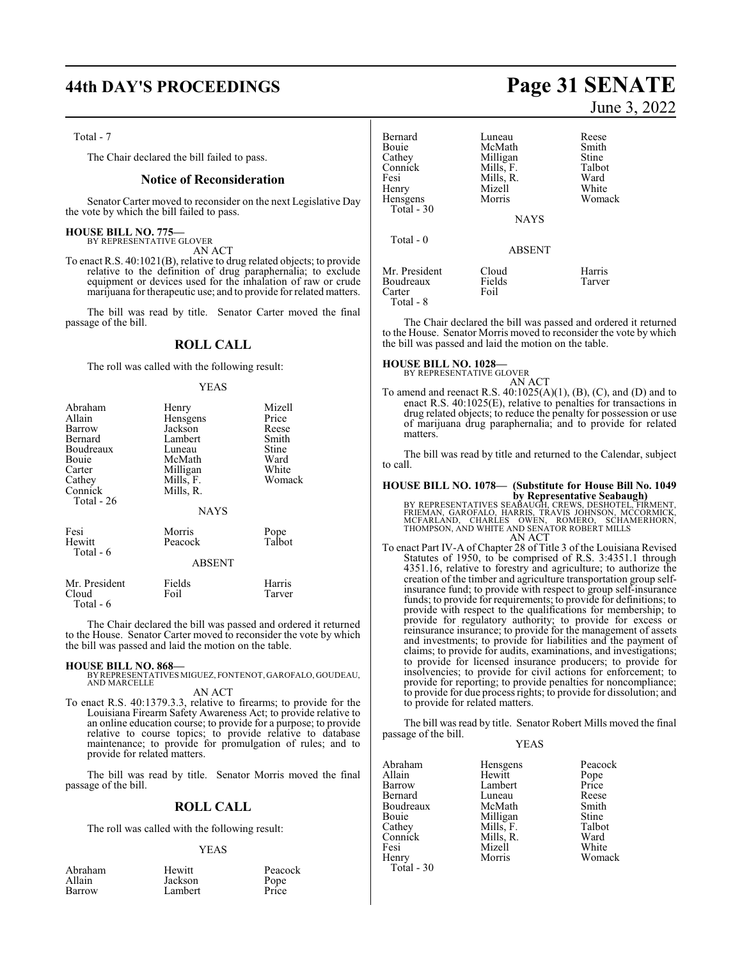#### Total - 7

The Chair declared the bill failed to pass.

#### **Notice of Reconsideration**

Senator Carter moved to reconsider on the next Legislative Day the vote by which the bill failed to pass.

#### **HOUSE BILL NO. 775—**

BY REPRESENTATIVE GLOVER AN ACT

To enact R.S. 40:1021(B), relative to drug related objects; to provide relative to the definition of drug paraphernalia; to exclude equipment or devices used for the inhalation of raw or crude marijuana for therapeutic use; and to provide for related matters.

The bill was read by title. Senator Carter moved the final passage of the bill.

#### **ROLL CALL**

The roll was called with the following result:

#### YEAS

| Abraham<br>Allain<br>Barrow<br>Bernard<br>Boudreaux<br>Bouie<br>Carter<br>Cathey<br>Connick<br>Total - 26 | Henry<br>Hensgens<br>Jackson<br>Lambert<br>Luneau<br>McMath<br>Milligan<br>Mills, F.<br>Mills, R.<br><b>NAYS</b> | Mizell<br>Price<br>Reese<br>Smith<br>Stine<br>Ward<br>White<br>Womack |
|-----------------------------------------------------------------------------------------------------------|------------------------------------------------------------------------------------------------------------------|-----------------------------------------------------------------------|
| Fesi<br>Hewitt<br>Total - 6                                                                               | Morris<br>Peacock<br><b>ABSENT</b>                                                                               | Pope<br>Talbot                                                        |
| Mr. President<br>Cloud                                                                                    | Fields<br>Foil                                                                                                   | Harris<br>Tarver                                                      |

The Chair declared the bill was passed and ordered it returned to the House. Senator Carter moved to reconsider the vote by which the bill was passed and laid the motion on the table.

#### **HOUSE BILL NO. 868—**

Total - 6

BY REPRESENTATIVES MIGUEZ, FONTENOT, GAROFALO, GOUDEAU, AND MARCELLE

#### AN ACT

To enact R.S. 40:1379.3.3, relative to firearms; to provide for the Louisiana Firearm Safety Awareness Act; to provide relative to an online education course; to provide for a purpose; to provide relative to course topics; to provide relative to database maintenance; to provide for promulgation of rules; and to provide for related matters.

The bill was read by title. Senator Morris moved the final passage of the bill.

### **ROLL CALL**

The roll was called with the following result:

#### YEAS

| Peacock |
|---------|
|         |

# **44th DAY'S PROCEEDINGS Page 31 SENATE** June 3, 2022

| Bernard<br>Bouie<br>Cathey<br>Connick<br>Fesi<br>Henry<br>Hensgens<br>Total $-30$ | Luneau<br>McMath<br>Milligan<br>Mills, F.<br>Mills, R.<br>Mizell<br>Morris<br><b>NAYS</b> | Reese<br>Smith<br>Stine<br>Talbot<br>Ward<br>White<br>Womack |
|-----------------------------------------------------------------------------------|-------------------------------------------------------------------------------------------|--------------------------------------------------------------|
| $Total - 0$                                                                       | <b>ABSENT</b>                                                                             |                                                              |
| Mr. President<br>Boudreaux<br>Carter<br>Total - 8                                 | Cloud<br>Fields<br>Foil                                                                   | Harris<br>Tarver                                             |

The Chair declared the bill was passed and ordered it returned to the House. Senator Morris moved to reconsider the vote by which the bill was passed and laid the motion on the table.

**HOUSE BILL NO. 1028—** BY REPRESENTATIVE GLOVER

AN ACT

To amend and reenact R.S. 40:1025(A)(1), (B), (C), and (D) and to enact R.S. 40:1025(E), relative to penalties for transactions in drug related objects; to reduce the penalty for possession or use of marijuana drug paraphernalia; and to provide for related matters.

The bill was read by title and returned to the Calendar, subject to call.

# **HOUSE BILL NO. 1078— (Substitute for House Bill No. 1049**

**by Representative Seabaugh)**<br>BY REPRESENTATIVES SEABAUGH, CREWS, DESHOTEL, FIRMENT,<br>FRIEMAN, GAROFALO, HARRIS, TRAVIS JOHNSON, MCCORMICK,<br>MCFARLAND, CHARLES OWEN, ROMERO, SCHAMERHORN,<br>THOMPSON, AND WHITE AND SENATOR ROBER AN ACT

To enact Part IV-A of Chapter 28 of Title 3 of the Louisiana Revised Statutes of 1950, to be comprised of R.S. 3:4351.1 through 4351.16, relative to forestry and agriculture; to authorize the creation of the timber and agriculture transportation group selfinsurance fund; to provide with respect to group self-insurance funds; to provide for requirements; to provide for definitions; to provide with respect to the qualifications for membership; to provide for regulatory authority; to provide for excess or reinsurance insurance; to provide for the management of assets and investments; to provide for liabilities and the payment of claims; to provide for audits, examinations, and investigations; to provide for licensed insurance producers; to provide for insolvencies; to provide for civil actions for enforcement; to provide for reporting; to provide penalties for noncompliance; to provide for due process rights; to provide for dissolution; and to provide for related matters.

The bill was read by title. Senator Robert Mills moved the final passage of the bill. YEAS

| Abraham    | Hensgens  | Peacock       |
|------------|-----------|---------------|
| Allain     | Hewitt    |               |
| Barrow     | Lambert   | Pope<br>Price |
| Bernard    | Luneau    | Reese         |
| Boudreaux  | McMath    | Smith         |
| Bouie      | Milligan  | Stine         |
| Cathey     | Mills, F. | Talbot        |
| Connick    | Mills, R. | Ward          |
| Fesi       | Mizell    | White         |
| Henry      | Morris    | Womack        |
| Total - 30 |           |               |
|            |           |               |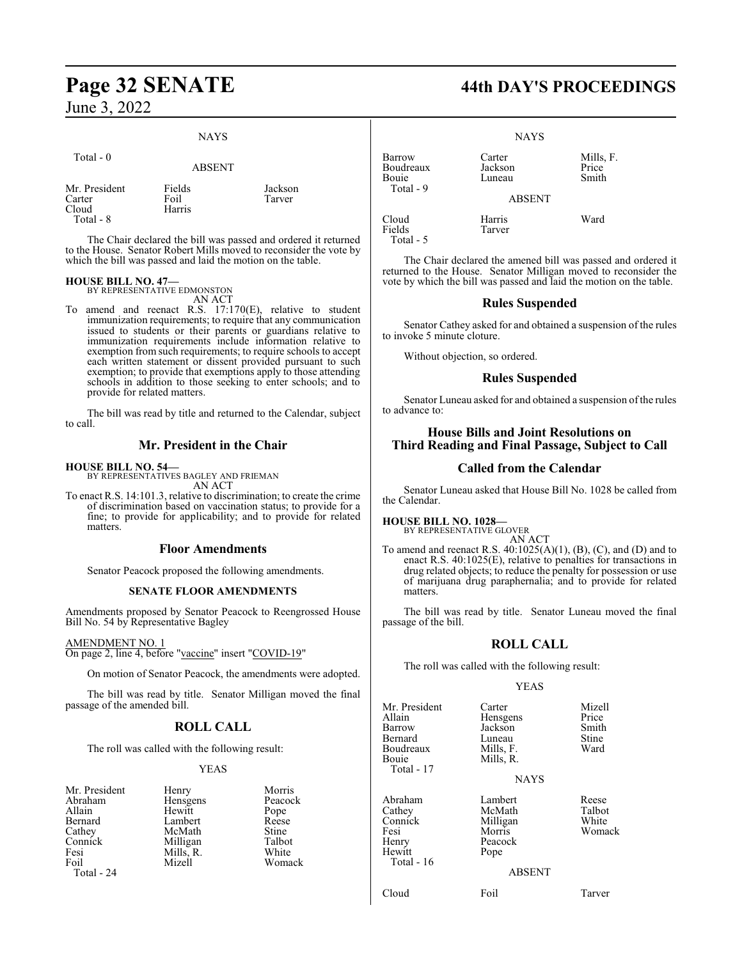# NAYS

| Total - 0                                     | <b>ABSENT</b>            |                   |
|-----------------------------------------------|--------------------------|-------------------|
| Mr. President<br>Carter<br>Cloud<br>Total - 8 | Fields<br>Foil<br>Harris | Jackson<br>Tarver |

The Chair declared the bill was passed and ordered it returned to the House. Senator Robert Mills moved to reconsider the vote by which the bill was passed and laid the motion on the table.

#### **HOUSE BILL NO. 47—**

BY REPRESENTATIVE EDMONSTON AN ACT

To amend and reenact R.S. 17:170(E), relative to student immunization requirements; to require that any communication issued to students or their parents or guardians relative to immunization requirements include information relative to exemption from such requirements; to require schools to accept each written statement or dissent provided pursuant to such exemption; to provide that exemptions apply to those attending schools in addition to those seeking to enter schools; and to provide for related matters.

The bill was read by title and returned to the Calendar, subject to call.

## **Mr. President in the Chair**

#### **HOUSE BILL NO. 54—**

BY REPRESENTATIVES BAGLEY AND FRIEMAN

AN ACT To enact R.S. 14:101.3, relative to discrimination; to create the crime of discrimination based on vaccination status; to provide for a fine; to provide for applicability; and to provide for related matters.

#### **Floor Amendments**

Senator Peacock proposed the following amendments.

#### **SENATE FLOOR AMENDMENTS**

Amendments proposed by Senator Peacock to Reengrossed House Bill No. 54 by Representative Bagley

#### AMENDMENT NO. 1

On page 2, line 4, before "vaccine" insert "COVID-19"

On motion of Senator Peacock, the amendments were adopted.

The bill was read by title. Senator Milligan moved the final passage of the amended bill.

## **ROLL CALL**

The roll was called with the following result:

#### YEAS

| Mr. President | Henry     | Morris  |
|---------------|-----------|---------|
| Abraham       | Hensgens  | Peacock |
| Allain        | Hewitt    | Pope    |
| Bernard       | Lambert   | Reese   |
| Cathey        | McMath    | Stine   |
| Connick       | Milligan  | Talbot  |
| Fesi          | Mills, R. | White   |
| Foil          | Mizell    | Womack  |
| Total - 24    |           |         |

| Мc  |
|-----|
| Pea |
| Po  |
| Re  |
| Sti |
| Tal |
| Wł  |
| Wα  |
|     |

**Page 32 SENATE 44th DAY'S PROCEEDINGS**

| Barrow<br>Boudreaux<br>Bouie<br>Total - 9 | Carter<br>Jackson<br>Luneau | Mills, F.<br>Price<br>Smith |
|-------------------------------------------|-----------------------------|-----------------------------|
|                                           | <b>ABSENT</b>               |                             |
| Cloud<br>Fields<br>Total - 5              | Harris<br>Tarver            | Ward                        |

The Chair declared the amened bill was passed and ordered it returned to the House. Senator Milligan moved to reconsider the vote by which the bill was passed and laid the motion on the table.

#### **Rules Suspended**

Senator Cathey asked for and obtained a suspension of the rules to invoke 5 minute cloture.

Without objection, so ordered.

#### **Rules Suspended**

Senator Luneau asked for and obtained a suspension of the rules to advance to:

## **House Bills and Joint Resolutions on Third Reading and Final Passage, Subject to Call**

#### **Called from the Calendar**

Senator Luneau asked that House Bill No. 1028 be called from the Calendar.

**HOUSE BILL NO. 1028—** BY REPRESENTATIVE GLOVER AN ACT

To amend and reenact R.S.  $40:1025(A)(1)$ ,  $(B)$ ,  $(C)$ , and  $(D)$  and to enact R.S. 40:1025(E), relative to penalties for transactions in drug related objects; to reduce the penalty for possession or use of marijuana drug paraphernalia; and to provide for related matters.

The bill was read by title. Senator Luneau moved the final passage of the bill.

## **ROLL CALL**

The roll was called with the following result:

#### YEAS

| Mr. President<br>Allain<br>Barrow<br><b>Bernard</b><br>Boudreaux<br>Bouie<br>Total - 17 | Carter<br>Hensgens<br>Jackson<br>Luneau<br>Mills, F.<br>Mills, R.<br><b>NAYS</b> | Mizell<br>Price<br>Smith<br>Stine<br>Ward |
|-----------------------------------------------------------------------------------------|----------------------------------------------------------------------------------|-------------------------------------------|
| Abraham<br>Cathey<br>Connick<br>Fesi<br>Henry<br>Hewitt<br>Total - 16                   | Lambert<br>McMath<br>Milligan<br>Morris<br>Peacock<br>Pope<br><b>ABSENT</b>      | Reese<br>Talbot<br>White<br>Womack        |

#### $NT$

Cloud Foil Tarver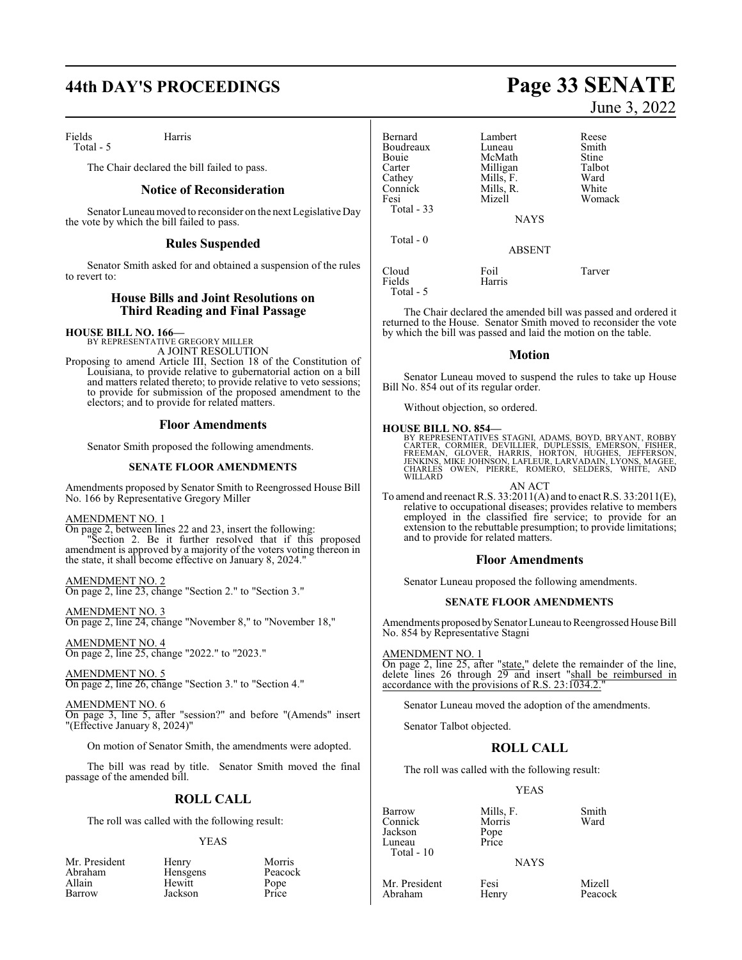# **44th DAY'S PROCEEDINGS Page 33 SENATE**

Fields Harris Total - 5

The Chair declared the bill failed to pass.

#### **Notice of Reconsideration**

Senator Luneaumoved to reconsider on the next Legislative Day the vote by which the bill failed to pass.

## **Rules Suspended**

Senator Smith asked for and obtained a suspension of the rules to revert to:

### **House Bills and Joint Resolutions on Third Reading and Final Passage**

#### **HOUSE BILL NO. 166—**

BY REPRESENTATIVE GREGORY MILLER A JOINT RESOLUTION

Proposing to amend Article III, Section 18 of the Constitution of Louisiana, to provide relative to gubernatorial action on a bill and matters related thereto; to provide relative to veto sessions; to provide for submission of the proposed amendment to the electors; and to provide for related matters.

#### **Floor Amendments**

Senator Smith proposed the following amendments.

#### **SENATE FLOOR AMENDMENTS**

Amendments proposed by Senator Smith to Reengrossed House Bill No. 166 by Representative Gregory Miller

#### AMENDMENT NO. 1

On page 2, between lines 22 and 23, insert the following: Section 2. Be it further resolved that if this proposed amendment is approved by a majority of the voters voting thereon in the state, it shall become effective on January 8, 2024."

AMENDMENT NO. 2

On page 2, line 23, change "Section 2." to "Section 3."

AMENDMENT NO. 3 On page 2, line 24, change "November 8," to "November 18,"

AMENDMENT NO. 4 On page 2, line 25, change "2022." to "2023."

AMENDMENT NO. 5 On page 2, line 26, change "Section 3." to "Section 4."

#### AMENDMENT NO. 6

On page 3, line 5, after "session?" and before "(Amends" insert "(Effective January 8, 2024)"

On motion of Senator Smith, the amendments were adopted.

The bill was read by title. Senator Smith moved the final passage of the amended bill.

## **ROLL CALL**

The roll was called with the following result:

#### YEAS

| Mr. President |
|---------------|
| Abraham       |
| Allain        |
| Barrow        |

Henry Morris<br>
Hensgens Peacock Hensgens Peacock<br>Hewitt Pope Hewitt Pope<br>Jackson Price Jackson

| Bernard<br>Boudreaux<br><b>Bouje</b><br>Carter<br>Cathey<br>Connick<br>Fesi<br>Total $-33$ | Lambert<br>Luneau<br>McMath<br>Milligan<br>Mills, F.<br>Mills, R.<br>Mizell<br><b>NAYS</b> | Reese<br>Smith<br>Stine<br>Talbot<br>Ward<br>White<br>Womack |
|--------------------------------------------------------------------------------------------|--------------------------------------------------------------------------------------------|--------------------------------------------------------------|
| Total $-0$                                                                                 | <b>ABSENT</b>                                                                              |                                                              |
| Cloud<br>Fields                                                                            | Foil<br>Harris                                                                             | Tarver                                                       |

The Chair declared the amended bill was passed and ordered it returned to the House. Senator Smith moved to reconsider the vote by which the bill was passed and laid the motion on the table.

#### **Motion**

Senator Luneau moved to suspend the rules to take up House Bill No. 854 out of its regular order.

Without objection, so ordered.

#### **HOUSE BILL NO. 854—**

Total - 5

BY REPRESENTATIVES STAGNI, ADAMS, BOYD, BRYANT, ROBBY<br>CARTER, CORMIER, DEVILLIER, DUPLESSIS, EMERSON, FISHER,<br>FREEMAN, GLOVER, HARRIS, HORTON, HUGHES, JEFFERSON,<br>JENKINS, MIKE JOHNSON, LAFLEUR, LARVADAIN, LYONS, MAGEE,<br>CHA WILLARD<sub>®</sub>

AN ACT To amend and reenact R.S. 33:2011(A) and to enact R.S. 33:2011(E), relative to occupational diseases; provides relative to members employed in the classified fire service; to provide for an extension to the rebuttable presumption; to provide limitations; and to provide for related matters.

#### **Floor Amendments**

Senator Luneau proposed the following amendments.

#### **SENATE FLOOR AMENDMENTS**

Amendments proposed by Senator Luneau to Reengrossed House Bill No. 854 by Representative Stagni

#### AMENDMENT NO. 1

On page 2, line 25, after "state," delete the remainder of the line, delete lines 26 through 29 and insert "shall be reimbursed in accordance with the provisions of R.S. 23:1034.2.

Senator Luneau moved the adoption of the amendments.

Senator Talbot objected.

## **ROLL CALL**

The roll was called with the following result:

#### YEAS

Barrow Mills, F. Smith<br>Connick Morris Ward Connick Morr<br>Jackson Pope Jackson Pope Luneau Total - 10

#### NAYS

Mr. President Fesi Mizell<br>Abraham Henry Peacock Abraham

# June 3, 2022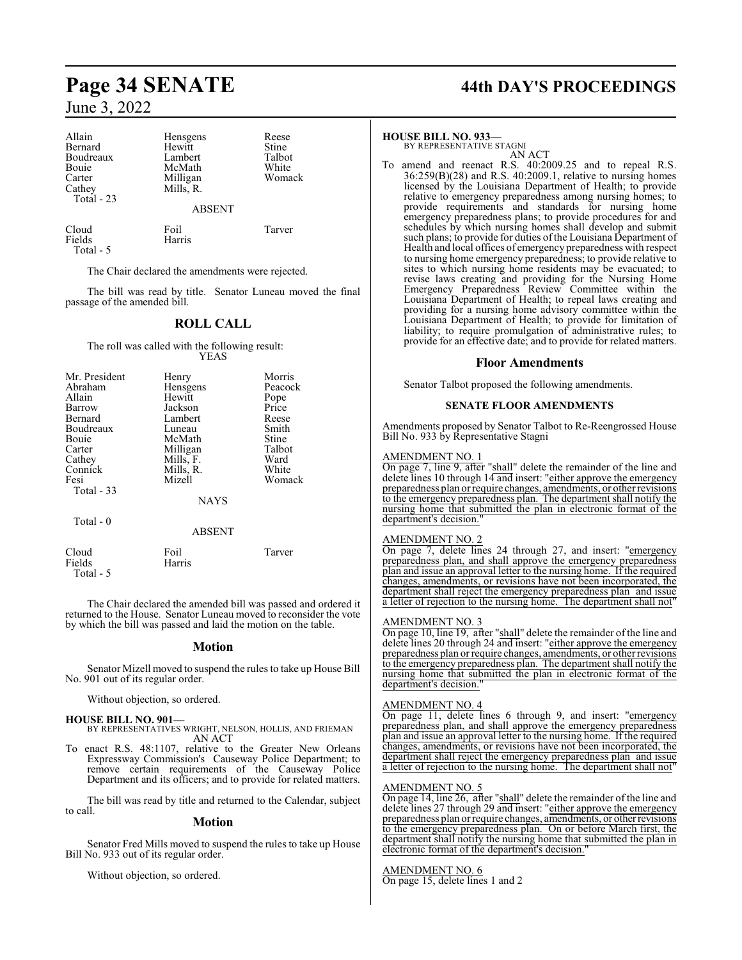| Allain     | Hensgens      | Reese  |
|------------|---------------|--------|
| Bernard    | Hewitt        | Stine  |
| Boudreaux  | Lambert       | Talbot |
| Bouie      | McMath        | White  |
| Carter     | Milligan      | Womack |
| Cathey     | Mills, R.     |        |
| Total - 23 |               |        |
|            | <b>ABSENT</b> |        |
| Cloud      | Foil          | Tarver |
| Fields     | Harris        |        |

Total - 5

The Chair declared the amendments were rejected.

The bill was read by title. Senator Luneau moved the final passage of the amended bill.

## **ROLL CALL**

#### The roll was called with the following result: YEAS

| Mr. President<br>Abraham<br>Allain<br>Barrow<br>Bernard<br>Boudreaux<br><b>Bouje</b><br>Carter<br>Cathey<br>Connick<br>Fesi<br>Total - 33 | Henry<br>Hensgens<br>Hewitt<br>Jackson<br>Lambert<br>Luneau<br>McMath<br>Milligan<br>Mills, F.<br>Mills, R.<br>Mizell<br><b>NAYS</b> | Morris<br>Peacock<br>Pope<br>Price<br>Reese<br>Smith<br>Stine<br>Talbot<br>Ward<br>White<br>Womack |
|-------------------------------------------------------------------------------------------------------------------------------------------|--------------------------------------------------------------------------------------------------------------------------------------|----------------------------------------------------------------------------------------------------|
|                                                                                                                                           |                                                                                                                                      |                                                                                                    |
| Total - 0                                                                                                                                 | <b>ABSENT</b>                                                                                                                        |                                                                                                    |

Cloud Foil Tarver<br>Fields Harris Tarver **Harris** 

 Total - 5 The Chair declared the amended bill was passed and ordered it

returned to the House. Senator Luneau moved to reconsider the vote by which the bill was passed and laid the motion on the table.

#### **Motion**

Senator Mizell moved to suspend the rules to take up House Bill No. 901 out of its regular order.

Without objection, so ordered.

#### **HOUSE BILL NO. 901—** BY REPRESENTATIVES WRIGHT, NELSON, HOLLIS, AND FRIEMAN AN ACT

To enact R.S. 48:1107, relative to the Greater New Orleans Expressway Commission's Causeway Police Department; to remove certain requirements of the Causeway Police Department and its officers; and to provide for related matters.

The bill was read by title and returned to the Calendar, subject to call.

#### **Motion**

Senator Fred Mills moved to suspend the rules to take up House Bill No. 933 out of its regular order.

Without objection, so ordered.

# **Page 34 SENATE 44th DAY'S PROCEEDINGS**

#### **HOUSE BILL NO. 933—**

BY REPRESENTATIVE STAGNI AN ACT

To amend and reenact R.S. 40:2009.25 and to repeal R.S. 36:259(B)(28) and R.S. 40:2009.1, relative to nursing homes licensed by the Louisiana Department of Health; to provide relative to emergency preparedness among nursing homes; to provide requirements and standards for nursing home emergency preparedness plans; to provide procedures for and schedules by which nursing homes shall develop and submit such plans; to provide for duties of the Louisiana Department of Health and local offices of emergency preparedness with respect to nursing home emergency preparedness; to provide relative to sites to which nursing home residents may be evacuated; to revise laws creating and providing for the Nursing Home Emergency Preparedness Review Committee within the Louisiana Department of Health; to repeal laws creating and providing for a nursing home advisory committee within the Louisiana Department of Health; to provide for limitation of liability; to require promulgation of administrative rules; to provide for an effective date; and to provide for related matters.

#### **Floor Amendments**

Senator Talbot proposed the following amendments.

#### **SENATE FLOOR AMENDMENTS**

Amendments proposed by Senator Talbot to Re-Reengrossed House Bill No. 933 by Representative Stagni

#### AMENDMENT NO. 1

On page 7, line 9, after "shall" delete the remainder of the line and delete lines 10 through 14 and insert: "either approve the emergency preparedness plan orrequire changes, amendments, or other revisions to the emergency preparedness plan. The department shall notify the nursing home that submitted the plan in electronic format of the department's decision.

#### AMENDMENT NO. 2

On page 7, delete lines 24 through 27, and insert: "emergency preparedness plan, and shall approve the emergency preparedness plan and issue an approval letter to the nursing home. If the required changes, amendments, or revisions have not been incorporated, the department shall reject the emergency preparedness plan and issue a letter of rejection to the nursing home. The department shall not"

#### AMENDMENT NO. 3

On page 10, line 19, after "shall" delete the remainder of the line and delete lines 20 through 24 and insert: "either approve the emergency preparedness plan or require changes, amendments, or other revisions to the emergency preparedness plan. The department shall notify the nursing home that submitted the plan in electronic format of the department's decision.

#### AMENDMENT NO. 4

On page 11, delete lines 6 through 9, and insert: "emergency preparedness plan, and shall approve the emergency preparedness plan and issue an approval letter to the nursing home. If the required changes, amendments, or revisions have not been incorporated, the department shall reject the emergency preparedness plan and issue<br>a letter of rejection to the nursing home. The department shall not" a letter of rejection to the nursing home.

#### AMENDMENT NO. 5

On page 14, line 26, after "shall" delete the remainder of the line and delete lines 27 through 29 and insert: "either approve the emergency preparedness plan orrequire changes, amendments, or otherrevisions to the emergency preparedness plan. On or before March first, the department shall notify the nursing home that submitted the plan in electronic format of the department's decision.

#### AMENDMENT NO. 6

On page 15, delete lines 1 and 2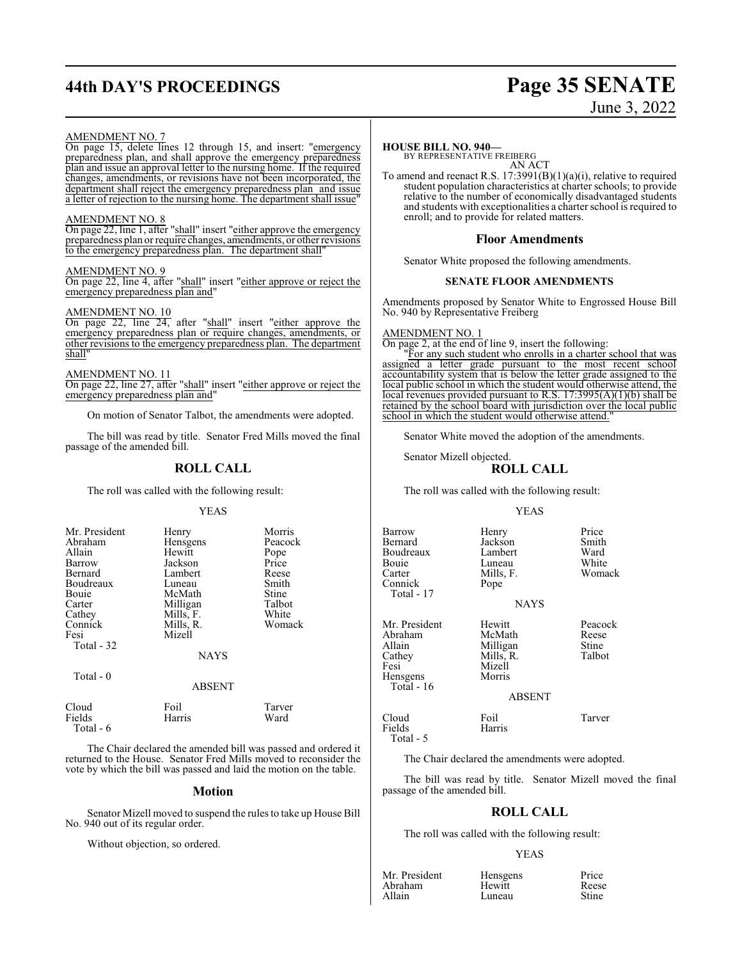# **44th DAY'S PROCEEDINGS Page 35 SENATE**

# June 3, 2022

#### AMENDMENT NO. 7

On page 15, delete lines 12 through 15, and insert: "emergency preparedness plan, and shall approve the emergency preparedness plan and issue an approval letter to the nursing home. If the required changes, amendments, or revisions have not been incorporated, the department shall reject the emergency preparedness plan and issue a letter of rejection to the nursing home. The department shall issue"

#### AMENDMENT NO. 8

On page 22, line 1, after "shall" insert "either approve the emergency preparedness plan or require changes, amendments, or other revisions to the emergency preparedness plan. The department shall"

#### AMENDMENT NO. 9

On page 22, line 4, after "shall" insert "either approve or reject the emergency preparedness plan and"

#### AMENDMENT NO. 10

On page 22, line 24, after "shall" insert "either approve the emergency preparedness plan or require changes, amendments, or other revisions to the emergency preparedness plan. The department shall"

#### AMENDMENT NO. 11

On page 22, line 27, after "shall" insert "either approve or reject the emergency preparedness plan and"

On motion of Senator Talbot, the amendments were adopted.

The bill was read by title. Senator Fred Mills moved the final passage of the amended bill.

## **ROLL CALL**

The roll was called with the following result:

#### YEAS

| Mr. President<br>Abraham<br>Allain<br>Barrow<br>Bernard<br>Boudreaux<br><b>Bouje</b><br>Carter<br>Cathey<br>Connick<br>Fesi<br>Total - 32 | Henry<br>Hensgens<br>Hewitt<br>Jackson<br>Lambert<br>Luneau<br>McMath<br>Milligan<br>Mills, F.<br>Mills, R.<br>Mizell<br><b>NAYS</b> | Morris<br>Peacock<br>Pope<br>Price<br>Reese<br>Smith<br>Stine<br>Talbot<br>White<br>Womack |
|-------------------------------------------------------------------------------------------------------------------------------------------|--------------------------------------------------------------------------------------------------------------------------------------|--------------------------------------------------------------------------------------------|
| Total - 0                                                                                                                                 | <b>ABSENT</b>                                                                                                                        |                                                                                            |

Cloud Foil Tarver Fields Harris Ward

The Chair declared the amended bill was passed and ordered it returned to the House. Senator Fred Mills moved to reconsider the vote by which the bill was passed and laid the motion on the table.

#### **Motion**

Senator Mizell moved to suspend the rules to take up House Bill No. 940 out of its regular order.

Without objection, so ordered.

Total - 6

#### **HOUSE BILL NO. 940—**

BY REPRESENTATIVE FREIBERG

AN ACT To amend and reenact R.S. 17:3991(B)(1)(a)(i), relative to required student population characteristics at charter schools; to provide relative to the number of economically disadvantaged students and students with exceptionalities a charter school is required to enroll; and to provide for related matters.

#### **Floor Amendments**

Senator White proposed the following amendments.

#### **SENATE FLOOR AMENDMENTS**

Amendments proposed by Senator White to Engrossed House Bill No. 940 by Representative Freiberg

AMENDMENT NO. 1

On page 2, at the end of line 9, insert the following:

"For any such student who enrolls in a charter school that was assigned a letter grade pursuant to the most recent school accountability system that is below the letter grade assigned to the local public school in which the student would otherwise attend, the local revenues provided pursuant to R.S. 17:3995(A)(1)(b) shall be retained by the school board with jurisdiction over the local public school in which the student would otherwise attend.

Senator White moved the adoption of the amendments.

#### Senator Mizell objected. **ROLL CALL**

The roll was called with the following result:

#### YEAS

Barrow Henry Price<br>Bernard Jackson Smith Boudreaux Lambert Ward Bouie Luneau<br>Carter Mills, F. Connick Total - 17 Mr. President Hewitt Peacock<br>Abraham McMath Reese Abraham McMath Reese<br>Allain Milligan Stine Allain 1988 Milligan Stine<br>
2011 - Cathey Mills, R. Talbot

Jackson Smith<br>Lambert Ward Mills, F. Womack<br>Pope

#### NAYS

Cathey Mills, R.<br>Fesi Mizell Hensgens Total - 16

Fields Harris

Total - 5

#### ABSENT

Cloud Foil Tarver

Mizell<br>Morris

The Chair declared the amendments were adopted.

The bill was read by title. Senator Mizell moved the final passage of the amended bill.

#### **ROLL CALL**

The roll was called with the following result:

#### YEAS

| Mr. President | Hensgens | Price        |
|---------------|----------|--------------|
| Abraham       | Hewitt   | Reese        |
| Allain        | Luneau   | <b>Stine</b> |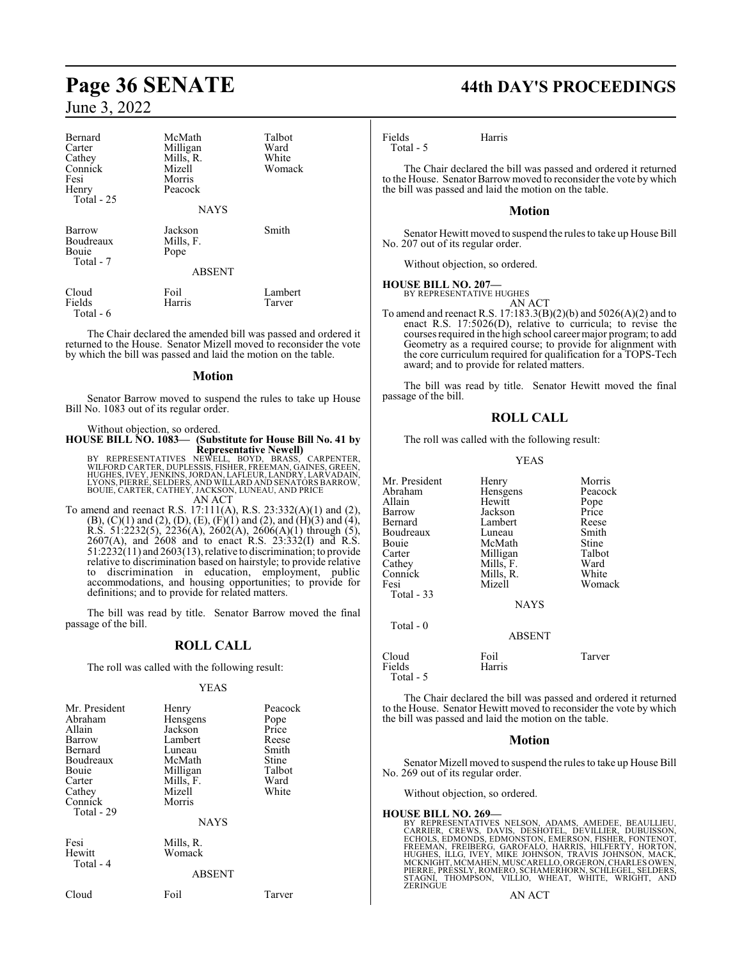| Bernard<br>Carter<br>Cathey<br>Connick<br>Fesi<br>Henry<br>Total - 25 | McMath<br>Milligan<br>Mills, R.<br>Mizell<br>Morris<br>Peacock<br><b>NAYS</b> | Talbot<br>Ward<br>White<br>Womack |
|-----------------------------------------------------------------------|-------------------------------------------------------------------------------|-----------------------------------|
| Barrow<br>Boudreaux<br>Bouie<br>Total - 7                             | Jackson<br>Mills, F.<br>Pope<br><b>ABSENT</b>                                 | Smith                             |
| Cloud<br>Fields<br>Total - 6                                          | Foil<br>Harris                                                                | Lambert<br>Tarver                 |

The Chair declared the amended bill was passed and ordered it returned to the House. Senator Mizell moved to reconsider the vote by which the bill was passed and laid the motion on the table.

#### **Motion**

Senator Barrow moved to suspend the rules to take up House Bill No. 1083 out of its regular order.

Without objection, so ordered. **HOUSE BILL NO. 1083— (Substitute for House Bill No. 41 by Representative Newell)<br>BY REPRESENTATIVES NEWELL, BOYD, BRASS, CARPENTER,<br>WILFORD CARTER, DUPLESSIS, FISHER, FREEMAN, GAINES, GREEN,<br>HUGHES, IVEY, JENKINS, JORDAN, LAFLEUR, LANDRY, LARVADAIN,<br>LYONS, PIERRE, SELDERS, AND W** AN ACT

To amend and reenact R.S. 17:111(A), R.S. 23:332(A)(1) and (2),  $(B)$ ,  $(C)(1)$  and  $(2)$ ,  $(D)$ ,  $(E)$ ,  $(F)(1)$  and  $(2)$ , and  $(H)(3)$  and  $(4)$ , R.S. 51:2232(5), 2236(A), 2602(A), 2606(A)(1) through (5), 2607(A), and 2608 and to enact R.S. 23:332(I) and R.S. 51:2232(11) and 2603(13), relative to discrimination; to provide relative to discrimination based on hairstyle; to provide relative to discrimination in education, employment, public accommodations, and housing opportunities; to provide for definitions; and to provide for related matters.

The bill was read by title. Senator Barrow moved the final passage of the bill.

#### **ROLL CALL**

The roll was called with the following result:

#### YEAS

| Mr. President<br>Abraham<br>Allain<br>Barrow<br>Bernard<br>Boudreaux<br>Bouie<br>Carter<br>Cathey<br>Connick<br>Total - 29 | Henry<br>Hensgens<br>Jackson<br>Lambert<br>Luneau<br>McMath<br>Milligan<br>Mills, F.<br>Mizell<br>Morris<br><b>NAYS</b> | Peacock<br>Pope<br>Price<br>Reese<br>Smith<br>Stine<br>Talbot<br>Ward<br>White |
|----------------------------------------------------------------------------------------------------------------------------|-------------------------------------------------------------------------------------------------------------------------|--------------------------------------------------------------------------------|
| Fesi<br>Hewitt<br>Total - 4                                                                                                | Mills, R.<br>Womack<br><b>ABSENT</b>                                                                                    |                                                                                |
| Cloud                                                                                                                      | Foil                                                                                                                    | Tarver                                                                         |

# **Page 36 SENATE 44th DAY'S PROCEEDINGS**

Fields Harris Total - 5

The Chair declared the bill was passed and ordered it returned to the House. Senator Barrow moved to reconsider the vote by which the bill was passed and laid the motion on the table.

#### **Motion**

Senator Hewitt moved to suspend the rules to take up House Bill No. 207 out of its regular order.

Without objection, so ordered.

#### **HOUSE BILL NO. 207—**

BY REPRESENTATIVE HUGHES AN ACT

To amend and reenact R.S. 17:183.3(B)(2)(b) and 5026(A)(2) and to enact R.S. 17:5026(D), relative to curricula; to revise the courses required in the high school career major program; to add Geometry as a required course; to provide for alignment with the core curriculum required for qualification for a TOPS-Tech award; and to provide for related matters.

The bill was read by title. Senator Hewitt moved the final passage of the bill.

#### **ROLL CALL**

The roll was called with the following result:

YEAS

| Mr. President<br>Abraham<br>Allain<br>Barrow<br>Bernard<br>Boudreaux<br>Bouie<br>Carter<br>Cathey<br>Connick<br>Fesi<br>Total - 33 | Henry<br>Hensgens<br>Hewitt<br>Jackson<br>Lambert<br>Luneau<br>McMath<br>Milligan<br>Mills, F.<br>Mills, R.<br>Mizell<br><b>NAYS</b> | Morris<br>Peacock<br>Pope<br>Price<br>Reese<br>Smith<br>Stine<br>Talbot<br>Ward<br>White<br>Womack |
|------------------------------------------------------------------------------------------------------------------------------------|--------------------------------------------------------------------------------------------------------------------------------------|----------------------------------------------------------------------------------------------------|
| Total $-0$                                                                                                                         | <b>ABSENT</b>                                                                                                                        |                                                                                                    |
| Cloud<br>Fields                                                                                                                    | Foil<br>Harris                                                                                                                       | Tarver                                                                                             |

Total - 5

The Chair declared the bill was passed and ordered it returned to the House. Senator Hewitt moved to reconsider the vote by which the bill was passed and laid the motion on the table.

#### **Motion**

Senator Mizell moved to suspend the rules to take up House Bill No. 269 out of its regular order.

Without objection, so ordered.

**HOUSE BILL NO. 269—**<br>BY REPRESENTATIVES NELSON, ADAMS, AMEDEE, BEAULLIEU,<br>CARRIER, CREWS, DAVIS, DESHOTEL, DEVILLIER, DUBUISSON,<br>ECHOLS, EDMONDS, EDMONSTON, EMERSON, FISHER, FONTENOT,<br>FREEMAN, FREIBERG, GAROFALO, HARRIS,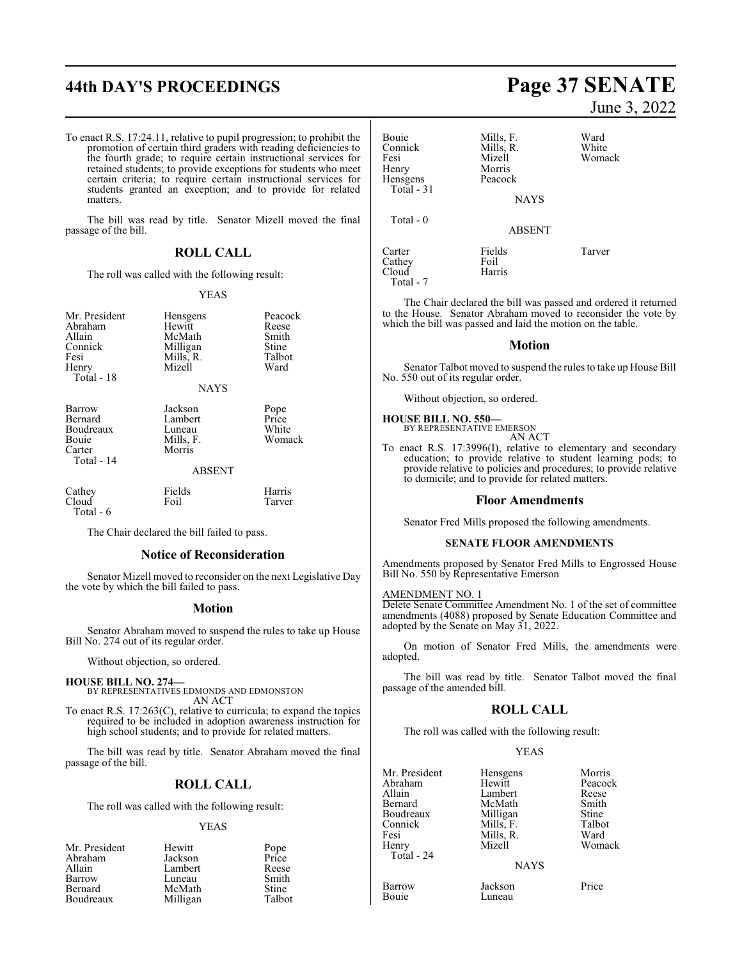# **44th DAY'S PROCEEDINGS Page 37 SENATE**

To enact R.S. 17:24.11, relative to pupil progression; to prohibit the promotion of certain third graders with reading deficiencies to the fourth grade; to require certain instructional services for retained students; to provide exceptions for students who meet certain criteria; to require certain instructional services for students granted an exception; and to provide for related matters.

The bill was read by title. Senator Mizell moved the final passage of the bill.

## **ROLL CALL**

The roll was called with the following result:

#### YEAS

| Mr. President<br>Abraham<br>Allain<br>Connick<br>Fesi<br>Henry<br>Total - 18 | Hensgens<br>Hewitt<br>McMath<br>Milligan<br>Mills, R.<br>Mizell<br><b>NAYS</b> | Peacock<br>Reese<br>Smith<br>Stine<br>Talbot<br>Ward |
|------------------------------------------------------------------------------|--------------------------------------------------------------------------------|------------------------------------------------------|
| Barrow<br>Bernard<br>Boudreaux<br>Bouie<br>Carter<br>Total - 14              | Jackson<br>Lambert<br>Luneau<br>Mills, F.<br>Morris<br><b>ABSENT</b>           | Pope<br>Price<br>White<br>Womack                     |
| Cathey<br>Cloud<br>Total - 6                                                 | Fields<br>Foil                                                                 | Harris<br>Tarver                                     |

The Chair declared the bill failed to pass.

#### **Notice of Reconsideration**

Senator Mizell moved to reconsider on the next Legislative Day the vote by which the bill failed to pass.

#### **Motion**

Senator Abraham moved to suspend the rules to take up House Bill No. 274 out of its regular order.

Without objection, so ordered.

#### **HOUSE BILL NO. 274—**

BY REPRESENTATIVES EDMONDS AND EDMONSTON AN ACT

To enact R.S. 17:263(C), relative to curricula; to expand the topics required to be included in adoption awareness instruction for high school students; and to provide for related matters.

The bill was read by title. Senator Abraham moved the final passage of the bill.

#### **ROLL CALL**

The roll was called with the following result:

#### YEAS

| Mr. President  | Hewitt   |               |
|----------------|----------|---------------|
| Abraham        | Jackson  | Pope<br>Price |
| Allain         | Lambert  | Reese         |
| Barrow         | Luneau   | Smith         |
| <b>Bernard</b> | McMath   | Stine         |
| Boudreaux      | Milligan | Talbot        |

June 3, 2022 Bouie Mills, F. Ward<br>
Connick Mills, R. White Connick Mills, R.<br>
Fesi Mizell Fesi Mizell Womack Morris<br>Peacock Total - 31 NAYS ABSENT

The Chair declared the bill was passed and ordered it returned to the House. Senator Abraham moved to reconsider the vote by which the bill was passed and laid the motion on the table.

Carter Fields Tarver

Harris

#### **Motion**

Senator Talbot moved to suspend the rules to take up House Bill No. 550 out of its regular order.

Without objection, so ordered.

## **HOUSE BILL NO. 550—**

Cathey Foil

Hensgens

Total - 0

Total - 7

BY REPRESENTATIVE EMERSON AN ACT

To enact R.S. 17:3996(I), relative to elementary and secondary education; to provide relative to student learning pods; to provide relative to policies and procedures; to provide relative to domicile; and to provide for related matters.

#### **Floor Amendments**

Senator Fred Mills proposed the following amendments.

#### **SENATE FLOOR AMENDMENTS**

Amendments proposed by Senator Fred Mills to Engrossed House Bill No. 550 by Representative Emerson

#### AMENDMENT NO. 1

Delete Senate Committee Amendment No. 1 of the set of committee amendments (4088) proposed by Senate Education Committee and adopted by the Senate on May 31, 2022.

On motion of Senator Fred Mills, the amendments were adopted.

The bill was read by title. Senator Talbot moved the final passage of the amended bill.

#### **ROLL CALL**

The roll was called with the following result:

#### YEAS

|             | Morris   |
|-------------|----------|
| Hewitt      | Peacock  |
| Lambert     | Reese    |
| McMath      | Smith    |
| Milligan    | Stine    |
| Mills, F.   | Talbot   |
| Mills, R.   | Ward     |
| Mizell      | Womack   |
|             |          |
| <b>NAYS</b> |          |
|             | Hensgens |

Barrow Jackson Price Luneau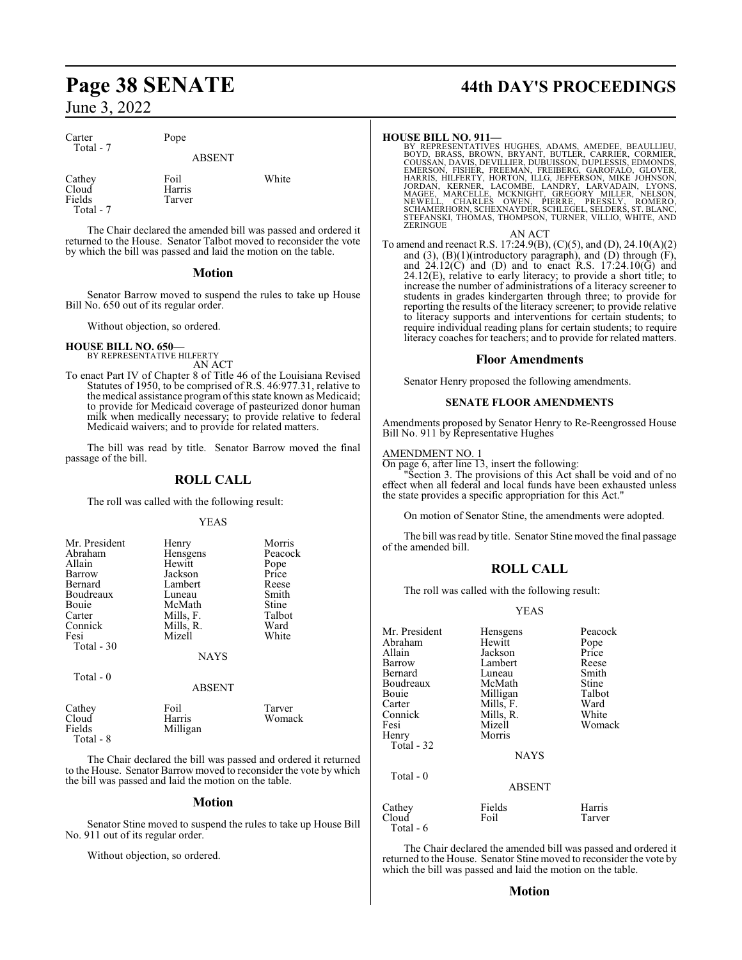| Carter<br>Total - 7                     | Pope                     |       |
|-----------------------------------------|--------------------------|-------|
|                                         | <b>ABSENT</b>            |       |
| Cathey<br>Cloud<br>Fields<br>Total $-7$ | Foil<br>Harris<br>Tarver | White |

The Chair declared the amended bill was passed and ordered it returned to the House. Senator Talbot moved to reconsider the vote by which the bill was passed and laid the motion on the table.

#### **Motion**

Senator Barrow moved to suspend the rules to take up House Bill No. 650 out of its regular order.

Without objection, so ordered.

**HOUSE BILL NO. 650—** BY REPRESENTATIVE HILFERTY

AN ACT

To enact Part IV of Chapter 8 of Title 46 of the Louisiana Revised Statutes of 1950, to be comprised of R.S. 46:977.31, relative to the medical assistance program of this state known as Medicaid; to provide for Medicaid coverage of pasteurized donor human milk when medically necessary; to provide relative to federal Medicaid waivers; and to provide for related matters.

The bill was read by title. Senator Barrow moved the final passage of the bill.

### **ROLL CALL**

The roll was called with the following result:

YEAS

| Mr. President<br>Abraham<br>Allain<br>Barrow<br>Bernard<br>Boudreaux<br>Bouje<br>Carter<br>Connick<br>Fesi<br>Total - 30 | Henry<br>Hensgens<br>Hewitt<br>Jackson<br>Lambert<br>Luneau<br>McMath<br>Mills, F.<br>Mills, R.<br>Mizell<br><b>NAYS</b> | Morris<br>Peacock<br>Pope<br>Price<br>Reese<br>Smith<br>Stine<br>Talbot<br>Ward<br>White |
|--------------------------------------------------------------------------------------------------------------------------|--------------------------------------------------------------------------------------------------------------------------|------------------------------------------------------------------------------------------|
| Total - 0                                                                                                                | <b>ABSENT</b>                                                                                                            |                                                                                          |
| ---                                                                                                                      |                                                                                                                          |                                                                                          |

| Cathey    | Foil     | Tarver |
|-----------|----------|--------|
| Cloud     | Harris   | Womack |
| Fields    | Milligan |        |
| Total - 8 |          |        |
|           |          |        |

The Chair declared the bill was passed and ordered it returned to the House. Senator Barrow moved to reconsider the vote by which the bill was passed and laid the motion on the table.

#### **Motion**

Senator Stine moved to suspend the rules to take up House Bill No. 911 out of its regular order.

Without objection, so ordered.

# **Page 38 SENATE 44th DAY'S PROCEEDINGS**

HOUSE BILL NO. 911—<br>BY REPRESENTATIVES HUGHES, ADAMS, AMEDEE, BEAULLIEU,<br>BOYD, BRASS, BROWN, BRYANT, BUTLER, CARRIER, CORMIER,<br>COUSSAN, DAVIS, DEVILLIER, DUBUISSON, DUPLESSIS, EDMONDS,<br>EMERSON, FISHER, FREEMAN, FREIBERG, G

AN ACT To amend and reenact R.S. 17:24.9(B), (C)(5), and (D), 24.10(A)(2) and  $(3)$ ,  $(B)(1)$ (introductory paragraph), and  $(D)$  through  $(F)$ , and  $24.12(\hat{C})$  and (D) and to enact R.S.  $17:24.10(\hat{G})$  and 24.12(E), relative to early literacy; to provide a short title; to increase the number of administrations of a literacy screener to students in grades kindergarten through three; to provide for reporting the results of the literacy screener; to provide relative to literacy supports and interventions for certain students; to require individual reading plans for certain students; to require

literacy coaches for teachers; and to provide for related matters.

#### **Floor Amendments**

Senator Henry proposed the following amendments.

#### **SENATE FLOOR AMENDMENTS**

Amendments proposed by Senator Henry to Re-Reengrossed House Bill No. 911 by Representative Hughes

#### AMENDMENT NO. 1

On page 6, after line 13, insert the following:

Section 3. The provisions of this Act shall be void and of no effect when all federal and local funds have been exhausted unless the state provides a specific appropriation for this Act."

On motion of Senator Stine, the amendments were adopted.

The bill was read by title. Senator Stine moved the final passage of the amended bill.

## **ROLL CALL**

The roll was called with the following result:

#### YEAS

| Mr. President | Hensgens      | Peacock |
|---------------|---------------|---------|
| Abraham       | Hewitt        | Pope    |
| Allain        | Jackson       | Price   |
| Barrow        | Lambert       | Reese   |
| Bernard       | Luneau        | Smith   |
| Boudreaux     | McMath        | Stine   |
| Bouie         | Milligan      | Talbot  |
| Carter        | Mills, F.     | Ward    |
| Connick       | Mills, R.     | White   |
| Fesi          | Mizell        | Womack  |
|               | Morris        |         |
| Henry         |               |         |
| Total - 32    |               |         |
|               | <b>NAYS</b>   |         |
| Total - 0     |               |         |
|               | <b>ABSENT</b> |         |
| Cathey        | Fields        | Harris  |
| Cloud         | Foil          | Tarver  |
| Total - 6     |               |         |

The Chair declared the amended bill was passed and ordered it returned to the House. Senator Stine moved to reconsider the vote by which the bill was passed and laid the motion on the table.

#### **Motion**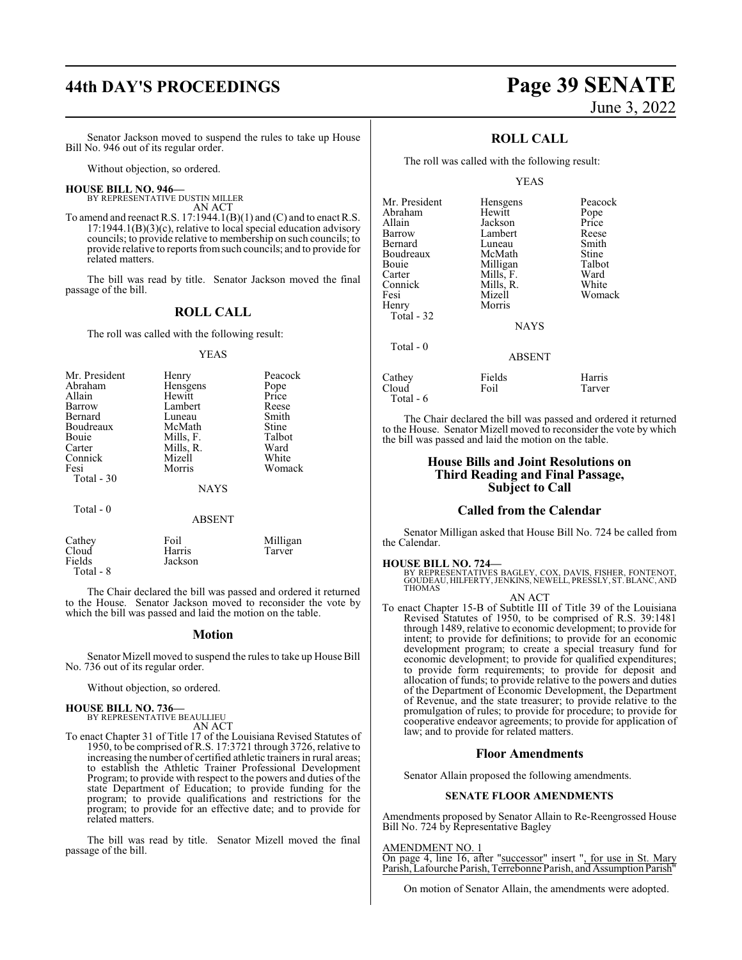# **44th DAY'S PROCEEDINGS Page 39 SENATE**

# June 3, 2022

Senator Jackson moved to suspend the rules to take up House Bill No. 946 out of its regular order.

Without objection, so ordered.

#### **HOUSE BILL NO. 946—**

BY REPRESENTATIVE DUSTIN MILLER AN ACT

To amend and reenact R.S. 17:1944.1(B)(1) and (C) and to enact R.S.  $17:1944.1(B)(3)(c)$ , relative to local special education advisory councils; to provide relative to membership on such councils; to provide relative to reports fromsuch councils; and to provide for related matters.

The bill was read by title. Senator Jackson moved the final passage of the bill.

### **ROLL CALL**

The roll was called with the following result:

#### YEAS

| Mr. President | Henry       | Peacock |
|---------------|-------------|---------|
| Abraham       | Hensgens    | Pope    |
| Allain        | Hewitt      | Price   |
| Barrow        | Lambert     | Reese   |
| Bernard       | Luneau      | Smith   |
| Boudreaux     | McMath      | Stine   |
| Bouie         | Mills, F.   | Talbot  |
| Carter        | Mills, R.   | Ward    |
| Connick       | Mizell      | White   |
| Fesi          | Morris      | Womack  |
| Total - 30    |             |         |
|               | <b>NAYS</b> |         |
| $Total - 0$   |             |         |

#### ABSENT

| Cathey    | Foil    | Milligan |
|-----------|---------|----------|
| Cloud     | Harris  | Tarver   |
| Fields    | Jackson |          |
| Total - 8 |         |          |

The Chair declared the bill was passed and ordered it returned to the House. Senator Jackson moved to reconsider the vote by which the bill was passed and laid the motion on the table.

#### **Motion**

Senator Mizell moved to suspend the rules to take up House Bill No. 736 out of its regular order.

Without objection, so ordered.

#### **HOUSE BILL NO. 736—**

BY REPRESENTATIVE BEAULLIEU AN ACT

To enact Chapter 31 of Title 17 of the Louisiana Revised Statutes of 1950, to be comprised of R.S. 17:3721 through 3726, relative to increasing the number of certified athletic trainers in rural areas; to establish the Athletic Trainer Professional Development Program; to provide with respect to the powers and duties of the state Department of Education; to provide funding for the program; to provide qualifications and restrictions for the program; to provide for an effective date; and to provide for related matters.

The bill was read by title. Senator Mizell moved the final passage of the bill.

## **ROLL CALL**

The roll was called with the following result:

#### YEAS

| Mr. President | Hensgens      | Peacock |
|---------------|---------------|---------|
| Abraham       | Hewitt        | Pope    |
| Allain        | Jackson       | Price   |
| Barrow        | Lambert       | Reese   |
| Bernard       | Luneau        | Smith   |
| Boudreaux     | McMath        | Stine   |
| Bouie         | Milligan      | Talbot  |
| Carter        | Mills, F.     | Ward    |
| Connick       | Mills, R.     | White   |
| Fesi          | Mizell        | Womack  |
| Henry         | Morris        |         |
| Total - 32    |               |         |
|               | <b>NAYS</b>   |         |
| Total - 0     |               |         |
|               | <b>ABSENT</b> |         |
| Cathey        | Fields        | Harris  |

Cloud Foil Tarver

The Chair declared the bill was passed and ordered it returned to the House. Senator Mizell moved to reconsider the vote by which the bill was passed and laid the motion on the table.

#### **House Bills and Joint Resolutions on Third Reading and Final Passage, Subject to Call**

#### **Called from the Calendar**

Senator Milligan asked that House Bill No. 724 be called from the Calendar.

#### **HOUSE BILL NO. 724—**

Total - 6

BY REPRESENTATIVES BAGLEY, COX, DAVIS, FISHER, FONTENOT,<br>GOUDEAU,HILFERTY,JENKINS,NEWELL,PRESSLY,ST.BLANC,AND<br>THOMAS

#### AN ACT

To enact Chapter 15-B of Subtitle III of Title 39 of the Louisiana Revised Statutes of 1950, to be comprised of R.S. 39:1481 through 1489, relative to economic development; to provide for intent; to provide for definitions; to provide for an economic development program; to create a special treasury fund for economic development; to provide for qualified expenditures; to provide form requirements; to provide for deposit and allocation of funds; to provide relative to the powers and duties of the Department of Economic Development, the Department of Revenue, and the state treasurer; to provide relative to the promulgation of rules; to provide for procedure; to provide for cooperative endeavor agreements; to provide for application of law; and to provide for related matters.

#### **Floor Amendments**

Senator Allain proposed the following amendments.

#### **SENATE FLOOR AMENDMENTS**

Amendments proposed by Senator Allain to Re-Reengrossed House Bill No. 724 by Representative Bagley

#### AMENDMENT NO. 1

On page 4, line 16, after "successor" insert ", for use in St. Mary Parish, Lafourche Parish, Terrebonne Parish, and Assumption Parish"

On motion of Senator Allain, the amendments were adopted.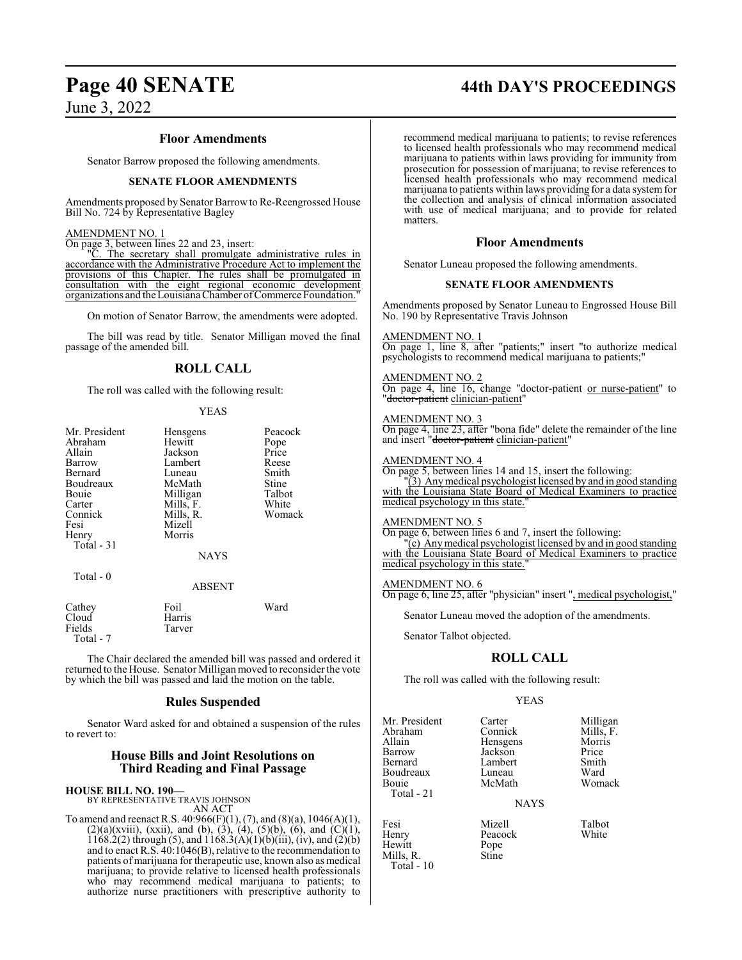#### **Floor Amendments**

Senator Barrow proposed the following amendments.

#### **SENATE FLOOR AMENDMENTS**

Amendments proposed by Senator Barrow to Re-Reengrossed House Bill No. 724 by Representative Bagley

#### AMENDMENT NO. 1

On page 3, between lines 22 and 23, insert:<br>"C. The secretary shall promulgate"

The secretary shall promulgate administrative rules in accordance with the Administrative Procedure Act to implement the provisions of this Chapter. The rules shall be promulgated in consultation with the eight regional economic development organizations and the Louisiana Chamber of Commerce Foundation."

On motion of Senator Barrow, the amendments were adopted.

The bill was read by title. Senator Milligan moved the final passage of the amended bill.

#### **ROLL CALL**

The roll was called with the following result:

#### YEAS

| Mr. President<br>Abraham<br>Allain<br>Barrow<br>Bernard<br>Boudreaux<br>Bouie<br>Carter<br>Connick<br>Fesi<br>Henry<br>Total - 31 | Hensgens<br>Hewitt<br>Jackson<br>Lambert<br>Luneau<br>McMath<br>Milligan<br>Mills, F.<br>Mills, R.<br>Mizell<br>Morris<br><b>NAYS</b> | Peacock<br>Pope<br>Price<br>Reese<br>Smith<br>Stine<br>Talbot<br>White<br>Womack |
|-----------------------------------------------------------------------------------------------------------------------------------|---------------------------------------------------------------------------------------------------------------------------------------|----------------------------------------------------------------------------------|
| Total $-0$                                                                                                                        | <b>ABSENT</b>                                                                                                                         |                                                                                  |
| Cathey<br>Cloud                                                                                                                   | Foil<br>Harris                                                                                                                        | Ward                                                                             |

 Total - 7 The Chair declared the amended bill was passed and ordered it returned to the House. Senator Milligan moved to reconsider the vote

by which the bill was passed and laid the motion on the table.

## **Rules Suspended**

Senator Ward asked for and obtained a suspension of the rules to revert to:

#### **House Bills and Joint Resolutions on Third Reading and Final Passage**

#### **HOUSE BILL NO. 190—**

Fields Tarver

BY REPRESENTATIVE TRAVIS JOHNSON AN ACT

To amend and reenact R.S.  $40:966(F)(1)$ ,  $(7)$ , and  $(8)(a)$ ,  $1046(A)(1)$ ,  $(2)(a)(xviii)$ ,  $(xxii)$ , and  $(b)$ ,  $(3)$ ,  $(4)$ ,  $(5)(b)$ ,  $(6)$ , and  $(C)(1)$ , 1168.2(2) through (5), and  $1168.3(A)(1)(b)(iii)$ , (iv), and (2)(b) and to enact R.S. 40:1046(B), relative to the recommendation to patients of marijuana for therapeutic use, known also as medical marijuana; to provide relative to licensed health professionals who may recommend medical marijuana to patients; to authorize nurse practitioners with prescriptive authority to

#### recommend medical marijuana to patients; to revise references to licensed health professionals who may recommend medical marijuana to patients within laws providing for immunity from prosecution for possession of marijuana; to revise references to licensed health professionals who may recommend medical marijuana to patients within laws providing for a data systemfor the collection and analysis of clinical information associated with use of medical marijuana; and to provide for related

#### **Floor Amendments**

Senator Luneau proposed the following amendments.

#### **SENATE FLOOR AMENDMENTS**

Amendments proposed by Senator Luneau to Engrossed House Bill No. 190 by Representative Travis Johnson

#### AMENDMENT NO. 1

matters.

On page 1, line 8, after "patients;" insert "to authorize medical psychologists to recommend medical marijuana to patients;"

#### AMENDMENT NO. 2

On page 4, line 16, change "doctor-patient or nurse-patient" to "<del>doctor-patient</del> clinician-patient"

#### AMENDMENT NO. 3

On page 4, line 23, after "bona fide" delete the remainder of the line and insert "<del>doctor-patient</del> clinician-patient"

#### AMENDMENT NO. 4

On page 5, between lines 14 and 15, insert the following:

"(3) Anymedical psychologist licensed by and in good standing with the Louisiana State Board of Medical Examiners to practice medical psychology in this state."

#### AMENDMENT NO. 5

On page 6, between lines 6 and 7, insert the following:  $\overline{c}$ ) Any medical psychologist licensed by and in good standing

with the Louisiana State Board of Medical Examiners to practice medical psychology in this state.

#### AMENDMENT NO. 6

On page 6, line 25, after "physician" insert ", medical psychologist,"

Senator Luneau moved the adoption of the amendments.

Senator Talbot objected.

### **ROLL CALL**

The roll was called with the following result:

#### YEAS

Mr. President Carter Milligan<br>Abraham Connick Mills F Abraham Connick Mills, F.<br>Allain Hensgens Morris Allain Hensgens Morris Bernard Lambert Smith Boudreaux Luneau Ward<br>Bouie McMath Womack Total - 21

Mills, R. Stine

Hewitt

Total - 10

McMath

Peacock<br>Pope

Jackson Price<br>Lambert Smith

**NAYS** 

Fesi Mizell Talbot

**Page 40 SENATE 44th DAY'S PROCEEDINGS**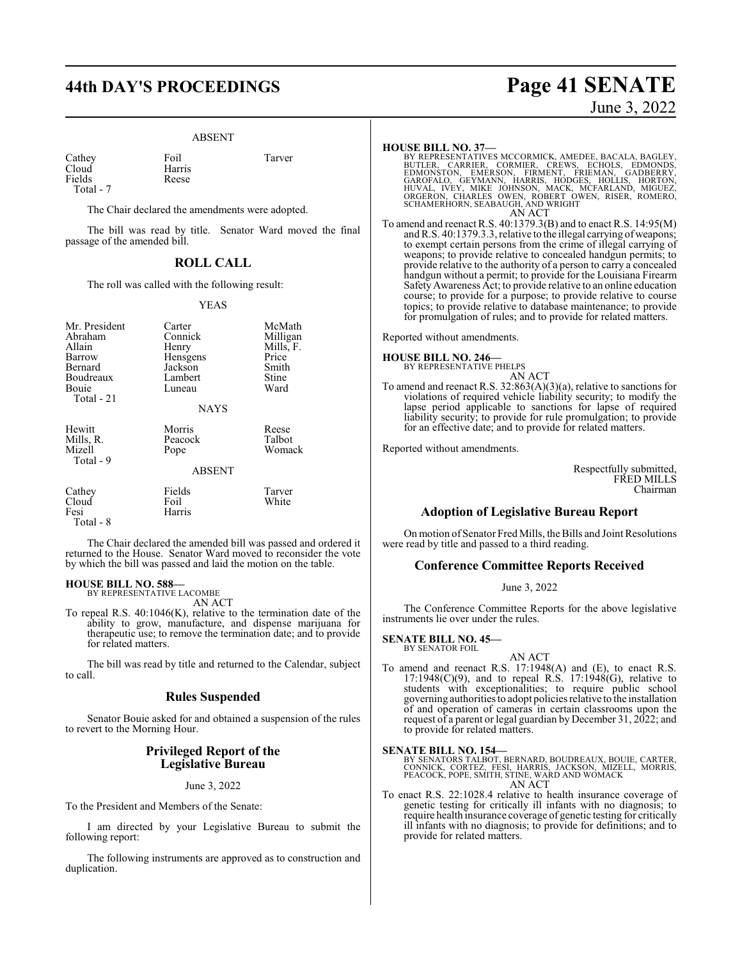#### ABSENT

Cathey Foil Tarver<br>Cloud Harris Tarver Fields

Total - 7

Harris<br>Reese

The Chair declared the amendments were adopted.

The bill was read by title. Senator Ward moved the final passage of the amended bill.

## **ROLL CALL**

The roll was called with the following result:

#### YEAS

| Mr. President<br>Abraham<br>Allain<br>Barrow<br>Bernard<br>Boudreaux<br>Bouie<br>Total - 21 | Carter<br>Connick<br>Henry<br>Hensgens<br>Jackson<br>Lambert<br>Luneau<br><b>NAYS</b> | McMath<br>Milligan<br>Mills, F.<br>Price<br>Smith<br>Stine<br>Ward |
|---------------------------------------------------------------------------------------------|---------------------------------------------------------------------------------------|--------------------------------------------------------------------|
| Hewitt<br>Mills, R.<br>Mizell<br>Total - 9                                                  | Morris<br>Peacock<br>Pope<br><b>ABSENT</b>                                            | Reese<br>Talbot<br>Womack                                          |
| Cathey                                                                                      | Fields                                                                                | Tarver                                                             |
| Cloud<br>Fesi<br>Total - 8                                                                  | Foil<br>Harris                                                                        | White                                                              |

The Chair declared the amended bill was passed and ordered it returned to the House. Senator Ward moved to reconsider the vote by which the bill was passed and laid the motion on the table.

#### **HOUSE BILL NO. 588—** BY REPRESENTATIVE LACOMBE

AN ACT

To repeal R.S. 40:1046(K), relative to the termination date of the ability to grow, manufacture, and dispense marijuana for therapeutic use; to remove the termination date; and to provide for related matters.

The bill was read by title and returned to the Calendar, subject to call.

#### **Rules Suspended**

Senator Bouie asked for and obtained a suspension of the rules to revert to the Morning Hour.

#### **Privileged Report of the Legislative Bureau**

June 3, 2022

To the President and Members of the Senate:

I am directed by your Legislative Bureau to submit the following report:

The following instruments are approved as to construction and duplication.

# **44th DAY'S PROCEEDINGS Page 41 SENATE** June 3, 2022

**HOUSE BILL NO. 37—**<br>BY REPRESENTATIVES MCCORMICK, AMEDEE, BACALA, BAGLEY, BUTLER, CARRIER, CORMIER, CREWS, ECHOLS, EDMONDS,<br>EDMONSTON, EMERSON, FIRMENT, FRIEMAN, GADBERRY,<br>GAROFALO, GEYMANN, HARRIS, HODGES, HOLLIS, HORTON AN ACT

To amend and reenact R.S. 40:1379.3(B) and to enact R.S. 14:95(M) and R.S. 40:1379.3.3, relative to the illegal carrying of weapons; to exempt certain persons from the crime of illegal carrying of weapons; to provide relative to concealed handgun permits; to provide relative to the authority of a person to carry a concealed handgun without a permit; to provide for the Louisiana Firearm SafetyAwareness Act; to provide relative to an online education course; to provide for a purpose; to provide relative to course topics; to provide relative to database maintenance; to provide for promulgation of rules; and to provide for related matters.

Reported without amendments.

**HOUSE BILL NO. 246—** BY REPRESENTATIVE PHELPS

AN ACT To amend and reenact R.S. 32:863(A)(3)(a), relative to sanctions for violations of required vehicle liability security; to modify the lapse period applicable to sanctions for lapse of required liability security; to provide for rule promulgation; to provide

for an effective date; and to provide for related matters.

Reported without amendments.

Respectfully submitted, FRED MILLS Chairman

## **Adoption of Legislative Bureau Report**

On motion of Senator Fred Mills, the Bills and Joint Resolutions were read by title and passed to a third reading.

#### **Conference Committee Reports Received**

#### June 3, 2022

The Conference Committee Reports for the above legislative instruments lie over under the rules.

#### **SENATE BILL NO. 45—** BY SENATOR FOIL

AN ACT

To amend and reenact R.S. 17:1948(A) and (E), to enact R.S.  $17:1948(C)(9)$ , and to repeal R.S.  $17:1948(G)$ , relative to students with exceptionalities; to require public school governing authorities to adopt policies relative to the installation of and operation of cameras in certain classrooms upon the request of a parent or legal guardian by December 31, 2022; and to provide for related matters.

#### **SENATE BILL NO. 154—**

BY SENATORS TALBOT, BERNARD, BOUDREAUX, BOUIE, CARTER,<br>CONNICK, CORTEZ, FESI, HARRIS, JACKSON, MIZELL, MORRIS,<br>PEACOCK, POPE, SMITH, STINE, WARD AND WOMACK<br>AN ACT

To enact R.S. 22:1028.4 relative to health insurance coverage of genetic testing for critically ill infants with no diagnosis; to require health insurance coverage of genetic testing for critically ill infants with no diagnosis; to provide for definitions; and to provide for related matters.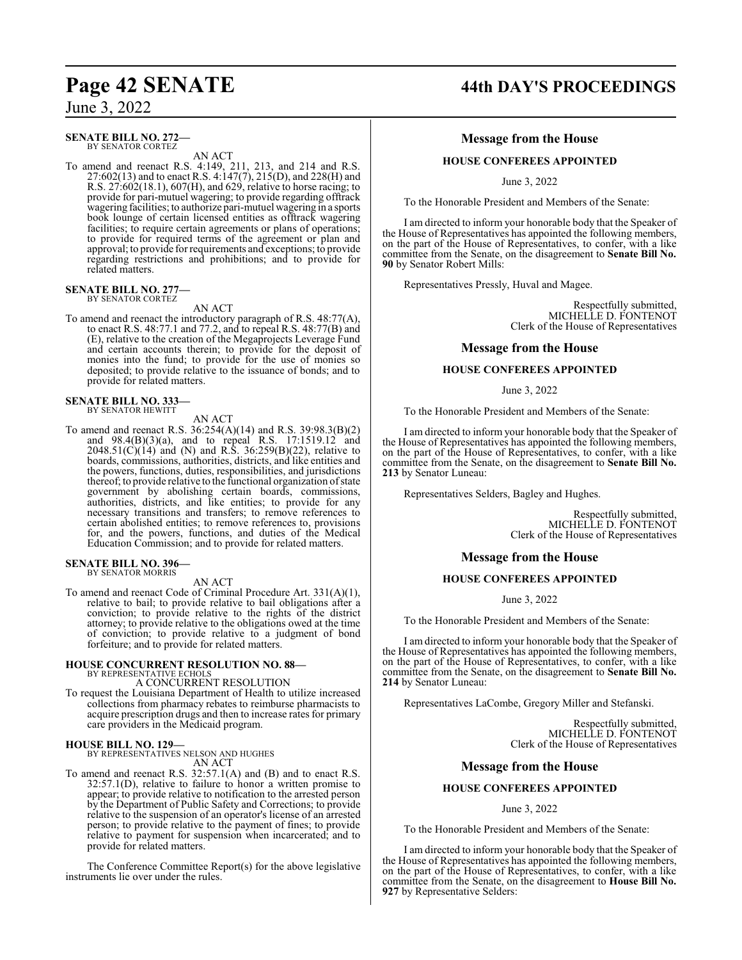#### **SENATE BILL NO. 272—** BY SENATOR CORTEZ

AN ACT

To amend and reenact R.S. 4:149, 211, 213, and 214 and R.S. 27:602(13) and to enact R.S. 4:147(7), 215(D), and 228(H) and R.S. 27:602(18.1), 607(H), and 629, relative to horse racing; to provide for pari-mutuel wagering; to provide regarding offtrack wagering facilities; to authorize pari-mutuel wagering in a sports book lounge of certain licensed entities as offtrack wagering facilities; to require certain agreements or plans of operations; to provide for required terms of the agreement or plan and approval; to provide for requirements and exceptions; to provide regarding restrictions and prohibitions; and to provide for related matters.

#### **SENATE BILL NO. 277—** BY SENATOR CORTEZ

AN ACT

To amend and reenact the introductory paragraph of R.S. 48:77(A), to enact R.S. 48:77.1 and 77.2, and to repeal R.S. 48:77(B) and (E), relative to the creation of the Megaprojects Leverage Fund and certain accounts therein; to provide for the deposit of monies into the fund; to provide for the use of monies so deposited; to provide relative to the issuance of bonds; and to provide for related matters.

#### **SENATE BILL NO. 333—** BY SENATOR HEWITT

AN ACT

To amend and reenact R.S. 36:254(A)(14) and R.S. 39:98.3(B)(2) and 98.4(B)(3)(a), and to repeal R.S. 17:1519.12 and  $2048.51(C)(14)$  and (N) and R.S. 36:259(B)(22), relative to boards, commissions, authorities, districts, and like entities and the powers, functions, duties, responsibilities, and jurisdictions thereof; to provide relative to the functional organization of state government by abolishing certain boards, commissions, authorities, districts, and like entities; to provide for any necessary transitions and transfers; to remove references to certain abolished entities; to remove references to, provisions for, and the powers, functions, and duties of the Medical Education Commission; and to provide for related matters.

#### **SENATE BILL NO. 396—** BY SENATOR MORRIS

AN ACT

To amend and reenact Code of Criminal Procedure Art. 331(A)(1), relative to bail; to provide relative to bail obligations after a conviction; to provide relative to the rights of the district attorney; to provide relative to the obligations owed at the time of conviction; to provide relative to a judgment of bond forfeiture; and to provide for related matters.

## **HOUSE CONCURRENT RESOLUTION NO. 88—** BY REPRESENTATIVE ECHOLS A CONCURRENT RESOLUTION

To request the Louisiana Department of Health to utilize increased collections from pharmacy rebates to reimburse pharmacists to acquire prescription drugs and then to increase rates for primary care providers in the Medicaid program.

**HOUSE BILL NO. 129—** BY REPRESENTATIVES NELSON AND HUGHES AN ACT

To amend and reenact R.S. 32:57.1(A) and (B) and to enact R.S. 32:57.1(D), relative to failure to honor a written promise to appear; to provide relative to notification to the arrested person by the Department of Public Safety and Corrections; to provide relative to the suspension of an operator's license of an arrested person; to provide relative to the payment of fines; to provide relative to payment for suspension when incarcerated; and to provide for related matters.

The Conference Committee Report(s) for the above legislative instruments lie over under the rules.

# **Page 42 SENATE 44th DAY'S PROCEEDINGS**

#### **Message from the House**

#### **HOUSE CONFEREES APPOINTED**

June 3, 2022

To the Honorable President and Members of the Senate:

I am directed to inform your honorable body that the Speaker of the House of Representatives has appointed the following members, on the part of the House of Representatives, to confer, with a like committee from the Senate, on the disagreement to **Senate Bill No. 90** by Senator Robert Mills:

Representatives Pressly, Huval and Magee.

Respectfully submitted, MICHELLE D. FONTENOT Clerk of the House of Representatives

#### **Message from the House**

#### **HOUSE CONFEREES APPOINTED**

#### June 3, 2022

To the Honorable President and Members of the Senate:

I am directed to inform your honorable body that the Speaker of the House of Representatives has appointed the following members, on the part of the House of Representatives, to confer, with a like committee from the Senate, on the disagreement to **Senate Bill No. 213** by Senator Luneau:

Representatives Selders, Bagley and Hughes.

Respectfully submitted, MICHELLE D. FONTENOT Clerk of the House of Representatives

#### **Message from the House**

#### **HOUSE CONFEREES APPOINTED**

June 3, 2022

To the Honorable President and Members of the Senate:

I am directed to inform your honorable body that the Speaker of the House of Representatives has appointed the following members, on the part of the House of Representatives, to confer, with a like committee from the Senate, on the disagreement to **Senate Bill No. 214** by Senator Luneau:

Representatives LaCombe, Gregory Miller and Stefanski.

Respectfully submitted, MICHELLE D. FONTENOT Clerk of the House of Representatives

#### **Message from the House**

### **HOUSE CONFEREES APPOINTED**

#### June 3, 2022

To the Honorable President and Members of the Senate:

I am directed to inform your honorable body that the Speaker of the House of Representatives has appointed the following members, on the part of the House of Representatives, to confer, with a like committee from the Senate, on the disagreement to **House Bill No. 927** by Representative Selders: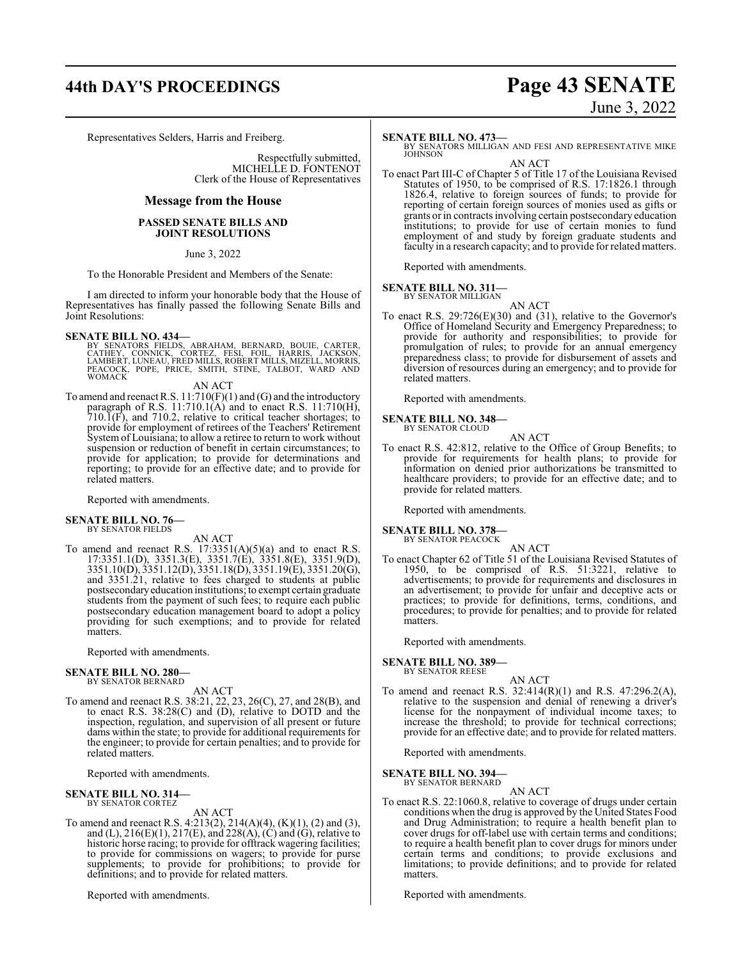# **44th DAY'S PROCEEDINGS Page 43 SENATE**

Representatives Selders, Harris and Freiberg.

Respectfully submitted, MICHELLE D. FONTENOT Clerk of the House of Representatives

#### **Message from the House**

#### **PASSED SENATE BILLS AND JOINT RESOLUTIONS**

June 3, 2022

To the Honorable President and Members of the Senate:

I am directed to inform your honorable body that the House of Representatives has finally passed the following Senate Bills and Joint Resolutions:

#### **SENATE BILL NO. 434—**

BY SENATORS FIELDS, ABRAHAM, BERNARD, BOUIE, CARTER,<br>CATHEY, CONNICK, CORTEZ, FESI, FOIL, HARRIS, JACKSON,<br>LAMBERT,LUNEAU,FREDMILLS,ROBERT MILLS,MIZELL,MORRIS,<br>PEACOCK, POPE, PRICE, SMITH, STINE, TALBOT, WARD AND WOMACK

#### AN ACT

To amend and reenact R.S. 11:710(F)(1) and (G) and the introductory paragraph of R.S.  $11:710.1(A)$  and to enact R.S.  $11:710(H)$ , 710.1(F), and 710.2, relative to critical teacher shortages; to provide for employment of retirees of the Teachers' Retirement System of Louisiana; to allow a retiree to return to work without suspension or reduction of benefit in certain circumstances; to provide for application; to provide for determinations and reporting; to provide for an effective date; and to provide for related matters.

Reported with amendments.

**SENATE BILL NO. 76—** BY SENATOR FIELDS

AN ACT

To amend and reenact R.S.  $17:3351(A)(5)(a)$  and to enact R.S. 17:3351.1(D), 3351.3(E), 3351.7(E), 3351.8(E), 3351.9(D), 3351.10(D), 3351.12(D), 3351.18(D), 3351.19(E), 3351.20(G), and 3351.21, relative to fees charged to students at public postsecondaryeducation institutions; to exempt certain graduate students from the payment of such fees; to require each public postsecondary education management board to adopt a policy providing for such exemptions; and to provide for related matters.

Reported with amendments.

## **SENATE BILL NO. 280—** BY SENATOR BERNARD

AN ACT To amend and reenact R.S. 38:21, 22, 23, 26(C), 27, and 28(B), and to enact R.S. 38:28(C) and (D), relative to DOTD and the inspection, regulation, and supervision of all present or future dams within the state; to provide for additional requirements for the engineer; to provide for certain penalties; and to provide for related matters.

Reported with amendments.

#### **SENATE BILL NO. 314—** BY SENATOR CORTEZ

AN ACT

To amend and reenact R.S. 4:213(2), 214(A)(4), (K)(1), (2) and (3), and (L),  $216(E)(1)$ ,  $217(E)$ , and  $228(A)$ , (C) and (G), relative to historic horse racing; to provide for offtrack wagering facilities; to provide for commissions on wagers; to provide for purse supplements; to provide for prohibitions; to provide for definitions; and to provide for related matters.

Reported with amendments.

# June 3, 2022

#### **SENATE BILL NO. 473—**

BY SENATORS MILLIGAN AND FESI AND REPRESENTATIVE MIKE JOHNSON

AN ACT To enact Part III-C of Chapter 5 of Title 17 of the Louisiana Revised Statutes of 1950, to be comprised of R.S. 17:1826.1 through 1826.4, relative to foreign sources of funds; to provide for reporting of certain foreign sources of monies used as gifts or grants or in contracts involving certain postsecondary education institutions; to provide for use of certain monies to fund employment of and study by foreign graduate students and faculty in a research capacity; and to provide for related matters.

Reported with amendments.

#### **SENATE BILL NO. 311—**

BY SENATOR MILLIGAN AN ACT

To enact R.S. 29:726(E)(30) and (31), relative to the Governor's Office of Homeland Security and Emergency Preparedness; to provide for authority and responsibilities; to provide for promulgation of rules; to provide for an annual emergency preparedness class; to provide for disbursement of assets and diversion of resources during an emergency; and to provide for related matters.

Reported with amendments.

**SENATE BILL NO. 348—** BY SENATOR CLOUD

AN ACT

To enact R.S. 42:812, relative to the Office of Group Benefits; to provide for requirements for health plans; to provide for information on denied prior authorizations be transmitted to healthcare providers; to provide for an effective date; and to provide for related matters.

Reported with amendments.

#### **SENATE BILL NO. 378—** BY SENATOR PEACOCK

AN ACT To enact Chapter 62 of Title 51 of the Louisiana Revised Statutes of 1950, to be comprised of R.S. 51:3221, relative to advertisements; to provide for requirements and disclosures in an advertisement; to provide for unfair and deceptive acts or practices; to provide for definitions, terms, conditions, and procedures; to provide for penalties; and to provide for related matters.

Reported with amendments.

**SENATE BILL NO. 389—**

BY SENATOR REESE

AN ACT

To amend and reenact R.S. 32:414(R)(1) and R.S. 47:296.2(A), relative to the suspension and denial of renewing a driver's license for the nonpayment of individual income taxes; to increase the threshold; to provide for technical corrections; provide for an effective date; and to provide for related matters.

Reported with amendments.

#### **SENATE BILL NO. 394—** BY SENATOR BERNARD

AN ACT To enact R.S. 22:1060.8, relative to coverage of drugs under certain conditions when the drug is approved by the United States Food and Drug Administration; to require a health benefit plan to cover drugs for off-label use with certain terms and conditions; to require a health benefit plan to cover drugs for minors under certain terms and conditions; to provide exclusions and limitations; to provide definitions; and to provide for related matters.

Reported with amendments.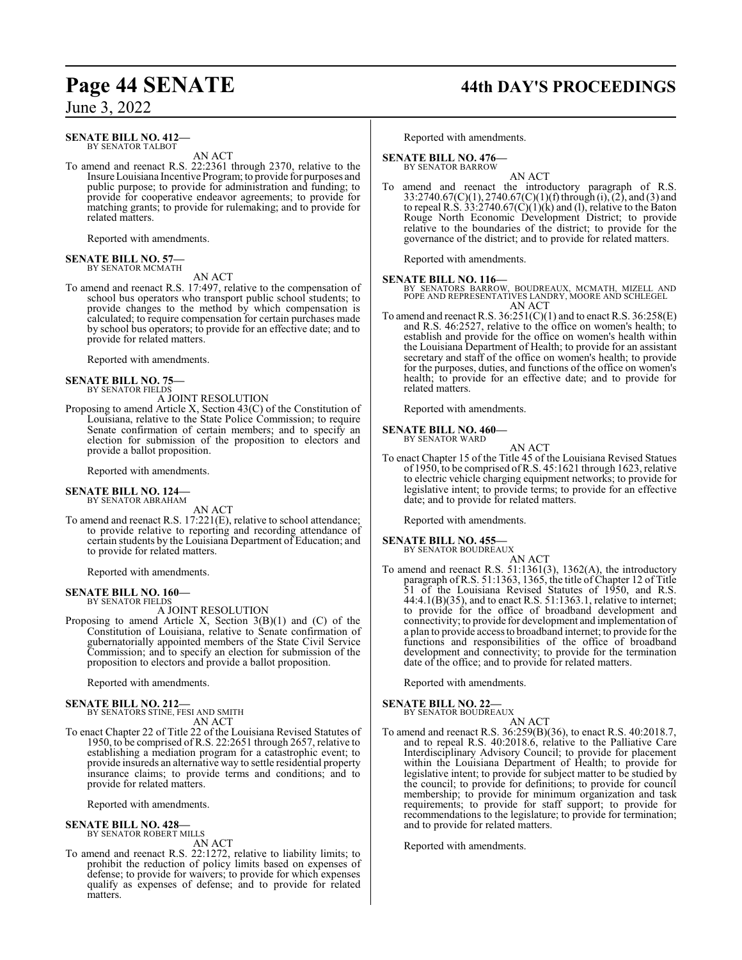#### **SENATE BILL NO. 412—** BY SENATOR TALBOT

AN ACT

To amend and reenact R.S. 22:2361 through 2370, relative to the Insure Louisiana Incentive Program; to provide for purposes and public purpose; to provide for administration and funding; to provide for cooperative endeavor agreements; to provide for matching grants; to provide for rulemaking; and to provide for related matters.

Reported with amendments.

#### **SENATE BILL NO. 57—** BY SENATOR MCMATH

AN ACT

To amend and reenact R.S. 17:497, relative to the compensation of school bus operators who transport public school students; to provide changes to the method by which compensation is calculated; to require compensation for certain purchases made by school bus operators; to provide for an effective date; and to provide for related matters.

Reported with amendments.

**SENATE BILL NO. 75—** BY SENATOR FIELDS

- A JOINT RESOLUTION
- Proposing to amend Article X, Section 43(C) of the Constitution of Louisiana, relative to the State Police Commission; to require Senate confirmation of certain members; and to specify an election for submission of the proposition to electors and provide a ballot proposition.

Reported with amendments.

#### **SENATE BILL NO. 124—** BY SENATOR ABRAHAM

AN ACT

To amend and reenact R.S. 17:221(E), relative to school attendance; to provide relative to reporting and recording attendance of certain students by the Louisiana Department of Education; and to provide for related matters.

Reported with amendments.

### **SENATE BILL NO. 160—**

BY SENATOR FIELDS

A JOINT RESOLUTION

Proposing to amend Article X, Section 3(B)(1) and (C) of the Constitution of Louisiana, relative to Senate confirmation of gubernatorially appointed members of the State Civil Service Commission; and to specify an election for submission of the proposition to electors and provide a ballot proposition.

Reported with amendments.

#### **SENATE BILL NO. 212—**

BY SENATORS STINE, FESI AND SMITH AN ACT

To enact Chapter 22 of Title 22 of the Louisiana Revised Statutes of 1950, to be comprised of R.S. 22:2651 through 2657, relative to establishing a mediation program for a catastrophic event; to provide insureds an alternative way to settle residential property insurance claims; to provide terms and conditions; and to provide for related matters.

Reported with amendments.

#### **SENATE BILL NO. 428—**

BY SENATOR ROBERT MILLS

- AN ACT
- To amend and reenact R.S. 22:1272, relative to liability limits; to prohibit the reduction of policy limits based on expenses of defense; to provide for waivers; to provide for which expenses qualify as expenses of defense; and to provide for related matters.

# **Page 44 SENATE 44th DAY'S PROCEEDINGS**

Reported with amendments.

**SENATE BILL NO. 476—** BY SENATOR BARROW

AN ACT

To amend and reenact the introductory paragraph of R.S.  $33:2740.67(C)(1), 2740.67(C)(1)(f)$  through (i), (2), and (3) and to repeal R.S.  $33:2740.67(C)(1)(k)$  and (1), relative to the Baton Rouge North Economic Development District; to provide relative to the boundaries of the district; to provide for the governance of the district; and to provide for related matters.

Reported with amendments.

**SENATE BILL NO. 116—** BY SENATORS BARROW, BOUDREAUX, MCMATH, MIZELL AND POPE AND REPRESENTATIVES LANDRY, MOORE AND SCHLEGEL AN ACT

To amend and reenact R.S.  $36:251(C)(1)$  and to enact R.S.  $36:258(E)$ and R.S. 46:2527, relative to the office on women's health; to establish and provide for the office on women's health within the Louisiana Department of Health; to provide for an assistant secretary and staff of the office on women's health; to provide for the purposes, duties, and functions of the office on women's health; to provide for an effective date; and to provide for related matters.

Reported with amendments.

# **SENATE BILL NO. 460—** BY SENATOR WARD

- AN ACT
- To enact Chapter 15 of the Title 45 of the Louisiana Revised Statues of 1950, to be comprised ofR.S. 45:1621 through 1623, relative to electric vehicle charging equipment networks; to provide for legislative intent; to provide terms; to provide for an effective date; and to provide for related matters.

Reported with amendments.

#### **SENATE BILL NO. 455—** BY SENATOR BOUDREAUX

AN ACT

To amend and reenact R.S. 51:1361(3), 1362(A), the introductory paragraph of R.S. 51:1363, 1365, the title of Chapter 12 of Title 51 of the Louisiana Revised Statutes of 1950, and R.S. 44:4.1(B)(35), and to enact R.S. 51:1363.1, relative to internet; to provide for the office of broadband development and connectivity; to provide for development and implementation of a plan to provide access to broadband internet; to provide for the functions and responsibilities of the office of broadband development and connectivity; to provide for the termination date of the office; and to provide for related matters.

Reported with amendments.

**SENATE BILL NO. 22—** BY SENATOR BOUDREAUX

AN ACT

To amend and reenact R.S. 36:259(B)(36), to enact R.S. 40:2018.7, and to repeal R.S. 40:2018.6, relative to the Palliative Care Interdisciplinary Advisory Council; to provide for placement within the Louisiana Department of Health; to provide for legislative intent; to provide for subject matter to be studied by the council; to provide for definitions; to provide for council membership; to provide for minimum organization and task requirements; to provide for staff support; to provide for recommendations to the legislature; to provide for termination; and to provide for related matters.

Reported with amendments.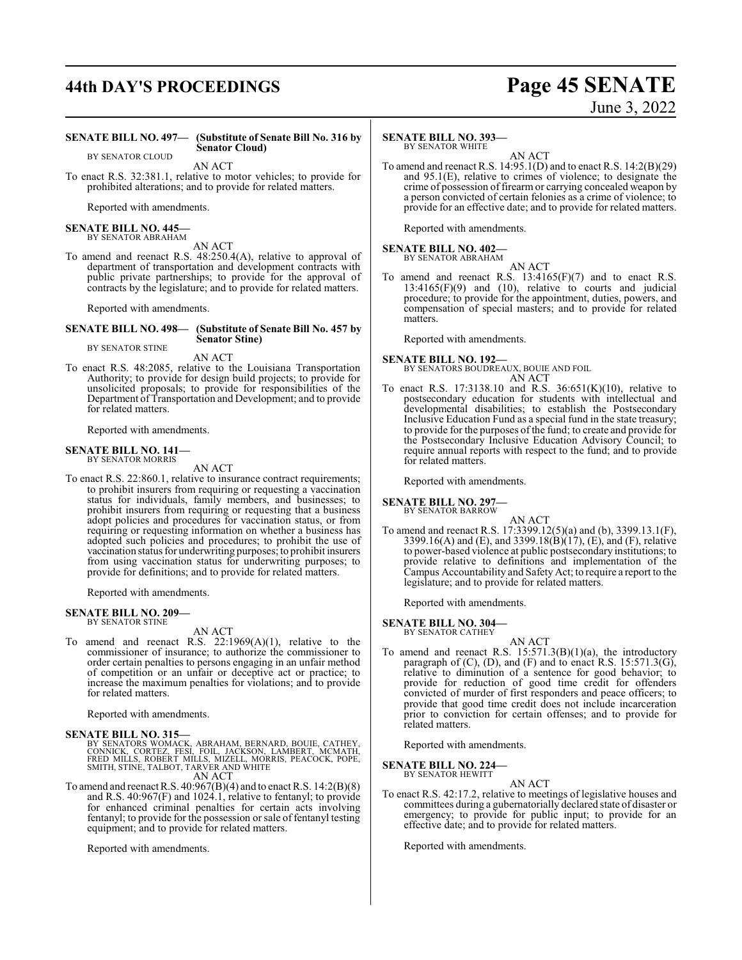# **44th DAY'S PROCEEDINGS Page 45 SENATE**

# June 3, 2022

#### **SENATE BILL NO. 497— (Substitute of Senate Bill No. 316 by Senator Cloud)**

BY SENATOR CLOUD

AN ACT

To enact R.S. 32:381.1, relative to motor vehicles; to provide for prohibited alterations; and to provide for related matters.

Reported with amendments.

#### **SENATE BILL NO. 445—** BY SENATOR ABRAHAM

AN ACT

To amend and reenact R.S. 48:250.4(A), relative to approval of department of transportation and development contracts with public private partnerships; to provide for the approval of contracts by the legislature; and to provide for related matters.

Reported with amendments.

#### **SENATE BILL NO. 498— (Substitute of Senate Bill No. 457 by Senator Stine)** BY SENATOR STINE

AN ACT

To enact R.S. 48:2085, relative to the Louisiana Transportation Authority; to provide for design build projects; to provide for unsolicited proposals; to provide for responsibilities of the Department of Transportation and Development; and to provide for related matters.

Reported with amendments.

#### **SENATE BILL NO. 141—** BY SENATOR MORRIS

AN ACT

To enact R.S. 22:860.1, relative to insurance contract requirements; to prohibit insurers from requiring or requesting a vaccination status for individuals, family members, and businesses; to prohibit insurers from requiring or requesting that a business adopt policies and procedures for vaccination status, or from requiring or requesting information on whether a business has adopted such policies and procedures; to prohibit the use of vaccination status for underwriting purposes; to prohibit insurers from using vaccination status for underwriting purposes; to provide for definitions; and to provide for related matters.

Reported with amendments.

#### **SENATE BILL NO. 209—** BY SENATOR STINE

AN ACT

To amend and reenact R.S. 22:1969(A)(1), relative to the commissioner of insurance; to authorize the commissioner to order certain penalties to persons engaging in an unfair method of competition or an unfair or deceptive act or practice; to increase the maximum penalties for violations; and to provide for related matters.

Reported with amendments.

**SENATE BILL NO. 315—**<br>BY SENATORS WOMACK, ABRAHAM, BERNARD, BOUIE, CATHEY, CONNICK, CORTEZ, FESI, FOIL, JACKSON, LAMBERT, MCMATH,<br>FRED MILLS, ROBERT MILLS, MIZELL, MORRIS, PEACOCK, POPE,<br>SMITH, STINE, TALBOT, TARVER AND W

AN ACT

To amend and reenact R.S. 40:967(B)(4) and to enact R.S. 14:2(B)(8) and R.S. 40:967(F) and 1024.1, relative to fentanyl; to provide for enhanced criminal penalties for certain acts involving fentanyl; to provide for the possession or sale of fentanyl testing equipment; and to provide for related matters.

Reported with amendments.

### **SENATE BILL NO. 393—**

BY SENATOR WHITE

AN ACT To amend and reenact R.S. 14:95.1(D) and to enact R.S. 14:2(B)(29) and 95.1(E), relative to crimes of violence; to designate the crime of possession of firearm or carrying concealed weapon by a person convicted of certain felonies as a crime of violence; to provide for an effective date; and to provide for related matters.

Reported with amendments.

#### **SENATE BILL NO. 402—** BY SENATOR ABRAHAM

AN ACT To amend and reenact R.S. 13:4165(F)(7) and to enact R.S.  $13:4165(F)(9)$  and  $(10)$ , relative to courts and judicial procedure; to provide for the appointment, duties, powers, and compensation of special masters; and to provide for related matters.

Reported with amendments.

**SENATE BILL NO. 192—**

BY SENATORS BOUDREAUX, BOUIE AND FOIL AN ACT

To enact R.S. 17:3138.10 and R.S. 36:651(K)(10), relative to postsecondary education for students with intellectual and developmental disabilities; to establish the Postsecondary Inclusive Education Fund as a special fund in the state treasury; to provide for the purposes of the fund; to create and provide for the Postsecondary Inclusive Education Advisory Council; to require annual reports with respect to the fund; and to provide for related matters.

Reported with amendments.

**SENATE BILL NO. 297—**

BY SENATOR BARROW AN ACT

To amend and reenact R.S. 17:3399.12(5)(a) and (b), 3399.13.1(F), 3399.16(A) and (E), and 3399.18(B)(17), (E), and (F), relative to power-based violence at public postsecondary institutions; to provide relative to definitions and implementation of the Campus Accountability and Safety Act; to require a report to the legislature; and to provide for related matters.

Reported with amendments.

#### **SENATE BILL NO. 304—** BY SENATOR CATHEY

AN ACT

To amend and reenact R.S.  $15:571.3(B)(1)(a)$ , the introductory paragraph of  $(C)$ ,  $(D)$ , and  $(F)$  and to enact R.S. 15:571.3(G), relative to diminution of a sentence for good behavior; to provide for reduction of good time credit for offenders convicted of murder of first responders and peace officers; to provide that good time credit does not include incarceration prior to conviction for certain offenses; and to provide for related matters.

Reported with amendments.

**SENATE BILL NO. 224—**

BY SENATOR HEWITT

AN ACT To enact R.S. 42:17.2, relative to meetings of legislative houses and committees during a gubernatorially declared state of disaster or emergency; to provide for public input; to provide for an effective date; and to provide for related matters.

Reported with amendments.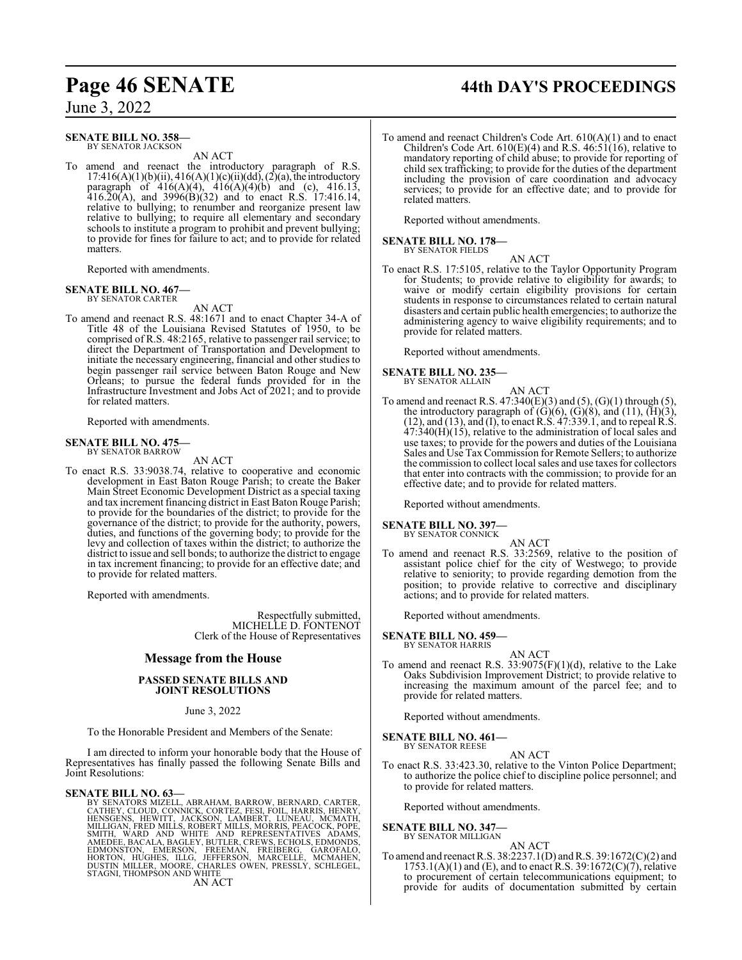# **Page 46 SENATE 44th DAY'S PROCEEDINGS**

June 3, 2022

#### **SENATE BILL NO. 358—** BY SENATOR JACKSON

AN ACT

To amend and reenact the introductory paragraph of R.S.  $17:416(A)(1)(b)(ii)$ ,  $416(A)(1)(c)(ii)(dd)$ ,  $(2)(a)$ , the introductory paragraph of  $416(A)(4)$ ,  $416(A)(4)(b)$  and (c),  $416.13$ ,  $416.20(A)$ , and  $3996(B)(32)$  and to enact R.S. 17:416.14, relative to bullying; to renumber and reorganize present law relative to bullying; to require all elementary and secondary schools to institute a program to prohibit and prevent bullying; to provide for fines for failure to act; and to provide for related matters.

Reported with amendments.

#### **SENATE BILL NO. 467—** BY SENATOR CARTER

AN ACT

To amend and reenact R.S. 48:1671 and to enact Chapter 34-A of Title 48 of the Louisiana Revised Statutes of 1950, to be comprised of R.S. 48:2165, relative to passenger rail service; to direct the Department of Transportation and Development to initiate the necessary engineering, financial and other studies to begin passenger rail service between Baton Rouge and New Orleans; to pursue the federal funds provided for in the Infrastructure Investment and Jobs Act of 2021; and to provide for related matters.

Reported with amendments.

## **SENATE BILL NO. 475—** BY SENATOR BARROW

AN ACT

To enact R.S. 33:9038.74, relative to cooperative and economic development in East Baton Rouge Parish; to create the Baker Main Street Economic Development District as a special taxing and tax increment financing district in East Baton Rouge Parish; to provide for the boundaries of the district; to provide for the governance of the district; to provide for the authority, powers, duties, and functions of the governing body; to provide for the levy and collection of taxes within the district; to authorize the district to issue and sell bonds; to authorize the district to engage in tax increment financing; to provide for an effective date; and to provide for related matters.

Reported with amendments.

Respectfully submitted, MICHELLE D. FONTENOT Clerk of the House of Representatives

#### **Message from the House**

#### **PASSED SENATE BILLS AND JOINT RESOLUTIONS**

#### June 3, 2022

To the Honorable President and Members of the Senate:

I am directed to inform your honorable body that the House of Representatives has finally passed the following Senate Bills and Joint Resolutions:

#### **SENATE BILL NO. 63—**

BY SENATORS MIZELL, ABRAHAM, BARROW, BERNARD, CATHEY, CLOUD, CONNICK, CORTEZ, FESI, FOIL, HARRIS, HENNEY, HENSGENS, HEWITT, JACKSON, LAMBERT, LUNEAU, MCMATH,<br>MILLIGAN, HEWITT, JACKSON, LAMBERT, LUNEAU, MCMATH,<br>MILLIGAN, FR

#### AN ACT

To amend and reenact Children's Code Art. 610(A)(1) and to enact Children's Code Art.  $610(E)(4)$  and R.S.  $46:51(16)$ , relative to mandatory reporting of child abuse; to provide for reporting of child sex trafficking; to provide for the duties of the department including the provision of care coordination and advocacy services; to provide for an effective date; and to provide for related matters.

Reported without amendments.

## **SENATE BILL NO. 178—** BY SENATOR FIELDS

AN ACT

To enact R.S. 17:5105, relative to the Taylor Opportunity Program for Students; to provide relative to eligibility for awards; to waive or modify certain eligibility provisions for certain students in response to circumstances related to certain natural disasters and certain public health emergencies; to authorize the administering agency to waive eligibility requirements; and to provide for related matters.

Reported without amendments.

## **SENATE BILL NO. 235—** BY SENATOR ALLAIN

AN ACT To amend and reenact R.S.  $47:340(E)(3)$  and  $(5)$ ,  $(G)(1)$  through  $(5)$ , the introductory paragraph of  $(G)(6)$ ,  $(G)(8)$ , and  $(11)$ ,  $(H)(3)$ , (12), and (13), and (I), to enact R.S. 47:339.1, and to repeal R.S.  $47:340(H)(15)$ , relative to the administration of local sales and use taxes; to provide for the powers and duties of the Louisiana Sales and Use TaxCommission for Remote Sellers; to authorize the commission to collect local sales and use taxes for collectors that enter into contracts with the commission; to provide for an effective date; and to provide for related matters.

Reported without amendments.

#### **SENATE BILL NO. 397**

BY SENATOR CONNICK

AN ACT To amend and reenact R.S. 33:2569, relative to the position of assistant police chief for the city of Westwego; to provide relative to seniority; to provide regarding demotion from the position; to provide relative to corrective and disciplinary actions; and to provide for related matters.

Reported without amendments.

#### **SENATE BILL NO. 459—**

BY SENATOR HARRIS

AN ACT To amend and reenact R.S.  $33:9075(F)(1)(d)$ , relative to the Lake Oaks Subdivision Improvement District; to provide relative to increasing the maximum amount of the parcel fee; and to provide for related matters.

Reported without amendments.

#### **SENATE BILL NO. 461—** BY SENATOR REESE

AN ACT

To enact R.S. 33:423.30, relative to the Vinton Police Department; to authorize the police chief to discipline police personnel; and to provide for related matters.

Reported without amendments.

# **SENATE BILL NO. 347—**<br>BY SENATOR MILLIGAN

AN ACT

To amend and reenact R.S. 38:2237.1(D) andR.S. 39:1672(C)(2) and  $1753.1(A)(1)$  and (E), and to enact R.S. 39:1672(C)(7), relative to procurement of certain telecommunications equipment; to provide for audits of documentation submitted by certain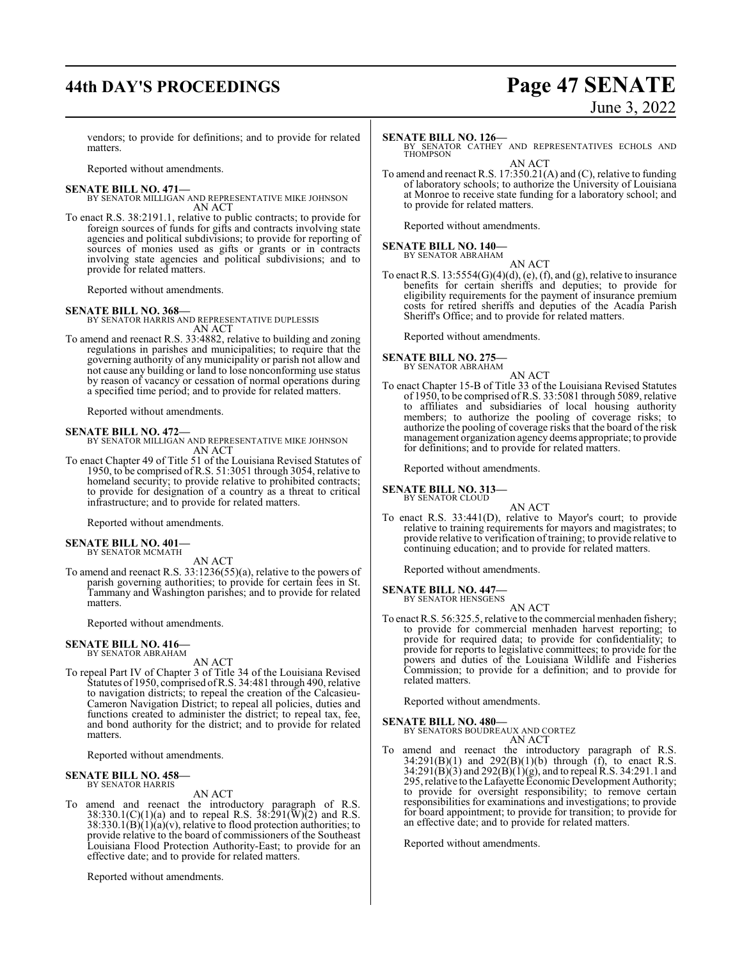# **44th DAY'S PROCEEDINGS Page 47 SENATE**

# June 3, 2022

vendors; to provide for definitions; and to provide for related matters.

Reported without amendments.

#### **SENATE BILL NO. 471—**

BY SENATOR MILLIGAN AND REPRESENTATIVE MIKE JOHNSON AN ACT

To enact R.S. 38:2191.1, relative to public contracts; to provide for foreign sources of funds for gifts and contracts involving state agencies and political subdivisions; to provide for reporting of sources of monies used as gifts or grants or in contracts involving state agencies and political subdivisions; and to provide for related matters.

Reported without amendments.

#### **SENATE BILL NO. 368—**

BY SENATOR HARRIS AND REPRESENTATIVE DUPLESSIS AN ACT

To amend and reenact R.S. 33:4882, relative to building and zoning regulations in parishes and municipalities; to require that the governing authority of any municipality or parish not allow and not cause any building or land to lose nonconforming use status by reason of vacancy or cessation of normal operations during a specified time period; and to provide for related matters.

Reported without amendments.

#### **SENATE BILL NO. 472—**

BY SENATOR MILLIGAN AND REPRESENTATIVE MIKE JOHNSON AN ACT

To enact Chapter 49 of Title 51 of the Louisiana Revised Statutes of 1950, to be comprised ofR.S. 51:3051 through 3054, relative to homeland security; to provide relative to prohibited contracts; to provide for designation of a country as a threat to critical infrastructure; and to provide for related matters.

Reported without amendments.

#### **SENATE BILL NO. 401—** BY SENATOR MCMATH

AN ACT

To amend and reenact R.S. 33:1236(55)(a), relative to the powers of parish governing authorities; to provide for certain fees in St. Tammany and Washington parishes; and to provide for related matters.

Reported without amendments.

#### **SENATE BILL NO. 416—** BY SENATOR ABRAHAM

AN ACT

To repeal Part IV of Chapter 3 of Title 34 of the Louisiana Revised Statutes of 1950, comprised ofR.S. 34:481 through 490, relative to navigation districts; to repeal the creation of the Calcasieu-Cameron Navigation District; to repeal all policies, duties and functions created to administer the district; to repeal tax, fee, and bond authority for the district; and to provide for related matters.

Reported without amendments.

#### **SENATE BILL NO. 458—** BY SENATOR HARRIS

AN ACT

To amend and reenact the introductory paragraph of R.S.  $38:330.1(C)(1)(a)$  and to repeal R.S.  $38:291(\text{W})(2)$  and R.S.  $38:330.1(B)(1)(a)(v)$ , relative to flood protection authorities; to provide relative to the board of commissioners of the Southeast Louisiana Flood Protection Authority-East; to provide for an effective date; and to provide for related matters.

Reported without amendments.

**SENATE BILL NO. 126—**<br>BY SENATOR CATHEY AND REPRESENTATIVES ECHOLS AND THOMPSON

AN ACT To amend and reenact R.S. 17:350.21(A) and (C), relative to funding of laboratory schools; to authorize the University of Louisiana at Monroe to receive state funding for a laboratory school; and to provide for related matters.

Reported without amendments.

#### **SENATE BILL NO. 140—**

BY SENATOR ABRAHAM

AN ACT To enact R.S.  $13:5554(G)(4)(d)$ , (e), (f), and (g), relative to insurance benefits for certain sheriffs and deputies; to provide for eligibility requirements for the payment of insurance premium costs for retired sheriffs and deputies of the Acadia Parish Sheriff's Office; and to provide for related matters.

Reported without amendments.

#### **SENATE BILL NO. 275—** BY SENATOR ABRAHAM

AN ACT

To enact Chapter 15-B of Title 33 of the Louisiana Revised Statutes of 1950, to be comprised of R.S. 33:5081 through 5089, relative to affiliates and subsidiaries of local housing authority members; to authorize the pooling of coverage risks; to authorize the pooling of coverage risks that the board of the risk management organization agency deems appropriate; to provide for definitions; and to provide for related matters.

Reported without amendments.

#### **SENATE BILL NO. 313—**

BY SENATOR CLOUD

AN ACT To enact R.S. 33:441(D), relative to Mayor's court; to provide relative to training requirements for mayors and magistrates; to provide relative to verification of training; to provide relative to continuing education; and to provide for related matters.

Reported without amendments.

# **SENATE BILL NO. 447—**<br>BY SENATOR HENSGENS

AN ACT

To enact R.S. 56:325.5, relative to the commercial menhaden fishery; to provide for commercial menhaden harvest reporting; to provide for required data; to provide for confidentiality; to provide for reports to legislative committees; to provide for the powers and duties of the Louisiana Wildlife and Fisheries Commission; to provide for a definition; and to provide for related matters.

Reported without amendments.

#### **SENATE BILL NO. 480—**

BY SENATORS BOUDREAUX AND CORTEZ AN ACT

To amend and reenact the introductory paragraph of R.S.  $34:291(B)(1)$  and  $292(B)(1)(b)$  through (f), to enact R.S. 34:291(B)(3) and 292(B)(1)(g), and to repeal R.S. 34:291.1 and 295, relative to the Lafayette Economic Development Authority; to provide for oversight responsibility; to remove certain responsibilities for examinations and investigations; to provide for board appointment; to provide for transition; to provide for an effective date; and to provide for related matters.

Reported without amendments.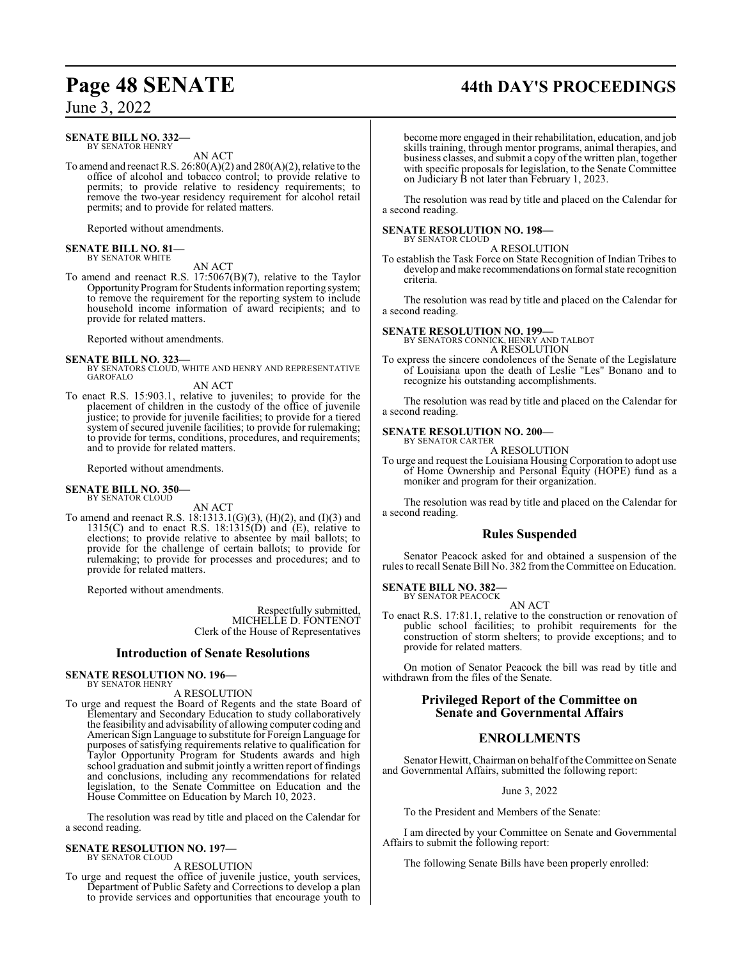# **Page 48 SENATE 44th DAY'S PROCEEDINGS**

June 3, 2022

#### **SENATE BILL NO. 332—** BY SENATOR HENRY

AN ACT

To amend and reenact R.S. 26:80(A)(2) and 280(A)(2), relative to the office of alcohol and tobacco control; to provide relative to permits; to provide relative to residency requirements; to remove the two-year residency requirement for alcohol retail permits; and to provide for related matters.

Reported without amendments.

#### **SENATE BILL NO. 81—** BY SENATOR WHITE

AN ACT

To amend and reenact R.S. 17:5067(B)(7), relative to the Taylor Opportunity Program for Students information reporting system; to remove the requirement for the reporting system to include household income information of award recipients; and to provide for related matters.

Reported without amendments.

**SENATE BILL NO. 323—** BY SENATORS CLOUD, WHITE AND HENRY AND REPRESENTATIVE GAROFALO AN ACT

To enact R.S. 15:903.1, relative to juveniles; to provide for the placement of children in the custody of the office of juvenile justice; to provide for juvenile facilities; to provide for a tiered system of secured juvenile facilities; to provide for rulemaking; to provide for terms, conditions, procedures, and requirements; and to provide for related matters.

Reported without amendments.

#### **SENATE BILL NO. 350—** BY SENATOR CLOUD

AN ACT

To amend and reenact R.S. 18:1313.1(G)(3), (H)(2), and (I)(3) and 1315(C) and to enact R.S.  $18:1315(D)$  and  $(E)$ , relative to elections; to provide relative to absentee by mail ballots; to provide for the challenge of certain ballots; to provide for rulemaking; to provide for processes and procedures; and to provide for related matters.

Reported without amendments.

Respectfully submitted, MICHELLE D. FONTENOT Clerk of the House of Representatives

#### **Introduction of Senate Resolutions**

#### **SENATE RESOLUTION NO. 196—** BY SENATOR HENRY

A RESOLUTION

To urge and request the Board of Regents and the state Board of Elementary and Secondary Education to study collaboratively the feasibility and advisability of allowing computer coding and American Sign Language to substitute for Foreign Language for purposes of satisfying requirements relative to qualification for Taylor Opportunity Program for Students awards and high school graduation and submit jointly a written report of findings and conclusions, including any recommendations for related legislation, to the Senate Committee on Education and the House Committee on Education by March 10, 2023.

The resolution was read by title and placed on the Calendar for a second reading.

#### **SENATE RESOLUTION NO. 197—** BY SENATOR CLOUD

A RESOLUTION

To urge and request the office of juvenile justice, youth services, Department of Public Safety and Corrections to develop a plan to provide services and opportunities that encourage youth to become more engaged in their rehabilitation, education, and job skills training, through mentor programs, animal therapies, and business classes, and submit a copy of the written plan, together with specific proposals for legislation, to the Senate Committee on Judiciary B not later than February 1, 2023.

The resolution was read by title and placed on the Calendar for a second reading.

#### **SENATE RESOLUTION NO. 198—** BY SENATOR CLOUD

A RESOLUTION

To establish the Task Force on State Recognition of Indian Tribes to develop and make recommendations on formal state recognition criteria.

The resolution was read by title and placed on the Calendar for a second reading.

**SENATE RESOLUTION NO. 199—**

BY SENATORS CONNICK, HENRY AND TALBOT A RESOLUTION

To express the sincere condolences of the Senate of the Legislature of Louisiana upon the death of Leslie "Les" Bonano and to recognize his outstanding accomplishments.

The resolution was read by title and placed on the Calendar for a second reading.

#### **SENATE RESOLUTION NO. 200—** BY SENATOR CARTER

A RESOLUTION

To urge and request the Louisiana Housing Corporation to adopt use of Home Ownership and Personal Equity (HOPE) fund as a moniker and program for their organization.

The resolution was read by title and placed on the Calendar for a second reading.

#### **Rules Suspended**

Senator Peacock asked for and obtained a suspension of the rules to recall Senate Bill No. 382 fromthe Committee on Education.

#### **SENATE BILL NO. 382—** BY SENATOR PEACOCK

AN ACT

To enact R.S. 17:81.1, relative to the construction or renovation of public school facilities; to prohibit requirements for the construction of storm shelters; to provide exceptions; and to provide for related matters.

On motion of Senator Peacock the bill was read by title and withdrawn from the files of the Senate.

### **Privileged Report of the Committee on Senate and Governmental Affairs**

#### **ENROLLMENTS**

Senator Hewitt, Chairman on behalf of the Committee on Senate and Governmental Affairs, submitted the following report:

June 3, 2022

To the President and Members of the Senate:

I am directed by your Committee on Senate and Governmental Affairs to submit the following report:

The following Senate Bills have been properly enrolled: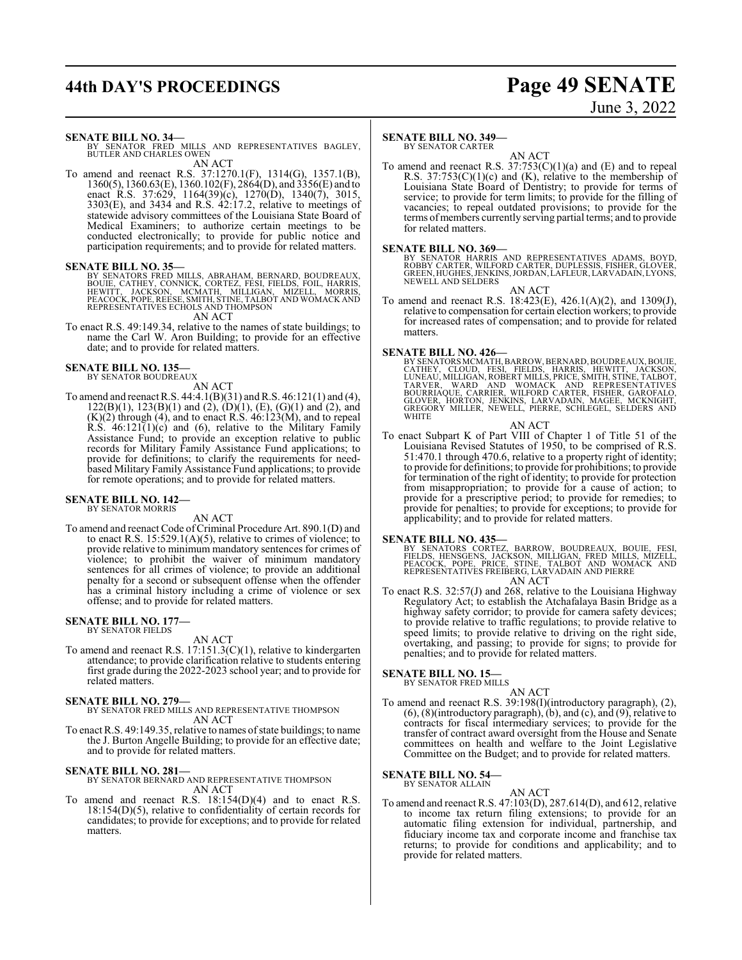# **44th DAY'S PROCEEDINGS Page 49 SENATE**

# June 3, 2022

**SENATE BILL NO. 34—**<br>BY SENATOR FRED MILLS AND REPRESENTATIVES BAGLEY,<br>BUTLER AND CHARLES OWEN AN ACT

To amend and reenact R.S. 37:1270.1(F), 1314(G), 1357.1(B), 1360(5), 1360.63(E), 1360.102(F), 2864(D), and 3356(E) and to enact R.S. 37:629, 1164(39)(c), 1270(D), 1340(7), 3015, 3303(E), and 3434 and R.S. 42:17.2, relative to meetings of statewide advisory committees of the Louisiana State Board of Medical Examiners; to authorize certain meetings to be conducted electronically; to provide for public notice and participation requirements; and to provide for related matters.

#### **SENATE BILL NO. 35—**

BY SENATORS FRED MILLS, ABRAHAM, BERNARD, BOUDREAUX,<br>BOUIE, CATHEY, CONNICK, CORTEZ, FESI, FIELDS, FOIL, HARRIS,<br>HEWITT, JACKSON, MCMATH, MILLIGAN, MIZELL, MORRIS,<br>PEACOCK,POPE,REESE,SMITH,STINE,TALBOT AND WOMACKAND<br>REPRES

AN ACT

To enact R.S. 49:149.34, relative to the names of state buildings; to name the Carl W. Aron Building; to provide for an effective date; and to provide for related matters.

#### **SENATE BILL NO. 135—** BY SENATOR BOUDREAUX

AN ACT

To amend and reenact R.S.  $44:4.1(B)(31)$  and R.S.  $46:121(1)$  and  $(4)$ ,  $122(B)(1)$ ,  $123(B)(1)$  and  $(2)$ ,  $(D)(1)$ ,  $(E)$ ,  $(G)(1)$  and  $(2)$ , and  $(K)(2)$  through  $(4)$ , and to enact R.S.  $46:123(M)$ , and to repeal R.S.  $46:121(1)(c)$  and  $(6)$ , relative to the Military Family Assistance Fund; to provide an exception relative to public records for Military Family Assistance Fund applications; to provide for definitions; to clarify the requirements for needbased Military Family Assistance Fund applications; to provide for remote operations; and to provide for related matters.

# **SENATE BILL NO. 142—** BY SENATOR MORRIS

AN ACT

To amend and reenact Code of Criminal Procedure Art. 890.1(D) and to enact R.S.  $15:529.1(A)(5)$ , relative to crimes of violence; to provide relative to minimum mandatory sentences for crimes of violence; to prohibit the waiver of minimum mandatory sentences for all crimes of violence; to provide an additional penalty for a second or subsequent offense when the offender has a criminal history including a crime of violence or sex offense; and to provide for related matters.

## **SENATE BILL NO. 177—** BY SENATOR FIELDS

AN ACT

To amend and reenact R.S. 17:151.3(C)(1), relative to kindergarten attendance; to provide clarification relative to students entering first grade during the 2022-2023 school year; and to provide for related matters.

#### **SENATE BILL NO. 279—**

BY SENATOR FRED MILLS AND REPRESENTATIVE THOMPSON AN ACT

To enact R.S. 49:149.35, relative to names of state buildings; to name the J. Burton Angelle Building; to provide for an effective date; and to provide for related matters.

#### **SENATE BILL NO. 281—**

BY SENATOR BERNARD AND REPRESENTATIVE THOMPSON AN ACT

To amend and reenact R.S. 18:154(D)(4) and to enact R.S. 18:154(D)(5), relative to confidentiality of certain records for candidates; to provide for exceptions; and to provide for related matters.

#### **SENATE BILL NO. 349—**

BY SENATOR CARTER AN ACT

To amend and reenact R.S.  $37:753(C)(1)(a)$  and (E) and to repeal R.S.  $37:753(C)(1)(c)$  and (K), relative to the membership of Louisiana State Board of Dentistry; to provide for terms of service; to provide for term limits; to provide for the filling of vacancies; to repeal outdated provisions; to provide for the terms of members currently serving partial terms; and to provide for related matters.

**SENATE BILL NO. 369—**<br>BY SENATOR HARRIS AND REPRESENTATIVES ADAMS, BOYD,<br>ROBBY CARTER, WILFORD CARTER, DUPLESSIS, FISHER, GLOVER,<br>GREEN, HUGHES, JENKINS, JORDAN, LAFLEUR, LARVADAIN, LYONS, NEWELL AND SELDERS

AN ACT To amend and reenact R.S. 18:423(E), 426.1(A)(2), and 1309(J),

relative to compensation for certain election workers; to provide for increased rates of compensation; and to provide for related matters.

**SENATE BILL NO. 426—**<br>
BY SENATORS MCMATH, BARROW, BERNARD, BOUDREAUX, BOUIE,<br>
CATHEY, CLOUD, FESI, FIELDS, HARRIS, HEWITT, JACKSON,<br>
LUNEAU, MILLIGAN, ROBERT MILLS, PRICE, SMITH, STINE, TALBOT,<br>
TARVER, WARD AND WOMACK A

#### AN ACT

To enact Subpart K of Part VIII of Chapter 1 of Title 51 of the Louisiana Revised Statutes of 1950, to be comprised of R.S. 51:470.1 through 470.6, relative to a property right of identity; to provide for definitions; to provide for prohibitions; to provide for termination of the right of identity; to provide for protection from misappropriation; to provide for a cause of action; to provide for a prescriptive period; to provide for remedies; to provide for penalties; to provide for exceptions; to provide for applicability; and to provide for related matters.

**SENATE BILL NO. 435—**<br>BY SENATORS CORTEZ, BARROW, BOUDREAUX, BOUIE, FESI,<br>FIELDS, HENSGENS, JACKSON, MILLIGAN, FRED MILLS, MIZELL,<br>PEACOCK, POPE, PRICE, STINE, TALBOT AND WOMACK AND<br>REPRESENTATIVES FREIBERG, LARVADAIN AND AN ACT

To enact R.S. 32:57(J) and 268, relative to the Louisiana Highway Regulatory Act; to establish the Atchafalaya Basin Bridge as a highway safety corridor; to provide for camera safety devices; to provide relative to traffic regulations; to provide relative to speed limits; to provide relative to driving on the right side, overtaking, and passing; to provide for signs; to provide for penalties; and to provide for related matters.

#### **SENATE BILL NO. 15—** BY SENATOR FRED MILLS

AN ACT

To amend and reenact R.S. 39:198(I)(introductory paragraph), (2), (6), (8)(introductory paragraph), (b), and (c), and (9), relative to contracts for fiscal intermediary services; to provide for the transfer of contract award oversight from the House and Senate committees on health and welfare to the Joint Legislative Committee on the Budget; and to provide for related matters.

#### **SENATE BILL NO. 54—** BY SENATOR ALLAIN

AN ACT

To amend and reenact R.S. 47:103(D), 287.614(D), and 612, relative to income tax return filing extensions; to provide for an automatic filing extension for individual, partnership, and fiduciary income tax and corporate income and franchise tax returns; to provide for conditions and applicability; and to provide for related matters.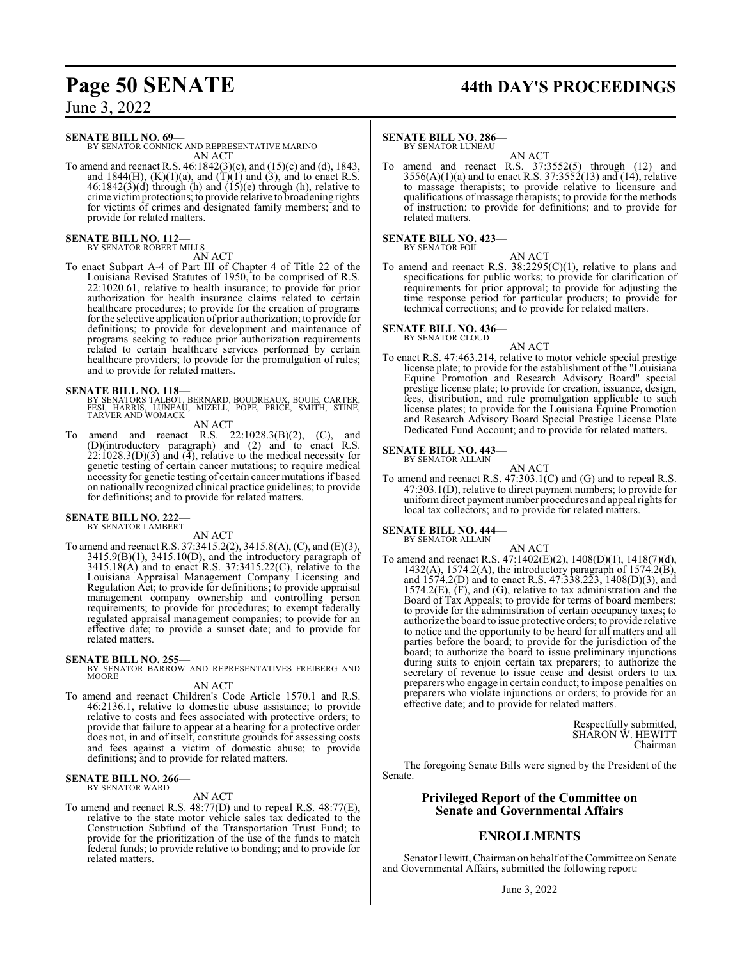# **Page 50 SENATE 44th DAY'S PROCEEDINGS**

June 3, 2022

**SENATE BILL NO. 69—**

BY SENATOR CONNICK AND REPRESENTATIVE MARINO AN ACT

To amend and reenact R.S. 46:1842(3)(c), and (15)(c) and (d), 1843, and 1844(H),  $(K)(1)(a)$ , and  $(T)(1)$  and  $(3)$ , and to enact R.S.  $46:1842(3)(d)$  through (h) and  $(15)(e)$  through (h), relative to crime victimprotections; to provide relative to broadening rights for victims of crimes and designated family members; and to provide for related matters.

# **SENATE BILL NO. 112—** BY SENATOR ROBERT MILLS

AN ACT

To enact Subpart A-4 of Part III of Chapter 4 of Title 22 of the Louisiana Revised Statutes of 1950, to be comprised of R.S. 22:1020.61, relative to health insurance; to provide for prior authorization for health insurance claims related to certain healthcare procedures; to provide for the creation of programs for the selective application of prior authorization; to provide for definitions; to provide for development and maintenance of programs seeking to reduce prior authorization requirements related to certain healthcare services performed by certain healthcare providers; to provide for the promulgation of rules; and to provide for related matters.

- **SENATE BILL NO. 118—**<br>BY SENATORS TALBOT, BERNARD, BOUDREAUX, BOUIE, CARTER,<br>FESI, HARRIS, LUNEAU, MIZELL, POPE, PRICE, SMITH, STINE,<br>TARVER AND WOMACK
	- AN ACT
- To amend and reenact R.S. 22:1028.3(B)(2), (C), and (D)(introductory paragraph) and (2) and to enact R.S.  $22:1028.3(D)(3)$  and  $(4)$ , relative to the medical necessity for genetic testing of certain cancer mutations; to require medical necessity for genetic testing of certain cancer mutations if based on nationally recognized clinical practice guidelines; to provide for definitions; and to provide for related matters.

#### **SENATE BILL NO. 222—**

BY SENATOR LAMBERT AN ACT

To amend and reenact R.S. 37:3415.2(2), 3415.8(A), (C), and (E)(3),  $3415.9(B)(1)$ ,  $3415.10(D)$ , and the introductory paragraph of  $3415.18(A)$  and to enact R.S.  $37:3415.22(C)$ , relative to the Louisiana Appraisal Management Company Licensing and Regulation Act; to provide for definitions; to provide appraisal management company ownership and controlling person requirements; to provide for procedures; to exempt federally regulated appraisal management companies; to provide for an effective date; to provide a sunset date; and to provide for related matters.

**SENATE BILL NO. 255—** BY SENATOR BARROW AND REPRESENTATIVES FREIBERG AND MOORE

- AN ACT
- To amend and reenact Children's Code Article 1570.1 and R.S. 46:2136.1, relative to domestic abuse assistance; to provide relative to costs and fees associated with protective orders; to provide that failure to appear at a hearing for a protective order does not, in and of itself, constitute grounds for assessing costs and fees against a victim of domestic abuse; to provide definitions; and to provide for related matters.

# **SENATE BILL NO. 266—** BY SENATOR WARD

### AN ACT

To amend and reenact R.S. 48:77(D) and to repeal R.S. 48:77(E), relative to the state motor vehicle sales tax dedicated to the Construction Subfund of the Transportation Trust Fund; to provide for the prioritization of the use of the funds to match federal funds; to provide relative to bonding; and to provide for related matters.

### **SENATE BILL NO. 286**

BY SENATOR LUNEAU AN ACT

To amend and reenact R.S. 37:3552(5) through (12) and  $3556(A)(1)(a)$  and to enact R.S.  $37:3552(13)$  and  $(14)$ , relative to massage therapists; to provide relative to licensure and qualifications of massage therapists; to provide for the methods of instruction; to provide for definitions; and to provide for related matters.

# **SENATE BILL NO. 423—**<br>BY SENATOR FOIL

AN ACT

To amend and reenact R.S.  $38:2295(C)(1)$ , relative to plans and specifications for public works; to provide for clarification of requirements for prior approval; to provide for adjusting the time response period for particular products; to provide for technical corrections; and to provide for related matters.

## **SENATE BILL NO. 436—**

BY SENATOR CLOUD

AN ACT To enact R.S. 47:463.214, relative to motor vehicle special prestige license plate; to provide for the establishment of the "Louisiana Equine Promotion and Research Advisory Board" special prestige license plate; to provide for creation, issuance, design, fees, distribution, and rule promulgation applicable to such license plates; to provide for the Louisiana Equine Promotion and Research Advisory Board Special Prestige License Plate Dedicated Fund Account; and to provide for related matters.

# **SENATE BILL NO. 443—** BY SENATOR ALLAIN

AN ACT

To amend and reenact R.S. 47:303.1(C) and (G) and to repeal R.S. 47:303.1(D), relative to direct payment numbers; to provide for uniformdirect payment number procedures and appeal rights for local tax collectors; and to provide for related matters.

#### **SENATE BILL NO. 444—** BY SENATOR ALLAIN

AN ACT To amend and reenact R.S. 47:1402(E)(2), 1408(D)(1), 1418(7)(d), 1432(A), 1574.2(A), the introductory paragraph of  $1574.2(B)$ , and 1574.2(D) and to enact R.S. 47:338.223, 1408(D)(3), and 1574.2(E), (F), and (G), relative to tax administration and the Board of Tax Appeals; to provide for terms of board members; to provide for the administration of certain occupancy taxes; to authorize the board to issue protective orders; to provide relative to notice and the opportunity to be heard for all matters and all parties before the board; to provide for the jurisdiction of the board; to authorize the board to issue preliminary injunctions during suits to enjoin certain tax preparers; to authorize the secretary of revenue to issue cease and desist orders to tax preparers who engage in certain conduct; to impose penalties on preparers who violate injunctions or orders; to provide for an effective date; and to provide for related matters.

> Respectfully submitted, SHARON W. HEWITT Chairman

The foregoing Senate Bills were signed by the President of the Senate.

## **Privileged Report of the Committee on Senate and Governmental Affairs**

## **ENROLLMENTS**

Senator Hewitt, Chairman on behalf of the Committee on Senate and Governmental Affairs, submitted the following report: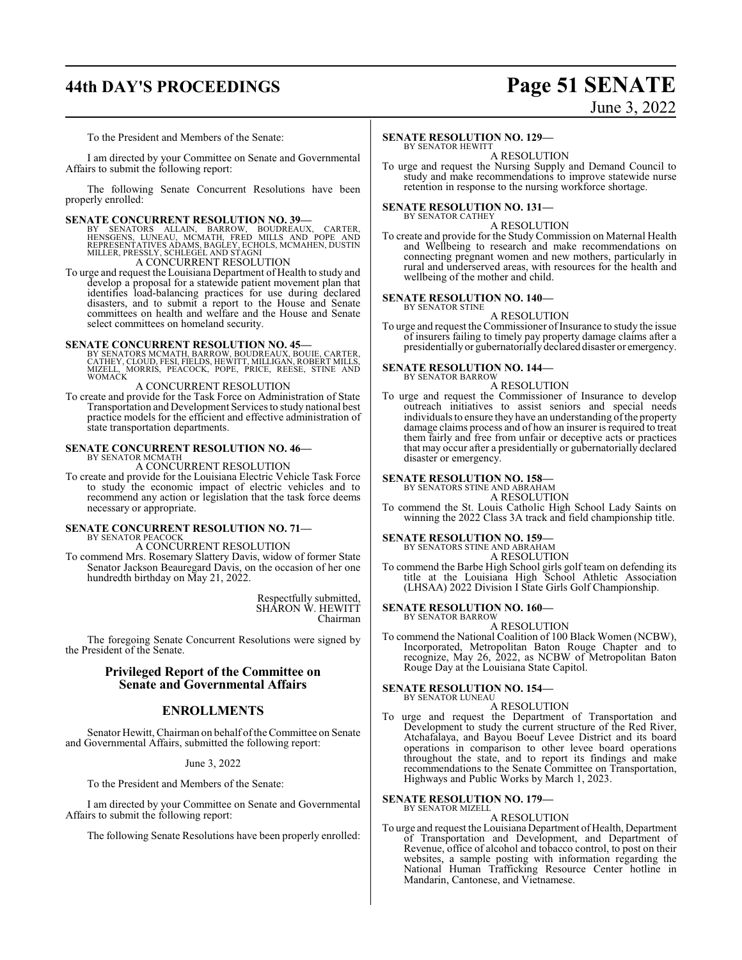# **44th DAY'S PROCEEDINGS Page 51 SENATE** June 3, 2022

To the President and Members of the Senate:

I am directed by your Committee on Senate and Governmental Affairs to submit the following report:

The following Senate Concurrent Resolutions have been properly enrolled:

#### **SENATE CONCURRENT RESOLUTION NO. 39—**

BY SENATORS ALLAIN, BARROW, BOUDREAUX, CARTER,<br>HENSGENS, LUNEAU, MCMATH, FRED MILLS AND POPE AND<br>REPRESENTATIVES ADAMS,BAGLEY,ECHOLS,MCMAHEN,DUSTIN<br>MILLER,PRESSLY,SCHLEGEL AND STAGNI A CONCURRENT RESOLUTION

To urge and request the Louisiana Department of Health to study and develop a proposal for a statewide patient movement plan that identifies load-balancing practices for use during declared disasters, and to submit a report to the House and Senate committees on health and welfare and the House and Senate select committees on homeland security.

#### **SENATE CONCURRENT RESOLUTION NO. 45—**

BY SENATORS MCMATH, BARROW, BOUDREAUX, BOUIE, CARTER,<br>CATHEY, CLOUD, FESI, FIELDS, HEWITT, MILLIGAN, ROBERT MILLS,<br>MIZELL, MORRIS, PEACOCK, POPE, PRICE, REESE, STINE AND WOMACK

## A CONCURRENT RESOLUTION

To create and provide for the Task Force on Administration of State Transportation and Development Services to study national best practice models for the efficient and effective administration of state transportation departments.

#### **SENATE CONCURRENT RESOLUTION NO. 46—** BY SENATOR MCMATH

A CONCURRENT RESOLUTION

To create and provide for the Louisiana Electric Vehicle Task Force to study the economic impact of electric vehicles and to recommend any action or legislation that the task force deems necessary or appropriate.

# **SENATE CONCURRENT RESOLUTION NO. 71—** BY SENATOR PEACOCK

A CONCURRENT RESOLUTION

To commend Mrs. Rosemary Slattery Davis, widow of former State Senator Jackson Beauregard Davis, on the occasion of her one hundredth birthday on May 21, 2022.

> Respectfully submitted, SHARON W. HEWITT Chairman

The foregoing Senate Concurrent Resolutions were signed by the President of the Senate.

#### **Privileged Report of the Committee on Senate and Governmental Affairs**

#### **ENROLLMENTS**

Senator Hewitt, Chairman on behalf ofthe Committee on Senate and Governmental Affairs, submitted the following report:

#### June 3, 2022

To the President and Members of the Senate:

I am directed by your Committee on Senate and Governmental Affairs to submit the following report:

The following Senate Resolutions have been properly enrolled:

#### **SENATE RESOLUTION NO. 129—**

BY SENATOR HEWITT A RESOLUTION

To urge and request the Nursing Supply and Demand Council to study and make recommendations to improve statewide nurse retention in response to the nursing workforce shortage.

#### **SENATE RESOLUTION NO. 131—**

#### BY SENATOR CATHEY A RESOLUTION

To create and provide for the Study Commission on Maternal Health and Wellbeing to research and make recommendations on connecting pregnant women and new mothers, particularly in rural and underserved areas, with resources for the health and wellbeing of the mother and child.

# **SENATE RESOLUTION NO. 140—** BY SENATOR STINE

A RESOLUTION

To urge and request the Commissioner of Insurance to study the issue of insurers failing to timely pay property damage claims after a presidentially or gubernatorially declared disaster or emergency.

#### **SENATE RESOLUTION NO. 144—**

BY SENATOR BARROW A RESOLUTION

To urge and request the Commissioner of Insurance to develop outreach initiatives to assist seniors and special needs individuals to ensure they have an understanding of the property damage claims process and of how an insurer is required to treat them fairly and free from unfair or deceptive acts or practices that may occur after a presidentially or gubernatorially declared disaster or emergency.

#### **SENATE RESOLUTION NO. 158—**

BY SENATORS STINE AND ABRAHAM

- A RESOLUTION
- To commend the St. Louis Catholic High School Lady Saints on winning the 2022 Class 3A track and field championship title.

#### **SENATE RESOLUTION NO. 159—**

BY SENATORS STINE AND ABRAHAM A RESOLUTION

To commend the Barbe High School girls golf team on defending its title at the Louisiana High School Athletic Association (LHSAA) 2022 Division I State Girls Golf Championship.

**SENATE RESOLUTION NO. 160—**

BY SENATOR BARROW A RESOLUTION

To commend the National Coalition of 100 Black Women (NCBW), Incorporated, Metropolitan Baton Rouge Chapter and to recognize, May 26, 2022, as NCBW of Metropolitan Baton Rouge Day at the Louisiana State Capitol.

#### **SENATE RESOLUTION NO. 154—**

BY SENATOR LUNEAU A RESOLUTION

To urge and request the Department of Transportation and Development to study the current structure of the Red River, Atchafalaya, and Bayou Boeuf Levee District and its board operations in comparison to other levee board operations throughout the state, and to report its findings and make recommendations to the Senate Committee on Transportation, Highways and Public Works by March 1, 2023.

#### **SENATE RESOLUTION NO. 179—** BY SENATOR MIZELL

A RESOLUTION

To urge and request the Louisiana Department of Health, Department of Transportation and Development, and Department of Revenue, office of alcohol and tobacco control, to post on their websites, a sample posting with information regarding the National Human Trafficking Resource Center hotline in Mandarin, Cantonese, and Vietnamese.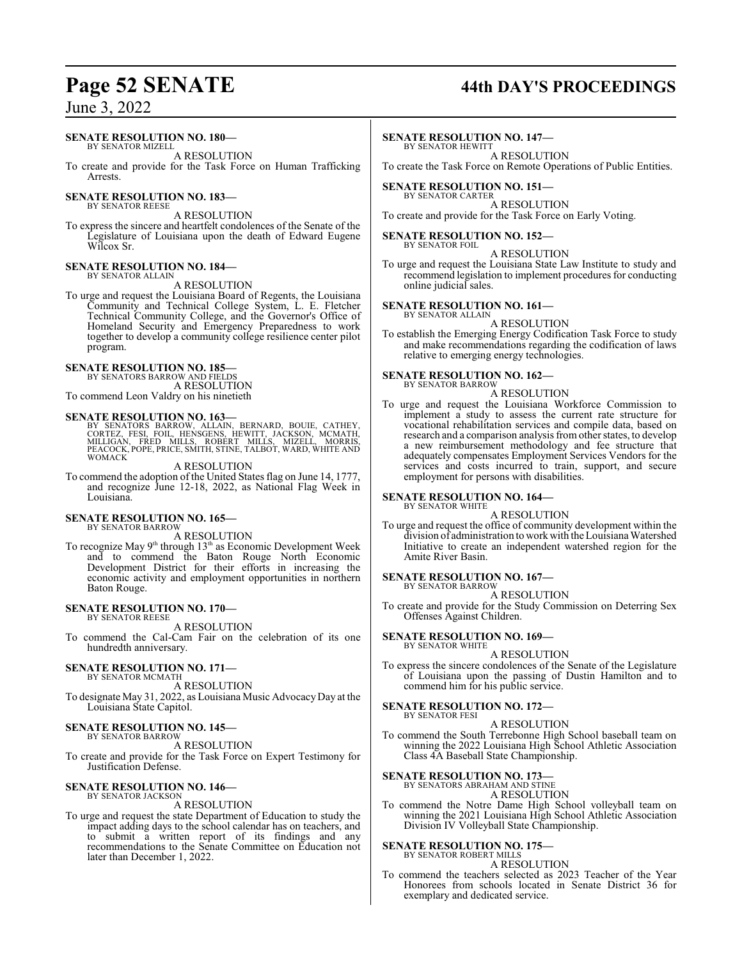# **Page 52 SENATE 44th DAY'S PROCEEDINGS**

June 3, 2022

### **SENATE RESOLUTION NO. 180—**

BY SENATOR MIZELL A RESOLUTION

To create and provide for the Task Force on Human Trafficking Arrests.

#### **SENATE RESOLUTION NO. 183—** BY SENATOR REESE

A RESOLUTION

To express the sincere and heartfelt condolences of the Senate of the Legislature of Louisiana upon the death of Edward Eugene Wilcox Sr.

#### **SENATE RESOLUTION NO. 184—** BY SENATOR ALLAIN

A RESOLUTION

To urge and request the Louisiana Board of Regents, the Louisiana Community and Technical College System, L. E. Fletcher Technical Community College, and the Governor's Office of Homeland Security and Emergency Preparedness to work together to develop a community college resilience center pilot program.

#### **SENATE RESOLUTION NO. 185—**

BY SENATORS BARROW AND FIELDS A RESOLUTION

To commend Leon Valdry on his ninetieth

### **SENATE RESOLUTION NO. 163—**

BY SENATORS BARROW, ALLAIN, BERNARD, BOUIE, CATHEY,<br>CORTEZ, FESI, FOIL, HENSGENS, HEWITT, JACKSON, MCMATH,<br>MILLIGAN, FRED MILLS, ROBERT MILLS, MIZELL, MORRIS,<br>PEACOCK,POPE,PRICE,SMITH,STINE,TALBOT,WARD,WHITEAND<br>WOMACK

A RESOLUTION

To commend the adoption of the United States flag on June 14, 1777, and recognize June 12-18, 2022, as National Flag Week in Louisiana.

#### **SENATE RESOLUTION NO. 165—** BY SENATOR BARROW

A RESOLUTION

To recognize May 9<sup>th</sup> through 13<sup>th</sup> as Economic Development Week and to commend the Baton Rouge North Economic Development District for their efforts in increasing the economic activity and employment opportunities in northern Baton Rouge.

#### **SENATE RESOLUTION NO. 170—** BY SENATOR REESE

A RESOLUTION

To commend the Cal-Cam Fair on the celebration of its one hundredth anniversary.

#### **SENATE RESOLUTION NO. 171—** BY SENATOR MCMATH

A RESOLUTION

To designate May 31, 2022, as Louisiana Music AdvocacyDay at the Louisiana State Capitol.

#### **SENATE RESOLUTION NO. 145—** BY SENATOR BARROW

A RESOLUTION

To create and provide for the Task Force on Expert Testimony for Justification Defense.

#### **SENATE RESOLUTION NO. 146—** BY SENATOR JACKSON

A RESOLUTION

To urge and request the state Department of Education to study the impact adding days to the school calendar has on teachers, and to submit a written report of its findings and any recommendations to the Senate Committee on Education not later than December 1, 2022.

#### **SENATE RESOLUTION NO. 147—**

BY SENATOR HEWITT A RESOLUTION

To create the Task Force on Remote Operations of Public Entities.

#### **SENATE RESOLUTION NO. 151—**

BY SENATOR CARTER A RESOLUTION To create and provide for the Task Force on Early Voting.

## **SENATE RESOLUTION NO. 152—**

BY SENATOR FOIL A RESOLUTION

To urge and request the Louisiana State Law Institute to study and recommend legislation to implement procedures for conducting online judicial sales.

#### **SENATE RESOLUTION NO. 161—** BY SENATOR ALLAIN

A RESOLUTION

To establish the Emerging Energy Codification Task Force to study and make recommendations regarding the codification of laws relative to emerging energy technologies.

# **SENATE RESOLUTION NO. 162—** BY SENATOR BARROW

A RESOLUTION

To urge and request the Louisiana Workforce Commission to implement a study to assess the current rate structure for vocational rehabilitation services and compile data, based on research and a comparison analysis fromother states, to develop a new reimbursement methodology and fee structure that adequately compensates Employment Services Vendors for the services and costs incurred to train, support, and secure employment for persons with disabilities.

#### **SENATE RESOLUTION NO. 164—** BY SENATOR WHITE

A RESOLUTION

To urge and request the office of community development within the division of administration to workwith the Louisiana Watershed Initiative to create an independent watershed region for the Amite River Basin.

# **SENATE RESOLUTION NO. 167—** BY SENATOR BARROW

A RESOLUTION

To create and provide for the Study Commission on Deterring Sex Offenses Against Children.

#### **SENATE RESOLUTION NO. 169—** BY SENATOR WHITE

A RESOLUTION

To express the sincere condolences of the Senate of the Legislature of Louisiana upon the passing of Dustin Hamilton and to commend him for his public service.

#### **SENATE RESOLUTION NO. 172—** BY SENATOR FESI

A RESOLUTION

To commend the South Terrebonne High School baseball team on winning the 2022 Louisiana High School Athletic Association Class 4A Baseball State Championship.

## **SENATE RESOLUTION NO. 173—** BY SENATORS ABRAHAM AND STINE

A RESOLUTION

To commend the Notre Dame High School volleyball team on winning the 2021 Louisiana High School Athletic Association Division IV Volleyball State Championship.

# **SENATE RESOLUTION NO. 175—** BY SENATOR ROBERT MILLS

A RESOLUTION

To commend the teachers selected as 2023 Teacher of the Year Honorees from schools located in Senate District 36 for exemplary and dedicated service.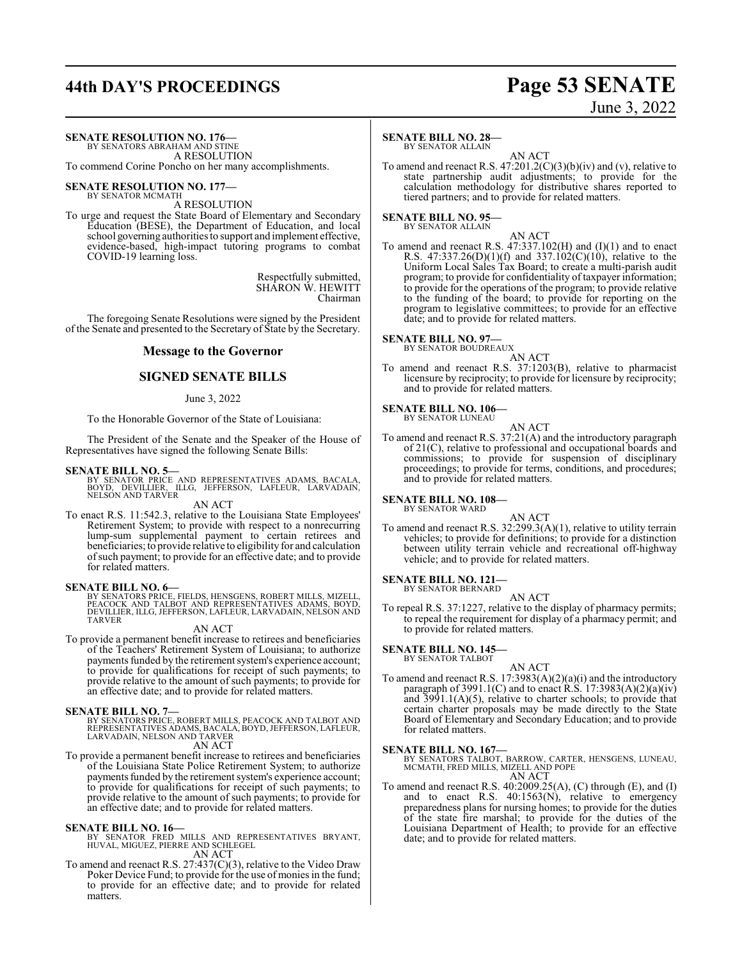# **44th DAY'S PROCEEDINGS Page 53 SENATE**

# June 3, 2022

#### **SENATE RESOLUTION NO. 176—** BY SENATORS ABRAHAM AND STINE

A RESOLUTION

To commend Corine Poncho on her many accomplishments.

#### **SENATE RESOLUTION NO. 177—** BY SENATOR MCMATH

A RESOLUTION

To urge and request the State Board of Elementary and Secondary Education (BESE), the Department of Education, and local school governing authorities to support and implement effective, evidence-based, high-impact tutoring programs to combat COVID-19 learning loss.

> Respectfully submitted, SHARON W. HEWITT Chairman

The foregoing Senate Resolutions were signed by the President of the Senate and presented to the Secretary of State by the Secretary.

#### **Message to the Governor**

#### **SIGNED SENATE BILLS**

#### June 3, 2022

To the Honorable Governor of the State of Louisiana:

The President of the Senate and the Speaker of the House of Representatives have signed the following Senate Bills:

#### **SENATE BILL NO. 5—**

BY SENATOR PRICE AND REPRESENTATIVES ADAMS, BACALA,<br>BOYD, DEVILLIER, ILLG, JEFFERSON, LAFLEUR, LARVADAIN,<br>NELSON ANDTARVER

#### AN ACT

To enact R.S. 11:542.3, relative to the Louisiana State Employees' Retirement System; to provide with respect to a nonrecurring lump-sum supplemental payment to certain retirees and beneficiaries; to provide relative to eligibility for and calculation ofsuch payment; to provide for an effective date; and to provide for related matters.

#### **SENATE BILL NO. 6—**

BY SENATORS PRICE, FIELDS, HENSGENS, ROBERT MILLS, MIZELL, PEACOCK AND TALBOT AND REPRESENTATIVES ADAMS, BOYD, DEVILLIER, ILLG, JEFFERSON, LAFLEUR, LARVADAIN, NELSON AND TARVER

#### AN ACT

To provide a permanent benefit increase to retirees and beneficiaries of the Teachers' Retirement System of Louisiana; to authorize payments funded by the retirement system's experience account; to provide for qualifications for receipt of such payments; to provide relative to the amount of such payments; to provide for an effective date; and to provide for related matters.

- **SENATE BILL NO. 7—** BY SENATORS PRICE, ROBERT MILLS, PEACOCK AND TALBOT AND REPRESENTATIVES ADAMS, BACALA, BOYD, JEFFERSON, LAFLEUR, LARVADAIN, NELSON AND TARVER AN ACT
- To provide a permanent benefit increase to retirees and beneficiaries of the Louisiana State Police Retirement System; to authorize payments funded by the retirement system's experience account; to provide for qualifications for receipt of such payments; to provide relative to the amount of such payments; to provide for an effective date; and to provide for related matters.

- **SENATE BILL NO. 16—**<br>BY SENATOR FRED MILLS AND REPRESENTATIVES BRYANT,<br>HUVAL, MIGUEZ, PIERRE AND SCHLEGEL AN ACT
- To amend and reenact R.S. 27:437(C)(3), relative to the Video Draw Poker Device Fund; to provide for the use of monies in the fund; to provide for an effective date; and to provide for related matters.

#### **SENATE BILL NO. 28—** BY SENATOR ALLAIN

AN ACT To amend and reenact R.S.  $47:201.2(C)(3)(b)(iv)$  and (v), relative to state partnership audit adjustments; to provide for the calculation methodology for distributive shares reported to tiered partners; and to provide for related matters.

# **SENATE BILL NO. 95—** BY SENATOR ALLAIN

AN ACT To amend and reenact R.S.  $47:337.102(H)$  and  $(I)(1)$  and to enact R.S.  $47:337.26(D)(1)(f)$  and  $337.102(C)(10)$ , relative to the Uniform Local Sales Tax Board; to create a multi-parish audit program; to provide for confidentiality of taxpayer information; to provide for the operations of the program; to provide relative to the funding of the board; to provide for reporting on the program to legislative committees; to provide for an effective date; and to provide for related matters.

#### **SENATE BILL NO. 97—**

BY SENATOR BOUDREAUX

AN ACT

To amend and reenact R.S. 37:1203(B), relative to pharmacist licensure by reciprocity; to provide for licensure by reciprocity; and to provide for related matters.

#### **SENATE BILL NO. 106—** BY SENATOR LUNEAU

AN ACT To amend and reenact R.S. 37:21(A) and the introductory paragraph of 21(C), relative to professional and occupational boards and commissions; to provide for suspension of disciplinary proceedings; to provide for terms, conditions, and procedures; and to provide for related matters.

#### **SENATE BILL NO. 108—**

BY SENATOR WARD

AN ACT

To amend and reenact R.S. 32:299.3(A)(1), relative to utility terrain vehicles; to provide for definitions; to provide for a distinction between utility terrain vehicle and recreational off-highway vehicle; and to provide for related matters.

# **SENATE BILL NO. 121—** BY SENATOR BERNARD

AN ACT

To repeal R.S. 37:1227, relative to the display of pharmacy permits; to repeal the requirement for display of a pharmacy permit; and to provide for related matters.

#### **SENATE BILL NO. 145—**

BY SENATOR TALBOT

AN ACT

To amend and reenact R.S. 17:3983(A)(2)(a)(i) and the introductory paragraph of 3991.1(C) and to enact  $\hat{R}$ .S. 17:3983(A)(2)(a)(iv) and 3991.1(A)(5), relative to charter schools; to provide that certain charter proposals may be made directly to the State Board of Elementary and Secondary Education; and to provide for related matters.

**SENATE BILL NO. 167—** BY SENATORS TALBOT, BARROW, CARTER, HENSGENS, LUNEAU, MCMATH, FRED MILLS, MIZELL AND POPE AN ACT

To amend and reenact R.S. 40:2009.25(A), (C) through (E), and (I) and to enact R.S. 40:1563(N), relative to emergency preparedness plans for nursing homes; to provide for the duties of the state fire marshal; to provide for the duties of the Louisiana Department of Health; to provide for an effective date; and to provide for related matters.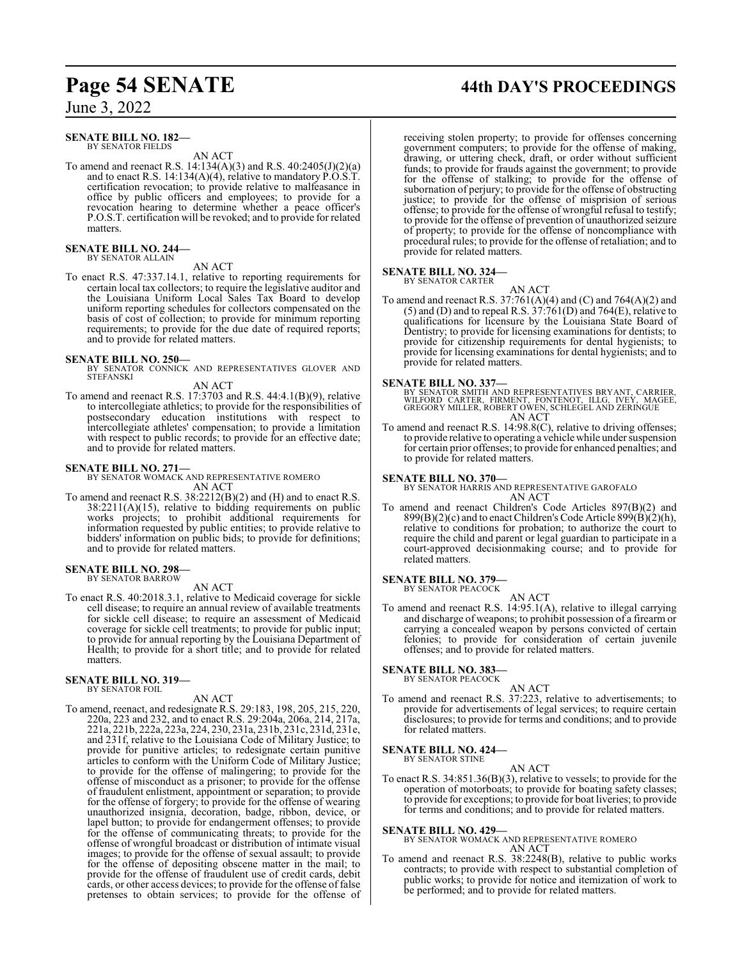#### **SENATE BILL NO. 182—** BY SENATOR FIELDS

AN ACT

To amend and reenact R.S. 14:134(A)(3) and R.S. 40:2405(J)(2)(a) and to enact R.S. 14:134(A)(4), relative to mandatory P.O.S.T. certification revocation; to provide relative to malfeasance in office by public officers and employees; to provide for a revocation hearing to determine whether a peace officer's P.O.S.T. certification will be revoked; and to provide for related matters.

#### **SENATE BILL NO. 244—** BY SENATOR ALLAIN

AN ACT

To enact R.S. 47:337.14.1, relative to reporting requirements for certain local tax collectors; to require the legislative auditor and the Louisiana Uniform Local Sales Tax Board to develop uniform reporting schedules for collectors compensated on the basis of cost of collection; to provide for minimum reporting requirements; to provide for the due date of required reports; and to provide for related matters.

**SENATE BILL NO. 250—** BY SENATOR CONNICK AND REPRESENTATIVES GLOVER AND STEFANSKI AN ACT

To amend and reenact R.S. 17:3703 and R.S. 44:4.1(B)(9), relative to intercollegiate athletics; to provide for the responsibilities of postsecondary education institutions with respect to intercollegiate athletes' compensation; to provide a limitation with respect to public records; to provide for an effective date; and to provide for related matters.

**SENATE BILL NO. 271—** BY SENATOR WOMACK AND REPRESENTATIVE ROMERO AN ACT

To amend and reenact R.S. 38:2212(B)(2) and (H) and to enact R.S.  $38:2211(A)(15)$ , relative to bidding requirements on public works projects; to prohibit additional requirements for information requested by public entities; to provide relative to bidders' information on public bids; to provide for definitions; and to provide for related matters.

#### **SENATE BILL NO. 298—** BY SENATOR BARROW

AN ACT

To enact R.S. 40:2018.3.1, relative to Medicaid coverage for sickle cell disease; to require an annual review of available treatments for sickle cell disease; to require an assessment of Medicaid coverage for sickle cell treatments; to provide for public input; to provide for annual reporting by the Louisiana Department of Health; to provide for a short title; and to provide for related matters.

#### **SENATE BILL NO. 319—**

BY SENATOR FOIL

AN ACT

To amend, reenact, and redesignate R.S. 29:183, 198, 205, 215, 220, 220a, 223 and 232, and to enact R.S. 29:204a, 206a, 214, 217a, 221a, 221b, 222a, 223a, 224, 230, 231a, 231b, 231c, 231d, 231e, and 231f, relative to the Louisiana Code of Military Justice; to provide for punitive articles; to redesignate certain punitive articles to conform with the Uniform Code of Military Justice; to provide for the offense of malingering; to provide for the offense of misconduct as a prisoner; to provide for the offense of fraudulent enlistment, appointment or separation; to provide for the offense of forgery; to provide for the offense of wearing unauthorized insignia, decoration, badge, ribbon, device, or lapel button; to provide for endangerment offenses; to provide for the offense of communicating threats; to provide for the offense of wrongful broadcast or distribution of intimate visual images; to provide for the offense of sexual assault; to provide for the offense of depositing obscene matter in the mail; to provide for the offense of fraudulent use of credit cards, debit cards, or other access devices; to provide for the offense of false pretenses to obtain services; to provide for the offense of

# **Page 54 SENATE 44th DAY'S PROCEEDINGS**

receiving stolen property; to provide for offenses concerning government computers; to provide for the offense of making, drawing, or uttering check, draft, or order without sufficient funds; to provide for frauds against the government; to provide for the offense of stalking; to provide for the offense of subornation of perjury; to provide for the offense of obstructing justice; to provide for the offense of misprision of serious offense; to provide for the offense of wrongful refusal to testify; to provide for the offense of prevention of unauthorized seizure of property; to provide for the offense of noncompliance with procedural rules; to provide for the offense of retaliation; and to provide for related matters.

### **SENATE BILL NO. 324—**

BY SENATOR CARTER

AN ACT To amend and reenact R.S.  $37:761(A)(4)$  and  $(C)$  and  $764(A)(2)$  and (5) and (D) and to repeal R.S.  $37:761(D)$  and  $764(E)$ , relative to qualifications for licensure by the Louisiana State Board of Dentistry; to provide for licensing examinations for dentists; to provide for citizenship requirements for dental hygienists; to provide for licensing examinations for dental hygienists; and to provide for related matters.

#### **SENATE BILL NO. 337—**

BY SENATOR SMITH AND REPRESENTATIVES BRYANT, CARRIER,<br>WILFORD CARTER, FIRMENT, FONTENOT, ILLG, IVEY, MAGEE,<br>GREGORY MILLER, ROBERT OWEN, SCHLEGEL AND ZERINGUE AN ACT

To amend and reenact R.S. 14:98.8(C), relative to driving offenses; to provide relative to operating a vehicle while under suspension for certain prior offenses; to provide for enhanced penalties; and to provide for related matters.

**SENATE BILL NO. 370—** BY SENATOR HARRIS AND REPRESENTATIVE GAROFALO AN ACT

To amend and reenact Children's Code Articles 897(B)(2) and  $899(B)(2)(c)$  and to enact Children's Code Article  $899(B)(2)(h)$ , relative to conditions for probation; to authorize the court to require the child and parent or legal guardian to participate in a court-approved decisionmaking course; and to provide for related matters.

# **SENATE BILL NO. 379—** BY SENATOR PEACOCK

AN ACT

To amend and reenact R.S. 14:95.1(A), relative to illegal carrying and discharge of weapons; to prohibit possession of a firearm or carrying a concealed weapon by persons convicted of certain felonies; to provide for consideration of certain juvenile offenses; and to provide for related matters.

# **SENATE BILL NO. 383—** BY SENATOR PEACOCK

- AN ACT
- To amend and reenact R.S. 37:223, relative to advertisements; to provide for advertisements of legal services; to require certain disclosures; to provide for terms and conditions; and to provide for related matters.

# **SENATE BILL NO. 424—** BY SENATOR STINE

AN ACT

To enact R.S. 34:851.36(B)(3), relative to vessels; to provide for the operation of motorboats; to provide for boating safety classes; to provide for exceptions; to provide for boat liveries; to provide for terms and conditions; and to provide for related matters.

#### **SENATE BILL NO. 429—**

BY SENATOR WOMACK AND REPRESENTATIVE ROMERO AN ACT

To amend and reenact R.S. 38:2248(B), relative to public works contracts; to provide with respect to substantial completion of public works; to provide for notice and itemization of work to be performed; and to provide for related matters.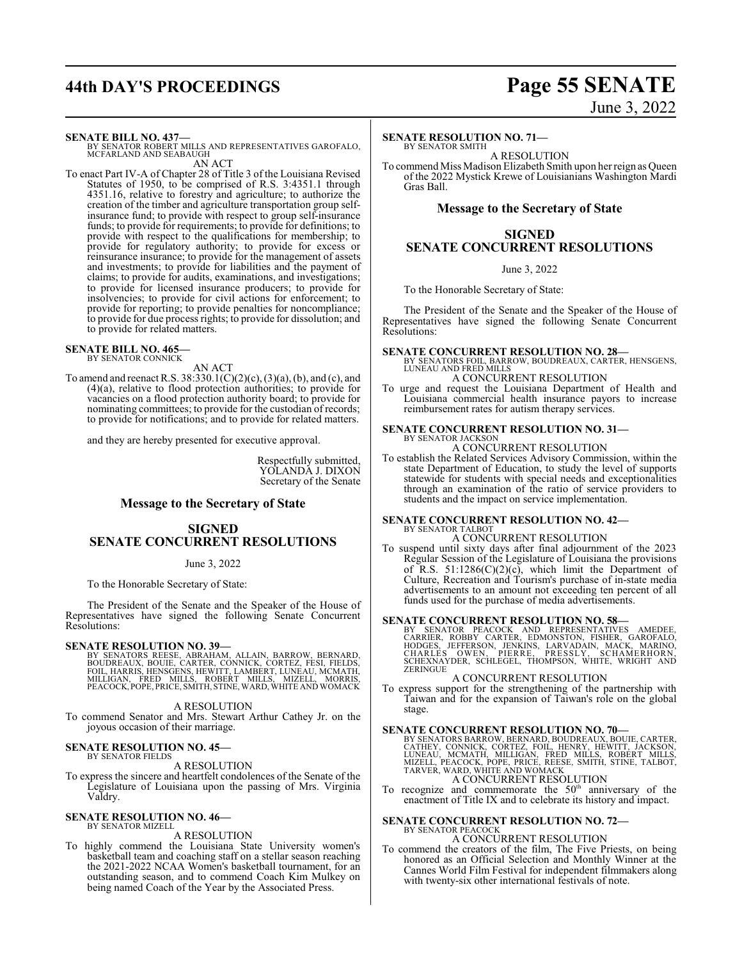# **44th DAY'S PROCEEDINGS Page 55 SENATE**

# June 3, 2022

#### **SENATE BILL NO. 437—**

BY SENATOR ROBERT MILLS AND REPRESENTATIVES GAROFALO, MCFARLAND AND SEABAUGH AN ACT

To enact Part IV-A of Chapter 28 of Title 3 of the Louisiana Revised Statutes of 1950, to be comprised of R.S. 3:4351.1 through 4351.16, relative to forestry and agriculture; to authorize the creation of the timber and agriculture transportation group selfinsurance fund; to provide with respect to group self-insurance funds; to provide for requirements; to provide for definitions; to provide with respect to the qualifications for membership; to provide for regulatory authority; to provide for excess or reinsurance insurance; to provide for the management of assets and investments; to provide for liabilities and the payment of claims; to provide for audits, examinations, and investigations; to provide for licensed insurance producers; to provide for insolvencies; to provide for civil actions for enforcement; to provide for reporting; to provide penalties for noncompliance; to provide for due process rights; to provide for dissolution; and to provide for related matters.

#### **SENATE BILL NO. 465—** BY SENATOR CONNICK

AN ACT

To amend and reenact R.S. 38:330.1(C)(2)(c), (3)(a), (b), and (c), and (4)(a), relative to flood protection authorities; to provide for vacancies on a flood protection authority board; to provide for nominating committees; to provide for the custodian of records; to provide for notifications; and to provide for related matters.

and they are hereby presented for executive approval.

Respectfully submitted, YOLANDA J. DIXON Secretary of the Senate

#### **Message to the Secretary of State**

#### **SIGNED SENATE CONCURRENT RESOLUTIONS**

June 3, 2022

To the Honorable Secretary of State:

The President of the Senate and the Speaker of the House of Representatives have signed the following Senate Concurrent Resolutions:

#### **SENATE RESOLUTION NO. 39—**

BY SENATORS REESE, ABRAHAM, ALLAIN, BARROW, BERNARD,<br>BOUDREAUX, BOUIE, CARTER, CONNICK, CORTEZ, FESI, FIELDS,<br>FOIL, HARRIS, HENSGENS, HEWITT, LAMBERT, LUNEAU, MCMATH,<br>MILLIGAN, FRED MILLS, ROBERT MILLS, MIZELL, MORRIS,<br>PEA

A RESOLUTION

To commend Senator and Mrs. Stewart Arthur Cathey Jr. on the joyous occasion of their marriage.

#### **SENATE RESOLUTION NO. 45—**

BY SENATOR FIELDS A RESOLUTION

To express the sincere and heartfelt condolences of the Senate of the Legislature of Louisiana upon the passing of Mrs. Virginia Valdry.

#### **SENATE RESOLUTION NO. 46—** BY SENATOR MIZELL

A RESOLUTION

To highly commend the Louisiana State University women's basketball team and coaching staff on a stellar season reaching the 2021-2022 NCAA Women's basketball tournament, for an outstanding season, and to commend Coach Kim Mulkey on being named Coach of the Year by the Associated Press.

#### **SENATE RESOLUTION NO. 71—**

BY SENATOR SMITH A RESOLUTION

To commend Miss Madison Elizabeth Smith upon her reign as Queen of the 2022 Mystick Krewe of Louisianians Washington Mardi Gras Ball.

#### **Message to the Secretary of State**

## **SIGNED SENATE CONCURRENT RESOLUTIONS**

June 3, 2022

To the Honorable Secretary of State:

The President of the Senate and the Speaker of the House of Representatives have signed the following Senate Concurrent Resolutions:

#### **SENATE CONCURRENT RESOLUTION NO. 28—**

BY SENATORS FOIL, BARROW, BOUDREAUX, CARTER, HENSGENS, LUNEAU AND FRED MILLS A CONCURRENT RESOLUTION

To urge and request the Louisiana Department of Health and Louisiana commercial health insurance payors to increase reimbursement rates for autism therapy services.

#### **SENATE CONCURRENT RESOLUTION NO. 31—** BY SENATOR JACKSON

A CONCURRENT RESOLUTION

To establish the Related Services Advisory Commission, within the state Department of Education, to study the level of supports statewide for students with special needs and exceptionalities through an examination of the ratio of service providers to students and the impact on service implementation.

#### **SENATE CONCURRENT RESOLUTION NO. 42—** BY SENATOR TALBOT

A CONCURRENT RESOLUTION

To suspend until sixty days after final adjournment of the 2023 Regular Session of the Legislature of Louisiana the provisions of R.S.  $51:1286(C)(2)(c)$ , which limit the Department of Culture, Recreation and Tourism's purchase of in-state media advertisements to an amount not exceeding ten percent of all funds used for the purchase of media advertisements.

#### **SENATE CONCURRENT RESOLUTION NO. 58—**

BY SENATOR PEACOCK AND REPRESENTATIVES AMEDEE,<br>CARRIER, ROBBY CARTER, EDMONSTON, FISHER, GAROFALO,<br>HODGES, JEFFERSON, JENKINS, LARVADAIN, MACK, MARINO,<br>CHARLES OWEN, PIERRE, PRESSLY, SCHAMERHORN,<br>SEHEXNAYDER, SCHLEGEL, THO

#### A CONCURRENT RESOLUTION

To express support for the strengthening of the partnership with Taiwan and for the expansion of Taiwan's role on the global stage.

**SENATE CONCURRENT RESOLUTION NO. 70**<br>BY SENATORS BARROW, BERNARD, BOUDREAUX, BOUIE, CARTER,<br>CATHEY, CONNICK, CORTEZ, FOIL, HENRY, HEWITT, JACKSON,<br>LUNEAU, MCMATH, MILLIGAN, FRED MILLS, ROBERT MILLS,<br>MIZELL, PEACOCK, POPE, A CONCURRENT RESOLUTION

#### To recognize and commemorate the  $50<sup>th</sup>$  anniversary of the enactment of Title IX and to celebrate its history and impact.

# **SENATE CONCURRENT RESOLUTION NO. 72—** BY SENATOR PEACOCK

A CONCURRENT RESOLUTION

To commend the creators of the film, The Five Priests, on being honored as an Official Selection and Monthly Winner at the Cannes World Film Festival for independent filmmakers along with twenty-six other international festivals of note.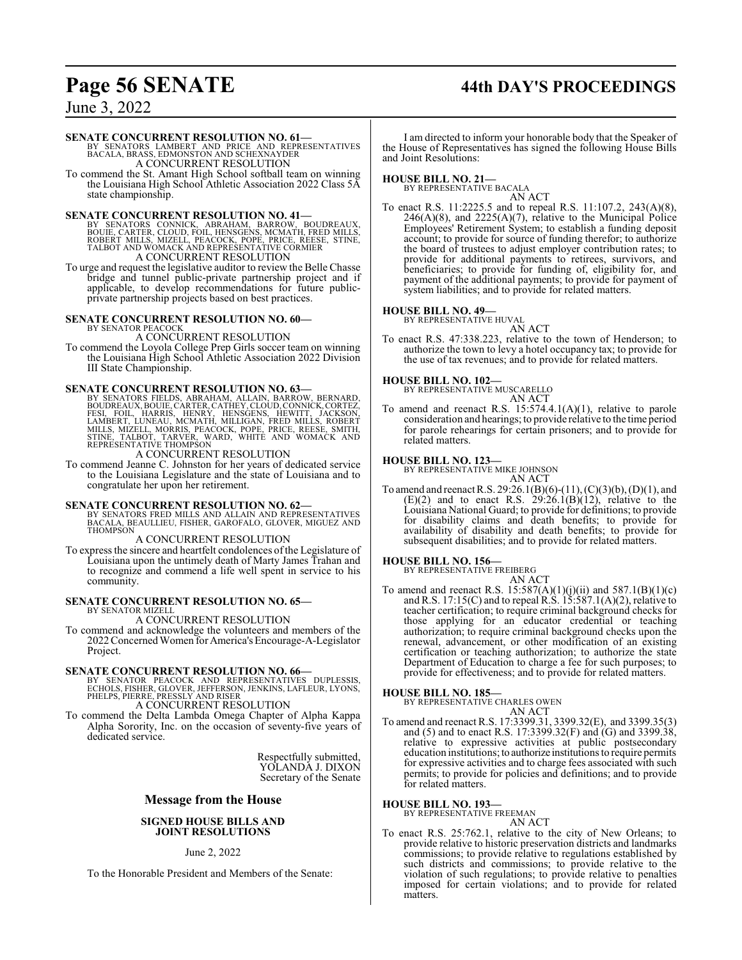# **Page 56 SENATE 44th DAY'S PROCEEDINGS**

June 3, 2022

#### **SENATE CONCURRENT RESOLUTION NO. 61—**

BY SENATORS LAMBERT AND PRICE AND REPRESENTATIVES BACALA, BRASS, EDMONSTON AND SCHEXNAYDER A CONCURRENT RESOLUTION

To commend the St. Amant High School softball team on winning the Louisiana High School Athletic Association 2022 Class 5A state championship.

**SENATE CONCURRENT RESOLUTION NO. 41—BY SENATORS CONNICK, ABRAHAM, BARROW, BOUDREAUX, BOUE, CARTER, CLOUD, FOLLS, ROBERT MILLS, MICHOCK, POPE, PRICE, REESE, STINE, TALBOT AND WOMACK AND REPRESENTATIVE CORMIER A CONCURRENT** 

To urge and request the legislative auditor to review the Belle Chasse bridge and tunnel public-private partnership project and if applicable, to develop recommendations for future publicprivate partnership projects based on best practices.

#### **SENATE CONCURRENT RESOLUTION NO. 60—** BY SENATOR PEACOCK

## A CONCURRENT RESOLUTION

To commend the Loyola College Prep Girls soccer team on winning the Louisiana High School Athletic Association 2022 Division III State Championship.

#### **SENATE CONCURRENT RESOLUTION NO. 63—**

BY SENATORS FIELDS, ABRAHAM, ALLAIN, BARROW, BERNARD,<br>BOUDREAUX,BOUIE,CARTER,CATHEY,CLOUD,CONNICK,CORTEZ,<br>FESI, FOIL, HARRIS, HENRY, HENSGENS, HEWITT, JACKSON,<br>LAMBERT, LUNEAU, MCMATH, MILLIGAN, FRED MILLS, ROBERT<br>MILLS, M

A CONCURRENT RESOLUTION

To commend Jeanne C. Johnston for her years of dedicated service to the Louisiana Legislature and the state of Louisiana and to congratulate her upon her retirement.

#### **SENATE CONCURRENT RESOLUTION NO. 62—**

BY SENATORS FRED MILLS AND ALLAIN AND REPRESENTATIVES BACALA, BEAULLIEU, FISHER, GAROFALO, GLOVER, MIGUEZ AND **THOMPSON** 

#### A CONCURRENT RESOLUTION

To express the sincere and heartfelt condolences ofthe Legislature of Louisiana upon the untimely death of Marty James Trahan and to recognize and commend a life well spent in service to his community.

#### **SENATE CONCURRENT RESOLUTION NO. 65—** BY SENATOR MIZELL

A CONCURRENT RESOLUTION

To commend and acknowledge the volunteers and members of the 2022 ConcernedWomen for America'sEncourage-A-Legislator Project.

**SENATE CONCURRENT RESOLUTION NO. 66—**<br>
BY SENATOR PEACOCK AND REPRESENTATIVES DUPLESSIS,<br>
ECHOLS, FISHER, GLOVER, JEFFERSON, JENKINS, LAFLEUR, LYONS,<br>
PHELPS, PIERRE, PRESSLY AND RISER A CONCURRENT RESOLUTION

To commend the Delta Lambda Omega Chapter of Alpha Kappa Alpha Sorority, Inc. on the occasion of seventy-five years of dedicated service.

> Respectfully submitted, YOLANDA J. DIXON Secretary of the Senate

#### **Message from the House**

#### **SIGNED HOUSE BILLS AND JOINT RESOLUTIONS**

June 2, 2022

To the Honorable President and Members of the Senate:

I am directed to inform your honorable body that the Speaker of the House of Representatives has signed the following House Bills and Joint Resolutions:

#### **HOUSE BILL NO. 21—**

BY REPRESENTATIVE BACALA AN ACT

To enact R.S. 11:2225.5 and to repeal R.S. 11:107.2, 243(A)(8),  $246(A)(8)$ , and  $2225(A)(7)$ , relative to the Municipal Police Employees' Retirement System; to establish a funding deposit account; to provide for source of funding therefor; to authorize the board of trustees to adjust employer contribution rates; to provide for additional payments to retirees, survivors, and beneficiaries; to provide for funding of, eligibility for, and payment of the additional payments; to provide for payment of system liabilities; and to provide for related matters.

#### **HOUSE BILL NO. 49—**

BY REPRESENTATIVE HUVAL

AN ACT To enact R.S. 47:338.223, relative to the town of Henderson; to authorize the town to levy a hotel occupancy tax; to provide for the use of tax revenues; and to provide for related matters.

#### **HOUSE BILL NO. 102—**

BY REPRESENTATIVE MUSCARELLO AN ACT

To amend and reenact R.S. 15:574.4.1(A)(1), relative to parole consideration and hearings; to provide relative to the time period for parole rehearings for certain prisoners; and to provide for related matters.

#### **HOUSE BILL NO. 123—**

BY REPRESENTATIVE MIKE JOHNSON

- AN ACT
- To amend and reenact R.S. 29:26.1(B)(6)-(11), (C)(3)(b), (D)(1), and  $(E)(2)$  and to enact R.S.  $29:26.1(B)(12)$ , relative to the Louisiana National Guard; to provide for definitions; to provide for disability claims and death benefits; to provide for availability of disability and death benefits; to provide for subsequent disabilities; and to provide for related matters.

## **HOUSE BILL NO. 156—** BY REPRESENTATIVE FREIBERG

- AN ACT
- To amend and reenact R.S.  $15:587(A)(1)(j)(ii)$  and  $587.1(B)(1)(c)$ and R.S. 17:15(C) and to repeal R.S. 15:587.1(A)(2), relative to teacher certification; to require criminal background checks for those applying for an educator credential or teaching authorization; to require criminal background checks upon the renewal, advancement, or other modification of an existing certification or teaching authorization; to authorize the state Department of Education to charge a fee for such purposes; to provide for effectiveness; and to provide for related matters.

#### **HOUSE BILL NO. 185—**

BY REPRESENTATIVE CHARLES OWEN AN ACT

To amend and reenact R.S. 17:3399.31, 3399.32(E), and 3399.35(3) and (5) and to enact R.S. 17:3399.32(F) and (G) and 3399.38, relative to expressive activities at public postsecondary education institutions;to authorize institutions to require permits for expressive activities and to charge fees associated with such permits; to provide for policies and definitions; and to provide for related matters.

#### **HOUSE BILL NO. 193—**

BY REPRESENTATIVE FREEMAN

AN ACT

To enact R.S. 25:762.1, relative to the city of New Orleans; to provide relative to historic preservation districts and landmarks commissions; to provide relative to regulations established by such districts and commissions; to provide relative to the violation of such regulations; to provide relative to penalties imposed for certain violations; and to provide for related matters.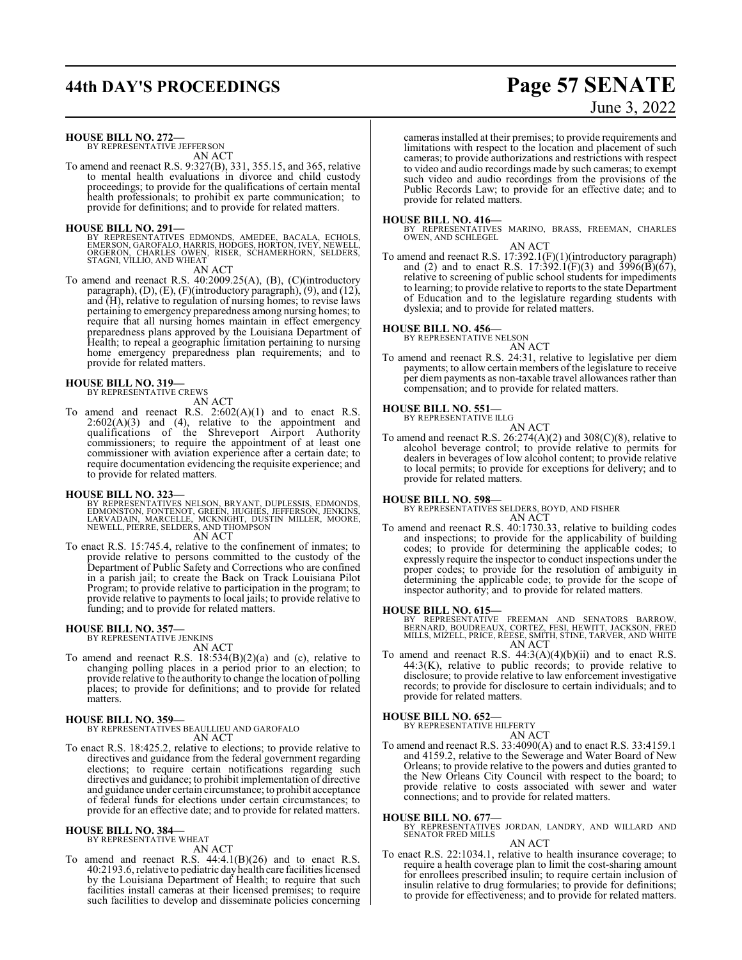# **44th DAY'S PROCEEDINGS Page 57 SENATE**

# June 3, 2022

**HOUSE BILL NO. 272—** BY REPRESENTATIVE JEFFERSON

AN ACT

To amend and reenact R.S. 9:327(B), 331, 355.15, and 365, relative to mental health evaluations in divorce and child custody proceedings; to provide for the qualifications of certain mental health professionals; to prohibit ex parte communication; to provide for definitions; and to provide for related matters.

**HOUSE BILL NO. 291—**

BY REPRESENTATIVES EDMONDS, AMEDEE, BACALA, ECHOLS,<br>EMERSON, GAROFALO, HARRIS, HODGES, HORTON, IVEY, NEWELL,<br>ORGERON, CHARLES OWEN, RISER, SCHAMERHORN, SELDERS, STAGNI, VILLIO, AND WHEAT

AN ACT

To amend and reenact R.S. 40:2009.25(A), (B), (C)(introductory paragraph), (D), (E), (F)(introductory paragraph), (9), and (12), and (H), relative to regulation of nursing homes; to revise laws pertaining to emergency preparedness among nursing homes; to require that all nursing homes maintain in effect emergency preparedness plans approved by the Louisiana Department of Health; to repeal a geographic limitation pertaining to nursing home emergency preparedness plan requirements; and to provide for related matters.

#### **HOUSE BILL NO. 319—**

BY REPRESENTATIVE CREWS

AN ACT

To amend and reenact R.S.  $2:602(A)(1)$  and to enact R.S.  $2:602(A)(3)$  and  $(4)$ , relative to the appointment and qualifications of the Shreveport Airport Authority commissioners; to require the appointment of at least one commissioner with aviation experience after a certain date; to require documentation evidencing the requisite experience; and to provide for related matters.

**HOUSE BILL NO. 323—** BY REPRESENTATIVES NELSON, BRYANT, DUPLESSIS, EDMONDS, EDMONSTON, FONTENOT, GREEN, HUGHES, JEFFERSON, JENKINS,<br>LARVADAIN, MARCELLE, MCKNIGHT, DUSTIN MILLER, MOORE,<br>NEWELL, PIERRE, SELDERS, AND THOMPSON

AN ACT

To enact R.S. 15:745.4, relative to the confinement of inmates; to provide relative to persons committed to the custody of the Department of Public Safety and Corrections who are confined in a parish jail; to create the Back on Track Louisiana Pilot Program; to provide relative to participation in the program; to provide relative to payments to local jails; to provide relative to funding; and to provide for related matters.

# **HOUSE BILL NO. 357—** BY REPRESENTATIVE JENKINS

AN ACT

To amend and reenact R.S. 18:534(B)(2)(a) and (c), relative to changing polling places in a period prior to an election; to provide relative to the authority to change the location of polling places; to provide for definitions; and to provide for related matters.

## **HOUSE BILL NO. 359—**

BY REPRESENTATIVES BEAULLIEU AND GAROFALO AN ACT

To enact R.S. 18:425.2, relative to elections; to provide relative to directives and guidance from the federal government regarding elections; to require certain notifications regarding such directives and guidance; to prohibit implementation of directive and guidance under certain circumstance; to prohibit acceptance of federal funds for elections under certain circumstances; to provide for an effective date; and to provide for related matters.

# **HOUSE BILL NO. 384—** BY REPRESENTATIVE WHEAT

AN ACT

To amend and reenact R.S.  $44:4.1(B)(26)$  and to enact R.S. 40:2193.6, relative to pediatric dayhealth care facilities licensed by the Louisiana Department of Health; to require that such facilities install cameras at their licensed premises; to require such facilities to develop and disseminate policies concerning cameras installed at their premises; to provide requirements and limitations with respect to the location and placement of such cameras; to provide authorizations and restrictions with respect to video and audio recordings made by such cameras; to exempt such video and audio recordings from the provisions of the Public Records Law; to provide for an effective date; and to provide for related matters.

**HOUSE BILL NO. 416—** BY REPRESENTATIVES MARINO, BRASS, FREEMAN, CHARLES OWEN, AND SCHLEGEL

AN ACT To amend and reenact R.S. 17:392.1(F)(1)(introductory paragraph) and (2) and to enact R.S. 17:392.1(F)(3) and 3996(B)( $\overline{67}$ ), relative to screening of public school students for impediments to learning; to provide relative to reports to the state Department of Education and to the legislature regarding students with dyslexia; and to provide for related matters.

#### **HOUSE BILL NO. 456—**

BY REPRESENTATIVE NELSON

AN ACT To amend and reenact R.S. 24:31, relative to legislative per diem payments; to allow certain members of the legislature to receive per diem payments as non-taxable travel allowances rather than compensation; and to provide for related matters.

#### **HOUSE BILL NO. 551—**

BY REPRESENTATIVE ILLG

AN ACT To amend and reenact R.S.  $26:274(A)(2)$  and  $308(C)(8)$ , relative to alcohol beverage control; to provide relative to permits for dealers in beverages of low alcohol content; to provide relative to local permits; to provide for exceptions for delivery; and to provide for related matters.

#### **HOUSE BILL NO. 598—**

BY REPRESENTATIVES SELDERS, BOYD, AND FISHER AN ACT

To amend and reenact R.S. 40:1730.33, relative to building codes and inspections; to provide for the applicability of building codes; to provide for determining the applicable codes; to expressly require the inspector to conduct inspections under the proper codes; to provide for the resolution of ambiguity in determining the applicable code; to provide for the scope of inspector authority; and to provide for related matters.

#### **HOUSE BILL NO. 615—**

BY REPRESENTATIVE FREEMAN AND SENATORS BARROW,<br>BERNARD, BOUDREAUX, CORTEZ, FESI, HEWITT, JACKSON, FRED<br>MILLS, MIZELL, PRICE, REESE, SMITH, STINE, TARVER, AND WHITE<br>AN ACT

To amend and reenact R.S.  $44:3(A)(4)(b)(ii)$  and to enact R.S.  $44:3(K)$ , relative to public records; to provide relative to disclosure; to provide relative to law enforcement investigative records; to provide for disclosure to certain individuals; and to provide for related matters.

#### **HOUSE BILL NO. 652—**

BY REPRESENTATIVE HILFERTY AN ACT

To amend and reenact R.S. 33:4090(A) and to enact R.S. 33:4159.1 and 4159.2, relative to the Sewerage and Water Board of New Orleans; to provide relative to the powers and duties granted to the New Orleans City Council with respect to the board; to provide relative to costs associated with sewer and water connections; and to provide for related matters.

**HOUSE BILL NO. 677—** BY REPRESENTATIVES JORDAN, LANDRY, AND WILLARD AND SENATOR FRED MILLS

#### AN ACT

To enact R.S. 22:1034.1, relative to health insurance coverage; to require a health coverage plan to limit the cost-sharing amount for enrollees prescribed insulin; to require certain inclusion of insulin relative to drug formularies; to provide for definitions; to provide for effectiveness; and to provide for related matters.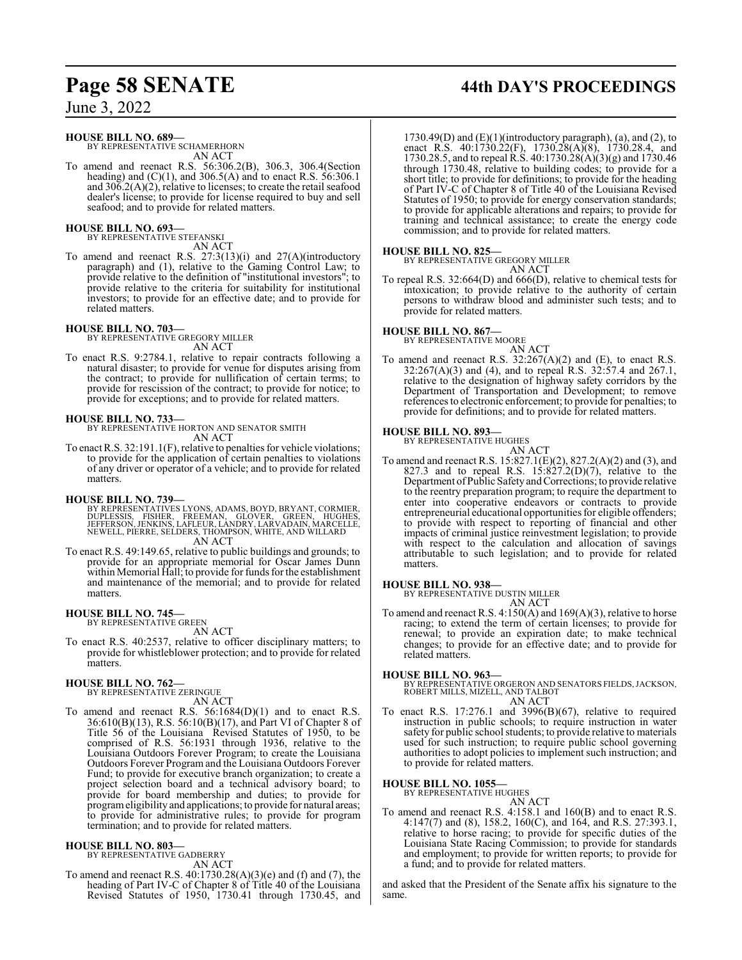#### **HOUSE BILL NO. 689—**

BY REPRESENTATIVE SCHAMERHORN AN ACT

To amend and reenact R.S. 56:306.2(B), 306.3, 306.4(Section heading) and (C)(1), and 306.5(A) and to enact R.S. 56:306.1 and  $30\overline{6}$ .2(A)(2), relative to licenses; to create the retail seafood dealer's license; to provide for license required to buy and sell seafood; and to provide for related matters.

#### **HOUSE BILL NO. 693—** BY REPRESENTATIVE STEFANSKI

AN ACT

To amend and reenact R.S. 27:3(13)(i) and 27(A)(introductory paragraph) and (1), relative to the Gaming Control Law; to provide relative to the definition of "institutional investors"; to provide relative to the criteria for suitability for institutional investors; to provide for an effective date; and to provide for related matters.

#### **HOUSE BILL NO. 703—**

BY REPRESENTATIVE GREGORY MILLER AN ACT

To enact R.S. 9:2784.1, relative to repair contracts following a natural disaster; to provide for venue for disputes arising from the contract; to provide for nullification of certain terms; to provide for rescission of the contract; to provide for notice; to provide for exceptions; and to provide for related matters.

#### **HOUSE BILL NO. 733—**

BY REPRESENTATIVE HORTON AND SENATOR SMITH AN ACT

To enact R.S. 32:191.1(F), relative to penalties for vehicle violations; to provide for the application of certain penalties to violations of any driver or operator of a vehicle; and to provide for related matters.

#### **HOUSE BILL NO. 739—**

- BY REPRESENTATIVES LYONS, ADAMS, BOYD, BRYANT, CORMIER,<br>DUPLESSIS, FISHER, FREEMAN, GLOVER, GREEN, HUGHES,<br>JEFFERSON, JENKINS, LAFLEUR, LANDRY, LARVADAIN, MARCELLE,<br>NEWELL, PIERRE, SELDERS, THOMPSON, WHITE, AN ACT
- To enact R.S. 49:149.65, relative to public buildings and grounds; to provide for an appropriate memorial for Oscar James Dunn within Memorial Hall; to provide for funds for the establishment and maintenance of the memorial; and to provide for related matters.

#### **HOUSE BILL NO. 745—** BY REPRESENTATIVE GREEN

AN ACT

To enact R.S. 40:2537, relative to officer disciplinary matters; to provide for whistleblower protection; and to provide for related matters.

# **HOUSE BILL NO. 762—** BY REPRESENTATIVE ZERINGUE

AN ACT

To amend and reenact R.S. 56:1684(D)(1) and to enact R.S. 36:610(B)(13), R.S. 56:10(B)(17), and Part VI of Chapter 8 of Title 56 of the Louisiana Revised Statutes of 1950, to be comprised of R.S. 56:1931 through 1936, relative to the Louisiana Outdoors Forever Program; to create the Louisiana Outdoors Forever Program and the Louisiana Outdoors Forever Fund; to provide for executive branch organization; to create a project selection board and a technical advisory board; to provide for board membership and duties; to provide for programeligibility and applications; to provide for natural areas; to provide for administrative rules; to provide for program termination; and to provide for related matters.

# **HOUSE BILL NO. 803—** BY REPRESENTATIVE GADBERRY

AN ACT

To amend and reenact R.S. 40:1730.28(A)(3)(e) and (f) and (7), the heading of Part IV-C of Chapter 8 of Title 40 of the Louisiana Revised Statutes of 1950, 1730.41 through 1730.45, and

# **Page 58 SENATE 44th DAY'S PROCEEDINGS**

1730.49(D) and  $(E)(1)$ (introductory paragraph), (a), and (2), to enact R.S. 40:1730.22(F), 1730.28(A)(8), 1730.28.4, and 1730.28.5, and to repeal R.S. 40:1730.28(A)(3)(g) and 1730.46 through 1730.48, relative to building codes; to provide for a short title; to provide for definitions; to provide for the heading of Part IV-C of Chapter 8 of Title 40 of the Louisiana Revised Statutes of 1950; to provide for energy conservation standards; to provide for applicable alterations and repairs; to provide for training and technical assistance; to create the energy code commission; and to provide for related matters.

**HOUSE BILL NO. 825—** BY REPRESENTATIVE GREGORY MILLER AN ACT

To repeal R.S. 32:664(D) and 666(D), relative to chemical tests for intoxication; to provide relative to the authority of certain persons to withdraw blood and administer such tests; and to provide for related matters.

#### **HOUSE BILL NO. 867—**

BY REPRESENTATIVE MOORE AN ACT

To amend and reenact R.S.  $32:267(A)(2)$  and (E), to enact R.S. 32:267(A)(3) and (4), and to repeal R.S. 32:57.4 and 267.1, relative to the designation of highway safety corridors by the Department of Transportation and Development; to remove references to electronic enforcement; to provide for penalties; to provide for definitions; and to provide for related matters.

#### **HOUSE BILL NO. 893—** BY REPRESENTATIVE HUGHES

AN ACT

To amend and reenact R.S. 15:827.1(E)(2), 827.2(A)(2) and (3), and 827.3 and to repeal R.S.  $15:827.2(D)(7)$ , relative to the Department ofPublic Safetyand Corrections; to provide relative to the reentry preparation program; to require the department to enter into cooperative endeavors or contracts to provide entrepreneurial educational opportunities for eligible offenders; to provide with respect to reporting of financial and other impacts of criminal justice reinvestment legislation; to provide with respect to the calculation and allocation of savings attributable to such legislation; and to provide for related matters.

#### **HOUSE BILL NO. 938—**

BY REPRESENTATIVE DUSTIN MILLER

AN ACT To amend and reenact R.S. 4:150(A) and 169(A)(3), relative to horse racing; to extend the term of certain licenses; to provide for renewal; to provide an expiration date; to make technical changes; to provide for an effective date; and to provide for related matters.

#### **HOUSE BILL NO. 963—**

BY REPRESENTATIVE ORGERON AND SENATORS FIELDS,JACKSON, ROBERT MILLS, MIZELL, AND TALBOT

## AN ACT

To enact R.S. 17:276.1 and 3996(B)(67), relative to required instruction in public schools; to require instruction in water safety for public school students; to provide relative to materials used for such instruction; to require public school governing authorities to adopt policies to implement such instruction; and to provide for related matters.

#### **HOUSE BILL NO. 1055—**

BY REPRESENTATIVE HUGHES

AN ACT

To amend and reenact R.S. 4:158.1 and 160(B) and to enact R.S. 4:147(7) and (8), 158.2, 160(C), and 164, and R.S. 27:393.1, relative to horse racing; to provide for specific duties of the Louisiana State Racing Commission; to provide for standards and employment; to provide for written reports; to provide for a fund; and to provide for related matters.

and asked that the President of the Senate affix his signature to the same.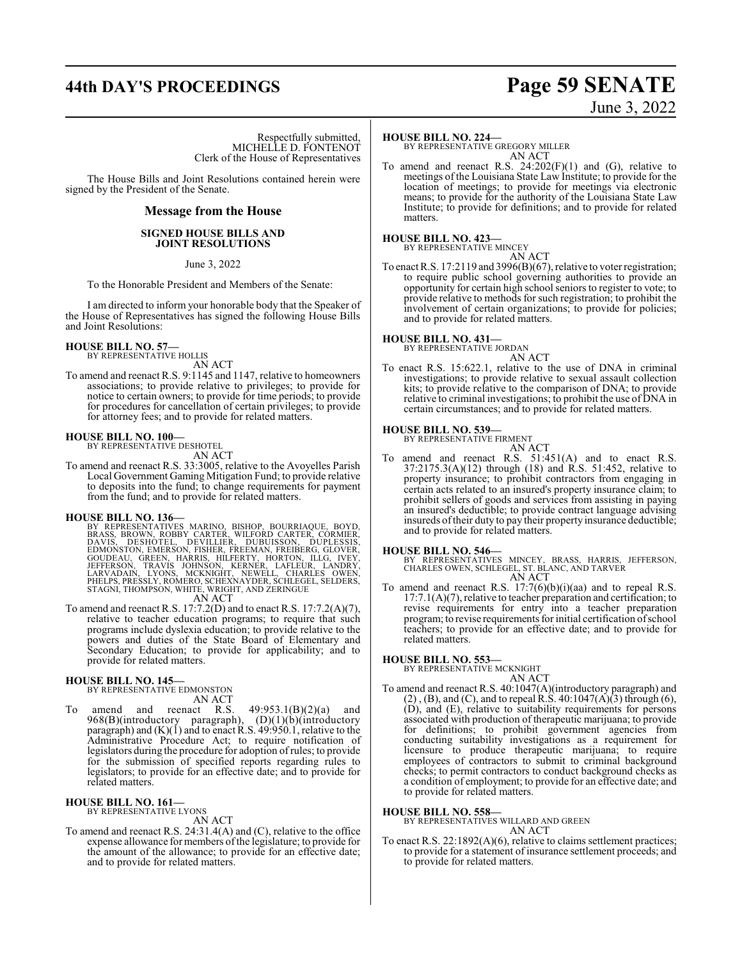# **44th DAY'S PROCEEDINGS Page 59 SENATE**

Respectfully submitted, MICHELLE D. FONTENOT Clerk of the House of Representatives

The House Bills and Joint Resolutions contained herein were signed by the President of the Senate.

#### **Message from the House**

#### **SIGNED HOUSE BILLS AND JOINT RESOLUTIONS**

June 3, 2022

To the Honorable President and Members of the Senate:

I am directed to inform your honorable body that the Speaker of the House of Representatives has signed the following House Bills and Joint Resolutions:

#### **HOUSE BILL NO. 57—**

BY REPRESENTATIVE HOLLIS AN ACT

To amend and reenact R.S. 9:1145 and 1147, relative to homeowners associations; to provide relative to privileges; to provide for notice to certain owners; to provide for time periods; to provide for procedures for cancellation of certain privileges; to provide for attorney fees; and to provide for related matters.

#### **HOUSE BILL NO. 100—**

BY REPRESENTATIVE DESHOTEL AN ACT

To amend and reenact R.S. 33:3005, relative to the Avoyelles Parish Local Government Gaming Mitigation Fund; to provide relative to deposits into the fund; to change requirements for payment from the fund; and to provide for related matters.

**HOUSE BILL NO. 136—**<br>BY REPRESENTATIVES MARINO, BISHOP, BOURRIAQUE, BOYD,<br>BRASS, BROWN, ROBBY CARTER, WILFORD CARTER, CORMIER,<br>DAVIS, DESHOTEL, DEVILLIER, DUBUISSON, DUPLESSIS,<br>EDMONSTON, EMERSON, FISHER, FREEMAN, FREIBER AN ACT

To amend and reenact R.S. 17:7.2(D) and to enact R.S. 17:7.2(A)(7), relative to teacher education programs; to require that such programs include dyslexia education; to provide relative to the powers and duties of the State Board of Elementary and Secondary Education; to provide for applicability; and to provide for related matters.

## **HOUSE BILL NO. 145—**

BY REPRESENTATIVE EDMONSTON

- AN ACT
- To amend and reenact R.S.  $49:953.1(B)(2)(a)$  and 968(B)(introductory paragraph), (D)(1)(b)(introductory paragraph) and (K)(1) and to enact R.S. 49:950.1, relative to the Administrative Procedure Act; to require notification of legislators during the procedure for adoption ofrules; to provide for the submission of specified reports regarding rules to legislators; to provide for an effective date; and to provide for related matters.

#### **HOUSE BILL NO. 161—**

BY REPRESENTATIVE LYONS AN ACT

To amend and reenact R.S. 24:31.4(A) and (C), relative to the office expense allowance for members ofthe legislature; to provide for the amount of the allowance; to provide for an effective date; and to provide for related matters.

#### **HOUSE BILL NO. 224—**

BY REPRESENTATIVE GREGORY MILLER AN ACT

To amend and reenact R.S.  $24:202(F)(1)$  and (G), relative to meetings of the Louisiana State Law Institute; to provide for the location of meetings; to provide for meetings via electronic means; to provide for the authority of the Louisiana State Law Institute; to provide for definitions; and to provide for related matters.

# **HOUSE BILL NO. 423—** BY REPRESENTATIVE MINCEY

AN ACT

To enact R.S. 17:2119 and 3996(B)(67), relative to voter registration; to require public school governing authorities to provide an opportunity for certain high school seniors to register to vote; to provide relative to methods for such registration; to prohibit the involvement of certain organizations; to provide for policies; and to provide for related matters.

**HOUSE BILL NO. 431—** BY REPRESENTATIVE JORDAN AN ACT

To enact R.S. 15:622.1, relative to the use of DNA in criminal investigations; to provide relative to sexual assault collection kits; to provide relative to the comparison of DNA; to provide relative to criminal investigations; to prohibit the use of DNA in certain circumstances; and to provide for related matters.

# **HOUSE BILL NO. 539—** BY REPRESENTATIVE FIRMENT

AN ACT To amend and reenact R.S. 51:451(A) and to enact R.S. 37:2175.3(A)(12) through (18) and R.S. 51:452, relative to property insurance; to prohibit contractors from engaging in certain acts related to an insured's property insurance claim; to prohibit sellers of goods and services from assisting in paying an insured's deductible; to provide contract language advising insureds oftheir duty to pay their property insurance deductible; and to provide for related matters.

**HOUSE BILL NO. 546—** BY REPRESENTATIVES MINCEY, BRASS, HARRIS, JEFFERSON, CHARLES OWEN, SCHLEGEL, ST. BLANC, AND TARVER AN ACT

To amend and reenact R.S. 17:7(6)(b)(i)(aa) and to repeal R.S. 17:7.1(A)(7), relative to teacher preparation and certification; to revise requirements for entry into a teacher preparation program; to revise requirements for initial certification ofschool teachers; to provide for an effective date; and to provide for related matters.

**HOUSE BILL NO. 553—** BY REPRESENTATIVE MCKNIGHT AN ACT

To amend and reenact R.S. 40:1047(A)(introductory paragraph) and  $(2)$ ,  $(B)$ , and  $(C)$ , and to repeal R.S. 40:1047 $(A)$  $(3)$  through  $(6)$ , (D), and (E), relative to suitability requirements for persons associated with production of therapeutic marijuana; to provide for definitions; to prohibit government agencies from conducting suitability investigations as a requirement for licensure to produce therapeutic marijuana; to require employees of contractors to submit to criminal background checks; to permit contractors to conduct background checks as a condition of employment; to provide for an effective date; and to provide for related matters.

#### **HOUSE BILL NO. 558—**

BY REPRESENTATIVES WILLARD AND GREEN AN ACT

To enact R.S. 22:1892(A)(6), relative to claims settlement practices; to provide for a statement of insurance settlement proceeds; and to provide for related matters.

June 3, 2022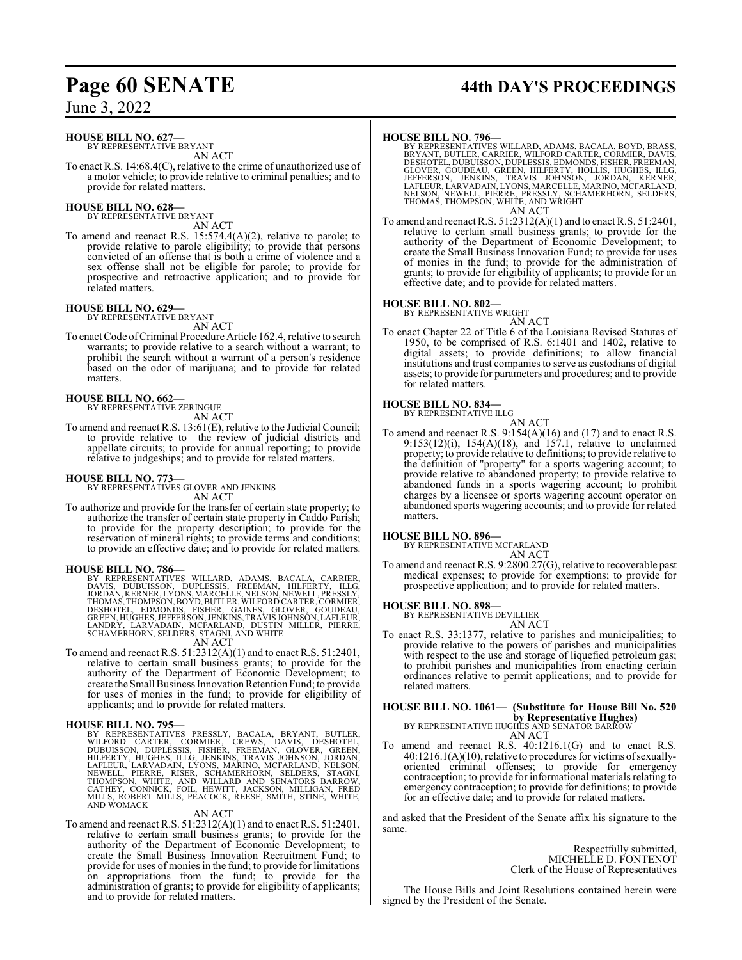## **HOUSE BILL NO. 627—**

BY REPRESENTATIVE BRYANT AN ACT

To enact R.S. 14:68.4(C), relative to the crime of unauthorized use of a motor vehicle; to provide relative to criminal penalties; and to provide for related matters.

#### **HOUSE BILL NO. 628—** BY REPRESENTATIVE BRYANT

AN ACT

To amend and reenact R.S. 15:574.4(A)(2), relative to parole; to provide relative to parole eligibility; to provide that persons convicted of an offense that is both a crime of violence and a sex offense shall not be eligible for parole; to provide for prospective and retroactive application; and to provide for related matters.

# **HOUSE BILL NO. 629—** BY REPRESENTATIVE BRYANT

AN ACT

To enact Code of Criminal Procedure Article 162.4, relative to search warrants; to provide relative to a search without a warrant; to prohibit the search without a warrant of a person's residence based on the odor of marijuana; and to provide for related matters.

#### **HOUSE BILL NO. 662—**

BY REPRESENTATIVE ZERINGUE

AN ACT

To amend and reenact R.S. 13:61(E), relative to the Judicial Council; to provide relative to the review of judicial districts and appellate circuits; to provide for annual reporting; to provide relative to judgeships; and to provide for related matters.

#### **HOUSE BILL NO. 773—**

BY REPRESENTATIVES GLOVER AND JENKINS AN ACT

To authorize and provide for the transfer of certain state property; to authorize the transfer of certain state property in Caddo Parish; to provide for the property description; to provide for the reservation of mineral rights; to provide terms and conditions; to provide an effective date; and to provide for related matters.

**HOUSE BILL NO. 786—**<br>BY REPRESENTATIVES WILLARD, ADAMS, BACALA, CARRIER,<br>DAVIS, DUBUISSON, DUPLESSIS, FREEMAN, HILFERTY, ILLG,<br>JORDAN, KERNER, LYONS, MARCELLE, NELSON, NEWELL, PRESSLY,<br>THOMAS, THOMPSON, BOYD, BUTLER, WILF DESHOTÈL, EDMONDS, FISHER, GAINES, GLOVER, GOUDEAU,<br>GREEN,HUGHES,JEFFERSON,JENKINS,TRAVISJOHNSON,LAFLEUR,<br>LANDRY, LARVADAIN, MCFARLAND, DUSTIN MILLER, PIERRE, SCHAMERHORN, SELDERS, STAGNI, AND WHITE

AN ACT

To amend and reenact R.S. 51:2312(A)(1) and to enact R.S. 51:2401, relative to certain small business grants; to provide for the authority of the Department of Economic Development; to create the Small Business Innovation Retention Fund; to provide for uses of monies in the fund; to provide for eligibility of applicants; and to provide for related matters.

#### **HOUSE BILL NO. 795—**

BY REPRESENTATIVES PRESSLY, BACALA, BRYANT, BUTLER,<br>WILFORD CARTER, CORMIER, CREWS, DAVIS, DESHOTEL,<br>DUBUISSON, DUPLESSIS, FISHER, FREEMAN, GLOVER, GREEN,<br>HILFERTY, HUGHES, ILLG, JENKINS, TRAVIS JOHNSON, JORDAN,<br>LAFLEUR, L

#### AN ACT

To amend and reenact R.S. 51:2312(A)(1) and to enact R.S. 51:2401, relative to certain small business grants; to provide for the authority of the Department of Economic Development; to create the Small Business Innovation Recruitment Fund; to provide for uses of monies in the fund; to provide for limitations on appropriations from the fund; to provide for the administration of grants; to provide for eligibility of applicants; and to provide for related matters.

# **Page 60 SENATE 44th DAY'S PROCEEDINGS**

**HOUSE BILL NO. 796—**<br>BY REPRESENTATIVES WILLARD, ADAMS, BACALA, BOYD, BRASS,<br>BRYANT, BUTLER, CARRIER, WILFORD CARTER, CORMIER, DAVIS,<br>DESHOTEL, DUBUÍSSON, DUPLESSIS, EDMONDS, FISHER, FREEMAN,<br>GLOVER, GOUDEAU, GREEN, HILFE AN ACT

To amend and reenact R.S. 51:2312(A)(1) and to enact R.S. 51:2401, relative to certain small business grants; to provide for the authority of the Department of Economic Development; to create the Small Business Innovation Fund; to provide for uses of monies in the fund; to provide for the administration of grants; to provide for eligibility of applicants; to provide for an effective date; and to provide for related matters.

#### **HOUSE BILL NO. 802—**

BY REPRESENTATIVE WRIGHT

AN ACT To enact Chapter 22 of Title 6 of the Louisiana Revised Statutes of 1950, to be comprised of R.S. 6:1401 and 1402, relative to digital assets; to provide definitions; to allow financial institutions and trust companies to serve as custodians of digital assets; to provide for parameters and procedures; and to provide for related matters.

## **HOUSE BILL NO. 834—** BY REPRESENTATIVE ILLG

AN ACT

To amend and reenact R.S.  $9:154(A)(16)$  and (17) and to enact R.S. 9:153(12)(i), 154(A)(18), and 157.1, relative to unclaimed property; to provide relative to definitions; to provide relative to the definition of "property" for a sports wagering account; to provide relative to abandoned property; to provide relative to abandoned funds in a sports wagering account; to prohibit charges by a licensee or sports wagering account operator on abandoned sports wagering accounts; and to provide for related matters.

#### **HOUSE BILL NO. 896—**

BY REPRESENTATIVE MCFARLAND AN ACT

To amend and reenact R.S. 9:2800.27(G), relative to recoverable past medical expenses; to provide for exemptions; to provide for prospective application; and to provide for related matters.

### **HOUSE BILL NO. 898—**

BY REPRESENTATIVE DEVILLIER

AN ACT To enact R.S. 33:1377, relative to parishes and municipalities; to provide relative to the powers of parishes and municipalities with respect to the use and storage of liquefied petroleum gas; to prohibit parishes and municipalities from enacting certain ordinances relative to permit applications; and to provide for related matters.

## **HOUSE BILL NO. 1061— (Substitute for House Bill No. 520 by Representative Hughes)**<br>BY REPRESENTATIVE HUGHES AND SENATOR BARROW

- AN ACT
- To amend and reenact R.S. 40:1216.1(G) and to enact R.S. 40:1216.1(A)(10), relative to procedures for victims ofsexuallyoriented criminal offenses; to provide for emergency contraception; to provide for informational materials relating to emergency contraception; to provide for definitions; to provide for an effective date; and to provide for related matters.

and asked that the President of the Senate affix his signature to the same.

> Respectfully submitted, MICHELLE D. FONTENOT Clerk of the House of Representatives

The House Bills and Joint Resolutions contained herein were signed by the President of the Senate.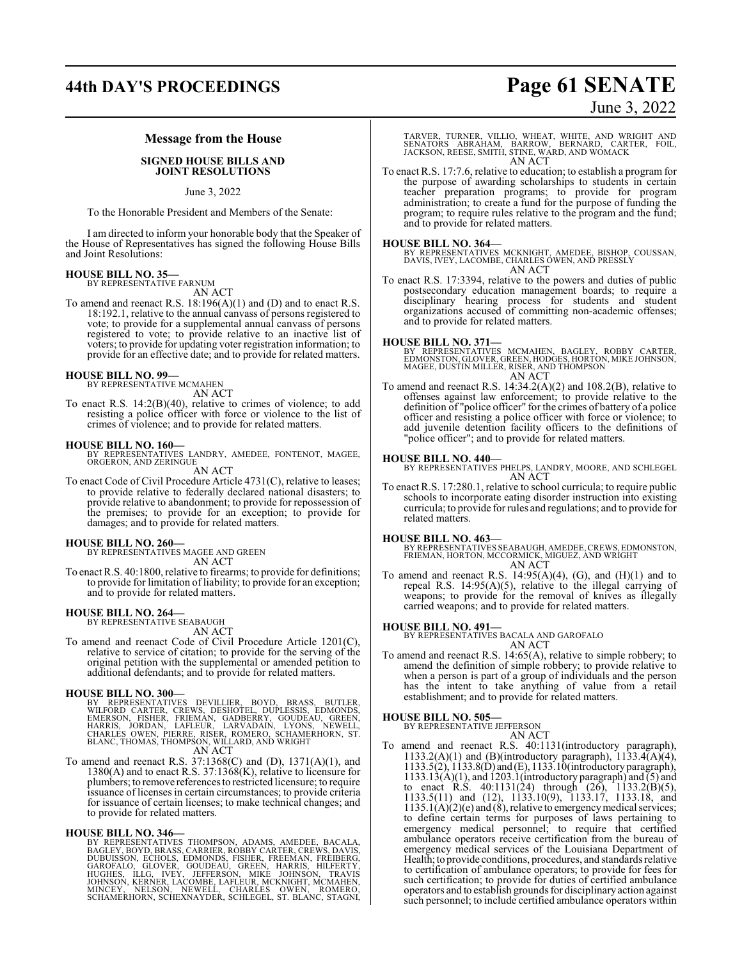# **44th DAY'S PROCEEDINGS Page 61 SENATE**

# June 3, 2022

#### **Message from the House**

#### **SIGNED HOUSE BILLS AND JOINT RESOLUTIONS**

June 3, 2022

To the Honorable President and Members of the Senate:

I am directed to inform your honorable body that the Speaker of the House of Representatives has signed the following House Bills and Joint Resolutions:

## **HOUSE BILL NO. 35—** BY REPRESENTATIVE FARNUM

AN ACT

To amend and reenact R.S. 18:196(A)(1) and (D) and to enact R.S. 18:192.1, relative to the annual canvass of persons registered to vote; to provide for a supplemental annual canvass of persons registered to vote; to provide relative to an inactive list of voters; to provide for updating voter registration information; to provide for an effective date; and to provide for related matters.

# **HOUSE BILL NO. 99—** BY REPRESENTATIVE MCMAHEN

AN ACT

To enact R.S. 14:2(B)(40), relative to crimes of violence; to add resisting a police officer with force or violence to the list of crimes of violence; and to provide for related matters.

**HOUSE BILL NO. 160—** BY REPRESENTATIVES LANDRY, AMEDEE, FONTENOT, MAGEE, ORGERON, AND ZERINGUE AN ACT

To enact Code of Civil Procedure Article 4731(C), relative to leases; to provide relative to federally declared national disasters; to provide relative to abandonment; to provide for repossession of the premises; to provide for an exception; to provide for damages; and to provide for related matters.

**HOUSE BILL NO. 260—** BY REPRESENTATIVES MAGEE AND GREEN AN ACT

To enact R.S. 40:1800, relative to firearms; to provide for definitions; to provide for limitation of liability; to provide for an exception; and to provide for related matters.

#### **HOUSE BILL NO. 264—**

BY REPRESENTATIVE SEABAUGH AN ACT

To amend and reenact Code of Civil Procedure Article 1201(C), relative to service of citation; to provide for the serving of the original petition with the supplemental or amended petition to additional defendants; and to provide for related matters.

#### **HOUSE BILL NO. 300—**

BY REPRESENTATIVES DEVILLIER, BOYD, BRASS, BUTLER,<br>WILFORD CARTER, CREWS, DESHOTEL, DUPLESSIS, EDMONDS,<br>EMERSON, FISHER, FRIEMAN, GADBERRY, GOUDEAU, GREEN,<br>HARRIS, JORDAN, LAFLEUR, LARVADAIN, LYONS, NEWELL,<br>CHARLÉS OWEN, P AN ACT

To amend and reenact R.S. 37:1368(C) and (D), 1371(A)(1), and 1380(A) and to enact R.S. 37:1368(K), relative to licensure for plumbers; to remove references to restricted licensure; to require issuance of licenses in certain circumstances; to provide criteria for issuance of certain licenses; to make technical changes; and to provide for related matters.

**HOUSE BILL NO. 346—** BY REPRESENTATIVES THOMPSON, ADAMS, AMEDEE, BACALA, BAGLEY, BOYD, BRASS, CARRIER, RÖBBY CARTER, CREWS, DAVIS,<br>DUBUISSON, ECHOLS, FEDMONDS, FISHER, FREEMAN, FREIBERG,<br>GAROFALO, GLOVER, GOUDEAU, GREEN, HARRIS, HILFERTY,<br>HUGHES, ILLG, IVEY, JEFFERSON, MIKE JOHNSON, TRAVIS<br>JOHN TARVER, TURNER, VILLIO, WHEAT, WHITE, AND WRIGHT AND<br>SENATORS ABRAHAM, BARROW, BERNARD, CARTER, FOIL,<br>JACKSON, REESE, SMITH, STINE, WARD, AND WOMACK AN ACT

To enact R.S. 17:7.6, relative to education; to establish a program for the purpose of awarding scholarships to students in certain teacher preparation programs; to provide for program administration; to create a fund for the purpose of funding the program; to require rules relative to the program and the fund; and to provide for related matters.

**HOUSE BILL NO. 364—** BY REPRESENTATIVES MCKNIGHT, AMEDEE, BISHOP, COUSSAN, DAVIS, IVEY, LACOMBE, CHARLES OWEN, AND PRESSLY AN ACT

To enact R.S. 17:3394, relative to the powers and duties of public postsecondary education management boards; to require a disciplinary hearing process for students and student organizations accused of committing non-academic offenses; and to provide for related matters.

#### **HOUSE BILL NO. 371—**

BY REPRESENTATIVES MCMAHEN, BAGLEY, ROBBY CARTER,<br>EDMONSTON,GLOVER,GREEN,HODGES,HORTON,MIKEJOHNSON,<br>MAGEE,DUSTIN MILLER,RISER,AND THOMPSON AN ACT

To amend and reenact R.S. 14:34.2(A)(2) and 108.2(B), relative to offenses against law enforcement; to provide relative to the definition of "police officer" for the crimes of battery of a police officer and resisting a police officer with force or violence; to add juvenile detention facility officers to the definitions of "police officer"; and to provide for related matters.

#### **HOUSE BILL NO. 440—**

BY REPRESENTATIVES PHELPS, LANDRY, MOORE, AND SCHLEGEL AN ACT

To enact R.S. 17:280.1, relative to school curricula; to require public schools to incorporate eating disorder instruction into existing curricula; to provide for rules and regulations; and to provide for related matters.

**HOUSE BILL NO. 463—**<br>BY REPRESENTATIVES SEABAUGH, AMEDEE, CREWS, EDMONSTON,<br>FRIEMAN, HORTON, MCCORMICK, MIGUEZ, AND WRIGHT<br>AN ACT

To amend and reenact R.S.  $14:95(A)(4)$ , (G), and  $(H)(1)$  and to repeal R.S. 14:95(A)(5), relative to the illegal carrying of weapons; to provide for the removal of knives as illegally carried weapons; and to provide for related matters.

#### **HOUSE BILL NO. 491—**

BY REPRESENTATIVES BACALA AND GAROFALO AN ACT

To amend and reenact R.S. 14:65(A), relative to simple robbery; to amend the definition of simple robbery; to provide relative to when a person is part of a group of individuals and the person has the intent to take anything of value from a retail establishment; and to provide for related matters.

#### **HOUSE BILL NO. 505—**

BY REPRESENTATIVE JEFFERSON AN ACT

To amend and reenact R.S. 40:1131(introductory paragraph), 1133.2(A)(1) and (B)(introductory paragraph),  $1133.4(A)(4)$ , 1133.5(2), 1133.8(D) and (E), 1133.10(introductory paragraph),  $1133.13(A)(1)$ , and  $1203.1$  (introductory paragraph) and  $\overline{(5)}$  and to enact R.S.  $40:1131(24)$  through  $(26)$ ,  $1133.2(B)(5)$ , 1133.5(11) and (12), 1133.10(9), 1133.17, 1133.18, and  $1135.1(A)(2)(e)$  and  $(8)$ , relative to emergency medical services; to define certain terms for purposes of laws pertaining to emergency medical personnel; to require that certified ambulance operators receive certification from the bureau of emergency medical services of the Louisiana Department of Health; to provide conditions, procedures, and standards relative to certification of ambulance operators; to provide for fees for such certification; to provide for duties of certified ambulance operators and to establish grounds for disciplinaryaction against such personnel; to include certified ambulance operators within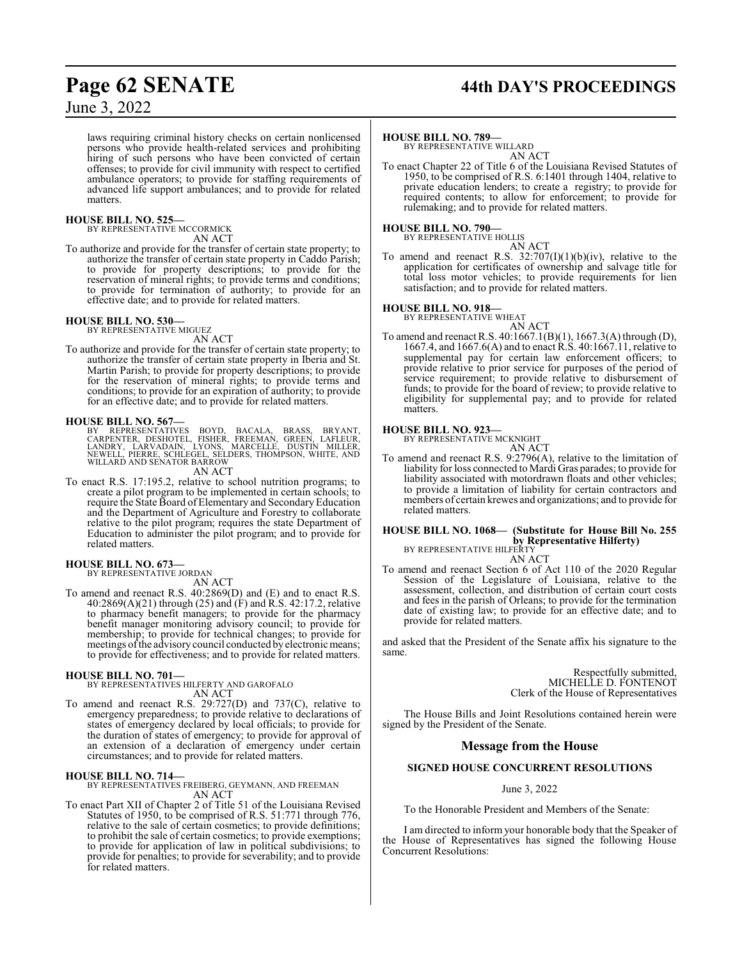# **Page 62 SENATE 44th DAY'S PROCEEDINGS**

June 3, 2022

laws requiring criminal history checks on certain nonlicensed persons who provide health-related services and prohibiting hiring of such persons who have been convicted of certain offenses; to provide for civil immunity with respect to certified ambulance operators; to provide for staffing requirements of advanced life support ambulances; and to provide for related matters.

#### **HOUSE BILL NO. 525—**

BY REPRESENTATIVE MCCORMICK

AN ACT

To authorize and provide for the transfer of certain state property; to authorize the transfer of certain state property in Caddo Parish; to provide for property descriptions; to provide for the reservation of mineral rights; to provide terms and conditions; to provide for termination of authority; to provide for an effective date; and to provide for related matters.

# **HOUSE BILL NO. 530—** BY REPRESENTATIVE MIGUEZ

AN ACT To authorize and provide for the transfer of certain state property; to authorize the transfer of certain state property in Iberia and St. Martin Parish; to provide for property descriptions; to provide for the reservation of mineral rights; to provide terms and conditions; to provide for an expiration of authority; to provide

for an effective date; and to provide for related matters.

#### **HOUSE BILL NO. 567—**

BY REPRESENTATIVES BOYD, BACALA, BRASS, BRYANT,<br>CARPENTER, DESHOTEL, FISHER, FREEMAN, GREEN, LAFLEUR,<br>LANDRY, LARVADAIN, LYONS, MARCELLE, DUSTIN MILLER,<br>NEWELL, PIERRE, SCHLEGEL, SELDERS, THOMPSON, WHITE, AND<br>WILLARD AND S

AN ACT

To enact R.S. 17:195.2, relative to school nutrition programs; to create a pilot program to be implemented in certain schools; to require the State Board of Elementary and SecondaryEducation and the Department of Agriculture and Forestry to collaborate relative to the pilot program; requires the state Department of Education to administer the pilot program; and to provide for related matters.

# **HOUSE BILL NO. 673—** BY REPRESENTATIVE JORDAN

AN ACT

To amend and reenact R.S. 40:2869(D) and (E) and to enact R.S. 40:2869(A)(21) through (25) and (F) and R.S. 42:17.2, relative to pharmacy benefit managers; to provide for the pharmacy benefit manager monitoring advisory council; to provide for membership; to provide for technical changes; to provide for meetings ofthe advisory council conducted by electronic means; to provide for effectiveness; and to provide for related matters.

#### **HOUSE BILL NO. 701—**

BY REPRESENTATIVES HILFERTY AND GAROFALO AN ACT

To amend and reenact R.S. 29:727(D) and 737(C), relative to emergency preparedness; to provide relative to declarations of states of emergency declared by local officials; to provide for the duration of states of emergency; to provide for approval of an extension of a declaration of emergency under certain circumstances; and to provide for related matters.

#### **HOUSE BILL NO. 714—**

BY REPRESENTATIVES FREIBERG, GEYMANN, AND FREEMAN AN ACT

To enact Part XII of Chapter 2 of Title 51 of the Louisiana Revised Statutes of 1950, to be comprised of R.S. 51:771 through 776, relative to the sale of certain cosmetics; to provide definitions; to prohibit the sale of certain cosmetics; to provide exemptions; to provide for application of law in political subdivisions; to provide for penalties; to provide for severability; and to provide for related matters.

#### **HOUSE BILL NO. 789—**

BY REPRESENTATIVE WILLARD AN ACT

To enact Chapter 22 of Title 6 of the Louisiana Revised Statutes of 1950, to be comprised of R.S. 6:1401 through 1404, relative to private education lenders; to create a registry; to provide for required contents; to allow for enforcement; to provide for rulemaking; and to provide for related matters.

#### **HOUSE BILL NO. 790—** BY REPRESENTATIVE HOLLIS

AN ACT

To amend and reenact R.S.  $32:707(I)(1)(b)(iv)$ , relative to the application for certificates of ownership and salvage title for total loss motor vehicles; to provide requirements for lien satisfaction; and to provide for related matters.

## **HOUSE BILL NO. 918—** BY REPRESENTATIVE WHEAT



AN ACT To amend and reenact R.S. 40:1667.1(B)(1), 1667.3(A) through (D), 1667.4, and 1667.6(A) and to enact R.S. 40:1667.11, relative to supplemental pay for certain law enforcement officers; to provide relative to prior service for purposes of the period of service requirement; to provide relative to disbursement of funds; to provide for the board of review; to provide relative to eligibility for supplemental pay; and to provide for related matters.

# **HOUSE BILL NO. 923—** BY REPRESENTATIVE MCKNIGHT

AN ACT

To amend and reenact R.S. 9:2796(A), relative to the limitation of liability for loss connected to Mardi Gras parades; to provide for liability associated with motordrawn floats and other vehicles; to provide a limitation of liability for certain contractors and members of certain krewes and organizations; and to provide for related matters.

#### **HOUSE BILL NO. 1068— (Substitute for House Bill No. 255 by Representative Hilferty)** BY REPRESENTATIVE HILFERTY

AN ACT To amend and reenact Section 6 of Act 110 of the 2020 Regular Session of the Legislature of Louisiana, relative to the assessment, collection, and distribution of certain court costs and fees in the parish of Orleans; to provide for the termination date of existing law; to provide for an effective date; and to provide for related matters.

and asked that the President of the Senate affix his signature to the same.

> Respectfully submitted, MICHELLE D. FONTENOT Clerk of the House of Representatives

The House Bills and Joint Resolutions contained herein were signed by the President of the Senate.

#### **Message from the House**

#### **SIGNED HOUSE CONCURRENT RESOLUTIONS**

June 3, 2022

To the Honorable President and Members of the Senate:

I am directed to inform your honorable body that the Speaker of the House of Representatives has signed the following House Concurrent Resolutions: